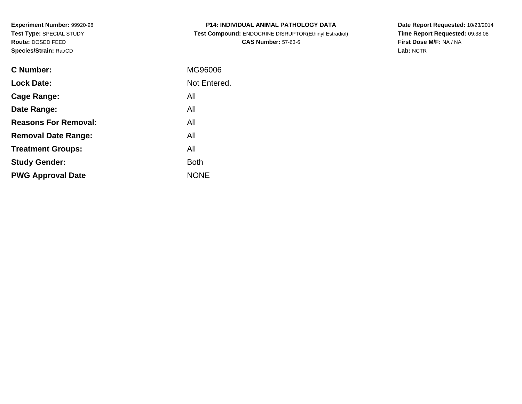**Experiment Number:** 99920-98**Test Type:** SPECIAL STUDY**Route:** DOSED FEED**Species/Strain:** Rat/CD

| <b>P14: INDIVIDUAL ANIMAL PATHOLOGY DATA</b>          |
|-------------------------------------------------------|
| Test Compound: ENDOCRINE DISRUPTOR(Ethinyl Estradiol) |
| <b>CAS Number: 57-63-6</b>                            |

**Date Report Requested:** 10/23/2014 **Time Report Requested:** 09:38:08**First Dose M/F:** NA / NA**Lab:** NCTR

| C Number:                   | MG96006      |
|-----------------------------|--------------|
| <b>Lock Date:</b>           | Not Entered. |
| Cage Range:                 | All          |
| Date Range:                 | All          |
| <b>Reasons For Removal:</b> | All          |
| <b>Removal Date Range:</b>  | All          |
| <b>Treatment Groups:</b>    | All          |
| <b>Study Gender:</b>        | <b>Both</b>  |
| <b>PWG Approval Date</b>    | <b>NONE</b>  |
|                             |              |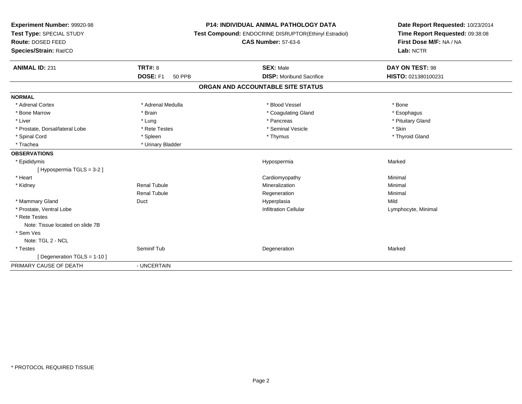| Experiment Number: 99920-98      | <b>P14: INDIVIDUAL ANIMAL PATHOLOGY DATA</b><br>Test Compound: ENDOCRINE DISRUPTOR(Ethinyl Estradiol)<br><b>CAS Number: 57-63-6</b> |                                   | Date Report Requested: 10/23/2014 |
|----------------------------------|-------------------------------------------------------------------------------------------------------------------------------------|-----------------------------------|-----------------------------------|
| Test Type: SPECIAL STUDY         |                                                                                                                                     |                                   | Time Report Requested: 09:38:08   |
| Route: DOSED FEED                |                                                                                                                                     |                                   | First Dose M/F: NA / NA           |
| Species/Strain: Rat/CD           |                                                                                                                                     |                                   | Lab: NCTR                         |
| <b>ANIMAL ID: 231</b>            | <b>TRT#: 8</b>                                                                                                                      | <b>SEX: Male</b>                  | DAY ON TEST: 98                   |
|                                  | DOSE: F1<br><b>50 PPB</b>                                                                                                           | <b>DISP:</b> Moribund Sacrifice   | HISTO: 021380100231               |
|                                  |                                                                                                                                     | ORGAN AND ACCOUNTABLE SITE STATUS |                                   |
| <b>NORMAL</b>                    |                                                                                                                                     |                                   |                                   |
| * Adrenal Cortex                 | * Adrenal Medulla                                                                                                                   | * Blood Vessel                    | * Bone                            |
| * Bone Marrow                    | * Brain                                                                                                                             | * Coagulating Gland               | * Esophagus                       |
| * Liver                          | * Lung                                                                                                                              | * Pancreas                        | * Pituitary Gland                 |
| * Prostate, Dorsal/lateral Lobe  | * Rete Testes                                                                                                                       | * Seminal Vesicle                 | * Skin                            |
| * Spinal Cord                    | * Spleen                                                                                                                            | * Thymus                          | * Thyroid Gland                   |
| * Trachea                        | * Urinary Bladder                                                                                                                   |                                   |                                   |
| <b>OBSERVATIONS</b>              |                                                                                                                                     |                                   |                                   |
| * Epididymis                     |                                                                                                                                     | Hypospermia                       | Marked                            |
| [Hypospermia TGLS = 3-2]         |                                                                                                                                     |                                   |                                   |
| * Heart                          |                                                                                                                                     | Cardiomyopathy                    | Minimal                           |
| * Kidney                         | <b>Renal Tubule</b>                                                                                                                 | Mineralization                    | Minimal                           |
|                                  | <b>Renal Tubule</b>                                                                                                                 | Regeneration                      | Minimal                           |
| * Mammary Gland                  | Duct                                                                                                                                | Hyperplasia                       | Mild                              |
| * Prostate, Ventral Lobe         |                                                                                                                                     | <b>Infiltration Cellular</b>      | Lymphocyte, Minimal               |
| * Rete Testes                    |                                                                                                                                     |                                   |                                   |
| Note: Tissue located on slide 7B |                                                                                                                                     |                                   |                                   |
| * Sem Ves                        |                                                                                                                                     |                                   |                                   |
| Note: TGL 2 - NCL                |                                                                                                                                     |                                   |                                   |
| * Testes                         | Seminif Tub                                                                                                                         | Degeneration                      | Marked                            |
| [Degeneration TGLS = 1-10]       |                                                                                                                                     |                                   |                                   |
| PRIMARY CAUSE OF DEATH           | - UNCERTAIN                                                                                                                         |                                   |                                   |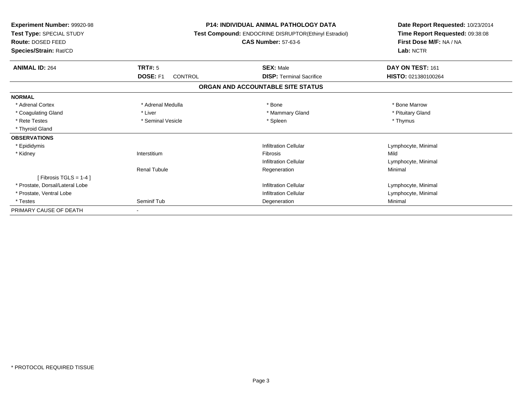| <b>Experiment Number: 99920-98</b><br>Test Type: SPECIAL STUDY<br><b>Route: DOSED FEED</b><br>Species/Strain: Rat/CD |                                   | <b>P14: INDIVIDUAL ANIMAL PATHOLOGY DATA</b><br>Test Compound: ENDOCRINE DISRUPTOR(Ethinyl Estradiol)<br><b>CAS Number: 57-63-6</b> | Date Report Requested: 10/23/2014<br>Time Report Requested: 09:38:08<br>First Dose M/F: NA / NA<br>Lab: NCTR |  |
|----------------------------------------------------------------------------------------------------------------------|-----------------------------------|-------------------------------------------------------------------------------------------------------------------------------------|--------------------------------------------------------------------------------------------------------------|--|
| <b>ANIMAL ID: 264</b>                                                                                                | TRT#: 5                           | <b>SEX: Male</b>                                                                                                                    | DAY ON TEST: 161                                                                                             |  |
|                                                                                                                      | <b>DOSE: F1</b><br><b>CONTROL</b> | <b>DISP: Terminal Sacrifice</b>                                                                                                     | HISTO: 021380100264                                                                                          |  |
|                                                                                                                      |                                   | ORGAN AND ACCOUNTABLE SITE STATUS                                                                                                   |                                                                                                              |  |
| <b>NORMAL</b>                                                                                                        |                                   |                                                                                                                                     |                                                                                                              |  |
| * Adrenal Cortex                                                                                                     | * Adrenal Medulla                 | * Bone                                                                                                                              | * Bone Marrow                                                                                                |  |
| * Coagulating Gland                                                                                                  | * Liver                           | * Mammary Gland                                                                                                                     | * Pituitary Gland                                                                                            |  |
| * Rete Testes                                                                                                        | * Seminal Vesicle                 | * Spleen                                                                                                                            | * Thymus                                                                                                     |  |
| * Thyroid Gland                                                                                                      |                                   |                                                                                                                                     |                                                                                                              |  |
| <b>OBSERVATIONS</b>                                                                                                  |                                   |                                                                                                                                     |                                                                                                              |  |
| * Epididymis                                                                                                         |                                   | <b>Infiltration Cellular</b>                                                                                                        | Lymphocyte, Minimal                                                                                          |  |
| * Kidney                                                                                                             | Interstitium                      | <b>Fibrosis</b>                                                                                                                     | Mild                                                                                                         |  |
|                                                                                                                      |                                   | Infiltration Cellular                                                                                                               | Lymphocyte, Minimal                                                                                          |  |
|                                                                                                                      | <b>Renal Tubule</b>               | Regeneration                                                                                                                        | Minimal                                                                                                      |  |
| [Fibrosis TGLS = $1-4$ ]                                                                                             |                                   |                                                                                                                                     |                                                                                                              |  |
| * Prostate, Dorsal/Lateral Lobe                                                                                      |                                   | Infiltration Cellular                                                                                                               | Lymphocyte, Minimal                                                                                          |  |
| * Prostate, Ventral Lobe                                                                                             |                                   | Infiltration Cellular                                                                                                               | Lymphocyte, Minimal                                                                                          |  |
| * Testes                                                                                                             | Seminif Tub                       | Degeneration                                                                                                                        | Minimal                                                                                                      |  |
| PRIMARY CAUSE OF DEATH                                                                                               |                                   |                                                                                                                                     |                                                                                                              |  |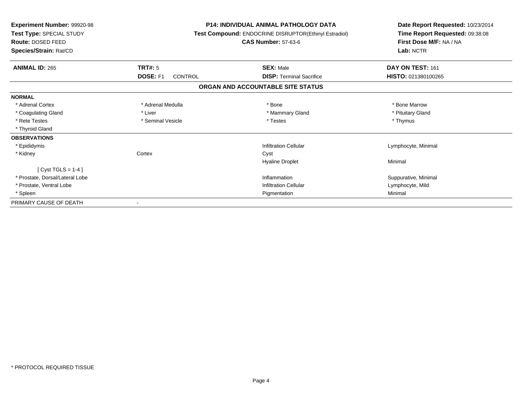| Experiment Number: 99920-98<br>Test Type: SPECIAL STUDY<br>Route: DOSED FEED<br>Species/Strain: Rat/CD |                                   | <b>P14: INDIVIDUAL ANIMAL PATHOLOGY DATA</b><br>Test Compound: ENDOCRINE DISRUPTOR(Ethinyl Estradiol)<br><b>CAS Number: 57-63-6</b> | Date Report Requested: 10/23/2014<br>Time Report Requested: 09:38:08<br>First Dose M/F: NA / NA<br>Lab: NCTR |
|--------------------------------------------------------------------------------------------------------|-----------------------------------|-------------------------------------------------------------------------------------------------------------------------------------|--------------------------------------------------------------------------------------------------------------|
| <b>ANIMAL ID: 265</b>                                                                                  | <b>TRT#: 5</b>                    | <b>SEX: Male</b>                                                                                                                    | DAY ON TEST: 161                                                                                             |
|                                                                                                        | <b>DOSE: F1</b><br><b>CONTROL</b> | <b>DISP: Terminal Sacrifice</b>                                                                                                     | HISTO: 021380100265                                                                                          |
|                                                                                                        |                                   | ORGAN AND ACCOUNTABLE SITE STATUS                                                                                                   |                                                                                                              |
| <b>NORMAL</b>                                                                                          |                                   |                                                                                                                                     |                                                                                                              |
| * Adrenal Cortex                                                                                       | * Adrenal Medulla                 | * Bone                                                                                                                              | * Bone Marrow                                                                                                |
| * Coagulating Gland                                                                                    | * Liver                           | * Mammary Gland                                                                                                                     | * Pituitary Gland                                                                                            |
| * Rete Testes                                                                                          | * Seminal Vesicle                 | * Testes                                                                                                                            | * Thymus                                                                                                     |
| * Thyroid Gland                                                                                        |                                   |                                                                                                                                     |                                                                                                              |
| <b>OBSERVATIONS</b>                                                                                    |                                   |                                                                                                                                     |                                                                                                              |
| * Epididymis                                                                                           |                                   | <b>Infiltration Cellular</b>                                                                                                        | Lymphocyte, Minimal                                                                                          |
| * Kidney                                                                                               | Cortex                            | Cyst                                                                                                                                |                                                                                                              |
|                                                                                                        |                                   | <b>Hyaline Droplet</b>                                                                                                              | Minimal                                                                                                      |
| [Cyst TGLS = $1-4$ ]                                                                                   |                                   |                                                                                                                                     |                                                                                                              |
| * Prostate, Dorsal/Lateral Lobe                                                                        |                                   | Inflammation                                                                                                                        | Suppurative, Minimal                                                                                         |
| * Prostate, Ventral Lobe                                                                               |                                   | <b>Infiltration Cellular</b>                                                                                                        | Lymphocyte, Mild                                                                                             |
| * Spleen                                                                                               |                                   | Pigmentation                                                                                                                        | Minimal                                                                                                      |
| PRIMARY CAUSE OF DEATH                                                                                 |                                   |                                                                                                                                     |                                                                                                              |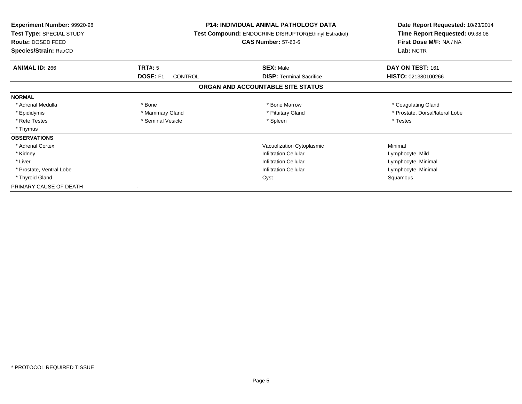| <b>Experiment Number: 99920-98</b><br>Test Type: SPECIAL STUDY<br>Route: DOSED FEED<br>Species/Strain: Rat/CD | <b>P14: INDIVIDUAL ANIMAL PATHOLOGY DATA</b><br>Test Compound: ENDOCRINE DISRUPTOR(Ethinyl Estradiol)<br><b>CAS Number: 57-63-6</b> |                                   | Date Report Requested: 10/23/2014<br>Time Report Requested: 09:38:08<br>First Dose M/F: NA / NA<br>Lab: NCTR |  |
|---------------------------------------------------------------------------------------------------------------|-------------------------------------------------------------------------------------------------------------------------------------|-----------------------------------|--------------------------------------------------------------------------------------------------------------|--|
|                                                                                                               |                                                                                                                                     |                                   |                                                                                                              |  |
| <b>ANIMAL ID: 266</b>                                                                                         | TRT#: 5                                                                                                                             | <b>SEX: Male</b>                  | DAY ON TEST: 161                                                                                             |  |
|                                                                                                               | <b>DOSE: F1</b><br>CONTROL                                                                                                          | <b>DISP:</b> Terminal Sacrifice   | HISTO: 021380100266                                                                                          |  |
|                                                                                                               |                                                                                                                                     | ORGAN AND ACCOUNTABLE SITE STATUS |                                                                                                              |  |
| <b>NORMAL</b>                                                                                                 |                                                                                                                                     |                                   |                                                                                                              |  |
| * Adrenal Medulla                                                                                             | * Bone                                                                                                                              | * Bone Marrow                     | * Coagulating Gland                                                                                          |  |
| * Epididymis                                                                                                  | * Mammary Gland                                                                                                                     | * Pituitary Gland                 | * Prostate, Dorsal/lateral Lobe                                                                              |  |
| * Rete Testes                                                                                                 | * Seminal Vesicle                                                                                                                   | * Spleen                          | * Testes                                                                                                     |  |
| * Thymus                                                                                                      |                                                                                                                                     |                                   |                                                                                                              |  |
| <b>OBSERVATIONS</b>                                                                                           |                                                                                                                                     |                                   |                                                                                                              |  |
| * Adrenal Cortex                                                                                              |                                                                                                                                     | Vacuolization Cytoplasmic         | Minimal                                                                                                      |  |
| * Kidney                                                                                                      |                                                                                                                                     | <b>Infiltration Cellular</b>      | Lymphocyte, Mild                                                                                             |  |
| * Liver                                                                                                       |                                                                                                                                     | <b>Infiltration Cellular</b>      | Lymphocyte, Minimal                                                                                          |  |
| * Prostate, Ventral Lobe                                                                                      |                                                                                                                                     | <b>Infiltration Cellular</b>      | Lymphocyte, Minimal                                                                                          |  |
| * Thyroid Gland                                                                                               |                                                                                                                                     | Cyst                              | Squamous                                                                                                     |  |
| PRIMARY CAUSE OF DEATH                                                                                        |                                                                                                                                     |                                   |                                                                                                              |  |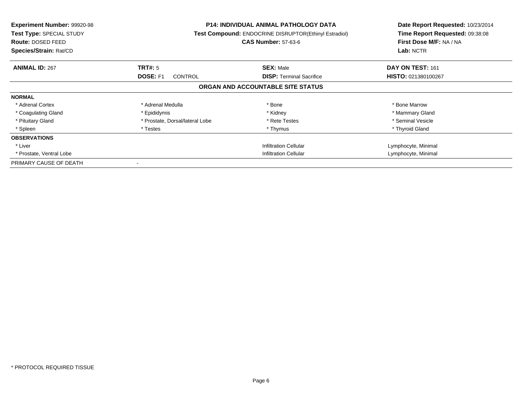| <b>Experiment Number: 99920-98</b><br><b>Test Type: SPECIAL STUDY</b><br><b>Route: DOSED FEED</b><br>Species/Strain: Rat/CD |                                   | <b>P14: INDIVIDUAL ANIMAL PATHOLOGY DATA</b><br><b>Test Compound: ENDOCRINE DISRUPTOR(Ethinyl Estradiol)</b><br><b>CAS Number: 57-63-6</b> | Date Report Requested: 10/23/2014<br>Time Report Requested: 09:38:08<br>First Dose M/F: NA / NA<br>Lab: NCTR |
|-----------------------------------------------------------------------------------------------------------------------------|-----------------------------------|--------------------------------------------------------------------------------------------------------------------------------------------|--------------------------------------------------------------------------------------------------------------|
| <b>ANIMAL ID: 267</b>                                                                                                       | TRT#: 5                           | <b>SEX: Male</b>                                                                                                                           | DAY ON TEST: 161                                                                                             |
|                                                                                                                             | <b>DOSE: F1</b><br><b>CONTROL</b> | <b>DISP:</b> Terminal Sacrifice                                                                                                            | HISTO: 021380100267                                                                                          |
|                                                                                                                             |                                   | ORGAN AND ACCOUNTABLE SITE STATUS                                                                                                          |                                                                                                              |
| <b>NORMAL</b>                                                                                                               |                                   |                                                                                                                                            |                                                                                                              |
| * Adrenal Cortex                                                                                                            | * Adrenal Medulla                 | * Bone                                                                                                                                     | * Bone Marrow                                                                                                |
| * Coagulating Gland                                                                                                         | * Epididymis                      | * Kidney                                                                                                                                   | * Mammary Gland                                                                                              |
| * Pituitary Gland                                                                                                           | * Prostate, Dorsal/lateral Lobe   | * Rete Testes                                                                                                                              | * Seminal Vesicle                                                                                            |
| * Spleen                                                                                                                    | * Testes                          | * Thymus                                                                                                                                   | * Thyroid Gland                                                                                              |
| <b>OBSERVATIONS</b>                                                                                                         |                                   |                                                                                                                                            |                                                                                                              |
| * Liver                                                                                                                     |                                   | <b>Infiltration Cellular</b>                                                                                                               | Lymphocyte, Minimal                                                                                          |
| * Prostate, Ventral Lobe                                                                                                    |                                   | Infiltration Cellular                                                                                                                      | Lymphocyte, Minimal                                                                                          |
| PRIMARY CAUSE OF DEATH                                                                                                      |                                   |                                                                                                                                            |                                                                                                              |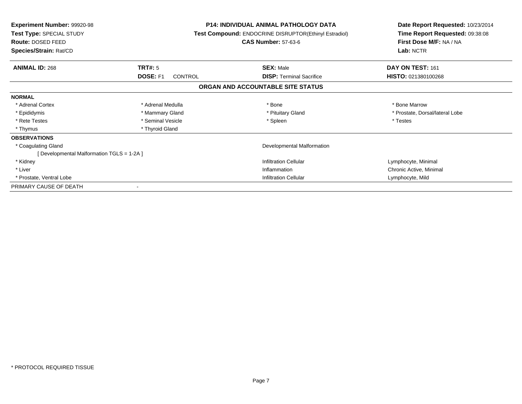| <b>Experiment Number: 99920-98</b><br>Test Type: SPECIAL STUDY<br>Route: DOSED FEED<br>Species/Strain: Rat/CD |                            | <b>P14: INDIVIDUAL ANIMAL PATHOLOGY DATA</b><br>Test Compound: ENDOCRINE DISRUPTOR(Ethinyl Estradiol)<br><b>CAS Number: 57-63-6</b> | Date Report Requested: 10/23/2014<br>Time Report Requested: 09:38:08<br>First Dose M/F: NA / NA<br>Lab: NCTR |
|---------------------------------------------------------------------------------------------------------------|----------------------------|-------------------------------------------------------------------------------------------------------------------------------------|--------------------------------------------------------------------------------------------------------------|
| <b>ANIMAL ID: 268</b>                                                                                         | <b>TRT#: 5</b>             | <b>SEX: Male</b>                                                                                                                    | DAY ON TEST: 161                                                                                             |
|                                                                                                               | <b>DOSE: F1</b><br>CONTROL | <b>DISP:</b> Terminal Sacrifice                                                                                                     | HISTO: 021380100268                                                                                          |
|                                                                                                               |                            | ORGAN AND ACCOUNTABLE SITE STATUS                                                                                                   |                                                                                                              |
| <b>NORMAL</b>                                                                                                 |                            |                                                                                                                                     |                                                                                                              |
| * Adrenal Cortex                                                                                              | * Adrenal Medulla          | * Bone                                                                                                                              | * Bone Marrow                                                                                                |
| * Epididymis                                                                                                  | * Mammary Gland            | * Pituitary Gland                                                                                                                   | * Prostate, Dorsal/lateral Lobe                                                                              |
| * Rete Testes                                                                                                 | * Seminal Vesicle          | * Spleen                                                                                                                            | * Testes                                                                                                     |
| * Thymus                                                                                                      | * Thyroid Gland            |                                                                                                                                     |                                                                                                              |
| <b>OBSERVATIONS</b>                                                                                           |                            |                                                                                                                                     |                                                                                                              |
| * Coagulating Gland                                                                                           |                            | Developmental Malformation                                                                                                          |                                                                                                              |
| [Developmental Malformation TGLS = 1-2A]                                                                      |                            |                                                                                                                                     |                                                                                                              |
| * Kidney                                                                                                      |                            | <b>Infiltration Cellular</b>                                                                                                        | Lymphocyte, Minimal                                                                                          |
| * Liver                                                                                                       |                            | Inflammation                                                                                                                        | Chronic Active, Minimal                                                                                      |
| * Prostate, Ventral Lobe                                                                                      |                            | <b>Infiltration Cellular</b>                                                                                                        | Lymphocyte, Mild                                                                                             |
| PRIMARY CAUSE OF DEATH                                                                                        |                            |                                                                                                                                     |                                                                                                              |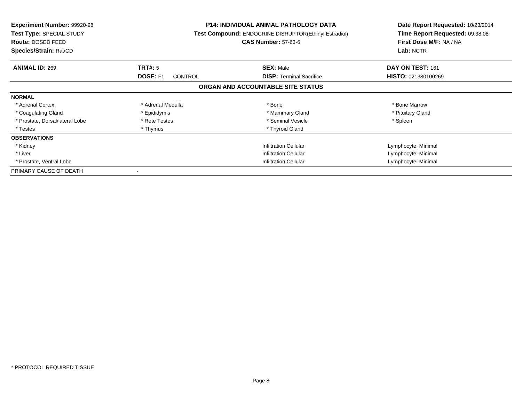| <b>Experiment Number: 99920-98</b><br>Test Type: SPECIAL STUDY<br><b>Route: DOSED FEED</b><br>Species/Strain: Rat/CD |                                   | <b>P14: INDIVIDUAL ANIMAL PATHOLOGY DATA</b><br>Test Compound: ENDOCRINE DISRUPTOR(Ethinyl Estradiol)<br><b>CAS Number: 57-63-6</b> | Date Report Requested: 10/23/2014<br>Time Report Requested: 09:38:08<br>First Dose M/F: NA / NA<br>Lab: NCTR |
|----------------------------------------------------------------------------------------------------------------------|-----------------------------------|-------------------------------------------------------------------------------------------------------------------------------------|--------------------------------------------------------------------------------------------------------------|
| <b>ANIMAL ID: 269</b>                                                                                                | TRT#: 5                           | <b>SEX: Male</b>                                                                                                                    | DAY ON TEST: 161                                                                                             |
|                                                                                                                      | <b>DOSE: F1</b><br><b>CONTROL</b> | <b>DISP:</b> Terminal Sacrifice                                                                                                     | HISTO: 021380100269                                                                                          |
|                                                                                                                      |                                   | ORGAN AND ACCOUNTABLE SITE STATUS                                                                                                   |                                                                                                              |
| <b>NORMAL</b>                                                                                                        |                                   |                                                                                                                                     |                                                                                                              |
| * Adrenal Cortex                                                                                                     | * Adrenal Medulla                 | * Bone                                                                                                                              | * Bone Marrow                                                                                                |
| * Coagulating Gland                                                                                                  | * Epididymis                      | * Mammary Gland                                                                                                                     | * Pituitary Gland                                                                                            |
| * Prostate, Dorsal/lateral Lobe                                                                                      | * Rete Testes                     | * Seminal Vesicle                                                                                                                   | * Spleen                                                                                                     |
| * Testes                                                                                                             | * Thymus                          | * Thyroid Gland                                                                                                                     |                                                                                                              |
| <b>OBSERVATIONS</b>                                                                                                  |                                   |                                                                                                                                     |                                                                                                              |
| * Kidney                                                                                                             |                                   | <b>Infiltration Cellular</b>                                                                                                        | Lymphocyte, Minimal                                                                                          |
| * Liver                                                                                                              |                                   | <b>Infiltration Cellular</b>                                                                                                        | Lymphocyte, Minimal                                                                                          |
| * Prostate, Ventral Lobe                                                                                             | <b>Infiltration Cellular</b>      |                                                                                                                                     | Lymphocyte, Minimal                                                                                          |
| PRIMARY CAUSE OF DEATH                                                                                               |                                   |                                                                                                                                     |                                                                                                              |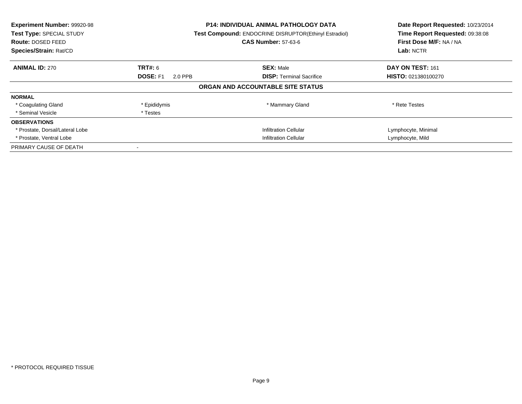| Experiment Number: 99920-98<br><b>Test Type: SPECIAL STUDY</b><br><b>Route: DOSED FEED</b><br>Species/Strain: Rat/CD |                              | <b>P14: INDIVIDUAL ANIMAL PATHOLOGY DATA</b><br><b>Test Compound: ENDOCRINE DISRUPTOR(Ethinyl Estradiol)</b><br><b>CAS Number: 57-63-6</b> | Date Report Requested: 10/23/2014<br>Time Report Requested: 09:38:08<br>First Dose M/F: NA / NA<br>Lab: NCTR |
|----------------------------------------------------------------------------------------------------------------------|------------------------------|--------------------------------------------------------------------------------------------------------------------------------------------|--------------------------------------------------------------------------------------------------------------|
| <b>ANIMAL ID: 270</b>                                                                                                | TRT#: 6                      | <b>SEX: Male</b>                                                                                                                           | DAY ON TEST: 161                                                                                             |
|                                                                                                                      | <b>DOSE: F1</b><br>2.0 PPB   | <b>DISP:</b> Terminal Sacrifice                                                                                                            | <b>HISTO: 021380100270</b>                                                                                   |
|                                                                                                                      |                              | ORGAN AND ACCOUNTABLE SITE STATUS                                                                                                          |                                                                                                              |
| <b>NORMAL</b>                                                                                                        |                              |                                                                                                                                            |                                                                                                              |
| * Coagulating Gland                                                                                                  | * Epididymis                 | * Mammary Gland                                                                                                                            | * Rete Testes                                                                                                |
| * Seminal Vesicle                                                                                                    | * Testes                     |                                                                                                                                            |                                                                                                              |
| <b>OBSERVATIONS</b>                                                                                                  |                              |                                                                                                                                            |                                                                                                              |
| * Prostate, Dorsal/Lateral Lobe                                                                                      |                              | <b>Infiltration Cellular</b>                                                                                                               | Lymphocyte, Minimal                                                                                          |
| * Prostate, Ventral Lobe                                                                                             | <b>Infiltration Cellular</b> |                                                                                                                                            | Lymphocyte, Mild                                                                                             |
| PRIMARY CAUSE OF DEATH                                                                                               |                              |                                                                                                                                            |                                                                                                              |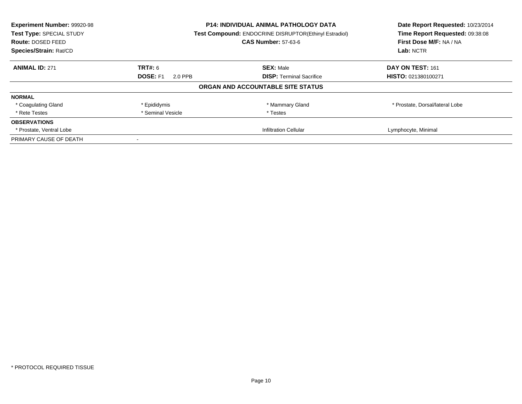| Experiment Number: 99920-98 | <b>P14: INDIVIDUAL ANIMAL PATHOLOGY DATA</b> |                                                       | Date Report Requested: 10/23/2014 |
|-----------------------------|----------------------------------------------|-------------------------------------------------------|-----------------------------------|
| Test Type: SPECIAL STUDY    |                                              | Test Compound: ENDOCRINE DISRUPTOR(Ethinyl Estradiol) | Time Report Requested: 09:38:08   |
| <b>Route: DOSED FEED</b>    |                                              | <b>CAS Number: 57-63-6</b>                            | First Dose M/F: NA / NA           |
| Species/Strain: Rat/CD      |                                              |                                                       |                                   |
| <b>ANIMAL ID: 271</b>       | <b>TRT#: 6</b>                               | <b>SEX: Male</b>                                      | DAY ON TEST: 161                  |
|                             | <b>DOSE: F1</b><br>2.0 PPB                   | <b>DISP:</b> Terminal Sacrifice                       | HISTO: 021380100271               |
|                             |                                              | ORGAN AND ACCOUNTABLE SITE STATUS                     |                                   |
| <b>NORMAL</b>               |                                              |                                                       |                                   |
| * Coagulating Gland         | * Epididymis                                 | * Mammary Gland                                       | * Prostate, Dorsal/lateral Lobe   |
| * Rete Testes               | * Seminal Vesicle                            | * Testes                                              |                                   |
| <b>OBSERVATIONS</b>         |                                              |                                                       |                                   |
| * Prostate, Ventral Lobe    |                                              | <b>Infiltration Cellular</b>                          | Lymphocyte, Minimal               |
| PRIMARY CAUSE OF DEATH      |                                              |                                                       |                                   |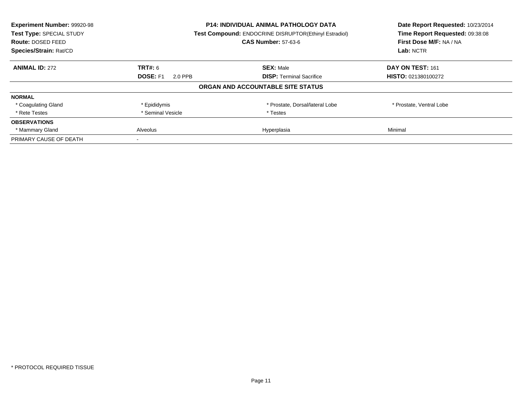| Experiment Number: 99920-98 | <b>P14: INDIVIDUAL ANIMAL PATHOLOGY DATA</b> |                                                       | Date Report Requested: 10/23/2014 |
|-----------------------------|----------------------------------------------|-------------------------------------------------------|-----------------------------------|
| Test Type: SPECIAL STUDY    |                                              | Test Compound: ENDOCRINE DISRUPTOR(Ethinyl Estradiol) | Time Report Requested: 09:38:08   |
| Route: DOSED FEED           |                                              | <b>CAS Number: 57-63-6</b>                            | First Dose M/F: NA / NA           |
| Species/Strain: Rat/CD      |                                              |                                                       | Lab: NCTR                         |
| <b>ANIMAL ID: 272</b>       | <b>TRT#: 6</b>                               | <b>SEX: Male</b>                                      | DAY ON TEST: 161                  |
|                             | <b>DOSE: F1</b><br>2.0 PPB                   | <b>DISP:</b> Terminal Sacrifice                       | HISTO: 021380100272               |
|                             |                                              | ORGAN AND ACCOUNTABLE SITE STATUS                     |                                   |
| <b>NORMAL</b>               |                                              |                                                       |                                   |
| * Coagulating Gland         | * Epididymis                                 | * Prostate, Dorsal/lateral Lobe                       | * Prostate, Ventral Lobe          |
| * Rete Testes               | * Seminal Vesicle                            | * Testes                                              |                                   |
| <b>OBSERVATIONS</b>         |                                              |                                                       |                                   |
| * Mammary Gland             | <b>Alveolus</b>                              | Hyperplasia                                           | Minimal                           |
| PRIMARY CAUSE OF DEATH      |                                              |                                                       |                                   |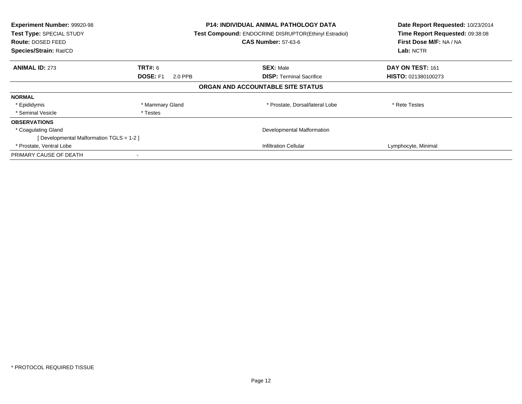| Experiment Number: 99920-98<br>Test Type: SPECIAL STUDY<br>Route: DOSED FEED<br>Species/Strain: Rat/CD |                     | <b>P14: INDIVIDUAL ANIMAL PATHOLOGY DATA</b><br>Test Compound: ENDOCRINE DISRUPTOR(Ethinyl Estradiol)<br><b>CAS Number: 57-63-6</b> | Date Report Requested: 10/23/2014<br>Time Report Requested: 09:38:08<br>First Dose M/F: NA / NA<br>Lab: NCTR |
|--------------------------------------------------------------------------------------------------------|---------------------|-------------------------------------------------------------------------------------------------------------------------------------|--------------------------------------------------------------------------------------------------------------|
| <b>ANIMAL ID: 273</b>                                                                                  | <b>TRT#:</b> 6      | <b>SEX: Male</b>                                                                                                                    | DAY ON TEST: 161                                                                                             |
|                                                                                                        | DOSE: F1<br>2.0 PPB | <b>DISP:</b> Terminal Sacrifice                                                                                                     | <b>HISTO: 021380100273</b>                                                                                   |
|                                                                                                        |                     | ORGAN AND ACCOUNTABLE SITE STATUS                                                                                                   |                                                                                                              |
| <b>NORMAL</b>                                                                                          |                     |                                                                                                                                     |                                                                                                              |
| * Epididymis                                                                                           | * Mammary Gland     | * Prostate, Dorsal/lateral Lobe                                                                                                     | * Rete Testes                                                                                                |
| * Seminal Vesicle                                                                                      | * Testes            |                                                                                                                                     |                                                                                                              |
| <b>OBSERVATIONS</b>                                                                                    |                     |                                                                                                                                     |                                                                                                              |
| * Coagulating Gland                                                                                    |                     | Developmental Malformation                                                                                                          |                                                                                                              |
| [Developmental Malformation TGLS = 1-2 ]                                                               |                     |                                                                                                                                     |                                                                                                              |
| * Prostate, Ventral Lobe                                                                               |                     | <b>Infiltration Cellular</b>                                                                                                        | Lymphocyte, Minimal                                                                                          |
| PRIMARY CAUSE OF DEATH                                                                                 |                     |                                                                                                                                     |                                                                                                              |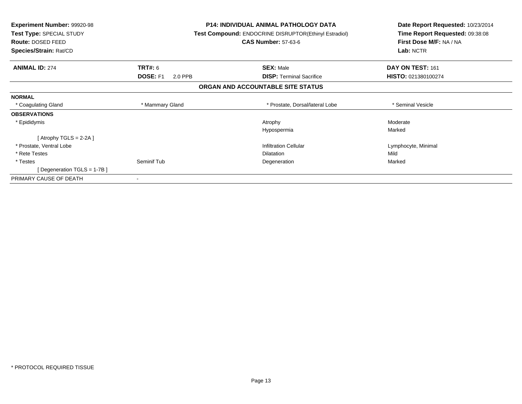| <b>Experiment Number: 99920-98</b><br>Test Type: SPECIAL STUDY<br>Route: DOSED FEED | <b>P14: INDIVIDUAL ANIMAL PATHOLOGY DATA</b><br>Test Compound: ENDOCRINE DISRUPTOR(Ethinyl Estradiol)<br><b>CAS Number: 57-63-6</b> |                                   | Date Report Requested: 10/23/2014<br>Time Report Requested: 09:38:08<br>First Dose M/F: NA / NA |
|-------------------------------------------------------------------------------------|-------------------------------------------------------------------------------------------------------------------------------------|-----------------------------------|-------------------------------------------------------------------------------------------------|
| Species/Strain: Rat/CD                                                              |                                                                                                                                     |                                   | Lab: NCTR                                                                                       |
| <b>ANIMAL ID: 274</b>                                                               | <b>TRT#: 6</b>                                                                                                                      | <b>SEX: Male</b>                  | DAY ON TEST: 161                                                                                |
|                                                                                     | DOSE: F1<br>2.0 PPB                                                                                                                 | <b>DISP:</b> Terminal Sacrifice   | HISTO: 021380100274                                                                             |
|                                                                                     |                                                                                                                                     | ORGAN AND ACCOUNTABLE SITE STATUS |                                                                                                 |
| <b>NORMAL</b>                                                                       |                                                                                                                                     |                                   |                                                                                                 |
| * Coagulating Gland                                                                 | * Mammary Gland                                                                                                                     | * Prostate, Dorsal/lateral Lobe   | * Seminal Vesicle                                                                               |
| <b>OBSERVATIONS</b>                                                                 |                                                                                                                                     |                                   |                                                                                                 |
| * Epididymis                                                                        |                                                                                                                                     | Atrophy                           | Moderate                                                                                        |
|                                                                                     |                                                                                                                                     | Hypospermia                       | Marked                                                                                          |
| [Atrophy TGLS = 2-2A ]                                                              |                                                                                                                                     |                                   |                                                                                                 |
| * Prostate, Ventral Lobe                                                            |                                                                                                                                     | <b>Infiltration Cellular</b>      | Lymphocyte, Minimal                                                                             |
| * Rete Testes                                                                       |                                                                                                                                     | <b>Dilatation</b>                 | Mild                                                                                            |
| * Testes                                                                            | Seminif Tub                                                                                                                         | Degeneration                      | Marked                                                                                          |
| [ Degeneration TGLS = $1-7B$ ]                                                      |                                                                                                                                     |                                   |                                                                                                 |
| PRIMARY CAUSE OF DEATH                                                              |                                                                                                                                     |                                   |                                                                                                 |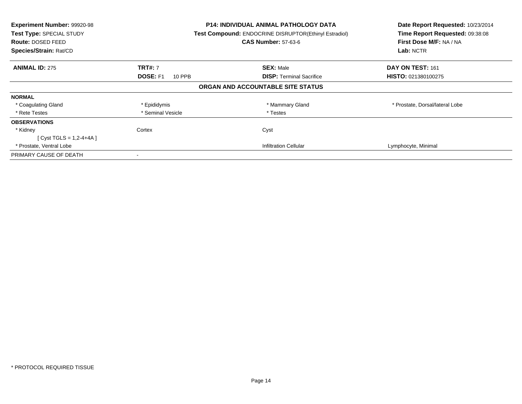| Experiment Number: 99920-98<br>Test Type: SPECIAL STUDY<br><b>Route: DOSED FEED</b><br>Species/Strain: Rat/CD |                           | P14: INDIVIDUAL ANIMAL PATHOLOGY DATA<br>Test Compound: ENDOCRINE DISRUPTOR(Ethinyl Estradiol)<br><b>CAS Number: 57-63-6</b> | Date Report Requested: 10/23/2014<br>Time Report Requested: 09:38:08<br>First Dose M/F: NA / NA<br>Lab: NCTR |
|---------------------------------------------------------------------------------------------------------------|---------------------------|------------------------------------------------------------------------------------------------------------------------------|--------------------------------------------------------------------------------------------------------------|
| <b>ANIMAL ID: 275</b>                                                                                         | <b>TRT#: 7</b>            | <b>SEX: Male</b>                                                                                                             | DAY ON TEST: 161                                                                                             |
|                                                                                                               | <b>DOSE: F1</b><br>10 PPB | <b>DISP: Terminal Sacrifice</b>                                                                                              | <b>HISTO: 021380100275</b>                                                                                   |
|                                                                                                               |                           | ORGAN AND ACCOUNTABLE SITE STATUS                                                                                            |                                                                                                              |
| <b>NORMAL</b>                                                                                                 |                           |                                                                                                                              |                                                                                                              |
| * Coagulating Gland                                                                                           | * Epididymis              | * Mammary Gland                                                                                                              | * Prostate, Dorsal/lateral Lobe                                                                              |
| * Rete Testes                                                                                                 | * Seminal Vesicle         | * Testes                                                                                                                     |                                                                                                              |
| <b>OBSERVATIONS</b>                                                                                           |                           |                                                                                                                              |                                                                                                              |
| * Kidney                                                                                                      | Cortex                    | Cyst                                                                                                                         |                                                                                                              |
| [ Cyst TGLS = 1,2-4+4A ]                                                                                      |                           |                                                                                                                              |                                                                                                              |
| * Prostate, Ventral Lobe                                                                                      |                           | <b>Infiltration Cellular</b>                                                                                                 | Lymphocyte, Minimal                                                                                          |
| PRIMARY CAUSE OF DEATH                                                                                        |                           |                                                                                                                              |                                                                                                              |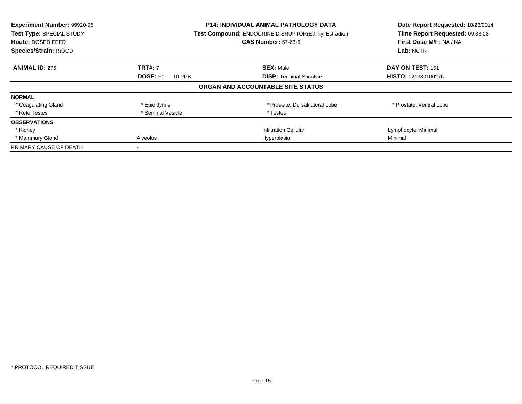| Experiment Number: 99920-98<br>Test Type: SPECIAL STUDY<br><b>Route: DOSED FEED</b><br>Species/Strain: Rat/CD |                                | <b>P14: INDIVIDUAL ANIMAL PATHOLOGY DATA</b><br><b>Test Compound: ENDOCRINE DISRUPTOR(Ethinyl Estradiol)</b><br><b>CAS Number: 57-63-6</b> | Date Report Requested: 10/23/2014<br>Time Report Requested: 09:38:08<br>First Dose M/F: NA / NA<br>Lab: NCTR |
|---------------------------------------------------------------------------------------------------------------|--------------------------------|--------------------------------------------------------------------------------------------------------------------------------------------|--------------------------------------------------------------------------------------------------------------|
| <b>ANIMAL ID: 276</b>                                                                                         | <b>TRT#: 7</b>                 | <b>SEX: Male</b>                                                                                                                           | DAY ON TEST: 161                                                                                             |
|                                                                                                               | <b>DOSE: F1</b><br>10 PPB      | <b>DISP:</b> Terminal Sacrifice                                                                                                            | HISTO: 021380100276                                                                                          |
|                                                                                                               |                                | ORGAN AND ACCOUNTABLE SITE STATUS                                                                                                          |                                                                                                              |
| <b>NORMAL</b>                                                                                                 |                                |                                                                                                                                            |                                                                                                              |
| * Coagulating Gland                                                                                           | * Epididymis                   | * Prostate, Dorsal/lateral Lobe                                                                                                            | * Prostate, Ventral Lobe                                                                                     |
| * Rete Testes                                                                                                 | * Seminal Vesicle              | * Testes                                                                                                                                   |                                                                                                              |
| <b>OBSERVATIONS</b>                                                                                           |                                |                                                                                                                                            |                                                                                                              |
| * Kidney                                                                                                      |                                | <b>Infiltration Cellular</b>                                                                                                               | Lymphocyte, Minimal                                                                                          |
| * Mammary Gland                                                                                               | <b>Alveolus</b><br>Hyperplasia |                                                                                                                                            | Minimal                                                                                                      |
| PRIMARY CAUSE OF DEATH                                                                                        |                                |                                                                                                                                            |                                                                                                              |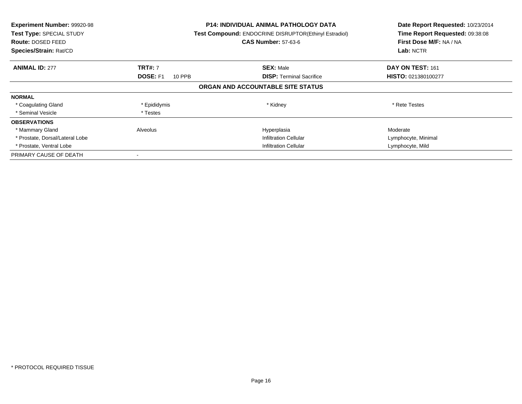| <b>Experiment Number: 99920-98</b><br>Test Type: SPECIAL STUDY<br><b>Route: DOSED FEED</b><br>Species/Strain: Rat/CD |                           | <b>P14: INDIVIDUAL ANIMAL PATHOLOGY DATA</b><br>Test Compound: ENDOCRINE DISRUPTOR(Ethinyl Estradiol)<br><b>CAS Number: 57-63-6</b> | Date Report Requested: 10/23/2014<br>Time Report Requested: 09:38:08<br>First Dose M/F: NA / NA<br>Lab: NCTR |
|----------------------------------------------------------------------------------------------------------------------|---------------------------|-------------------------------------------------------------------------------------------------------------------------------------|--------------------------------------------------------------------------------------------------------------|
| <b>ANIMAL ID: 277</b>                                                                                                | <b>TRT#: 7</b>            | <b>SEX: Male</b>                                                                                                                    | DAY ON TEST: 161                                                                                             |
|                                                                                                                      | <b>DOSE: F1</b><br>10 PPB | <b>DISP:</b> Terminal Sacrifice                                                                                                     | <b>HISTO: 021380100277</b>                                                                                   |
|                                                                                                                      |                           | ORGAN AND ACCOUNTABLE SITE STATUS                                                                                                   |                                                                                                              |
| <b>NORMAL</b>                                                                                                        |                           |                                                                                                                                     |                                                                                                              |
| * Coagulating Gland                                                                                                  | * Epididymis              | * Kidney                                                                                                                            | * Rete Testes                                                                                                |
| * Seminal Vesicle                                                                                                    | * Testes                  |                                                                                                                                     |                                                                                                              |
| <b>OBSERVATIONS</b>                                                                                                  |                           |                                                                                                                                     |                                                                                                              |
| * Mammary Gland                                                                                                      | Alveolus                  | Hyperplasia                                                                                                                         | Moderate                                                                                                     |
| * Prostate, Dorsal/Lateral Lobe                                                                                      |                           | <b>Infiltration Cellular</b>                                                                                                        | Lymphocyte, Minimal                                                                                          |
| * Prostate, Ventral Lobe                                                                                             |                           | <b>Infiltration Cellular</b>                                                                                                        | Lymphocyte, Mild                                                                                             |
| PRIMARY CAUSE OF DEATH                                                                                               |                           |                                                                                                                                     |                                                                                                              |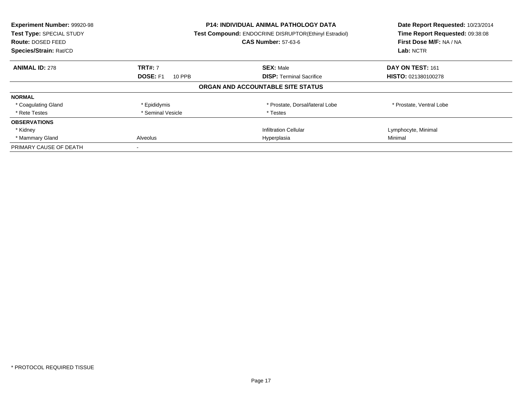| Experiment Number: 99920-98<br>Test Type: SPECIAL STUDY<br><b>Route: DOSED FEED</b><br>Species/Strain: Rat/CD |                           | <b>P14: INDIVIDUAL ANIMAL PATHOLOGY DATA</b><br><b>Test Compound: ENDOCRINE DISRUPTOR(Ethinyl Estradiol)</b><br><b>CAS Number: 57-63-6</b> | Date Report Requested: 10/23/2014<br>Time Report Requested: 09:38:08<br>First Dose M/F: NA / NA<br>Lab: NCTR |
|---------------------------------------------------------------------------------------------------------------|---------------------------|--------------------------------------------------------------------------------------------------------------------------------------------|--------------------------------------------------------------------------------------------------------------|
| <b>ANIMAL ID: 278</b>                                                                                         | <b>TRT#: 7</b>            | <b>SEX: Male</b>                                                                                                                           | DAY ON TEST: 161                                                                                             |
|                                                                                                               | <b>DOSE: F1</b><br>10 PPB | <b>DISP:</b> Terminal Sacrifice                                                                                                            | <b>HISTO: 021380100278</b>                                                                                   |
|                                                                                                               |                           | ORGAN AND ACCOUNTABLE SITE STATUS                                                                                                          |                                                                                                              |
| <b>NORMAL</b>                                                                                                 |                           |                                                                                                                                            |                                                                                                              |
| * Coagulating Gland                                                                                           | * Epididymis              | * Prostate, Dorsal/lateral Lobe                                                                                                            | * Prostate, Ventral Lobe                                                                                     |
| * Rete Testes                                                                                                 | * Seminal Vesicle         | * Testes                                                                                                                                   |                                                                                                              |
| <b>OBSERVATIONS</b>                                                                                           |                           |                                                                                                                                            |                                                                                                              |
| * Kidney                                                                                                      |                           | <b>Infiltration Cellular</b>                                                                                                               | Lymphocyte, Minimal                                                                                          |
| * Mammary Gland                                                                                               | Alveolus<br>Hyperplasia   |                                                                                                                                            | Minimal                                                                                                      |
| PRIMARY CAUSE OF DEATH                                                                                        |                           |                                                                                                                                            |                                                                                                              |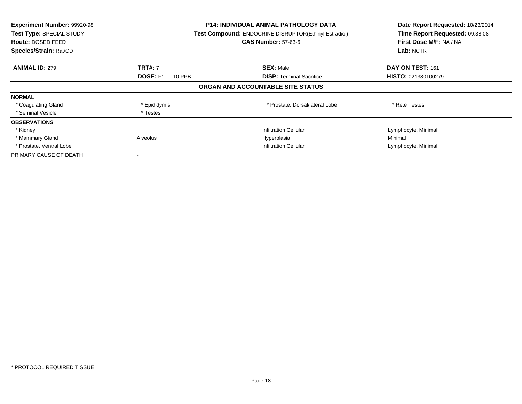| Experiment Number: 99920-98<br>Test Type: SPECIAL STUDY<br>Route: DOSED FEED<br>Species/Strain: Rat/CD |                           | <b>P14: INDIVIDUAL ANIMAL PATHOLOGY DATA</b><br>Test Compound: ENDOCRINE DISRUPTOR(Ethinyl Estradiol)<br><b>CAS Number: 57-63-6</b> | Date Report Requested: 10/23/2014<br>Time Report Requested: 09:38:08<br>First Dose M/F: NA / NA<br>Lab: NCTR |
|--------------------------------------------------------------------------------------------------------|---------------------------|-------------------------------------------------------------------------------------------------------------------------------------|--------------------------------------------------------------------------------------------------------------|
| <b>ANIMAL ID: 279</b>                                                                                  | <b>TRT#: 7</b>            | <b>SEX: Male</b>                                                                                                                    | DAY ON TEST: 161                                                                                             |
|                                                                                                        | <b>DOSE: F1</b><br>10 PPB | <b>DISP:</b> Terminal Sacrifice                                                                                                     | HISTO: 021380100279                                                                                          |
|                                                                                                        |                           | ORGAN AND ACCOUNTABLE SITE STATUS                                                                                                   |                                                                                                              |
| <b>NORMAL</b>                                                                                          |                           |                                                                                                                                     |                                                                                                              |
| * Coagulating Gland                                                                                    | * Epididymis              | * Prostate, Dorsal/lateral Lobe                                                                                                     | * Rete Testes                                                                                                |
| * Seminal Vesicle                                                                                      | * Testes                  |                                                                                                                                     |                                                                                                              |
| <b>OBSERVATIONS</b>                                                                                    |                           |                                                                                                                                     |                                                                                                              |
| * Kidney                                                                                               |                           | <b>Infiltration Cellular</b>                                                                                                        | Lymphocyte, Minimal                                                                                          |
| * Mammary Gland                                                                                        | Alveolus                  | Hyperplasia                                                                                                                         | Minimal                                                                                                      |
| * Prostate, Ventral Lobe                                                                               |                           | <b>Infiltration Cellular</b>                                                                                                        | Lymphocyte, Minimal                                                                                          |
| PRIMARY CAUSE OF DEATH                                                                                 |                           |                                                                                                                                     |                                                                                                              |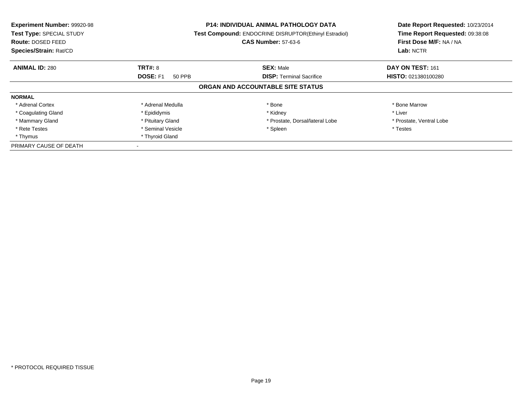| <b>Experiment Number: 99920-98</b><br>Test Type: SPECIAL STUDY<br>Route: DOSED FEED<br>Species/Strain: Rat/CD |                           | P14: INDIVIDUAL ANIMAL PATHOLOGY DATA<br>Test Compound: ENDOCRINE DISRUPTOR(Ethinyl Estradiol)<br><b>CAS Number: 57-63-6</b> | Date Report Requested: 10/23/2014<br>Time Report Requested: 09:38:08<br>First Dose M/F: NA / NA<br>Lab: NCTR |
|---------------------------------------------------------------------------------------------------------------|---------------------------|------------------------------------------------------------------------------------------------------------------------------|--------------------------------------------------------------------------------------------------------------|
| <b>ANIMAL ID: 280</b>                                                                                         | <b>TRT#: 8</b>            | <b>SEX: Male</b>                                                                                                             | DAY ON TEST: 161                                                                                             |
|                                                                                                               | <b>DOSE: F1</b><br>50 PPB | <b>DISP: Terminal Sacrifice</b>                                                                                              | <b>HISTO: 021380100280</b>                                                                                   |
|                                                                                                               |                           | ORGAN AND ACCOUNTABLE SITE STATUS                                                                                            |                                                                                                              |
| <b>NORMAL</b>                                                                                                 |                           |                                                                                                                              |                                                                                                              |
| * Adrenal Cortex                                                                                              | * Adrenal Medulla         | * Bone                                                                                                                       | * Bone Marrow                                                                                                |
| * Coagulating Gland                                                                                           | * Epididymis              | * Kidney                                                                                                                     | * Liver                                                                                                      |
| * Mammary Gland                                                                                               | * Pituitary Gland         | * Prostate, Dorsal/lateral Lobe                                                                                              | * Prostate, Ventral Lobe                                                                                     |
| * Rete Testes                                                                                                 | * Seminal Vesicle         | * Spleen                                                                                                                     | * Testes                                                                                                     |
| * Thymus                                                                                                      | * Thyroid Gland           |                                                                                                                              |                                                                                                              |
| PRIMARY CAUSE OF DEATH                                                                                        |                           |                                                                                                                              |                                                                                                              |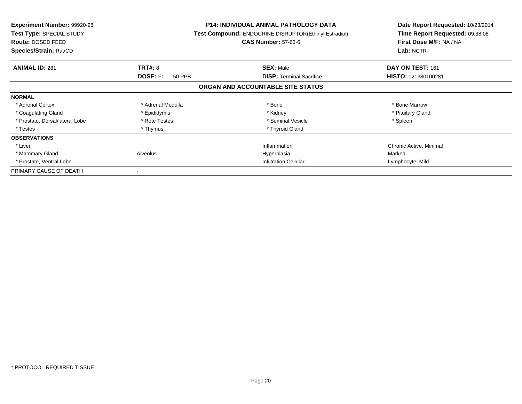| <b>Experiment Number: 99920-98</b><br>Test Type: SPECIAL STUDY<br>Route: DOSED FEED<br>Species/Strain: Rat/CD |                           | <b>P14: INDIVIDUAL ANIMAL PATHOLOGY DATA</b><br>Test Compound: ENDOCRINE DISRUPTOR(Ethinyl Estradiol)<br><b>CAS Number: 57-63-6</b> | Date Report Requested: 10/23/2014<br>Time Report Requested: 09:38:08<br>First Dose M/F: NA / NA<br>Lab: NCTR |
|---------------------------------------------------------------------------------------------------------------|---------------------------|-------------------------------------------------------------------------------------------------------------------------------------|--------------------------------------------------------------------------------------------------------------|
| <b>ANIMAL ID: 281</b>                                                                                         | <b>TRT#: 8</b>            | <b>SEX: Male</b>                                                                                                                    | DAY ON TEST: 161                                                                                             |
|                                                                                                               | <b>DOSE: F1</b><br>50 PPB | <b>DISP:</b> Terminal Sacrifice                                                                                                     | HISTO: 021380100281                                                                                          |
|                                                                                                               |                           | ORGAN AND ACCOUNTABLE SITE STATUS                                                                                                   |                                                                                                              |
| <b>NORMAL</b>                                                                                                 |                           |                                                                                                                                     |                                                                                                              |
| * Adrenal Cortex                                                                                              | * Adrenal Medulla         | * Bone                                                                                                                              | * Bone Marrow                                                                                                |
| * Coagulating Gland                                                                                           | * Epididymis              | * Kidney                                                                                                                            | * Pituitary Gland                                                                                            |
| * Prostate, Dorsal/lateral Lobe                                                                               | * Rete Testes             | * Seminal Vesicle                                                                                                                   | * Spleen                                                                                                     |
| * Testes                                                                                                      | * Thymus                  | * Thyroid Gland                                                                                                                     |                                                                                                              |
| <b>OBSERVATIONS</b>                                                                                           |                           |                                                                                                                                     |                                                                                                              |
| * Liver                                                                                                       |                           | Inflammation                                                                                                                        | Chronic Active, Minimal                                                                                      |
| * Mammary Gland                                                                                               | Alveolus                  | Hyperplasia                                                                                                                         | Marked                                                                                                       |
| * Prostate, Ventral Lobe                                                                                      |                           | <b>Infiltration Cellular</b>                                                                                                        | Lymphocyte, Mild                                                                                             |
| PRIMARY CAUSE OF DEATH                                                                                        |                           |                                                                                                                                     |                                                                                                              |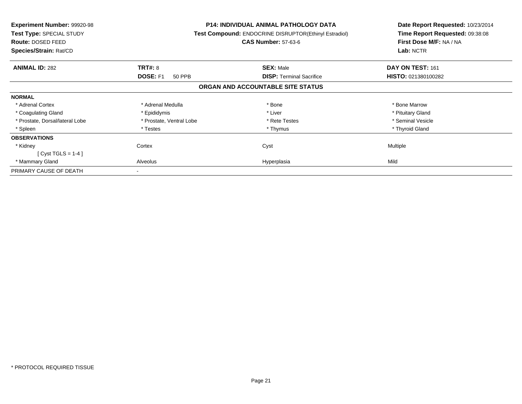| <b>Experiment Number: 99920-98</b><br>Test Type: SPECIAL STUDY<br><b>Route: DOSED FEED</b><br>Species/Strain: Rat/CD |                           | <b>P14: INDIVIDUAL ANIMAL PATHOLOGY DATA</b><br>Test Compound: ENDOCRINE DISRUPTOR(Ethinyl Estradiol)<br><b>CAS Number: 57-63-6</b> | Date Report Requested: 10/23/2014<br>Time Report Requested: 09:38:08<br>First Dose M/F: NA / NA<br>Lab: NCTR |
|----------------------------------------------------------------------------------------------------------------------|---------------------------|-------------------------------------------------------------------------------------------------------------------------------------|--------------------------------------------------------------------------------------------------------------|
| <b>ANIMAL ID: 282</b>                                                                                                | <b>TRT#: 8</b>            | <b>SEX: Male</b>                                                                                                                    | DAY ON TEST: 161                                                                                             |
|                                                                                                                      | <b>DOSE: F1</b><br>50 PPB | <b>DISP:</b> Terminal Sacrifice                                                                                                     | HISTO: 021380100282                                                                                          |
|                                                                                                                      |                           | ORGAN AND ACCOUNTABLE SITE STATUS                                                                                                   |                                                                                                              |
| <b>NORMAL</b>                                                                                                        |                           |                                                                                                                                     |                                                                                                              |
| * Adrenal Cortex                                                                                                     | * Adrenal Medulla         | * Bone                                                                                                                              | * Bone Marrow                                                                                                |
| * Coagulating Gland                                                                                                  | * Epididymis              | * Liver                                                                                                                             | * Pituitary Gland                                                                                            |
| * Prostate, Dorsal/lateral Lobe                                                                                      | * Prostate, Ventral Lobe  | * Rete Testes                                                                                                                       | * Seminal Vesicle                                                                                            |
| * Spleen                                                                                                             | * Testes                  | * Thymus                                                                                                                            | * Thyroid Gland                                                                                              |
| <b>OBSERVATIONS</b>                                                                                                  |                           |                                                                                                                                     |                                                                                                              |
| * Kidney                                                                                                             | Cortex                    | Cyst                                                                                                                                | <b>Multiple</b>                                                                                              |
| [ Cyst TGLS = $1-4$ ]                                                                                                |                           |                                                                                                                                     |                                                                                                              |
| * Mammary Gland                                                                                                      | Alveolus                  | Hyperplasia                                                                                                                         | Mild                                                                                                         |
| PRIMARY CAUSE OF DEATH                                                                                               |                           |                                                                                                                                     |                                                                                                              |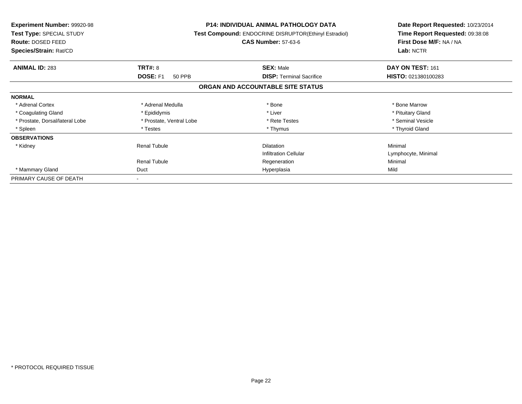| <b>Experiment Number: 99920-98</b><br>Test Type: SPECIAL STUDY<br>Route: DOSED FEED<br>Species/Strain: Rat/CD |                           | <b>P14: INDIVIDUAL ANIMAL PATHOLOGY DATA</b><br><b>Test Compound: ENDOCRINE DISRUPTOR(Ethinyl Estradiol)</b><br><b>CAS Number: 57-63-6</b> | Date Report Requested: 10/23/2014<br>Time Report Requested: 09:38:08<br>First Dose M/F: NA / NA<br>Lab: NCTR |
|---------------------------------------------------------------------------------------------------------------|---------------------------|--------------------------------------------------------------------------------------------------------------------------------------------|--------------------------------------------------------------------------------------------------------------|
| <b>ANIMAL ID: 283</b>                                                                                         | TRT#: 8                   | <b>SEX: Male</b>                                                                                                                           | DAY ON TEST: 161                                                                                             |
|                                                                                                               | <b>DOSE: F1</b><br>50 PPB | <b>DISP: Terminal Sacrifice</b>                                                                                                            | HISTO: 021380100283                                                                                          |
|                                                                                                               |                           | ORGAN AND ACCOUNTABLE SITE STATUS                                                                                                          |                                                                                                              |
| <b>NORMAL</b>                                                                                                 |                           |                                                                                                                                            |                                                                                                              |
| * Adrenal Cortex                                                                                              | * Adrenal Medulla         | * Bone                                                                                                                                     | * Bone Marrow                                                                                                |
| * Coagulating Gland                                                                                           | * Epididymis              | * Liver                                                                                                                                    | * Pituitary Gland                                                                                            |
| * Prostate, Dorsal/lateral Lobe                                                                               | * Prostate, Ventral Lobe  | * Rete Testes                                                                                                                              | * Seminal Vesicle                                                                                            |
| * Spleen                                                                                                      | * Testes                  | * Thymus                                                                                                                                   | * Thyroid Gland                                                                                              |
| <b>OBSERVATIONS</b>                                                                                           |                           |                                                                                                                                            |                                                                                                              |
| * Kidney                                                                                                      | <b>Renal Tubule</b>       | <b>Dilatation</b>                                                                                                                          | Minimal                                                                                                      |
|                                                                                                               |                           | <b>Infiltration Cellular</b>                                                                                                               | Lymphocyte, Minimal                                                                                          |
|                                                                                                               | <b>Renal Tubule</b>       | Regeneration                                                                                                                               | Minimal                                                                                                      |
| * Mammary Gland                                                                                               | Duct                      | Hyperplasia                                                                                                                                | Mild                                                                                                         |
| PRIMARY CAUSE OF DEATH                                                                                        |                           |                                                                                                                                            |                                                                                                              |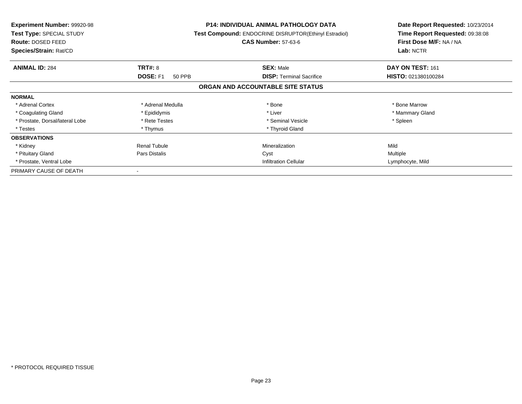| <b>Experiment Number: 99920-98</b><br>Test Type: SPECIAL STUDY<br><b>Route: DOSED FEED</b><br>Species/Strain: Rat/CD |                           | <b>P14: INDIVIDUAL ANIMAL PATHOLOGY DATA</b><br>Test Compound: ENDOCRINE DISRUPTOR(Ethinyl Estradiol)<br><b>CAS Number: 57-63-6</b> | Date Report Requested: 10/23/2014<br>Time Report Requested: 09:38:08<br>First Dose M/F: NA / NA<br>Lab: NCTR |
|----------------------------------------------------------------------------------------------------------------------|---------------------------|-------------------------------------------------------------------------------------------------------------------------------------|--------------------------------------------------------------------------------------------------------------|
| <b>ANIMAL ID: 284</b>                                                                                                | <b>TRT#: 8</b>            | <b>SEX: Male</b>                                                                                                                    | DAY ON TEST: 161                                                                                             |
|                                                                                                                      | <b>DOSE: F1</b><br>50 PPB | <b>DISP:</b> Terminal Sacrifice                                                                                                     | HISTO: 021380100284                                                                                          |
|                                                                                                                      |                           | ORGAN AND ACCOUNTABLE SITE STATUS                                                                                                   |                                                                                                              |
| <b>NORMAL</b>                                                                                                        |                           |                                                                                                                                     |                                                                                                              |
| * Adrenal Cortex                                                                                                     | * Adrenal Medulla         | * Bone                                                                                                                              | * Bone Marrow                                                                                                |
| * Coagulating Gland                                                                                                  | * Epididymis              | * Liver                                                                                                                             | * Mammary Gland                                                                                              |
| * Prostate, Dorsal/lateral Lobe                                                                                      | * Rete Testes             | * Seminal Vesicle                                                                                                                   | * Spleen                                                                                                     |
| * Testes                                                                                                             | * Thymus                  | * Thyroid Gland                                                                                                                     |                                                                                                              |
| <b>OBSERVATIONS</b>                                                                                                  |                           |                                                                                                                                     |                                                                                                              |
| * Kidney                                                                                                             | <b>Renal Tubule</b>       | Mineralization                                                                                                                      | Mild                                                                                                         |
| * Pituitary Gland                                                                                                    | Pars Distalis             | Cyst                                                                                                                                | Multiple                                                                                                     |
| * Prostate, Ventral Lobe                                                                                             |                           | <b>Infiltration Cellular</b>                                                                                                        | Lymphocyte, Mild                                                                                             |
| PRIMARY CAUSE OF DEATH                                                                                               |                           |                                                                                                                                     |                                                                                                              |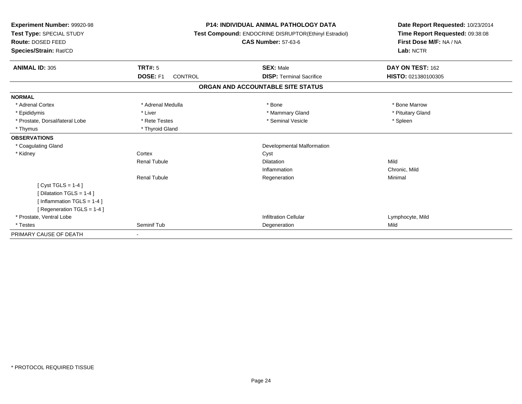| <b>Experiment Number: 99920-98</b><br>Test Type: SPECIAL STUDY<br>Route: DOSED FEED<br>Species/Strain: Rat/CD |                                   | <b>P14: INDIVIDUAL ANIMAL PATHOLOGY DATA</b><br>Test Compound: ENDOCRINE DISRUPTOR(Ethinyl Estradiol)<br><b>CAS Number: 57-63-6</b> | Date Report Requested: 10/23/2014<br>Time Report Requested: 09:38:08<br>First Dose M/F: NA / NA<br>Lab: NCTR |  |
|---------------------------------------------------------------------------------------------------------------|-----------------------------------|-------------------------------------------------------------------------------------------------------------------------------------|--------------------------------------------------------------------------------------------------------------|--|
| <b>ANIMAL ID: 305</b>                                                                                         | TRT#: 5                           | <b>SEX: Male</b>                                                                                                                    | DAY ON TEST: 162                                                                                             |  |
|                                                                                                               | <b>DOSE: F1</b><br><b>CONTROL</b> | <b>DISP: Terminal Sacrifice</b>                                                                                                     | HISTO: 021380100305                                                                                          |  |
|                                                                                                               |                                   | ORGAN AND ACCOUNTABLE SITE STATUS                                                                                                   |                                                                                                              |  |
| <b>NORMAL</b>                                                                                                 |                                   |                                                                                                                                     |                                                                                                              |  |
| * Adrenal Cortex                                                                                              | * Adrenal Medulla                 | * Bone                                                                                                                              | * Bone Marrow                                                                                                |  |
| * Epididymis                                                                                                  | * Liver                           | * Mammary Gland                                                                                                                     | * Pituitary Gland                                                                                            |  |
| * Prostate, Dorsal/lateral Lobe                                                                               | * Rete Testes                     | * Seminal Vesicle                                                                                                                   | * Spleen                                                                                                     |  |
| * Thymus                                                                                                      | * Thyroid Gland                   |                                                                                                                                     |                                                                                                              |  |
| <b>OBSERVATIONS</b>                                                                                           |                                   |                                                                                                                                     |                                                                                                              |  |
| * Coagulating Gland                                                                                           |                                   | <b>Developmental Malformation</b>                                                                                                   |                                                                                                              |  |
| * Kidney                                                                                                      | Cortex                            | Cyst                                                                                                                                |                                                                                                              |  |
|                                                                                                               | <b>Renal Tubule</b>               | <b>Dilatation</b>                                                                                                                   | Mild                                                                                                         |  |
|                                                                                                               |                                   | Inflammation                                                                                                                        | Chronic, Mild                                                                                                |  |
|                                                                                                               | <b>Renal Tubule</b>               | Regeneration                                                                                                                        | Minimal                                                                                                      |  |
| [Cyst TGLS = $1-4$ ]                                                                                          |                                   |                                                                                                                                     |                                                                                                              |  |
| [Dilatation TGLS = 1-4]                                                                                       |                                   |                                                                                                                                     |                                                                                                              |  |
| [Inflammation $TGLS = 1-4$ ]                                                                                  |                                   |                                                                                                                                     |                                                                                                              |  |
| [ Regeneration TGLS = 1-4 ]                                                                                   |                                   |                                                                                                                                     |                                                                                                              |  |
| * Prostate, Ventral Lobe                                                                                      |                                   | <b>Infiltration Cellular</b>                                                                                                        | Lymphocyte, Mild                                                                                             |  |
| * Testes                                                                                                      | Seminif Tub                       | Degeneration                                                                                                                        | Mild                                                                                                         |  |
| PRIMARY CAUSE OF DEATH                                                                                        |                                   |                                                                                                                                     |                                                                                                              |  |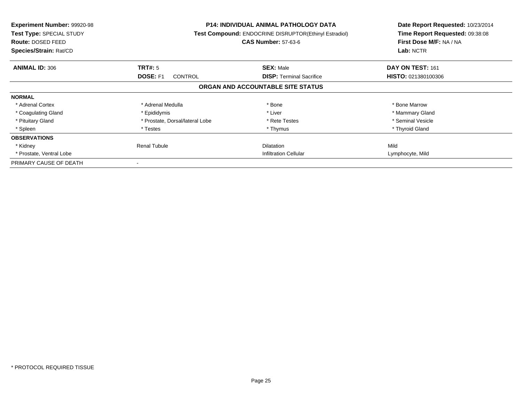| <b>Experiment Number: 99920-98</b><br>Test Type: SPECIAL STUDY<br><b>Route: DOSED FEED</b><br>Species/Strain: Rat/CD |                                   | <b>P14: INDIVIDUAL ANIMAL PATHOLOGY DATA</b><br>Test Compound: ENDOCRINE DISRUPTOR(Ethinyl Estradiol)<br><b>CAS Number: 57-63-6</b> | Date Report Requested: 10/23/2014<br>Time Report Requested: 09:38:08<br>First Dose M/F: NA / NA<br>Lab: NCTR |
|----------------------------------------------------------------------------------------------------------------------|-----------------------------------|-------------------------------------------------------------------------------------------------------------------------------------|--------------------------------------------------------------------------------------------------------------|
| <b>ANIMAL ID: 306</b>                                                                                                | TRT#: 5                           | <b>SEX: Male</b>                                                                                                                    | DAY ON TEST: 161                                                                                             |
|                                                                                                                      | <b>DOSE: F1</b><br><b>CONTROL</b> | <b>DISP:</b> Terminal Sacrifice                                                                                                     | HISTO: 021380100306                                                                                          |
|                                                                                                                      |                                   | ORGAN AND ACCOUNTABLE SITE STATUS                                                                                                   |                                                                                                              |
| <b>NORMAL</b>                                                                                                        |                                   |                                                                                                                                     |                                                                                                              |
| * Adrenal Cortex                                                                                                     | * Adrenal Medulla                 | * Bone                                                                                                                              | * Bone Marrow                                                                                                |
| * Coagulating Gland                                                                                                  | * Epididymis                      | * Liver                                                                                                                             | * Mammary Gland                                                                                              |
| * Pituitary Gland                                                                                                    | * Prostate, Dorsal/lateral Lobe   | * Rete Testes                                                                                                                       | * Seminal Vesicle                                                                                            |
| * Spleen                                                                                                             | * Testes                          | * Thymus                                                                                                                            | * Thyroid Gland                                                                                              |
| <b>OBSERVATIONS</b>                                                                                                  |                                   |                                                                                                                                     |                                                                                                              |
| * Kidney                                                                                                             | Renal Tubule                      | <b>Dilatation</b>                                                                                                                   | Mild                                                                                                         |
| * Prostate, Ventral Lobe                                                                                             |                                   | <b>Infiltration Cellular</b>                                                                                                        | Lymphocyte, Mild                                                                                             |
| PRIMARY CAUSE OF DEATH                                                                                               |                                   |                                                                                                                                     |                                                                                                              |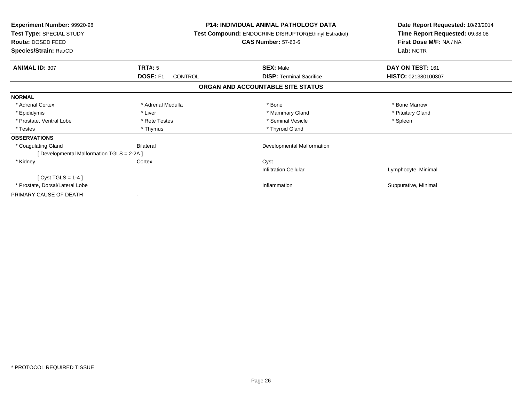| <b>Experiment Number: 99920-98</b><br>Test Type: SPECIAL STUDY<br>Route: DOSED FEED<br>Species/Strain: Rat/CD |                            | <b>P14: INDIVIDUAL ANIMAL PATHOLOGY DATA</b><br><b>Test Compound: ENDOCRINE DISRUPTOR(Ethinyl Estradiol)</b><br><b>CAS Number: 57-63-6</b> | Date Report Requested: 10/23/2014<br>Time Report Requested: 09:38:08<br>First Dose M/F: NA / NA<br>Lab: NCTR |
|---------------------------------------------------------------------------------------------------------------|----------------------------|--------------------------------------------------------------------------------------------------------------------------------------------|--------------------------------------------------------------------------------------------------------------|
| <b>ANIMAL ID: 307</b>                                                                                         | TRT#: 5                    | <b>SEX: Male</b>                                                                                                                           | DAY ON TEST: 161                                                                                             |
|                                                                                                               | <b>DOSE: F1</b><br>CONTROL | <b>DISP:</b> Terminal Sacrifice                                                                                                            | HISTO: 021380100307                                                                                          |
|                                                                                                               |                            | ORGAN AND ACCOUNTABLE SITE STATUS                                                                                                          |                                                                                                              |
| <b>NORMAL</b>                                                                                                 |                            |                                                                                                                                            |                                                                                                              |
| * Adrenal Cortex                                                                                              | * Adrenal Medulla          | * Bone                                                                                                                                     | * Bone Marrow                                                                                                |
| * Epididymis                                                                                                  | * Liver                    | * Mammary Gland                                                                                                                            | * Pituitary Gland                                                                                            |
| * Prostate, Ventral Lobe                                                                                      | * Rete Testes              | * Seminal Vesicle                                                                                                                          | * Spleen                                                                                                     |
| * Testes                                                                                                      | * Thymus                   | * Thyroid Gland                                                                                                                            |                                                                                                              |
| <b>OBSERVATIONS</b>                                                                                           |                            |                                                                                                                                            |                                                                                                              |
| * Coagulating Gland                                                                                           | Bilateral                  | Developmental Malformation                                                                                                                 |                                                                                                              |
| [Developmental Malformation TGLS = 2-2A]                                                                      |                            |                                                                                                                                            |                                                                                                              |
| * Kidney                                                                                                      | Cortex                     | Cyst                                                                                                                                       |                                                                                                              |
|                                                                                                               |                            | <b>Infiltration Cellular</b>                                                                                                               | Lymphocyte, Minimal                                                                                          |
| [Cyst TGLS = $1-4$ ]                                                                                          |                            |                                                                                                                                            |                                                                                                              |
| * Prostate, Dorsal/Lateral Lobe                                                                               |                            | Inflammation                                                                                                                               | Suppurative, Minimal                                                                                         |
| PRIMARY CAUSE OF DEATH                                                                                        |                            |                                                                                                                                            |                                                                                                              |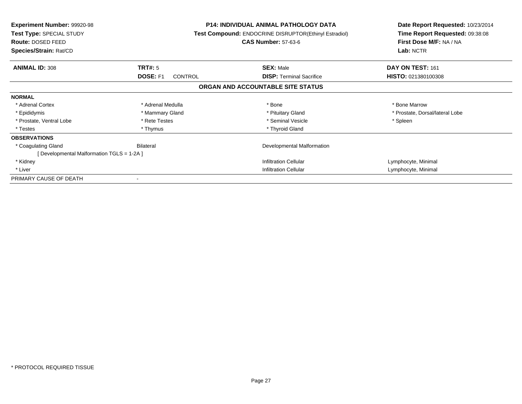| <b>Experiment Number: 99920-98</b><br>Test Type: SPECIAL STUDY<br>Route: DOSED FEED<br>Species/Strain: Rat/CD |                            | <b>P14: INDIVIDUAL ANIMAL PATHOLOGY DATA</b><br>Test Compound: ENDOCRINE DISRUPTOR(Ethinyl Estradiol)<br><b>CAS Number: 57-63-6</b> | Date Report Requested: 10/23/2014<br>Time Report Requested: 09:38:08<br>First Dose M/F: NA / NA<br>Lab: NCTR |
|---------------------------------------------------------------------------------------------------------------|----------------------------|-------------------------------------------------------------------------------------------------------------------------------------|--------------------------------------------------------------------------------------------------------------|
| <b>ANIMAL ID: 308</b>                                                                                         | TRT#: 5                    | <b>SEX: Male</b>                                                                                                                    | DAY ON TEST: 161                                                                                             |
|                                                                                                               | DOSE: F1<br><b>CONTROL</b> | <b>DISP:</b> Terminal Sacrifice                                                                                                     | HISTO: 021380100308                                                                                          |
|                                                                                                               |                            | ORGAN AND ACCOUNTABLE SITE STATUS                                                                                                   |                                                                                                              |
| <b>NORMAL</b>                                                                                                 |                            |                                                                                                                                     |                                                                                                              |
| * Adrenal Cortex                                                                                              | * Adrenal Medulla          | * Bone                                                                                                                              | * Bone Marrow                                                                                                |
| * Epididymis                                                                                                  | * Mammary Gland            | * Pituitary Gland                                                                                                                   | * Prostate, Dorsal/lateral Lobe                                                                              |
| * Prostate, Ventral Lobe                                                                                      | * Rete Testes              | * Seminal Vesicle                                                                                                                   | * Spleen                                                                                                     |
| * Testes                                                                                                      | * Thymus                   | * Thyroid Gland                                                                                                                     |                                                                                                              |
| <b>OBSERVATIONS</b>                                                                                           |                            |                                                                                                                                     |                                                                                                              |
| * Coagulating Gland                                                                                           | Bilateral                  | Developmental Malformation                                                                                                          |                                                                                                              |
| [ Developmental Malformation TGLS = 1-2A ]                                                                    |                            |                                                                                                                                     |                                                                                                              |
| * Kidney                                                                                                      |                            | <b>Infiltration Cellular</b>                                                                                                        | Lymphocyte, Minimal                                                                                          |
| * Liver                                                                                                       |                            | <b>Infiltration Cellular</b>                                                                                                        | Lymphocyte, Minimal                                                                                          |
| PRIMARY CAUSE OF DEATH                                                                                        |                            |                                                                                                                                     |                                                                                                              |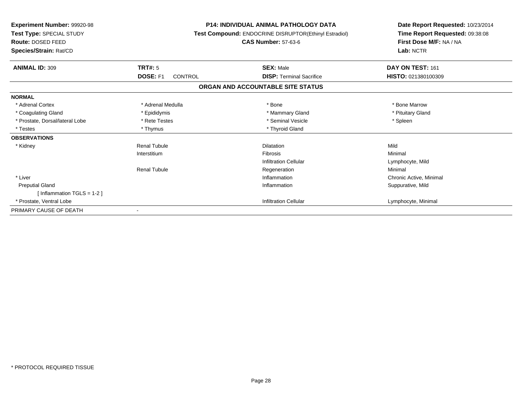| Experiment Number: 99920-98<br>Test Type: SPECIAL STUDY<br><b>Route: DOSED FEED</b><br>Species/Strain: Rat/CD |                     | <b>P14: INDIVIDUAL ANIMAL PATHOLOGY DATA</b><br>Test Compound: ENDOCRINE DISRUPTOR(Ethinyl Estradiol)<br><b>CAS Number: 57-63-6</b> | Date Report Requested: 10/23/2014<br>Time Report Requested: 09:38:08<br>First Dose M/F: NA / NA<br>Lab: NCTR |
|---------------------------------------------------------------------------------------------------------------|---------------------|-------------------------------------------------------------------------------------------------------------------------------------|--------------------------------------------------------------------------------------------------------------|
| <b>ANIMAL ID: 309</b>                                                                                         | TRT#: 5             | <b>SEX: Male</b>                                                                                                                    | DAY ON TEST: 161                                                                                             |
|                                                                                                               | DOSE: F1<br>CONTROL | <b>DISP: Terminal Sacrifice</b>                                                                                                     | HISTO: 021380100309                                                                                          |
|                                                                                                               |                     | ORGAN AND ACCOUNTABLE SITE STATUS                                                                                                   |                                                                                                              |
| <b>NORMAL</b>                                                                                                 |                     |                                                                                                                                     |                                                                                                              |
| * Adrenal Cortex                                                                                              | * Adrenal Medulla   | * Bone                                                                                                                              | * Bone Marrow                                                                                                |
| * Coagulating Gland                                                                                           | * Epididymis        | * Mammary Gland                                                                                                                     | * Pituitary Gland                                                                                            |
| * Prostate, Dorsal/lateral Lobe                                                                               | * Rete Testes       | * Seminal Vesicle                                                                                                                   | * Spleen                                                                                                     |
| * Testes                                                                                                      | * Thymus            | * Thyroid Gland                                                                                                                     |                                                                                                              |
| <b>OBSERVATIONS</b>                                                                                           |                     |                                                                                                                                     |                                                                                                              |
| * Kidney                                                                                                      | <b>Renal Tubule</b> | <b>Dilatation</b>                                                                                                                   | Mild                                                                                                         |
|                                                                                                               | Interstitium        | <b>Fibrosis</b>                                                                                                                     | Minimal                                                                                                      |
|                                                                                                               |                     | <b>Infiltration Cellular</b>                                                                                                        | Lymphocyte, Mild                                                                                             |
|                                                                                                               | <b>Renal Tubule</b> | Regeneration                                                                                                                        | Minimal                                                                                                      |
| * Liver                                                                                                       |                     | Inflammation                                                                                                                        | Chronic Active, Minimal                                                                                      |
| <b>Preputial Gland</b><br>[Inflammation TGLS = $1-2$ ]                                                        |                     | Inflammation                                                                                                                        | Suppurative, Mild                                                                                            |
| * Prostate, Ventral Lobe                                                                                      |                     | <b>Infiltration Cellular</b>                                                                                                        | Lymphocyte, Minimal                                                                                          |
| PRIMARY CAUSE OF DEATH                                                                                        |                     |                                                                                                                                     |                                                                                                              |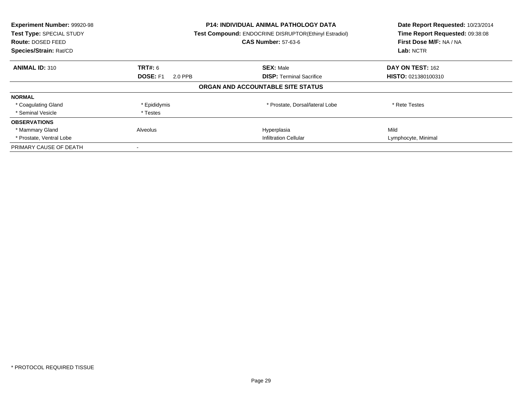| Experiment Number: 99920-98<br><b>Test Type: SPECIAL STUDY</b><br><b>Route: DOSED FEED</b><br>Species/Strain: Rat/CD |                            | <b>P14: INDIVIDUAL ANIMAL PATHOLOGY DATA</b><br><b>Test Compound: ENDOCRINE DISRUPTOR(Ethinyl Estradiol)</b><br><b>CAS Number: 57-63-6</b> | Date Report Requested: 10/23/2014<br>Time Report Requested: 09:38:08<br>First Dose M/F: NA / NA<br>Lab: NCTR |
|----------------------------------------------------------------------------------------------------------------------|----------------------------|--------------------------------------------------------------------------------------------------------------------------------------------|--------------------------------------------------------------------------------------------------------------|
| <b>ANIMAL ID: 310</b>                                                                                                | TRT#: 6                    | <b>SEX: Male</b>                                                                                                                           | DAY ON TEST: 162                                                                                             |
|                                                                                                                      | <b>DOSE: F1</b><br>2.0 PPB | <b>DISP:</b> Terminal Sacrifice                                                                                                            | <b>HISTO: 021380100310</b>                                                                                   |
|                                                                                                                      |                            | ORGAN AND ACCOUNTABLE SITE STATUS                                                                                                          |                                                                                                              |
| <b>NORMAL</b>                                                                                                        |                            |                                                                                                                                            |                                                                                                              |
| * Coagulating Gland                                                                                                  | * Epididymis               | * Prostate, Dorsal/lateral Lobe                                                                                                            | * Rete Testes                                                                                                |
| * Seminal Vesicle                                                                                                    | * Testes                   |                                                                                                                                            |                                                                                                              |
| <b>OBSERVATIONS</b>                                                                                                  |                            |                                                                                                                                            |                                                                                                              |
| * Mammary Gland                                                                                                      | Alveolus                   | Hyperplasia                                                                                                                                | Mild                                                                                                         |
| * Prostate, Ventral Lobe                                                                                             |                            | <b>Infiltration Cellular</b>                                                                                                               | Lymphocyte, Minimal                                                                                          |
| PRIMARY CAUSE OF DEATH                                                                                               |                            |                                                                                                                                            |                                                                                                              |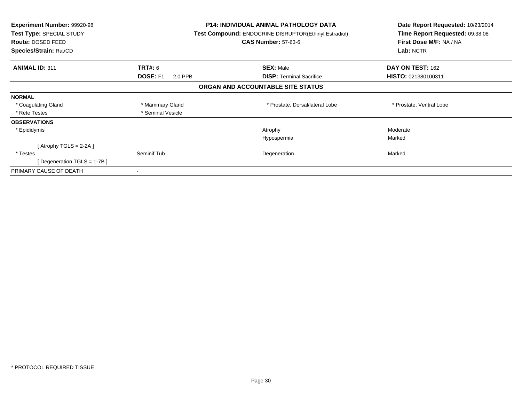| Experiment Number: 99920-98<br>Test Type: SPECIAL STUDY<br>Route: DOSED FEED<br>Species/Strain: Rat/CD |                            | P14: INDIVIDUAL ANIMAL PATHOLOGY DATA<br><b>Test Compound: ENDOCRINE DISRUPTOR(Ethinyl Estradiol)</b><br><b>CAS Number: 57-63-6</b> | Date Report Requested: 10/23/2014<br>Time Report Requested: 09:38:08<br>First Dose M/F: NA / NA<br>Lab: NCTR |
|--------------------------------------------------------------------------------------------------------|----------------------------|-------------------------------------------------------------------------------------------------------------------------------------|--------------------------------------------------------------------------------------------------------------|
| <b>ANIMAL ID: 311</b>                                                                                  | <b>TRT#: 6</b>             | <b>SEX: Male</b>                                                                                                                    | DAY ON TEST: 162                                                                                             |
|                                                                                                        | <b>DOSE: F1</b><br>2.0 PPB | <b>DISP:</b> Terminal Sacrifice                                                                                                     | HISTO: 021380100311                                                                                          |
|                                                                                                        |                            | ORGAN AND ACCOUNTABLE SITE STATUS                                                                                                   |                                                                                                              |
| <b>NORMAL</b>                                                                                          |                            |                                                                                                                                     |                                                                                                              |
| * Coagulating Gland                                                                                    | * Mammary Gland            | * Prostate, Dorsal/lateral Lobe                                                                                                     | * Prostate, Ventral Lobe                                                                                     |
| * Rete Testes                                                                                          | * Seminal Vesicle          |                                                                                                                                     |                                                                                                              |
| <b>OBSERVATIONS</b>                                                                                    |                            |                                                                                                                                     |                                                                                                              |
| * Epididymis                                                                                           |                            | Atrophy                                                                                                                             | Moderate                                                                                                     |
|                                                                                                        |                            | Hypospermia                                                                                                                         | Marked                                                                                                       |
| [Atrophy TGLS = 2-2A ]                                                                                 |                            |                                                                                                                                     |                                                                                                              |
| * Testes                                                                                               | Seminif Tub                | Degeneration                                                                                                                        | Marked                                                                                                       |
| [Degeneration TGLS = 1-7B]                                                                             |                            |                                                                                                                                     |                                                                                                              |
| PRIMARY CAUSE OF DEATH                                                                                 |                            |                                                                                                                                     |                                                                                                              |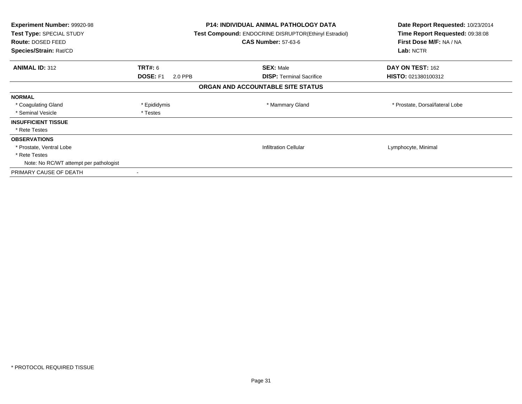| Experiment Number: 99920-98<br>Test Type: SPECIAL STUDY<br>Route: DOSED FEED<br>Species/Strain: Rat/CD |                            | <b>P14: INDIVIDUAL ANIMAL PATHOLOGY DATA</b><br><b>Test Compound: ENDOCRINE DISRUPTOR(Ethinyl Estradiol)</b><br><b>CAS Number: 57-63-6</b> | Date Report Requested: 10/23/2014<br>Time Report Requested: 09:38:08<br>First Dose M/F: NA / NA<br>Lab: NCTR |
|--------------------------------------------------------------------------------------------------------|----------------------------|--------------------------------------------------------------------------------------------------------------------------------------------|--------------------------------------------------------------------------------------------------------------|
| <b>ANIMAL ID: 312</b>                                                                                  | TRT#: 6                    | <b>SEX: Male</b>                                                                                                                           | DAY ON TEST: 162                                                                                             |
|                                                                                                        | <b>DOSE: F1</b><br>2.0 PPB | <b>DISP:</b> Terminal Sacrifice                                                                                                            | HISTO: 021380100312                                                                                          |
|                                                                                                        |                            | ORGAN AND ACCOUNTABLE SITE STATUS                                                                                                          |                                                                                                              |
| <b>NORMAL</b>                                                                                          |                            |                                                                                                                                            |                                                                                                              |
| * Coagulating Gland                                                                                    | * Epididymis               | * Mammary Gland                                                                                                                            | * Prostate, Dorsal/lateral Lobe                                                                              |
| * Seminal Vesicle                                                                                      | * Testes                   |                                                                                                                                            |                                                                                                              |
| <b>INSUFFICIENT TISSUE</b>                                                                             |                            |                                                                                                                                            |                                                                                                              |
| * Rete Testes                                                                                          |                            |                                                                                                                                            |                                                                                                              |
| <b>OBSERVATIONS</b>                                                                                    |                            |                                                                                                                                            |                                                                                                              |
| * Prostate, Ventral Lobe                                                                               |                            | <b>Infiltration Cellular</b>                                                                                                               | Lymphocyte, Minimal                                                                                          |
| * Rete Testes                                                                                          |                            |                                                                                                                                            |                                                                                                              |
| Note: No RC/WT attempt per pathologist                                                                 |                            |                                                                                                                                            |                                                                                                              |
| PRIMARY CAUSE OF DEATH                                                                                 |                            |                                                                                                                                            |                                                                                                              |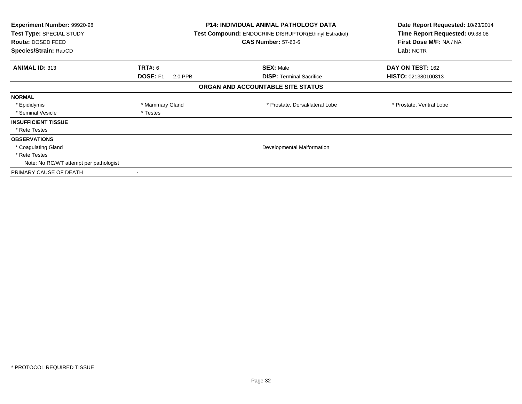| Experiment Number: 99920-98<br>Test Type: SPECIAL STUDY<br>Route: DOSED FEED<br>Species/Strain: Rat/CD |                            | <b>P14: INDIVIDUAL ANIMAL PATHOLOGY DATA</b><br><b>Test Compound: ENDOCRINE DISRUPTOR(Ethinyl Estradiol)</b><br><b>CAS Number: 57-63-6</b> | Date Report Requested: 10/23/2014<br>Time Report Requested: 09:38:08<br>First Dose M/F: NA / NA<br>Lab: NCTR |
|--------------------------------------------------------------------------------------------------------|----------------------------|--------------------------------------------------------------------------------------------------------------------------------------------|--------------------------------------------------------------------------------------------------------------|
| <b>ANIMAL ID: 313</b>                                                                                  | <b>TRT#: 6</b>             | <b>SEX: Male</b>                                                                                                                           | DAY ON TEST: 162                                                                                             |
|                                                                                                        | <b>DOSE: F1</b><br>2.0 PPB | <b>DISP:</b> Terminal Sacrifice                                                                                                            | HISTO: 021380100313                                                                                          |
|                                                                                                        |                            | ORGAN AND ACCOUNTABLE SITE STATUS                                                                                                          |                                                                                                              |
| <b>NORMAL</b>                                                                                          |                            |                                                                                                                                            |                                                                                                              |
| * Epididymis                                                                                           | * Mammary Gland            | * Prostate, Dorsal/lateral Lobe                                                                                                            | * Prostate, Ventral Lobe                                                                                     |
| * Seminal Vesicle                                                                                      | * Testes                   |                                                                                                                                            |                                                                                                              |
| <b>INSUFFICIENT TISSUE</b>                                                                             |                            |                                                                                                                                            |                                                                                                              |
| * Rete Testes                                                                                          |                            |                                                                                                                                            |                                                                                                              |
| <b>OBSERVATIONS</b>                                                                                    |                            |                                                                                                                                            |                                                                                                              |
| * Coagulating Gland                                                                                    |                            | Developmental Malformation                                                                                                                 |                                                                                                              |
| * Rete Testes                                                                                          |                            |                                                                                                                                            |                                                                                                              |
| Note: No RC/WT attempt per pathologist                                                                 |                            |                                                                                                                                            |                                                                                                              |
| PRIMARY CAUSE OF DEATH                                                                                 |                            |                                                                                                                                            |                                                                                                              |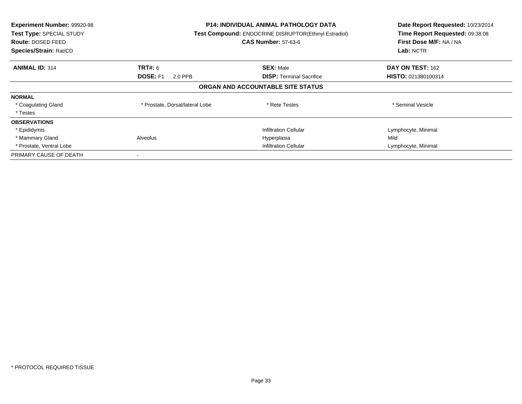| Experiment Number: 99920-98<br>Test Type: SPECIAL STUDY<br><b>Route: DOSED FEED</b><br>Species/Strain: Rat/CD | <b>P14: INDIVIDUAL ANIMAL PATHOLOGY DATA</b><br>Test Compound: ENDOCRINE DISRUPTOR(Ethinyl Estradiol)<br><b>CAS Number: 57-63-6</b> |                                   | Date Report Requested: 10/23/2014<br>Time Report Requested: 09:38:08<br>First Dose M/F: NA / NA<br>Lab: NCTR |
|---------------------------------------------------------------------------------------------------------------|-------------------------------------------------------------------------------------------------------------------------------------|-----------------------------------|--------------------------------------------------------------------------------------------------------------|
| <b>ANIMAL ID: 314</b>                                                                                         | <b>TRT#:</b> 6                                                                                                                      | <b>SEX: Male</b>                  | DAY ON TEST: 162                                                                                             |
|                                                                                                               | DOSE: F1<br>2.0 PPB                                                                                                                 | <b>DISP: Terminal Sacrifice</b>   | HISTO: 021380100314                                                                                          |
|                                                                                                               |                                                                                                                                     | ORGAN AND ACCOUNTABLE SITE STATUS |                                                                                                              |
| <b>NORMAL</b>                                                                                                 |                                                                                                                                     |                                   |                                                                                                              |
| * Coagulating Gland                                                                                           | * Prostate, Dorsal/lateral Lobe                                                                                                     | * Rete Testes                     | * Seminal Vesicle                                                                                            |
| * Testes                                                                                                      |                                                                                                                                     |                                   |                                                                                                              |
| <b>OBSERVATIONS</b>                                                                                           |                                                                                                                                     |                                   |                                                                                                              |
| * Epididymis                                                                                                  |                                                                                                                                     | <b>Infiltration Cellular</b>      | Lymphocyte, Minimal                                                                                          |
| * Mammary Gland                                                                                               | Alveolus                                                                                                                            | Hyperplasia                       | Mild                                                                                                         |
| * Prostate, Ventral Lobe                                                                                      |                                                                                                                                     | <b>Infiltration Cellular</b>      | Lymphocyte, Minimal                                                                                          |
| PRIMARY CAUSE OF DEATH                                                                                        |                                                                                                                                     |                                   |                                                                                                              |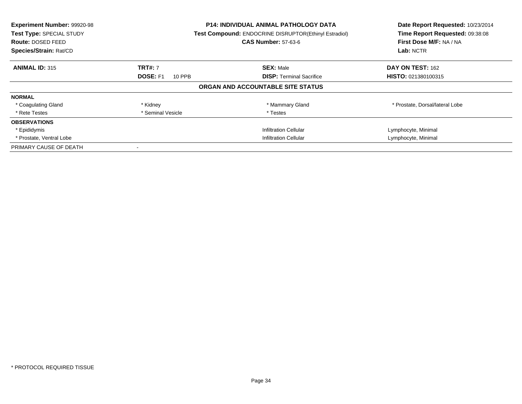| <b>Experiment Number: 99920-98</b><br>Test Type: SPECIAL STUDY<br><b>Route: DOSED FEED</b><br>Species/Strain: Rat/CD |                              | <b>P14: INDIVIDUAL ANIMAL PATHOLOGY DATA</b><br><b>Test Compound: ENDOCRINE DISRUPTOR(Ethinyl Estradiol)</b><br><b>CAS Number: 57-63-6</b> | Date Report Requested: 10/23/2014<br>Time Report Requested: 09:38:08<br>First Dose M/F: NA / NA<br>Lab: NCTR |
|----------------------------------------------------------------------------------------------------------------------|------------------------------|--------------------------------------------------------------------------------------------------------------------------------------------|--------------------------------------------------------------------------------------------------------------|
| <b>ANIMAL ID: 315</b>                                                                                                | <b>TRT#: 7</b>               | <b>SEX: Male</b>                                                                                                                           | DAY ON TEST: 162                                                                                             |
|                                                                                                                      | <b>DOSE: F1</b><br>10 PPB    | <b>DISP:</b> Terminal Sacrifice                                                                                                            | HISTO: 021380100315                                                                                          |
|                                                                                                                      |                              | ORGAN AND ACCOUNTABLE SITE STATUS                                                                                                          |                                                                                                              |
| <b>NORMAL</b>                                                                                                        |                              |                                                                                                                                            |                                                                                                              |
| * Coagulating Gland                                                                                                  | * Kidney                     | * Mammary Gland                                                                                                                            | * Prostate, Dorsal/lateral Lobe                                                                              |
| * Rete Testes                                                                                                        | * Seminal Vesicle            | * Testes                                                                                                                                   |                                                                                                              |
| <b>OBSERVATIONS</b>                                                                                                  |                              |                                                                                                                                            |                                                                                                              |
| * Epididymis                                                                                                         |                              | <b>Infiltration Cellular</b>                                                                                                               | Lymphocyte, Minimal                                                                                          |
| * Prostate, Ventral Lobe                                                                                             | <b>Infiltration Cellular</b> |                                                                                                                                            | Lymphocyte, Minimal                                                                                          |
| PRIMARY CAUSE OF DEATH                                                                                               |                              |                                                                                                                                            |                                                                                                              |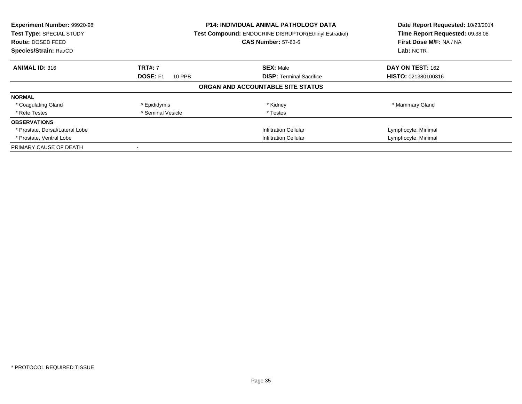| <b>Experiment Number: 99920-98</b><br>Test Type: SPECIAL STUDY<br><b>Route: DOSED FEED</b><br>Species/Strain: Rat/CD |                              | <b>P14: INDIVIDUAL ANIMAL PATHOLOGY DATA</b><br><b>Test Compound: ENDOCRINE DISRUPTOR(Ethinyl Estradiol)</b><br><b>CAS Number: 57-63-6</b> | Date Report Requested: 10/23/2014<br>Time Report Requested: 09:38:08<br>First Dose M/F: NA / NA<br>Lab: NCTR |
|----------------------------------------------------------------------------------------------------------------------|------------------------------|--------------------------------------------------------------------------------------------------------------------------------------------|--------------------------------------------------------------------------------------------------------------|
| <b>ANIMAL ID: 316</b>                                                                                                | <b>TRT#: 7</b>               | <b>SEX: Male</b>                                                                                                                           | DAY ON TEST: 162                                                                                             |
|                                                                                                                      | <b>DOSE: F1</b><br>10 PPB    | <b>DISP:</b> Terminal Sacrifice                                                                                                            | HISTO: 021380100316                                                                                          |
|                                                                                                                      |                              | ORGAN AND ACCOUNTABLE SITE STATUS                                                                                                          |                                                                                                              |
| <b>NORMAL</b>                                                                                                        |                              |                                                                                                                                            |                                                                                                              |
| * Coagulating Gland                                                                                                  | * Epididymis                 | * Kidney                                                                                                                                   | * Mammary Gland                                                                                              |
| * Rete Testes                                                                                                        | * Seminal Vesicle            | * Testes                                                                                                                                   |                                                                                                              |
| <b>OBSERVATIONS</b>                                                                                                  |                              |                                                                                                                                            |                                                                                                              |
| * Prostate, Dorsal/Lateral Lobe                                                                                      |                              | <b>Infiltration Cellular</b>                                                                                                               | Lymphocyte, Minimal                                                                                          |
| * Prostate, Ventral Lobe                                                                                             | <b>Infiltration Cellular</b> |                                                                                                                                            | Lymphocyte, Minimal                                                                                          |
| PRIMARY CAUSE OF DEATH                                                                                               |                              |                                                                                                                                            |                                                                                                              |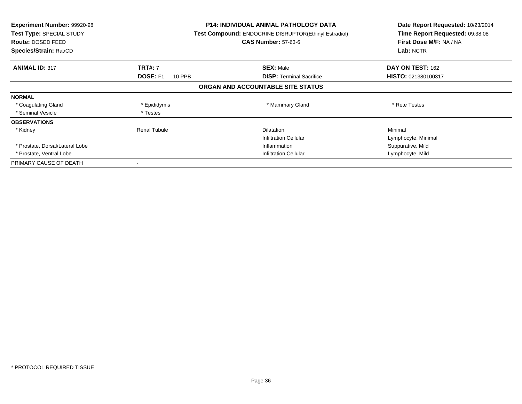| <b>Experiment Number: 99920-98</b><br>Test Type: SPECIAL STUDY<br><b>Route: DOSED FEED</b><br>Species/Strain: Rat/CD |                           | <b>P14: INDIVIDUAL ANIMAL PATHOLOGY DATA</b><br>Test Compound: ENDOCRINE DISRUPTOR(Ethinyl Estradiol)<br><b>CAS Number: 57-63-6</b> | Date Report Requested: 10/23/2014<br>Time Report Requested: 09:38:08<br>First Dose M/F: NA / NA<br>Lab: NCTR |
|----------------------------------------------------------------------------------------------------------------------|---------------------------|-------------------------------------------------------------------------------------------------------------------------------------|--------------------------------------------------------------------------------------------------------------|
| <b>ANIMAL ID: 317</b>                                                                                                | <b>TRT#: 7</b>            | <b>SEX: Male</b>                                                                                                                    | DAY ON TEST: 162                                                                                             |
|                                                                                                                      | <b>DOSE: F1</b><br>10 PPB | <b>DISP:</b> Terminal Sacrifice                                                                                                     | HISTO: 021380100317                                                                                          |
|                                                                                                                      |                           | ORGAN AND ACCOUNTABLE SITE STATUS                                                                                                   |                                                                                                              |
| <b>NORMAL</b>                                                                                                        |                           |                                                                                                                                     |                                                                                                              |
| * Coagulating Gland                                                                                                  | * Epididymis              | * Mammary Gland                                                                                                                     | * Rete Testes                                                                                                |
| * Seminal Vesicle                                                                                                    | * Testes                  |                                                                                                                                     |                                                                                                              |
| <b>OBSERVATIONS</b>                                                                                                  |                           |                                                                                                                                     |                                                                                                              |
| * Kidney                                                                                                             | Renal Tubule              | <b>Dilatation</b>                                                                                                                   | Minimal                                                                                                      |
|                                                                                                                      |                           | <b>Infiltration Cellular</b>                                                                                                        | Lymphocyte, Minimal                                                                                          |
| * Prostate, Dorsal/Lateral Lobe                                                                                      |                           | Inflammation                                                                                                                        | Suppurative, Mild                                                                                            |
| * Prostate, Ventral Lobe                                                                                             |                           | <b>Infiltration Cellular</b>                                                                                                        | Lymphocyte, Mild                                                                                             |
| PRIMARY CAUSE OF DEATH                                                                                               |                           |                                                                                                                                     |                                                                                                              |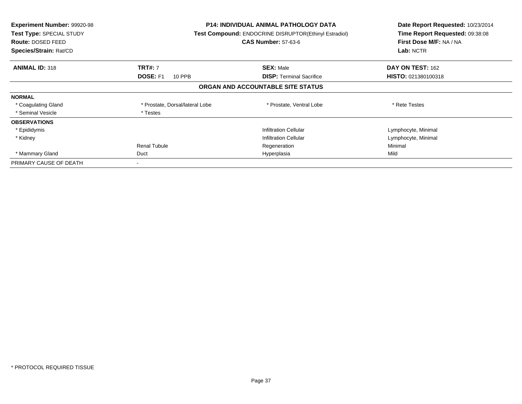| <b>Experiment Number: 99920-98</b><br>Test Type: SPECIAL STUDY<br><b>Route: DOSED FEED</b><br>Species/Strain: Rat/CD |                                 | <b>P14: INDIVIDUAL ANIMAL PATHOLOGY DATA</b><br>Test Compound: ENDOCRINE DISRUPTOR(Ethinyl Estradiol)<br><b>CAS Number: 57-63-6</b> | Date Report Requested: 10/23/2014<br>Time Report Requested: 09:38:08<br>First Dose M/F: NA / NA<br>Lab: NCTR |
|----------------------------------------------------------------------------------------------------------------------|---------------------------------|-------------------------------------------------------------------------------------------------------------------------------------|--------------------------------------------------------------------------------------------------------------|
| <b>ANIMAL ID: 318</b>                                                                                                | <b>TRT#: 7</b>                  | <b>SEX: Male</b>                                                                                                                    | DAY ON TEST: 162                                                                                             |
|                                                                                                                      | <b>DOSE: F1</b><br>10 PPB       | <b>DISP:</b> Terminal Sacrifice                                                                                                     | <b>HISTO: 021380100318</b>                                                                                   |
|                                                                                                                      |                                 | ORGAN AND ACCOUNTABLE SITE STATUS                                                                                                   |                                                                                                              |
| <b>NORMAL</b>                                                                                                        |                                 |                                                                                                                                     |                                                                                                              |
| * Coagulating Gland                                                                                                  | * Prostate, Dorsal/lateral Lobe | * Prostate, Ventral Lobe                                                                                                            | * Rete Testes                                                                                                |
| * Seminal Vesicle                                                                                                    | * Testes                        |                                                                                                                                     |                                                                                                              |
| <b>OBSERVATIONS</b>                                                                                                  |                                 |                                                                                                                                     |                                                                                                              |
| * Epididymis                                                                                                         |                                 | <b>Infiltration Cellular</b>                                                                                                        | Lymphocyte, Minimal                                                                                          |
| * Kidney                                                                                                             |                                 | <b>Infiltration Cellular</b>                                                                                                        | Lymphocyte, Minimal                                                                                          |
|                                                                                                                      | <b>Renal Tubule</b>             | Regeneration                                                                                                                        | Minimal                                                                                                      |
| * Mammary Gland                                                                                                      | Duct                            | Hyperplasia                                                                                                                         | Mild                                                                                                         |
| PRIMARY CAUSE OF DEATH                                                                                               |                                 |                                                                                                                                     |                                                                                                              |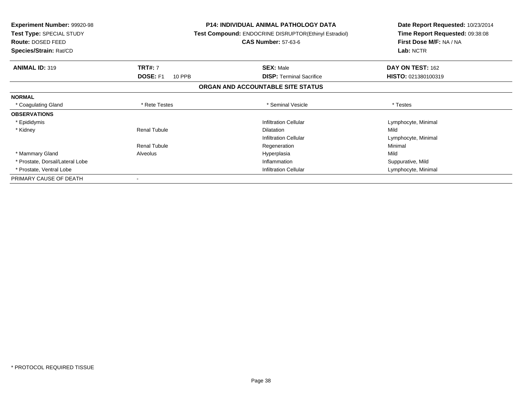| <b>Experiment Number: 99920-98</b><br>Test Type: SPECIAL STUDY<br>Route: DOSED FEED<br>Species/Strain: Rat/CD |                           | <b>P14: INDIVIDUAL ANIMAL PATHOLOGY DATA</b><br><b>Test Compound: ENDOCRINE DISRUPTOR(Ethinyl Estradiol)</b><br><b>CAS Number: 57-63-6</b> | Date Report Requested: 10/23/2014<br>Time Report Requested: 09:38:08<br>First Dose M/F: NA / NA<br>Lab: NCTR |
|---------------------------------------------------------------------------------------------------------------|---------------------------|--------------------------------------------------------------------------------------------------------------------------------------------|--------------------------------------------------------------------------------------------------------------|
| <b>ANIMAL ID: 319</b>                                                                                         | <b>TRT#: 7</b>            | <b>SEX: Male</b>                                                                                                                           | DAY ON TEST: 162                                                                                             |
|                                                                                                               | <b>DOSE: F1</b><br>10 PPB | <b>DISP:</b> Terminal Sacrifice                                                                                                            | HISTO: 021380100319                                                                                          |
|                                                                                                               |                           | ORGAN AND ACCOUNTABLE SITE STATUS                                                                                                          |                                                                                                              |
| <b>NORMAL</b>                                                                                                 |                           |                                                                                                                                            |                                                                                                              |
| * Coagulating Gland                                                                                           | * Rete Testes             | * Seminal Vesicle                                                                                                                          | * Testes                                                                                                     |
| <b>OBSERVATIONS</b>                                                                                           |                           |                                                                                                                                            |                                                                                                              |
| * Epididymis                                                                                                  |                           | <b>Infiltration Cellular</b>                                                                                                               | Lymphocyte, Minimal                                                                                          |
| * Kidney                                                                                                      | Renal Tubule              | <b>Dilatation</b>                                                                                                                          | Mild                                                                                                         |
|                                                                                                               |                           | <b>Infiltration Cellular</b>                                                                                                               | Lymphocyte, Minimal                                                                                          |
|                                                                                                               | <b>Renal Tubule</b>       | Regeneration                                                                                                                               | Minimal                                                                                                      |
| * Mammary Gland                                                                                               | Alveolus                  | Hyperplasia                                                                                                                                | Mild                                                                                                         |
| * Prostate, Dorsal/Lateral Lobe                                                                               |                           | Inflammation                                                                                                                               | Suppurative, Mild                                                                                            |
| * Prostate, Ventral Lobe                                                                                      |                           | <b>Infiltration Cellular</b>                                                                                                               | Lymphocyte, Minimal                                                                                          |
| PRIMARY CAUSE OF DEATH                                                                                        |                           |                                                                                                                                            |                                                                                                              |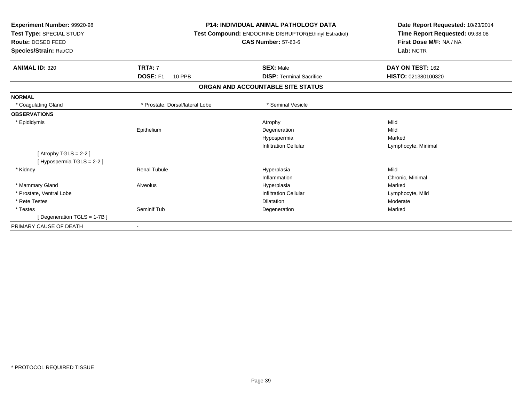| <b>Experiment Number: 99920-98</b><br>Test Type: SPECIAL STUDY<br>Route: DOSED FEED<br>Species/Strain: Rat/CD |                                  | <b>P14: INDIVIDUAL ANIMAL PATHOLOGY DATA</b><br>Test Compound: ENDOCRINE DISRUPTOR(Ethinyl Estradiol)<br><b>CAS Number: 57-63-6</b> | Date Report Requested: 10/23/2014<br>Time Report Requested: 09:38:08<br>First Dose M/F: NA / NA<br>Lab: NCTR |  |
|---------------------------------------------------------------------------------------------------------------|----------------------------------|-------------------------------------------------------------------------------------------------------------------------------------|--------------------------------------------------------------------------------------------------------------|--|
| <b>ANIMAL ID: 320</b>                                                                                         | <b>TRT#: 7</b>                   | <b>SEX: Male</b>                                                                                                                    | DAY ON TEST: 162                                                                                             |  |
|                                                                                                               | <b>DOSE: F1</b><br><b>10 PPB</b> | <b>DISP: Terminal Sacrifice</b>                                                                                                     | HISTO: 021380100320                                                                                          |  |
|                                                                                                               |                                  | ORGAN AND ACCOUNTABLE SITE STATUS                                                                                                   |                                                                                                              |  |
| <b>NORMAL</b>                                                                                                 |                                  |                                                                                                                                     |                                                                                                              |  |
| * Coagulating Gland                                                                                           | * Prostate. Dorsal/lateral Lobe  | * Seminal Vesicle                                                                                                                   |                                                                                                              |  |
| <b>OBSERVATIONS</b>                                                                                           |                                  |                                                                                                                                     |                                                                                                              |  |
| * Epididymis                                                                                                  |                                  | Atrophy                                                                                                                             | Mild                                                                                                         |  |
|                                                                                                               | Epithelium                       | Degeneration                                                                                                                        | Mild                                                                                                         |  |
|                                                                                                               |                                  | Hypospermia                                                                                                                         | Marked                                                                                                       |  |
|                                                                                                               |                                  | <b>Infiltration Cellular</b>                                                                                                        | Lymphocyte, Minimal                                                                                          |  |
| [Atrophy TGLS = $2-2$ ]                                                                                       |                                  |                                                                                                                                     |                                                                                                              |  |
| [Hypospermia TGLS = 2-2]                                                                                      |                                  |                                                                                                                                     |                                                                                                              |  |
| * Kidney                                                                                                      | <b>Renal Tubule</b>              | Hyperplasia                                                                                                                         | Mild                                                                                                         |  |
|                                                                                                               |                                  | Inflammation                                                                                                                        | Chronic, Minimal                                                                                             |  |
| * Mammary Gland                                                                                               | Alveolus                         | Hyperplasia                                                                                                                         | Marked                                                                                                       |  |
| * Prostate, Ventral Lobe                                                                                      |                                  | <b>Infiltration Cellular</b>                                                                                                        | Lymphocyte, Mild                                                                                             |  |
| * Rete Testes                                                                                                 |                                  | Dilatation                                                                                                                          | Moderate                                                                                                     |  |
| * Testes                                                                                                      | Seminif Tub                      | Degeneration                                                                                                                        | Marked                                                                                                       |  |
| [Degeneration TGLS = 1-7B]                                                                                    |                                  |                                                                                                                                     |                                                                                                              |  |
| PRIMARY CAUSE OF DEATH                                                                                        |                                  |                                                                                                                                     |                                                                                                              |  |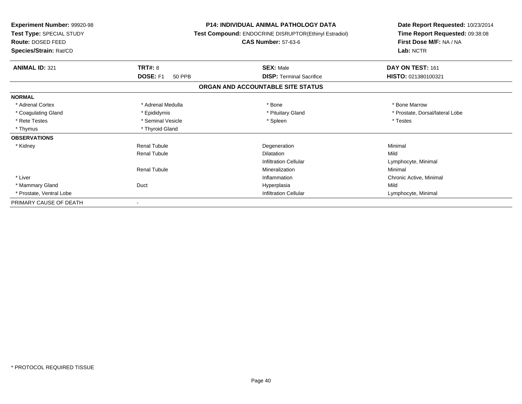| <b>Experiment Number: 99920-98</b><br>Test Type: SPECIAL STUDY<br><b>Route: DOSED FEED</b><br>Species/Strain: Rat/CD |                           | P14: INDIVIDUAL ANIMAL PATHOLOGY DATA<br>Test Compound: ENDOCRINE DISRUPTOR(Ethinyl Estradiol)<br><b>CAS Number: 57-63-6</b> | Date Report Requested: 10/23/2014<br>Time Report Requested: 09:38:08<br>First Dose M/F: NA / NA<br>Lab: NCTR |
|----------------------------------------------------------------------------------------------------------------------|---------------------------|------------------------------------------------------------------------------------------------------------------------------|--------------------------------------------------------------------------------------------------------------|
| <b>ANIMAL ID: 321</b>                                                                                                | TRT#: 8                   | <b>SEX: Male</b>                                                                                                             | DAY ON TEST: 161                                                                                             |
|                                                                                                                      | DOSE: F1<br><b>50 PPB</b> | <b>DISP: Terminal Sacrifice</b>                                                                                              | HISTO: 021380100321                                                                                          |
|                                                                                                                      |                           | ORGAN AND ACCOUNTABLE SITE STATUS                                                                                            |                                                                                                              |
| <b>NORMAL</b>                                                                                                        |                           |                                                                                                                              |                                                                                                              |
| * Adrenal Cortex                                                                                                     | * Adrenal Medulla         | * Bone                                                                                                                       | * Bone Marrow                                                                                                |
| * Coagulating Gland                                                                                                  | * Epididymis              | * Pituitary Gland                                                                                                            | * Prostate, Dorsal/lateral Lobe                                                                              |
| * Rete Testes                                                                                                        | * Seminal Vesicle         | * Spleen                                                                                                                     | * Testes                                                                                                     |
| * Thymus                                                                                                             | * Thyroid Gland           |                                                                                                                              |                                                                                                              |
| <b>OBSERVATIONS</b>                                                                                                  |                           |                                                                                                                              |                                                                                                              |
| * Kidney                                                                                                             | <b>Renal Tubule</b>       | Degeneration                                                                                                                 | Minimal                                                                                                      |
|                                                                                                                      | <b>Renal Tubule</b>       | <b>Dilatation</b>                                                                                                            | Mild                                                                                                         |
|                                                                                                                      |                           | <b>Infiltration Cellular</b>                                                                                                 | Lymphocyte, Minimal                                                                                          |
|                                                                                                                      | <b>Renal Tubule</b>       | Mineralization                                                                                                               | Minimal                                                                                                      |
| * Liver                                                                                                              |                           | Inflammation                                                                                                                 | Chronic Active, Minimal                                                                                      |
| * Mammary Gland                                                                                                      | Duct                      | Hyperplasia                                                                                                                  | Mild                                                                                                         |
| * Prostate, Ventral Lobe                                                                                             |                           | <b>Infiltration Cellular</b>                                                                                                 | Lymphocyte, Minimal                                                                                          |
| PRIMARY CAUSE OF DEATH                                                                                               |                           |                                                                                                                              |                                                                                                              |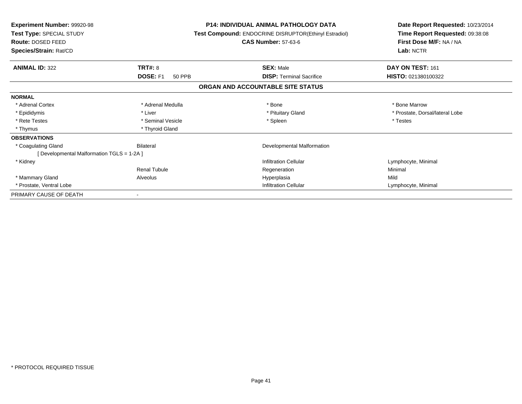| <b>Experiment Number: 99920-98</b><br>Test Type: SPECIAL STUDY<br>Route: DOSED FEED<br>Species/Strain: Rat/CD |                           | P14: INDIVIDUAL ANIMAL PATHOLOGY DATA<br>Test Compound: ENDOCRINE DISRUPTOR(Ethinyl Estradiol)<br><b>CAS Number: 57-63-6</b> | Date Report Requested: 10/23/2014<br>Time Report Requested: 09:38:08<br>First Dose M/F: NA / NA<br>Lab: NCTR |
|---------------------------------------------------------------------------------------------------------------|---------------------------|------------------------------------------------------------------------------------------------------------------------------|--------------------------------------------------------------------------------------------------------------|
| <b>ANIMAL ID: 322</b>                                                                                         | TRT#: 8                   | <b>SEX: Male</b>                                                                                                             | DAY ON TEST: 161                                                                                             |
|                                                                                                               | DOSE: F1<br><b>50 PPB</b> | <b>DISP:</b> Terminal Sacrifice                                                                                              | HISTO: 021380100322                                                                                          |
|                                                                                                               |                           | ORGAN AND ACCOUNTABLE SITE STATUS                                                                                            |                                                                                                              |
| <b>NORMAL</b>                                                                                                 |                           |                                                                                                                              |                                                                                                              |
| * Adrenal Cortex                                                                                              | * Adrenal Medulla         | * Bone                                                                                                                       | * Bone Marrow                                                                                                |
| * Epididymis                                                                                                  | * Liver                   | * Pituitary Gland                                                                                                            | * Prostate, Dorsal/lateral Lobe                                                                              |
| * Rete Testes                                                                                                 | * Seminal Vesicle         | * Spleen                                                                                                                     | * Testes                                                                                                     |
| * Thymus                                                                                                      | * Thyroid Gland           |                                                                                                                              |                                                                                                              |
| <b>OBSERVATIONS</b>                                                                                           |                           |                                                                                                                              |                                                                                                              |
| * Coagulating Gland                                                                                           | Bilateral                 | Developmental Malformation                                                                                                   |                                                                                                              |
| [ Developmental Malformation TGLS = 1-2A ]                                                                    |                           |                                                                                                                              |                                                                                                              |
| * Kidney                                                                                                      |                           | <b>Infiltration Cellular</b>                                                                                                 | Lymphocyte, Minimal                                                                                          |
|                                                                                                               | <b>Renal Tubule</b>       | Regeneration                                                                                                                 | Minimal                                                                                                      |
| * Mammary Gland                                                                                               | Alveolus                  | Hyperplasia                                                                                                                  | Mild                                                                                                         |
| * Prostate, Ventral Lobe                                                                                      |                           | <b>Infiltration Cellular</b>                                                                                                 | Lymphocyte, Minimal                                                                                          |
| PRIMARY CAUSE OF DEATH                                                                                        |                           |                                                                                                                              |                                                                                                              |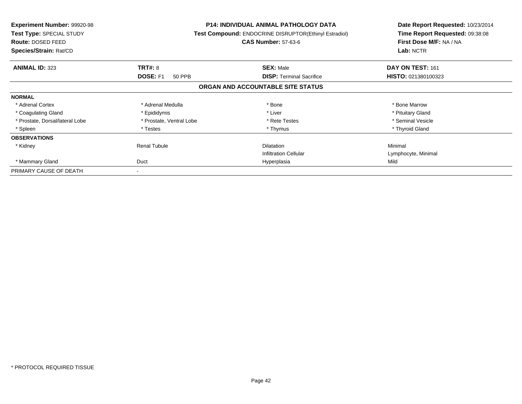| <b>Experiment Number: 99920-98</b><br>Test Type: SPECIAL STUDY<br>Route: DOSED FEED<br>Species/Strain: Rat/CD |                           | <b>P14: INDIVIDUAL ANIMAL PATHOLOGY DATA</b><br><b>Test Compound: ENDOCRINE DISRUPTOR(Ethinyl Estradiol)</b><br><b>CAS Number: 57-63-6</b> | Date Report Requested: 10/23/2014<br>Time Report Requested: 09:38:08<br>First Dose M/F: NA / NA<br>Lab: NCTR |
|---------------------------------------------------------------------------------------------------------------|---------------------------|--------------------------------------------------------------------------------------------------------------------------------------------|--------------------------------------------------------------------------------------------------------------|
| <b>ANIMAL ID: 323</b>                                                                                         | <b>TRT#: 8</b>            | <b>SEX: Male</b>                                                                                                                           | DAY ON TEST: 161                                                                                             |
|                                                                                                               | <b>DOSE: F1</b><br>50 PPB | <b>DISP:</b> Terminal Sacrifice                                                                                                            | HISTO: 021380100323                                                                                          |
|                                                                                                               |                           | ORGAN AND ACCOUNTABLE SITE STATUS                                                                                                          |                                                                                                              |
| <b>NORMAL</b>                                                                                                 |                           |                                                                                                                                            |                                                                                                              |
| * Adrenal Cortex                                                                                              | * Adrenal Medulla         | * Bone                                                                                                                                     | * Bone Marrow                                                                                                |
| * Coagulating Gland                                                                                           | * Epididymis              | * Liver                                                                                                                                    | * Pituitary Gland                                                                                            |
| * Prostate, Dorsal/lateral Lobe                                                                               | * Prostate, Ventral Lobe  | * Rete Testes                                                                                                                              | * Seminal Vesicle                                                                                            |
| * Spleen                                                                                                      | * Testes                  | * Thymus                                                                                                                                   | * Thyroid Gland                                                                                              |
| <b>OBSERVATIONS</b>                                                                                           |                           |                                                                                                                                            |                                                                                                              |
| * Kidney                                                                                                      | <b>Renal Tubule</b>       | <b>Dilatation</b>                                                                                                                          | Minimal                                                                                                      |
|                                                                                                               |                           | <b>Infiltration Cellular</b>                                                                                                               | Lymphocyte, Minimal                                                                                          |
| * Mammary Gland                                                                                               | Duct                      | Hyperplasia                                                                                                                                | Mild                                                                                                         |
| PRIMARY CAUSE OF DEATH                                                                                        |                           |                                                                                                                                            |                                                                                                              |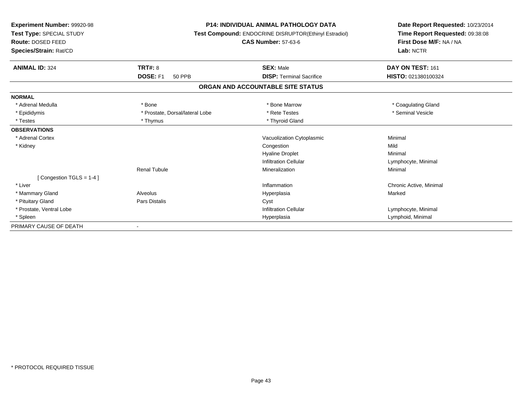| <b>Experiment Number: 99920-98</b><br>Test Type: SPECIAL STUDY<br>Route: DOSED FEED<br>Species/Strain: Rat/CD | <b>P14: INDIVIDUAL ANIMAL PATHOLOGY DATA</b><br>Test Compound: ENDOCRINE DISRUPTOR(Ethinyl Estradiol)<br><b>CAS Number: 57-63-6</b> |                                   | Date Report Requested: 10/23/2014<br>Time Report Requested: 09:38:08<br>First Dose M/F: NA / NA<br>Lab: NCTR |  |
|---------------------------------------------------------------------------------------------------------------|-------------------------------------------------------------------------------------------------------------------------------------|-----------------------------------|--------------------------------------------------------------------------------------------------------------|--|
| <b>ANIMAL ID: 324</b>                                                                                         | TRT#: 8                                                                                                                             | <b>SEX: Male</b>                  | DAY ON TEST: 161                                                                                             |  |
|                                                                                                               | DOSE: F1<br><b>50 PPB</b>                                                                                                           | <b>DISP: Terminal Sacrifice</b>   | HISTO: 021380100324                                                                                          |  |
|                                                                                                               |                                                                                                                                     | ORGAN AND ACCOUNTABLE SITE STATUS |                                                                                                              |  |
| <b>NORMAL</b>                                                                                                 |                                                                                                                                     |                                   |                                                                                                              |  |
| * Adrenal Medulla                                                                                             | * Bone                                                                                                                              | * Bone Marrow                     | * Coagulating Gland                                                                                          |  |
| * Epididymis                                                                                                  | * Prostate, Dorsal/lateral Lobe                                                                                                     | * Rete Testes                     | * Seminal Vesicle                                                                                            |  |
| * Testes                                                                                                      | * Thymus                                                                                                                            | * Thyroid Gland                   |                                                                                                              |  |
| <b>OBSERVATIONS</b>                                                                                           |                                                                                                                                     |                                   |                                                                                                              |  |
| * Adrenal Cortex                                                                                              |                                                                                                                                     | Vacuolization Cytoplasmic         | Minimal                                                                                                      |  |
| * Kidney                                                                                                      |                                                                                                                                     | Congestion                        | Mild                                                                                                         |  |
|                                                                                                               |                                                                                                                                     | <b>Hyaline Droplet</b>            | Minimal                                                                                                      |  |
|                                                                                                               |                                                                                                                                     | <b>Infiltration Cellular</b>      | Lymphocyte, Minimal                                                                                          |  |
|                                                                                                               | <b>Renal Tubule</b>                                                                                                                 | Mineralization                    | Minimal                                                                                                      |  |
| [Congestion TGLS = 1-4]                                                                                       |                                                                                                                                     |                                   |                                                                                                              |  |
| * Liver                                                                                                       |                                                                                                                                     | Inflammation                      | Chronic Active, Minimal                                                                                      |  |
| * Mammary Gland                                                                                               | Alveolus                                                                                                                            | Hyperplasia                       | Marked                                                                                                       |  |
| * Pituitary Gland                                                                                             | Pars Distalis                                                                                                                       | Cyst                              |                                                                                                              |  |
| * Prostate, Ventral Lobe                                                                                      |                                                                                                                                     | <b>Infiltration Cellular</b>      | Lymphocyte, Minimal                                                                                          |  |
| * Spleen                                                                                                      |                                                                                                                                     | Hyperplasia                       | Lymphoid, Minimal                                                                                            |  |
| PRIMARY CAUSE OF DEATH                                                                                        |                                                                                                                                     |                                   |                                                                                                              |  |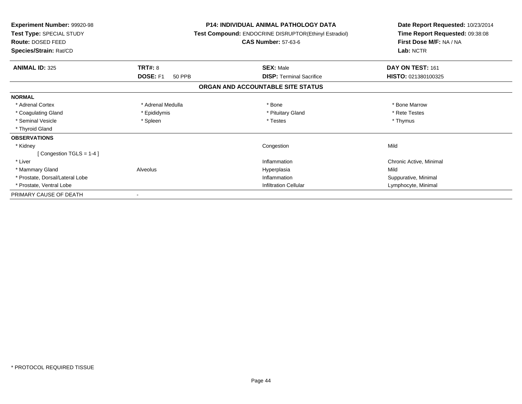| Experiment Number: 99920-98<br>Test Type: SPECIAL STUDY<br><b>Route: DOSED FEED</b><br>Species/Strain: Rat/CD |                           | <b>P14: INDIVIDUAL ANIMAL PATHOLOGY DATA</b><br><b>Test Compound: ENDOCRINE DISRUPTOR(Ethinyl Estradiol)</b><br><b>CAS Number: 57-63-6</b> | Date Report Requested: 10/23/2014<br>Time Report Requested: 09:38:08<br>First Dose M/F: NA / NA<br>Lab: NCTR |
|---------------------------------------------------------------------------------------------------------------|---------------------------|--------------------------------------------------------------------------------------------------------------------------------------------|--------------------------------------------------------------------------------------------------------------|
| <b>ANIMAL ID: 325</b>                                                                                         | TRT#: 8                   | <b>SEX: Male</b>                                                                                                                           | DAY ON TEST: 161                                                                                             |
|                                                                                                               | DOSE: F1<br><b>50 PPB</b> | <b>DISP:</b> Terminal Sacrifice                                                                                                            | HISTO: 021380100325                                                                                          |
|                                                                                                               |                           | ORGAN AND ACCOUNTABLE SITE STATUS                                                                                                          |                                                                                                              |
| <b>NORMAL</b>                                                                                                 |                           |                                                                                                                                            |                                                                                                              |
| * Adrenal Cortex                                                                                              | * Adrenal Medulla         | * Bone                                                                                                                                     | * Bone Marrow                                                                                                |
| * Coagulating Gland                                                                                           | * Epididymis              | * Pituitary Gland                                                                                                                          | * Rete Testes                                                                                                |
| * Seminal Vesicle                                                                                             | * Spleen                  | * Testes                                                                                                                                   | * Thymus                                                                                                     |
| * Thyroid Gland                                                                                               |                           |                                                                                                                                            |                                                                                                              |
| <b>OBSERVATIONS</b>                                                                                           |                           |                                                                                                                                            |                                                                                                              |
| * Kidney                                                                                                      |                           | Congestion                                                                                                                                 | Mild                                                                                                         |
| [Congestion TGLS = $1-4$ ]                                                                                    |                           |                                                                                                                                            |                                                                                                              |
| * Liver                                                                                                       |                           | Inflammation                                                                                                                               | Chronic Active, Minimal                                                                                      |
| * Mammary Gland                                                                                               | Alveolus                  | Hyperplasia                                                                                                                                | Mild                                                                                                         |
| * Prostate, Dorsal/Lateral Lobe                                                                               |                           | Inflammation                                                                                                                               | Suppurative, Minimal                                                                                         |
| * Prostate, Ventral Lobe                                                                                      |                           | <b>Infiltration Cellular</b>                                                                                                               | Lymphocyte, Minimal                                                                                          |
| PRIMARY CAUSE OF DEATH                                                                                        |                           |                                                                                                                                            |                                                                                                              |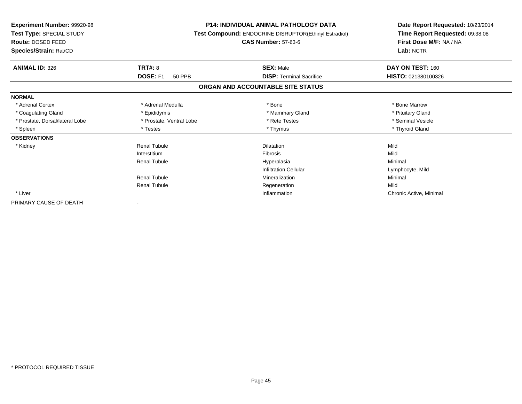| Experiment Number: 99920-98<br>Test Type: SPECIAL STUDY<br>Route: DOSED FEED<br>Species/Strain: Rat/CD |                          | <b>P14: INDIVIDUAL ANIMAL PATHOLOGY DATA</b><br>Test Compound: ENDOCRINE DISRUPTOR(Ethinyl Estradiol)<br><b>CAS Number: 57-63-6</b> | Date Report Requested: 10/23/2014<br>Time Report Requested: 09:38:08<br>First Dose M/F: NA / NA<br>Lab: NCTR |
|--------------------------------------------------------------------------------------------------------|--------------------------|-------------------------------------------------------------------------------------------------------------------------------------|--------------------------------------------------------------------------------------------------------------|
| <b>ANIMAL ID: 326</b>                                                                                  | <b>TRT#: 8</b>           | <b>SEX: Male</b>                                                                                                                    | DAY ON TEST: 160                                                                                             |
|                                                                                                        | DOSE: F1<br>50 PPB       | <b>DISP: Terminal Sacrifice</b>                                                                                                     | HISTO: 021380100326                                                                                          |
|                                                                                                        |                          | ORGAN AND ACCOUNTABLE SITE STATUS                                                                                                   |                                                                                                              |
| <b>NORMAL</b>                                                                                          |                          |                                                                                                                                     |                                                                                                              |
| * Adrenal Cortex                                                                                       | * Adrenal Medulla        | * Bone                                                                                                                              | * Bone Marrow                                                                                                |
| * Coagulating Gland                                                                                    | * Epididymis             | * Mammary Gland                                                                                                                     | * Pituitary Gland                                                                                            |
| * Prostate, Dorsal/lateral Lobe                                                                        | * Prostate, Ventral Lobe | * Rete Testes                                                                                                                       | * Seminal Vesicle                                                                                            |
| * Spleen                                                                                               | * Testes                 | * Thymus                                                                                                                            | * Thyroid Gland                                                                                              |
| <b>OBSERVATIONS</b>                                                                                    |                          |                                                                                                                                     |                                                                                                              |
| * Kidney                                                                                               | <b>Renal Tubule</b>      | Dilatation                                                                                                                          | Mild                                                                                                         |
|                                                                                                        | Interstitium             | Fibrosis                                                                                                                            | Mild                                                                                                         |
|                                                                                                        | <b>Renal Tubule</b>      | Hyperplasia                                                                                                                         | Minimal                                                                                                      |
|                                                                                                        |                          | <b>Infiltration Cellular</b>                                                                                                        | Lymphocyte, Mild                                                                                             |
|                                                                                                        | <b>Renal Tubule</b>      | Mineralization                                                                                                                      | Minimal                                                                                                      |
|                                                                                                        | <b>Renal Tubule</b>      | Regeneration                                                                                                                        | Mild                                                                                                         |
| * Liver                                                                                                |                          | Inflammation                                                                                                                        | Chronic Active, Minimal                                                                                      |
| PRIMARY CAUSE OF DEATH                                                                                 |                          |                                                                                                                                     |                                                                                                              |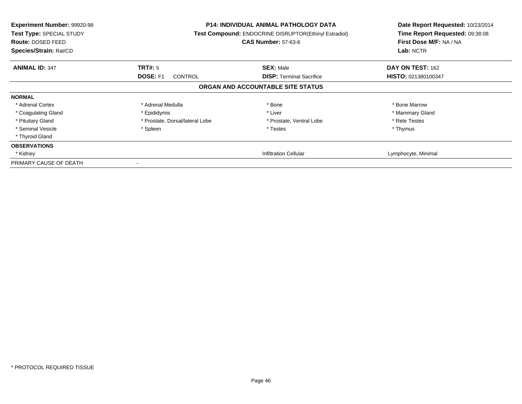| <b>Experiment Number: 99920-98</b><br>Test Type: SPECIAL STUDY<br><b>Route: DOSED FEED</b><br>Species/Strain: Rat/CD |                                 | <b>P14: INDIVIDUAL ANIMAL PATHOLOGY DATA</b><br>Test Compound: ENDOCRINE DISRUPTOR(Ethinyl Estradiol)<br><b>CAS Number: 57-63-6</b> | Date Report Requested: 10/23/2014<br>Time Report Requested: 09:38:08<br>First Dose M/F: NA / NA<br>Lab: NCTR |
|----------------------------------------------------------------------------------------------------------------------|---------------------------------|-------------------------------------------------------------------------------------------------------------------------------------|--------------------------------------------------------------------------------------------------------------|
| <b>ANIMAL ID: 347</b>                                                                                                | TRT#: 5                         | <b>SEX: Male</b>                                                                                                                    | <b>DAY ON TEST: 162</b>                                                                                      |
|                                                                                                                      | <b>DOSE: F1</b><br>CONTROL      | <b>DISP:</b> Terminal Sacrifice                                                                                                     | HISTO: 021380100347                                                                                          |
|                                                                                                                      |                                 | ORGAN AND ACCOUNTABLE SITE STATUS                                                                                                   |                                                                                                              |
| <b>NORMAL</b>                                                                                                        |                                 |                                                                                                                                     |                                                                                                              |
| * Adrenal Cortex                                                                                                     | * Adrenal Medulla               | * Bone                                                                                                                              | * Bone Marrow                                                                                                |
| * Coagulating Gland                                                                                                  | * Epididymis                    | * Liver                                                                                                                             | * Mammary Gland                                                                                              |
| * Pituitary Gland                                                                                                    | * Prostate, Dorsal/lateral Lobe | * Prostate, Ventral Lobe                                                                                                            | * Rete Testes                                                                                                |
| * Seminal Vesicle                                                                                                    | * Spleen                        | * Testes                                                                                                                            | * Thymus                                                                                                     |
| * Thyroid Gland                                                                                                      |                                 |                                                                                                                                     |                                                                                                              |
| <b>OBSERVATIONS</b>                                                                                                  |                                 |                                                                                                                                     |                                                                                                              |
| * Kidney                                                                                                             |                                 | <b>Infiltration Cellular</b>                                                                                                        | Lymphocyte, Minimal                                                                                          |
| PRIMARY CAUSE OF DEATH                                                                                               |                                 |                                                                                                                                     |                                                                                                              |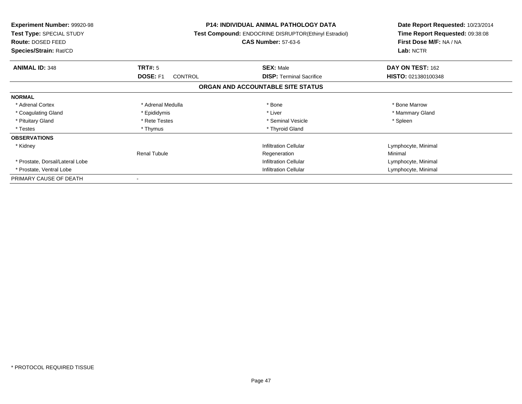| <b>Experiment Number: 99920-98</b><br>Test Type: SPECIAL STUDY<br>Route: DOSED FEED<br>Species/Strain: Rat/CD |                                   | <b>P14: INDIVIDUAL ANIMAL PATHOLOGY DATA</b><br>Test Compound: ENDOCRINE DISRUPTOR(Ethinyl Estradiol)<br><b>CAS Number: 57-63-6</b> | Date Report Requested: 10/23/2014<br>Time Report Requested: 09:38:08<br>First Dose M/F: NA / NA<br>Lab: NCTR |
|---------------------------------------------------------------------------------------------------------------|-----------------------------------|-------------------------------------------------------------------------------------------------------------------------------------|--------------------------------------------------------------------------------------------------------------|
| <b>ANIMAL ID: 348</b>                                                                                         | TRT#: 5                           | <b>SEX: Male</b>                                                                                                                    | DAY ON TEST: 162                                                                                             |
|                                                                                                               | <b>DOSE: F1</b><br><b>CONTROL</b> | <b>DISP:</b> Terminal Sacrifice                                                                                                     | HISTO: 021380100348                                                                                          |
|                                                                                                               |                                   | ORGAN AND ACCOUNTABLE SITE STATUS                                                                                                   |                                                                                                              |
| <b>NORMAL</b>                                                                                                 |                                   |                                                                                                                                     |                                                                                                              |
| * Adrenal Cortex                                                                                              | * Adrenal Medulla                 | * Bone                                                                                                                              | * Bone Marrow                                                                                                |
| * Coagulating Gland                                                                                           | * Epididymis                      | * Liver                                                                                                                             | * Mammary Gland                                                                                              |
| * Pituitary Gland                                                                                             | * Rete Testes                     | * Seminal Vesicle                                                                                                                   | * Spleen                                                                                                     |
| * Testes                                                                                                      | * Thymus                          | * Thyroid Gland                                                                                                                     |                                                                                                              |
| <b>OBSERVATIONS</b>                                                                                           |                                   |                                                                                                                                     |                                                                                                              |
| * Kidney                                                                                                      |                                   | <b>Infiltration Cellular</b>                                                                                                        | Lymphocyte, Minimal                                                                                          |
|                                                                                                               | <b>Renal Tubule</b>               | Regeneration                                                                                                                        | Minimal                                                                                                      |
| * Prostate, Dorsal/Lateral Lobe                                                                               |                                   | <b>Infiltration Cellular</b>                                                                                                        | Lymphocyte, Minimal                                                                                          |
| * Prostate, Ventral Lobe                                                                                      | <b>Infiltration Cellular</b>      |                                                                                                                                     | Lymphocyte, Minimal                                                                                          |
| PRIMARY CAUSE OF DEATH                                                                                        |                                   |                                                                                                                                     |                                                                                                              |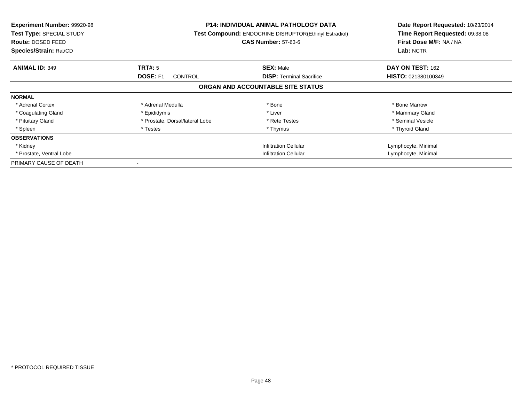| <b>Experiment Number: 99920-98</b><br>Test Type: SPECIAL STUDY<br><b>Route: DOSED FEED</b><br>Species/Strain: Rat/CD |                                   | <b>P14: INDIVIDUAL ANIMAL PATHOLOGY DATA</b><br><b>Test Compound: ENDOCRINE DISRUPTOR(Ethinyl Estradiol)</b><br><b>CAS Number: 57-63-6</b> | Date Report Requested: 10/23/2014<br>Time Report Requested: 09:38:08<br>First Dose M/F: NA / NA<br>Lab: NCTR |
|----------------------------------------------------------------------------------------------------------------------|-----------------------------------|--------------------------------------------------------------------------------------------------------------------------------------------|--------------------------------------------------------------------------------------------------------------|
| <b>ANIMAL ID: 349</b>                                                                                                | TRT#: 5                           | <b>SEX: Male</b>                                                                                                                           | DAY ON TEST: 162                                                                                             |
|                                                                                                                      | <b>DOSE: F1</b><br><b>CONTROL</b> | <b>DISP:</b> Terminal Sacrifice                                                                                                            | HISTO: 021380100349                                                                                          |
|                                                                                                                      |                                   | ORGAN AND ACCOUNTABLE SITE STATUS                                                                                                          |                                                                                                              |
| <b>NORMAL</b>                                                                                                        |                                   |                                                                                                                                            |                                                                                                              |
| * Adrenal Cortex                                                                                                     | * Adrenal Medulla                 | * Bone                                                                                                                                     | * Bone Marrow                                                                                                |
| * Coagulating Gland                                                                                                  | * Epididymis                      | * Liver                                                                                                                                    | * Mammary Gland                                                                                              |
| * Pituitary Gland                                                                                                    | * Prostate, Dorsal/lateral Lobe   | * Rete Testes                                                                                                                              | * Seminal Vesicle                                                                                            |
| * Spleen                                                                                                             | * Testes                          | * Thymus                                                                                                                                   | * Thyroid Gland                                                                                              |
| <b>OBSERVATIONS</b>                                                                                                  |                                   |                                                                                                                                            |                                                                                                              |
| * Kidney                                                                                                             |                                   | <b>Infiltration Cellular</b>                                                                                                               | Lymphocyte, Minimal                                                                                          |
| * Prostate, Ventral Lobe                                                                                             | Infiltration Cellular             |                                                                                                                                            | Lymphocyte, Minimal                                                                                          |
| PRIMARY CAUSE OF DEATH                                                                                               |                                   |                                                                                                                                            |                                                                                                              |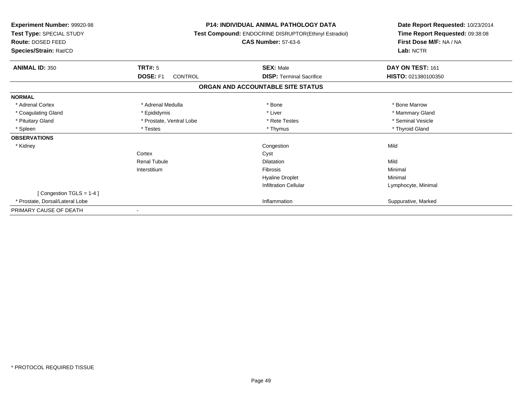| Experiment Number: 99920-98<br>Test Type: SPECIAL STUDY<br><b>Route: DOSED FEED</b><br>Species/Strain: Rat/CD |                            | <b>P14: INDIVIDUAL ANIMAL PATHOLOGY DATA</b><br>Test Compound: ENDOCRINE DISRUPTOR(Ethinyl Estradiol)<br><b>CAS Number: 57-63-6</b> | Date Report Requested: 10/23/2014<br>Time Report Requested: 09:38:08<br>First Dose M/F: NA / NA<br>Lab: NCTR |
|---------------------------------------------------------------------------------------------------------------|----------------------------|-------------------------------------------------------------------------------------------------------------------------------------|--------------------------------------------------------------------------------------------------------------|
| <b>ANIMAL ID: 350</b>                                                                                         | TRT#: 5                    | <b>SEX: Male</b>                                                                                                                    | DAY ON TEST: 161                                                                                             |
|                                                                                                               | DOSE: F1<br><b>CONTROL</b> | <b>DISP:</b> Terminal Sacrifice                                                                                                     | HISTO: 021380100350                                                                                          |
|                                                                                                               |                            | ORGAN AND ACCOUNTABLE SITE STATUS                                                                                                   |                                                                                                              |
| <b>NORMAL</b>                                                                                                 |                            |                                                                                                                                     |                                                                                                              |
| * Adrenal Cortex                                                                                              | * Adrenal Medulla          | * Bone                                                                                                                              | * Bone Marrow                                                                                                |
| * Coagulating Gland                                                                                           | * Epididymis               | * Liver                                                                                                                             | * Mammary Gland                                                                                              |
| * Pituitary Gland                                                                                             | * Prostate, Ventral Lobe   | * Rete Testes                                                                                                                       | * Seminal Vesicle                                                                                            |
| * Spleen                                                                                                      | * Testes                   | * Thymus                                                                                                                            | * Thyroid Gland                                                                                              |
| <b>OBSERVATIONS</b>                                                                                           |                            |                                                                                                                                     |                                                                                                              |
| * Kidney                                                                                                      |                            | Congestion                                                                                                                          | Mild                                                                                                         |
|                                                                                                               | Cortex                     | Cyst                                                                                                                                |                                                                                                              |
|                                                                                                               | <b>Renal Tubule</b>        | Dilatation                                                                                                                          | Mild                                                                                                         |
|                                                                                                               | Interstitium               | Fibrosis                                                                                                                            | Minimal                                                                                                      |
|                                                                                                               |                            | <b>Hyaline Droplet</b>                                                                                                              | Minimal                                                                                                      |
|                                                                                                               |                            | <b>Infiltration Cellular</b>                                                                                                        | Lymphocyte, Minimal                                                                                          |
| [Congestion TGLS = $1-4$ ]                                                                                    |                            |                                                                                                                                     |                                                                                                              |
| * Prostate, Dorsal/Lateral Lobe                                                                               |                            | Inflammation                                                                                                                        | Suppurative, Marked                                                                                          |
| PRIMARY CAUSE OF DEATH                                                                                        |                            |                                                                                                                                     |                                                                                                              |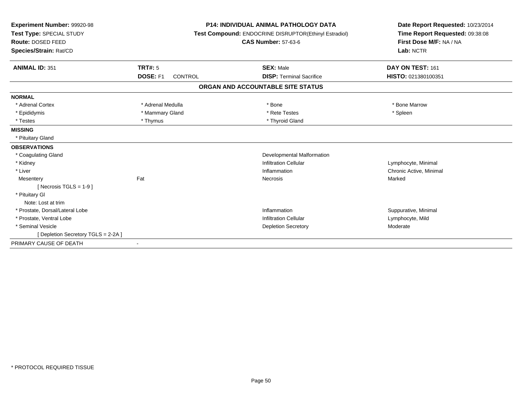| <b>Experiment Number: 99920-98</b><br>Test Type: SPECIAL STUDY<br>Route: DOSED FEED<br>Species/Strain: Rat/CD |                            | <b>P14: INDIVIDUAL ANIMAL PATHOLOGY DATA</b><br>Test Compound: ENDOCRINE DISRUPTOR(Ethinyl Estradiol)<br><b>CAS Number: 57-63-6</b> | Date Report Requested: 10/23/2014<br>Time Report Requested: 09:38:08<br>First Dose M/F: NA / NA<br>Lab: NCTR |
|---------------------------------------------------------------------------------------------------------------|----------------------------|-------------------------------------------------------------------------------------------------------------------------------------|--------------------------------------------------------------------------------------------------------------|
| <b>ANIMAL ID: 351</b>                                                                                         | <b>TRT#: 5</b>             | <b>SEX: Male</b>                                                                                                                    | DAY ON TEST: 161                                                                                             |
|                                                                                                               | DOSE: F1<br><b>CONTROL</b> | <b>DISP: Terminal Sacrifice</b>                                                                                                     | HISTO: 021380100351                                                                                          |
|                                                                                                               |                            | ORGAN AND ACCOUNTABLE SITE STATUS                                                                                                   |                                                                                                              |
| <b>NORMAL</b>                                                                                                 |                            |                                                                                                                                     |                                                                                                              |
| * Adrenal Cortex                                                                                              | * Adrenal Medulla          | * Bone                                                                                                                              | * Bone Marrow                                                                                                |
| * Epididymis                                                                                                  | * Mammary Gland            | * Rete Testes                                                                                                                       | * Spleen                                                                                                     |
| * Testes                                                                                                      | * Thymus                   | * Thyroid Gland                                                                                                                     |                                                                                                              |
| <b>MISSING</b>                                                                                                |                            |                                                                                                                                     |                                                                                                              |
| * Pituitary Gland                                                                                             |                            |                                                                                                                                     |                                                                                                              |
| <b>OBSERVATIONS</b>                                                                                           |                            |                                                                                                                                     |                                                                                                              |
| * Coagulating Gland                                                                                           |                            | Developmental Malformation                                                                                                          |                                                                                                              |
| * Kidney                                                                                                      |                            | <b>Infiltration Cellular</b>                                                                                                        | Lymphocyte, Minimal                                                                                          |
| * Liver                                                                                                       |                            | Inflammation                                                                                                                        | Chronic Active, Minimal                                                                                      |
| Mesentery                                                                                                     | Fat                        | Necrosis                                                                                                                            | Marked                                                                                                       |
| [ Necrosis TGLS = $1-9$ ]                                                                                     |                            |                                                                                                                                     |                                                                                                              |
| * Pituitary GI                                                                                                |                            |                                                                                                                                     |                                                                                                              |
| Note: Lost at trim                                                                                            |                            |                                                                                                                                     |                                                                                                              |
| * Prostate, Dorsal/Lateral Lobe                                                                               |                            | Inflammation                                                                                                                        | Suppurative, Minimal                                                                                         |
| * Prostate, Ventral Lobe                                                                                      |                            | <b>Infiltration Cellular</b>                                                                                                        | Lymphocyte, Mild                                                                                             |
| * Seminal Vesicle                                                                                             |                            | <b>Depletion Secretory</b>                                                                                                          | Moderate                                                                                                     |
| [ Depletion Secretory TGLS = 2-2A ]                                                                           |                            |                                                                                                                                     |                                                                                                              |
| PRIMARY CAUSE OF DEATH                                                                                        |                            |                                                                                                                                     |                                                                                                              |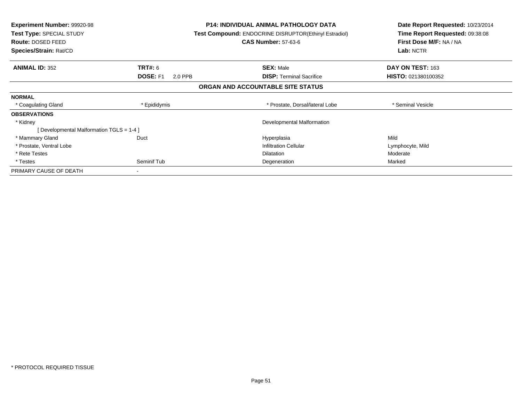| <b>Experiment Number: 99920-98</b><br>Test Type: SPECIAL STUDY<br>Route: DOSED FEED<br>Species/Strain: Rat/CD |                            | <b>P14: INDIVIDUAL ANIMAL PATHOLOGY DATA</b><br><b>Test Compound: ENDOCRINE DISRUPTOR(Ethinyl Estradiol)</b><br><b>CAS Number: 57-63-6</b> | Date Report Requested: 10/23/2014<br>Time Report Requested: 09:38:08<br>First Dose M/F: NA / NA<br>Lab: NCTR |
|---------------------------------------------------------------------------------------------------------------|----------------------------|--------------------------------------------------------------------------------------------------------------------------------------------|--------------------------------------------------------------------------------------------------------------|
| <b>ANIMAL ID: 352</b>                                                                                         | <b>TRT#:</b> 6             | <b>SEX: Male</b>                                                                                                                           | DAY ON TEST: 163                                                                                             |
|                                                                                                               | <b>DOSE: F1</b><br>2.0 PPB | <b>DISP:</b> Terminal Sacrifice                                                                                                            | HISTO: 021380100352                                                                                          |
|                                                                                                               |                            | ORGAN AND ACCOUNTABLE SITE STATUS                                                                                                          |                                                                                                              |
| <b>NORMAL</b>                                                                                                 |                            |                                                                                                                                            |                                                                                                              |
| * Coagulating Gland                                                                                           | * Epididymis               | * Prostate, Dorsal/lateral Lobe                                                                                                            | * Seminal Vesicle                                                                                            |
| <b>OBSERVATIONS</b>                                                                                           |                            |                                                                                                                                            |                                                                                                              |
| * Kidney                                                                                                      |                            | Developmental Malformation                                                                                                                 |                                                                                                              |
| [Developmental Malformation TGLS = 1-4]                                                                       |                            |                                                                                                                                            |                                                                                                              |
| * Mammary Gland                                                                                               | Duct                       | Hyperplasia                                                                                                                                | Mild                                                                                                         |
| * Prostate, Ventral Lobe                                                                                      |                            | <b>Infiltration Cellular</b>                                                                                                               | Lymphocyte, Mild                                                                                             |
| * Rete Testes                                                                                                 |                            | <b>Dilatation</b>                                                                                                                          | Moderate                                                                                                     |
| * Testes                                                                                                      | Seminif Tub                | Degeneration                                                                                                                               | Marked                                                                                                       |
| PRIMARY CAUSE OF DEATH                                                                                        |                            |                                                                                                                                            |                                                                                                              |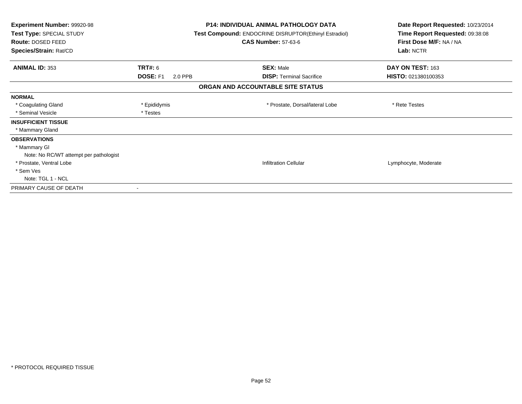| Experiment Number: 99920-98<br>Test Type: SPECIAL STUDY<br><b>Route: DOSED FEED</b><br>Species/Strain: Rat/CD |                                              | <b>P14: INDIVIDUAL ANIMAL PATHOLOGY DATA</b><br>Test Compound: ENDOCRINE DISRUPTOR(Ethinyl Estradiol)<br><b>CAS Number: 57-63-6</b> | Date Report Requested: 10/23/2014<br>Time Report Requested: 09:38:08<br>First Dose M/F: NA / NA<br>Lab: NCTR |
|---------------------------------------------------------------------------------------------------------------|----------------------------------------------|-------------------------------------------------------------------------------------------------------------------------------------|--------------------------------------------------------------------------------------------------------------|
| <b>ANIMAL ID: 353</b>                                                                                         | <b>TRT#: 6</b><br><b>DOSE: F1</b><br>2.0 PPB | <b>SEX: Male</b><br><b>DISP: Terminal Sacrifice</b>                                                                                 | DAY ON TEST: 163<br>HISTO: 021380100353                                                                      |
|                                                                                                               |                                              | ORGAN AND ACCOUNTABLE SITE STATUS                                                                                                   |                                                                                                              |
| <b>NORMAL</b>                                                                                                 |                                              |                                                                                                                                     |                                                                                                              |
| * Coagulating Gland                                                                                           | * Epididymis                                 | * Prostate, Dorsal/lateral Lobe                                                                                                     | * Rete Testes                                                                                                |
| * Seminal Vesicle                                                                                             | * Testes                                     |                                                                                                                                     |                                                                                                              |
| <b>INSUFFICIENT TISSUE</b>                                                                                    |                                              |                                                                                                                                     |                                                                                                              |
| * Mammary Gland                                                                                               |                                              |                                                                                                                                     |                                                                                                              |
| <b>OBSERVATIONS</b>                                                                                           |                                              |                                                                                                                                     |                                                                                                              |
| * Mammary GI                                                                                                  |                                              |                                                                                                                                     |                                                                                                              |
| Note: No RC/WT attempt per pathologist                                                                        |                                              |                                                                                                                                     |                                                                                                              |
| * Prostate, Ventral Lobe                                                                                      |                                              | <b>Infiltration Cellular</b>                                                                                                        | Lymphocyte, Moderate                                                                                         |
| * Sem Ves                                                                                                     |                                              |                                                                                                                                     |                                                                                                              |
| Note: TGL 1 - NCL                                                                                             |                                              |                                                                                                                                     |                                                                                                              |
| PRIMARY CAUSE OF DEATH                                                                                        |                                              |                                                                                                                                     |                                                                                                              |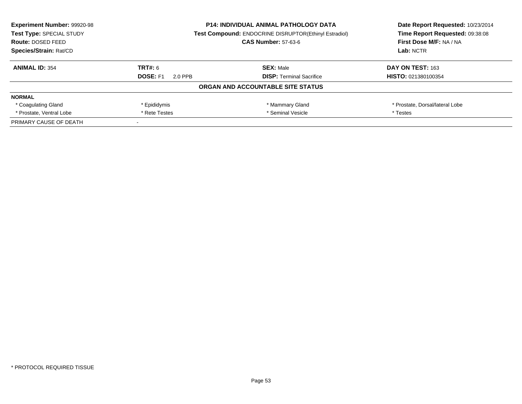| <b>Experiment Number: 99920-98</b> |                                                              | <b>P14: INDIVIDUAL ANIMAL PATHOLOGY DATA</b> | Date Report Requested: 10/23/2014 |
|------------------------------------|--------------------------------------------------------------|----------------------------------------------|-----------------------------------|
| Test Type: SPECIAL STUDY           | <b>Test Compound: ENDOCRINE DISRUPTOR(Ethinyl Estradiol)</b> |                                              | Time Report Requested: 09:38:08   |
| Route: DOSED FEED                  |                                                              | <b>CAS Number: 57-63-6</b>                   | First Dose M/F: NA / NA           |
| Species/Strain: Rat/CD             |                                                              |                                              | Lab: NCTR                         |
| <b>ANIMAL ID: 354</b>              | TRT#: 6                                                      | <b>SEX: Male</b>                             | DAY ON TEST: 163                  |
|                                    | <b>DOSE: F1</b><br>2.0 PPB                                   | <b>DISP:</b> Terminal Sacrifice              | HISTO: 021380100354               |
|                                    |                                                              | ORGAN AND ACCOUNTABLE SITE STATUS            |                                   |
| <b>NORMAL</b>                      |                                                              |                                              |                                   |
| * Coagulating Gland                | * Epididymis                                                 | * Mammary Gland                              | * Prostate, Dorsal/lateral Lobe   |
| * Prostate, Ventral Lobe           | * Seminal Vesicle<br>* Rete Testes                           |                                              | * Testes                          |
| PRIMARY CAUSE OF DEATH             |                                                              |                                              |                                   |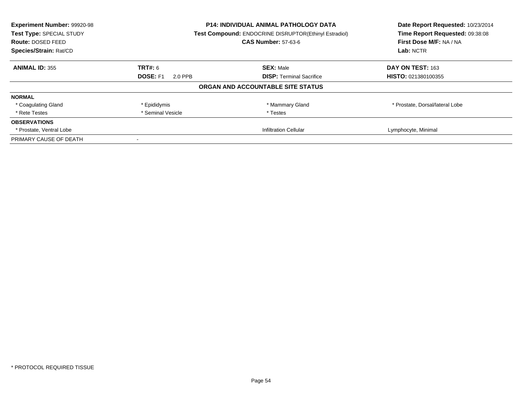| Experiment Number: 99920-98 | <b>P14: INDIVIDUAL ANIMAL PATHOLOGY DATA</b> |                                                       | Date Report Requested: 10/23/2014 |
|-----------------------------|----------------------------------------------|-------------------------------------------------------|-----------------------------------|
| Test Type: SPECIAL STUDY    |                                              | Test Compound: ENDOCRINE DISRUPTOR(Ethinyl Estradiol) | Time Report Requested: 09:38:08   |
| Route: DOSED FEED           |                                              | <b>CAS Number: 57-63-6</b>                            | First Dose M/F: NA / NA           |
| Species/Strain: Rat/CD      |                                              |                                                       | Lab: NCTR                         |
| <b>ANIMAL ID: 355</b>       | TRT#: 6                                      | <b>SEX: Male</b>                                      | DAY ON TEST: 163                  |
|                             | <b>DOSE: F1</b><br>2.0 PPB                   | <b>DISP:</b> Terminal Sacrifice                       | HISTO: 021380100355               |
|                             |                                              | ORGAN AND ACCOUNTABLE SITE STATUS                     |                                   |
| <b>NORMAL</b>               |                                              |                                                       |                                   |
| * Coagulating Gland         | * Epididymis                                 | * Mammary Gland                                       | * Prostate, Dorsal/lateral Lobe   |
| * Rete Testes               | * Seminal Vesicle                            | * Testes                                              |                                   |
| <b>OBSERVATIONS</b>         |                                              |                                                       |                                   |
| * Prostate, Ventral Lobe    |                                              | <b>Infiltration Cellular</b>                          | Lymphocyte, Minimal               |
| PRIMARY CAUSE OF DEATH      |                                              |                                                       |                                   |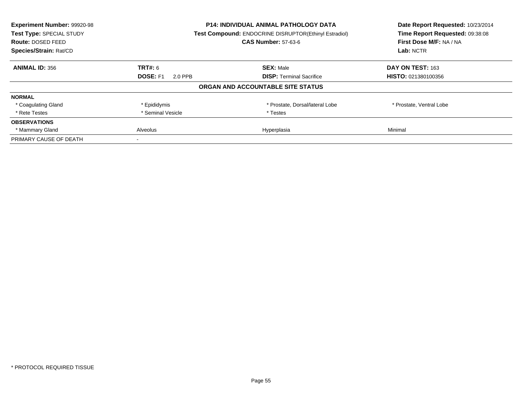| Experiment Number: 99920-98 | P14: INDIVIDUAL ANIMAL PATHOLOGY DATA |                                                       | Date Report Requested: 10/23/2014 |
|-----------------------------|---------------------------------------|-------------------------------------------------------|-----------------------------------|
| Test Type: SPECIAL STUDY    |                                       | Test Compound: ENDOCRINE DISRUPTOR(Ethinyl Estradiol) | Time Report Requested: 09:38:08   |
| Route: DOSED FEED           |                                       | <b>CAS Number: 57-63-6</b>                            | First Dose M/F: NA / NA           |
| Species/Strain: Rat/CD      |                                       |                                                       | Lab: NCTR                         |
| <b>ANIMAL ID: 356</b>       | <b>TRT#: 6</b>                        | <b>SEX: Male</b>                                      | DAY ON TEST: 163                  |
|                             | <b>DOSE: F1</b><br>2.0 PPB            | <b>DISP:</b> Terminal Sacrifice                       | HISTO: 021380100356               |
|                             |                                       | ORGAN AND ACCOUNTABLE SITE STATUS                     |                                   |
| <b>NORMAL</b>               |                                       |                                                       |                                   |
| * Coagulating Gland         | * Epididymis                          | * Prostate, Dorsal/lateral Lobe                       | * Prostate, Ventral Lobe          |
| * Rete Testes               | * Seminal Vesicle                     | * Testes                                              |                                   |
| <b>OBSERVATIONS</b>         |                                       |                                                       |                                   |
| * Mammary Gland             | <b>Alveolus</b>                       | Hyperplasia                                           | Minimal                           |
| PRIMARY CAUSE OF DEATH      |                                       |                                                       |                                   |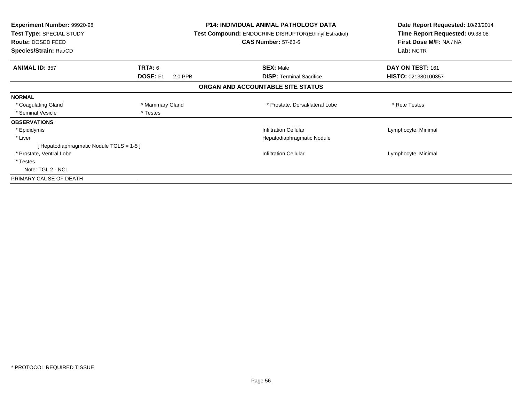| <b>Experiment Number: 99920-98</b><br>Test Type: SPECIAL STUDY<br><b>Route: DOSED FEED</b> |                            | <b>P14: INDIVIDUAL ANIMAL PATHOLOGY DATA</b><br><b>Test Compound: ENDOCRINE DISRUPTOR(Ethinyl Estradiol)</b><br><b>CAS Number: 57-63-6</b> | Date Report Requested: 10/23/2014<br>Time Report Requested: 09:38:08<br>First Dose M/F: NA / NA<br>Lab: NCTR |
|--------------------------------------------------------------------------------------------|----------------------------|--------------------------------------------------------------------------------------------------------------------------------------------|--------------------------------------------------------------------------------------------------------------|
| Species/Strain: Rat/CD                                                                     |                            |                                                                                                                                            |                                                                                                              |
| <b>ANIMAL ID: 357</b>                                                                      | TRT#: 6                    | <b>SEX: Male</b>                                                                                                                           | DAY ON TEST: 161                                                                                             |
|                                                                                            | <b>DOSE: F1</b><br>2.0 PPB | <b>DISP:</b> Terminal Sacrifice                                                                                                            | HISTO: 021380100357                                                                                          |
|                                                                                            |                            | ORGAN AND ACCOUNTABLE SITE STATUS                                                                                                          |                                                                                                              |
| <b>NORMAL</b>                                                                              |                            |                                                                                                                                            |                                                                                                              |
| * Coagulating Gland                                                                        | * Mammary Gland            | * Prostate, Dorsal/lateral Lobe                                                                                                            | * Rete Testes                                                                                                |
| * Seminal Vesicle                                                                          | * Testes                   |                                                                                                                                            |                                                                                                              |
| <b>OBSERVATIONS</b>                                                                        |                            |                                                                                                                                            |                                                                                                              |
| * Epididymis                                                                               |                            | <b>Infiltration Cellular</b>                                                                                                               | Lymphocyte, Minimal                                                                                          |
| * Liver                                                                                    |                            | Hepatodiaphragmatic Nodule                                                                                                                 |                                                                                                              |
| [ Hepatodiaphragmatic Nodule TGLS = 1-5 ]                                                  |                            |                                                                                                                                            |                                                                                                              |
| * Prostate, Ventral Lobe                                                                   |                            | <b>Infiltration Cellular</b>                                                                                                               | Lymphocyte, Minimal                                                                                          |
| * Testes                                                                                   |                            |                                                                                                                                            |                                                                                                              |
| Note: TGL 2 - NCL                                                                          |                            |                                                                                                                                            |                                                                                                              |
| PRIMARY CAUSE OF DEATH                                                                     |                            |                                                                                                                                            |                                                                                                              |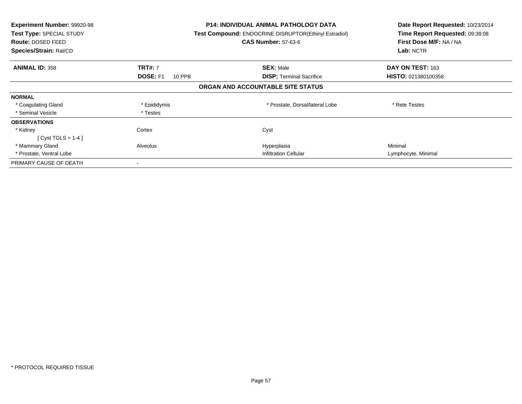| <b>Experiment Number: 99920-98</b><br>Test Type: SPECIAL STUDY<br>Route: DOSED FEED<br>Species/Strain: Rat/CD |                    | <b>P14: INDIVIDUAL ANIMAL PATHOLOGY DATA</b><br><b>Test Compound: ENDOCRINE DISRUPTOR(Ethinyl Estradiol)</b><br><b>CAS Number: 57-63-6</b> | Date Report Requested: 10/23/2014<br>Time Report Requested: 09:38:08<br>First Dose M/F: NA / NA<br>Lab: NCTR |
|---------------------------------------------------------------------------------------------------------------|--------------------|--------------------------------------------------------------------------------------------------------------------------------------------|--------------------------------------------------------------------------------------------------------------|
| <b>ANIMAL ID: 358</b>                                                                                         | <b>TRT#: 7</b>     | <b>SEX: Male</b>                                                                                                                           | DAY ON TEST: 163                                                                                             |
|                                                                                                               | DOSE: F1<br>10 PPB | <b>DISP:</b> Terminal Sacrifice                                                                                                            | <b>HISTO: 021380100358</b>                                                                                   |
|                                                                                                               |                    | ORGAN AND ACCOUNTABLE SITE STATUS                                                                                                          |                                                                                                              |
| <b>NORMAL</b>                                                                                                 |                    |                                                                                                                                            |                                                                                                              |
| * Coagulating Gland                                                                                           | * Epididymis       | * Prostate, Dorsal/lateral Lobe                                                                                                            | * Rete Testes                                                                                                |
| * Seminal Vesicle                                                                                             | * Testes           |                                                                                                                                            |                                                                                                              |
| <b>OBSERVATIONS</b>                                                                                           |                    |                                                                                                                                            |                                                                                                              |
| * Kidney                                                                                                      | Cortex             | Cyst                                                                                                                                       |                                                                                                              |
| $[Cyst TGLS = 1-4]$                                                                                           |                    |                                                                                                                                            |                                                                                                              |
| * Mammary Gland                                                                                               | Alveolus           | Hyperplasia                                                                                                                                | Minimal                                                                                                      |
| * Prostate, Ventral Lobe                                                                                      |                    | <b>Infiltration Cellular</b>                                                                                                               | Lymphocyte, Minimal                                                                                          |
| PRIMARY CAUSE OF DEATH                                                                                        |                    |                                                                                                                                            |                                                                                                              |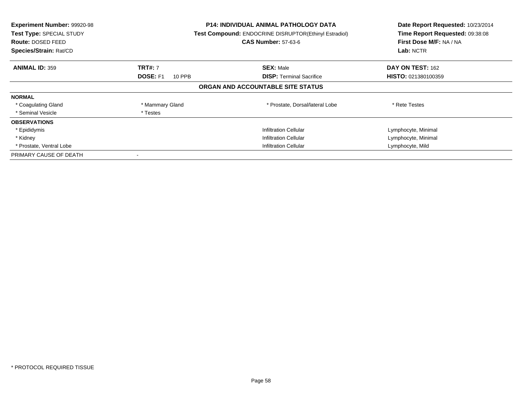| Experiment Number: 99920-98<br>Test Type: SPECIAL STUDY<br>Route: DOSED FEED<br>Species/Strain: Rat/CD |                           | P14: INDIVIDUAL ANIMAL PATHOLOGY DATA<br>Test Compound: ENDOCRINE DISRUPTOR(Ethinyl Estradiol)<br><b>CAS Number: 57-63-6</b> | Date Report Requested: 10/23/2014<br>Time Report Requested: 09:38:08<br>First Dose M/F: NA / NA<br>Lab: NCTR |
|--------------------------------------------------------------------------------------------------------|---------------------------|------------------------------------------------------------------------------------------------------------------------------|--------------------------------------------------------------------------------------------------------------|
| <b>ANIMAL ID: 359</b>                                                                                  | <b>TRT#: 7</b>            | <b>SEX: Male</b>                                                                                                             | DAY ON TEST: 162                                                                                             |
|                                                                                                        | <b>DOSE: F1</b><br>10 PPB | <b>DISP:</b> Terminal Sacrifice                                                                                              | HISTO: 021380100359                                                                                          |
|                                                                                                        |                           | ORGAN AND ACCOUNTABLE SITE STATUS                                                                                            |                                                                                                              |
| <b>NORMAL</b>                                                                                          |                           |                                                                                                                              |                                                                                                              |
| * Coagulating Gland                                                                                    | * Mammary Gland           | * Prostate, Dorsal/lateral Lobe                                                                                              | * Rete Testes                                                                                                |
| * Seminal Vesicle                                                                                      | * Testes                  |                                                                                                                              |                                                                                                              |
| <b>OBSERVATIONS</b>                                                                                    |                           |                                                                                                                              |                                                                                                              |
| * Epididymis                                                                                           |                           | <b>Infiltration Cellular</b>                                                                                                 | Lymphocyte, Minimal                                                                                          |
| * Kidney                                                                                               |                           | <b>Infiltration Cellular</b>                                                                                                 | Lymphocyte, Minimal                                                                                          |
| * Prostate, Ventral Lobe                                                                               |                           | <b>Infiltration Cellular</b>                                                                                                 | Lymphocyte, Mild                                                                                             |
| PRIMARY CAUSE OF DEATH                                                                                 |                           |                                                                                                                              |                                                                                                              |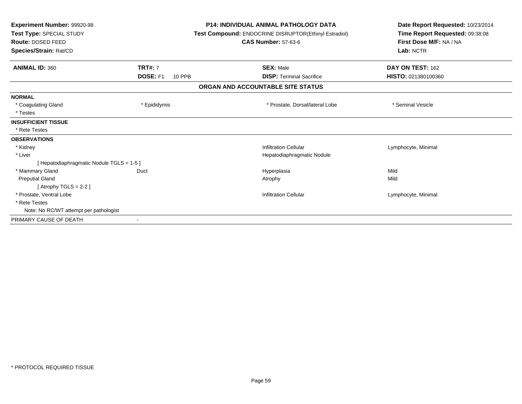| Experiment Number: 99920-98<br>Test Type: SPECIAL STUDY<br>Route: DOSED FEED<br>Species/Strain: Rat/CD |                           | <b>P14: INDIVIDUAL ANIMAL PATHOLOGY DATA</b><br>Test Compound: ENDOCRINE DISRUPTOR(Ethinyl Estradiol)<br><b>CAS Number: 57-63-6</b> | Date Report Requested: 10/23/2014<br>Time Report Requested: 09:38:08<br>First Dose M/F: NA / NA<br>Lab: NCTR |  |
|--------------------------------------------------------------------------------------------------------|---------------------------|-------------------------------------------------------------------------------------------------------------------------------------|--------------------------------------------------------------------------------------------------------------|--|
| <b>ANIMAL ID: 360</b>                                                                                  | <b>TRT#: 7</b>            | <b>SEX: Male</b>                                                                                                                    | DAY ON TEST: 162                                                                                             |  |
|                                                                                                        | DOSE: F1<br><b>10 PPB</b> | <b>DISP: Terminal Sacrifice</b>                                                                                                     | HISTO: 021380100360                                                                                          |  |
|                                                                                                        |                           | ORGAN AND ACCOUNTABLE SITE STATUS                                                                                                   |                                                                                                              |  |
| <b>NORMAL</b>                                                                                          |                           |                                                                                                                                     |                                                                                                              |  |
| * Coagulating Gland                                                                                    | * Epididymis              | * Prostate, Dorsal/lateral Lobe                                                                                                     | * Seminal Vesicle                                                                                            |  |
| * Testes                                                                                               |                           |                                                                                                                                     |                                                                                                              |  |
| <b>INSUFFICIENT TISSUE</b>                                                                             |                           |                                                                                                                                     |                                                                                                              |  |
| * Rete Testes                                                                                          |                           |                                                                                                                                     |                                                                                                              |  |
| <b>OBSERVATIONS</b>                                                                                    |                           |                                                                                                                                     |                                                                                                              |  |
| * Kidney                                                                                               |                           | <b>Infiltration Cellular</b>                                                                                                        | Lymphocyte, Minimal                                                                                          |  |
| * Liver                                                                                                |                           | Hepatodiaphragmatic Nodule                                                                                                          |                                                                                                              |  |
| [ Hepatodiaphragmatic Nodule TGLS = 1-5 ]                                                              |                           |                                                                                                                                     |                                                                                                              |  |
| * Mammary Gland                                                                                        | Duct                      | Hyperplasia                                                                                                                         | Mild                                                                                                         |  |
| <b>Preputial Gland</b>                                                                                 |                           | Atrophy                                                                                                                             | Mild                                                                                                         |  |
| [Atrophy TGLS = $2-2$ ]                                                                                |                           |                                                                                                                                     |                                                                                                              |  |
| * Prostate, Ventral Lobe                                                                               |                           | <b>Infiltration Cellular</b>                                                                                                        | Lymphocyte, Minimal                                                                                          |  |
| * Rete Testes                                                                                          |                           |                                                                                                                                     |                                                                                                              |  |
| Note: No RC/WT attempt per pathologist                                                                 |                           |                                                                                                                                     |                                                                                                              |  |
| PRIMARY CAUSE OF DEATH                                                                                 |                           |                                                                                                                                     |                                                                                                              |  |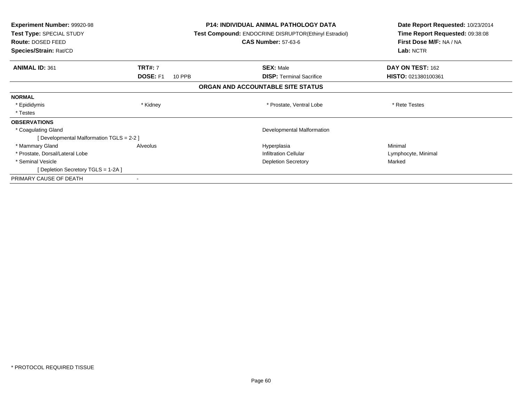| <b>Experiment Number: 99920-98</b><br>Test Type: SPECIAL STUDY<br>Route: DOSED FEED<br>Species/Strain: Rat/CD |                                             | <b>P14: INDIVIDUAL ANIMAL PATHOLOGY DATA</b><br>Test Compound: ENDOCRINE DISRUPTOR(Ethinyl Estradiol)<br><b>CAS Number: 57-63-6</b> | Date Report Requested: 10/23/2014<br>Time Report Requested: 09:38:08<br>First Dose M/F: NA / NA<br>Lab: NCTR |
|---------------------------------------------------------------------------------------------------------------|---------------------------------------------|-------------------------------------------------------------------------------------------------------------------------------------|--------------------------------------------------------------------------------------------------------------|
| <b>ANIMAL ID: 361</b>                                                                                         | <b>TRT#: 7</b><br><b>DOSE: F1</b><br>10 PPB | <b>SEX: Male</b><br><b>DISP:</b> Terminal Sacrifice                                                                                 | DAY ON TEST: 162<br><b>HISTO: 021380100361</b>                                                               |
|                                                                                                               |                                             | ORGAN AND ACCOUNTABLE SITE STATUS                                                                                                   |                                                                                                              |
| <b>NORMAL</b>                                                                                                 |                                             |                                                                                                                                     |                                                                                                              |
| * Epididymis                                                                                                  | * Kidney                                    | * Prostate, Ventral Lobe                                                                                                            | * Rete Testes                                                                                                |
| * Testes                                                                                                      |                                             |                                                                                                                                     |                                                                                                              |
| <b>OBSERVATIONS</b>                                                                                           |                                             |                                                                                                                                     |                                                                                                              |
| * Coagulating Gland                                                                                           |                                             | Developmental Malformation                                                                                                          |                                                                                                              |
| [ Developmental Malformation TGLS = 2-2 ]                                                                     |                                             |                                                                                                                                     |                                                                                                              |
| * Mammary Gland                                                                                               | Alveolus                                    | Hyperplasia                                                                                                                         | Minimal                                                                                                      |
| * Prostate, Dorsal/Lateral Lobe                                                                               |                                             | <b>Infiltration Cellular</b>                                                                                                        | Lymphocyte, Minimal                                                                                          |
| * Seminal Vesicle                                                                                             |                                             | <b>Depletion Secretory</b>                                                                                                          | Marked                                                                                                       |
| [ Depletion Secretory TGLS = 1-2A ]                                                                           |                                             |                                                                                                                                     |                                                                                                              |
| PRIMARY CAUSE OF DEATH                                                                                        |                                             |                                                                                                                                     |                                                                                                              |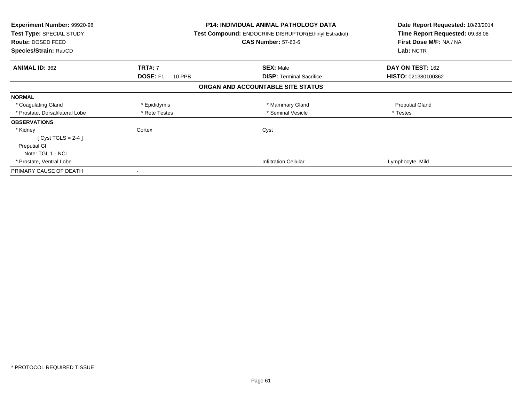| <b>Experiment Number: 99920-98</b><br>Test Type: SPECIAL STUDY<br>Route: DOSED FEED<br><b>Species/Strain: Rat/CD</b> |                           | <b>P14: INDIVIDUAL ANIMAL PATHOLOGY DATA</b><br><b>Test Compound: ENDOCRINE DISRUPTOR(Ethinyl Estradiol)</b><br><b>CAS Number: 57-63-6</b> | Date Report Requested: 10/23/2014<br>Time Report Requested: 09:38:08<br>First Dose M/F: NA / NA<br>Lab: NCTR |
|----------------------------------------------------------------------------------------------------------------------|---------------------------|--------------------------------------------------------------------------------------------------------------------------------------------|--------------------------------------------------------------------------------------------------------------|
| <b>ANIMAL ID: 362</b>                                                                                                | <b>TRT#: 7</b>            | <b>SEX: Male</b>                                                                                                                           | DAY ON TEST: 162                                                                                             |
|                                                                                                                      | <b>DOSE: F1</b><br>10 PPB | <b>DISP:</b> Terminal Sacrifice                                                                                                            | HISTO: 021380100362                                                                                          |
|                                                                                                                      |                           | ORGAN AND ACCOUNTABLE SITE STATUS                                                                                                          |                                                                                                              |
| <b>NORMAL</b>                                                                                                        |                           |                                                                                                                                            |                                                                                                              |
| * Coagulating Gland                                                                                                  | * Epididymis              | * Mammary Gland                                                                                                                            | <b>Preputial Gland</b>                                                                                       |
| * Prostate, Dorsal/lateral Lobe                                                                                      | * Rete Testes             | * Seminal Vesicle                                                                                                                          | * Testes                                                                                                     |
| <b>OBSERVATIONS</b>                                                                                                  |                           |                                                                                                                                            |                                                                                                              |
| * Kidney                                                                                                             | Cortex                    | Cyst                                                                                                                                       |                                                                                                              |
| [Cyst TGLS = $2-4$ ]                                                                                                 |                           |                                                                                                                                            |                                                                                                              |
| <b>Preputial GI</b>                                                                                                  |                           |                                                                                                                                            |                                                                                                              |
| Note: TGL 1 - NCL                                                                                                    |                           |                                                                                                                                            |                                                                                                              |
| * Prostate, Ventral Lobe                                                                                             |                           | <b>Infiltration Cellular</b>                                                                                                               | Lymphocyte, Mild                                                                                             |
| PRIMARY CAUSE OF DEATH                                                                                               |                           |                                                                                                                                            |                                                                                                              |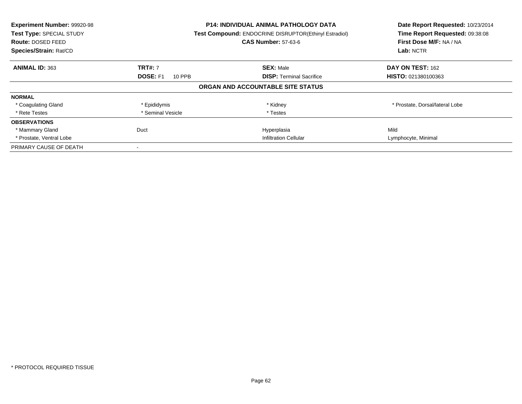| Experiment Number: 99920-98<br>Test Type: SPECIAL STUDY<br>Route: DOSED FEED<br>Species/Strain: Rat/CD |                              | <b>P14: INDIVIDUAL ANIMAL PATHOLOGY DATA</b><br>Test Compound: ENDOCRINE DISRUPTOR(Ethinyl Estradiol)<br><b>CAS Number: 57-63-6</b> | Date Report Requested: 10/23/2014<br>Time Report Requested: 09:38:08<br>First Dose M/F: NA / NA<br>Lab: NCTR |
|--------------------------------------------------------------------------------------------------------|------------------------------|-------------------------------------------------------------------------------------------------------------------------------------|--------------------------------------------------------------------------------------------------------------|
| <b>ANIMAL ID: 363</b>                                                                                  | <b>TRT#: 7</b>               | <b>SEX: Male</b>                                                                                                                    | DAY ON TEST: 162                                                                                             |
|                                                                                                        | <b>DOSE: F1</b><br>10 PPB    | <b>DISP:</b> Terminal Sacrifice                                                                                                     | <b>HISTO: 021380100363</b>                                                                                   |
|                                                                                                        |                              | ORGAN AND ACCOUNTABLE SITE STATUS                                                                                                   |                                                                                                              |
| <b>NORMAL</b>                                                                                          |                              |                                                                                                                                     |                                                                                                              |
| * Coagulating Gland                                                                                    | * Epididymis                 | * Kidney                                                                                                                            | * Prostate, Dorsal/lateral Lobe                                                                              |
| * Rete Testes                                                                                          | * Seminal Vesicle            | * Testes                                                                                                                            |                                                                                                              |
| <b>OBSERVATIONS</b>                                                                                    |                              |                                                                                                                                     |                                                                                                              |
| * Mammary Gland                                                                                        | Duct                         | Hyperplasia                                                                                                                         | Mild                                                                                                         |
| * Prostate, Ventral Lobe                                                                               | <b>Infiltration Cellular</b> |                                                                                                                                     | Lymphocyte, Minimal                                                                                          |
| PRIMARY CAUSE OF DEATH                                                                                 |                              |                                                                                                                                     |                                                                                                              |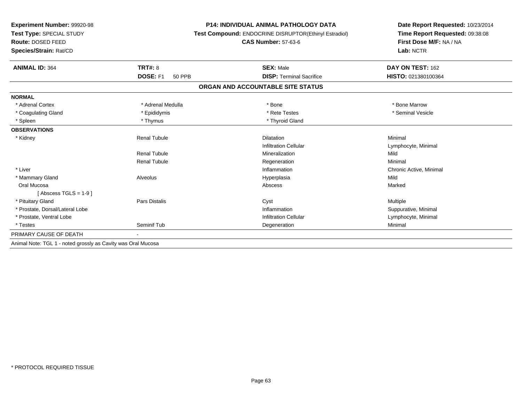| <b>Experiment Number: 99920-98</b><br>Test Type: SPECIAL STUDY<br>Route: DOSED FEED |                                  | <b>P14: INDIVIDUAL ANIMAL PATHOLOGY DATA</b>          | Date Report Requested: 10/23/2014<br>Time Report Requested: 09:38:08<br>First Dose M/F: NA / NA |
|-------------------------------------------------------------------------------------|----------------------------------|-------------------------------------------------------|-------------------------------------------------------------------------------------------------|
|                                                                                     |                                  | Test Compound: ENDOCRINE DISRUPTOR(Ethinyl Estradiol) |                                                                                                 |
|                                                                                     |                                  | <b>CAS Number: 57-63-6</b>                            |                                                                                                 |
| Species/Strain: Rat/CD                                                              |                                  |                                                       | Lab: NCTR                                                                                       |
| <b>ANIMAL ID: 364</b>                                                               | <b>TRT#: 8</b>                   | <b>SEX: Male</b>                                      | DAY ON TEST: 162                                                                                |
|                                                                                     | <b>DOSE: F1</b><br><b>50 PPB</b> | <b>DISP: Terminal Sacrifice</b>                       | HISTO: 021380100364                                                                             |
|                                                                                     |                                  | ORGAN AND ACCOUNTABLE SITE STATUS                     |                                                                                                 |
| <b>NORMAL</b>                                                                       |                                  |                                                       |                                                                                                 |
| * Adrenal Cortex                                                                    | * Adrenal Medulla                | * Bone                                                | * Bone Marrow                                                                                   |
| * Coagulating Gland                                                                 | * Epididymis                     | * Rete Testes                                         | * Seminal Vesicle                                                                               |
| * Spleen                                                                            | * Thymus                         | * Thyroid Gland                                       |                                                                                                 |
| <b>OBSERVATIONS</b>                                                                 |                                  |                                                       |                                                                                                 |
| * Kidney                                                                            | <b>Renal Tubule</b>              | <b>Dilatation</b>                                     | Minimal                                                                                         |
|                                                                                     |                                  | <b>Infiltration Cellular</b>                          | Lymphocyte, Minimal                                                                             |
|                                                                                     | <b>Renal Tubule</b>              | Mineralization                                        | Mild                                                                                            |
|                                                                                     | <b>Renal Tubule</b>              | Regeneration                                          | Minimal                                                                                         |
| * Liver                                                                             |                                  | Inflammation                                          | Chronic Active, Minimal                                                                         |
| * Mammary Gland                                                                     | Alveolus                         | Hyperplasia                                           | Mild                                                                                            |
| Oral Mucosa                                                                         |                                  | Abscess                                               | Marked                                                                                          |
| [Abscess TGLS = $1-9$ ]                                                             |                                  |                                                       |                                                                                                 |
| * Pituitary Gland                                                                   | Pars Distalis                    | Cyst                                                  | Multiple                                                                                        |
| * Prostate, Dorsal/Lateral Lobe                                                     |                                  | Inflammation                                          | Suppurative, Minimal                                                                            |
| * Prostate, Ventral Lobe                                                            |                                  | <b>Infiltration Cellular</b>                          | Lymphocyte, Minimal                                                                             |
| * Testes                                                                            | Seminif Tub                      | Degeneration                                          | Minimal                                                                                         |
| PRIMARY CAUSE OF DEATH                                                              |                                  |                                                       |                                                                                                 |
| Animal Note: TGL 1 - noted grossly as Cavity was Oral Mucosa                        |                                  |                                                       |                                                                                                 |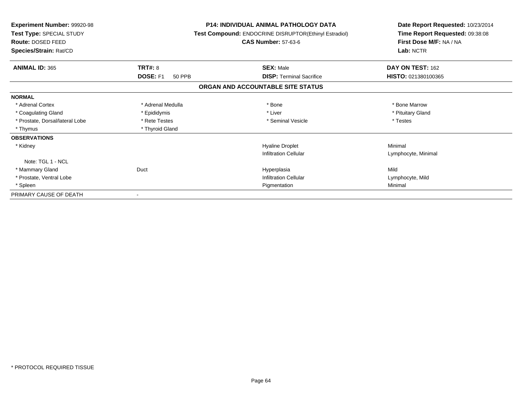| <b>Experiment Number: 99920-98</b><br>Test Type: SPECIAL STUDY<br>Route: DOSED FEED<br>Species/Strain: Rat/CD |                           | <b>P14: INDIVIDUAL ANIMAL PATHOLOGY DATA</b><br><b>Test Compound: ENDOCRINE DISRUPTOR(Ethinyl Estradiol)</b><br><b>CAS Number: 57-63-6</b> | Date Report Requested: 10/23/2014<br>Time Report Requested: 09:38:08<br>First Dose M/F: NA / NA<br>Lab: NCTR |
|---------------------------------------------------------------------------------------------------------------|---------------------------|--------------------------------------------------------------------------------------------------------------------------------------------|--------------------------------------------------------------------------------------------------------------|
| <b>ANIMAL ID: 365</b>                                                                                         | <b>TRT#: 8</b>            | <b>SEX: Male</b>                                                                                                                           | DAY ON TEST: 162                                                                                             |
|                                                                                                               | DOSE: F1<br><b>50 PPB</b> | <b>DISP: Terminal Sacrifice</b>                                                                                                            | HISTO: 021380100365                                                                                          |
|                                                                                                               |                           | ORGAN AND ACCOUNTABLE SITE STATUS                                                                                                          |                                                                                                              |
| <b>NORMAL</b>                                                                                                 |                           |                                                                                                                                            |                                                                                                              |
| * Adrenal Cortex                                                                                              | * Adrenal Medulla         | * Bone                                                                                                                                     | * Bone Marrow                                                                                                |
| * Coagulating Gland                                                                                           | * Epididymis              | * Liver                                                                                                                                    | * Pituitary Gland                                                                                            |
| * Prostate, Dorsal/lateral Lobe                                                                               | * Rete Testes             | * Seminal Vesicle                                                                                                                          | * Testes                                                                                                     |
| * Thymus                                                                                                      | * Thyroid Gland           |                                                                                                                                            |                                                                                                              |
| <b>OBSERVATIONS</b>                                                                                           |                           |                                                                                                                                            |                                                                                                              |
| * Kidney                                                                                                      |                           | <b>Hyaline Droplet</b>                                                                                                                     | Minimal                                                                                                      |
|                                                                                                               |                           | <b>Infiltration Cellular</b>                                                                                                               | Lymphocyte, Minimal                                                                                          |
| Note: TGL 1 - NCL                                                                                             |                           |                                                                                                                                            |                                                                                                              |
| * Mammary Gland                                                                                               | Duct                      | Hyperplasia                                                                                                                                | Mild                                                                                                         |
| * Prostate, Ventral Lobe                                                                                      |                           | <b>Infiltration Cellular</b>                                                                                                               | Lymphocyte, Mild                                                                                             |
| * Spleen                                                                                                      |                           | Pigmentation                                                                                                                               | Minimal                                                                                                      |
| PRIMARY CAUSE OF DEATH                                                                                        |                           |                                                                                                                                            |                                                                                                              |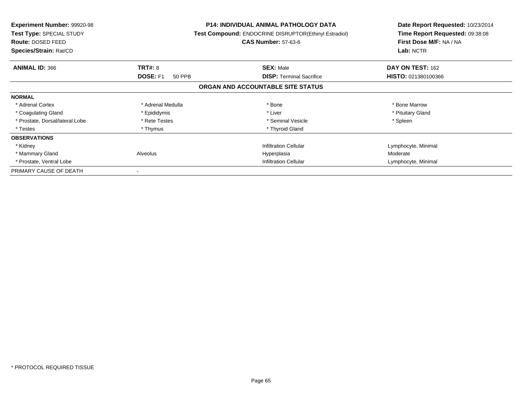| <b>Experiment Number: 99920-98</b><br>Test Type: SPECIAL STUDY<br><b>Route: DOSED FEED</b><br>Species/Strain: Rat/CD |                              | <b>P14: INDIVIDUAL ANIMAL PATHOLOGY DATA</b><br>Test Compound: ENDOCRINE DISRUPTOR(Ethinyl Estradiol)<br><b>CAS Number: 57-63-6</b> | Date Report Requested: 10/23/2014<br>Time Report Requested: 09:38:08<br>First Dose M/F: NA / NA<br>Lab: NCTR |
|----------------------------------------------------------------------------------------------------------------------|------------------------------|-------------------------------------------------------------------------------------------------------------------------------------|--------------------------------------------------------------------------------------------------------------|
| <b>ANIMAL ID: 366</b>                                                                                                | <b>TRT#: 8</b>               | <b>SEX: Male</b>                                                                                                                    | DAY ON TEST: 162                                                                                             |
|                                                                                                                      | <b>DOSE: F1</b><br>50 PPB    | <b>DISP:</b> Terminal Sacrifice                                                                                                     | <b>HISTO: 021380100366</b>                                                                                   |
|                                                                                                                      |                              | ORGAN AND ACCOUNTABLE SITE STATUS                                                                                                   |                                                                                                              |
| <b>NORMAL</b>                                                                                                        |                              |                                                                                                                                     |                                                                                                              |
| * Adrenal Cortex                                                                                                     | * Adrenal Medulla            | * Bone                                                                                                                              | * Bone Marrow                                                                                                |
| * Coagulating Gland                                                                                                  | * Epididymis                 | * Liver                                                                                                                             | * Pituitary Gland                                                                                            |
| * Prostate, Dorsal/lateral Lobe                                                                                      | * Rete Testes                | * Seminal Vesicle                                                                                                                   | * Spleen                                                                                                     |
| * Testes                                                                                                             | * Thymus                     | * Thyroid Gland                                                                                                                     |                                                                                                              |
| <b>OBSERVATIONS</b>                                                                                                  |                              |                                                                                                                                     |                                                                                                              |
| * Kidney                                                                                                             |                              | <b>Infiltration Cellular</b>                                                                                                        | Lymphocyte, Minimal                                                                                          |
| * Mammary Gland                                                                                                      | Alveolus                     | Hyperplasia                                                                                                                         | Moderate                                                                                                     |
| * Prostate, Ventral Lobe                                                                                             | <b>Infiltration Cellular</b> |                                                                                                                                     | Lymphocyte, Minimal                                                                                          |
| PRIMARY CAUSE OF DEATH                                                                                               |                              |                                                                                                                                     |                                                                                                              |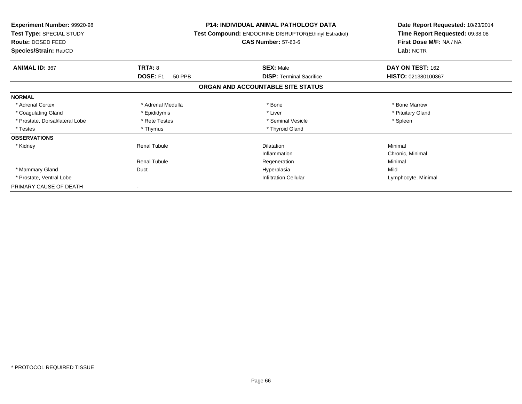| <b>Experiment Number: 99920-98</b><br>Test Type: SPECIAL STUDY<br>Route: DOSED FEED<br>Species/Strain: Rat/CD |                     | <b>P14: INDIVIDUAL ANIMAL PATHOLOGY DATA</b><br>Test Compound: ENDOCRINE DISRUPTOR(Ethinyl Estradiol)<br><b>CAS Number: 57-63-6</b> | Date Report Requested: 10/23/2014<br>Time Report Requested: 09:38:08<br>First Dose M/F: NA / NA<br>Lab: NCTR |
|---------------------------------------------------------------------------------------------------------------|---------------------|-------------------------------------------------------------------------------------------------------------------------------------|--------------------------------------------------------------------------------------------------------------|
| <b>ANIMAL ID: 367</b>                                                                                         | <b>TRT#: 8</b>      | <b>SEX: Male</b>                                                                                                                    | DAY ON TEST: 162                                                                                             |
|                                                                                                               | DOSE: F1<br>50 PPB  | <b>DISP:</b> Terminal Sacrifice                                                                                                     | HISTO: 021380100367                                                                                          |
|                                                                                                               |                     | ORGAN AND ACCOUNTABLE SITE STATUS                                                                                                   |                                                                                                              |
| <b>NORMAL</b>                                                                                                 |                     |                                                                                                                                     |                                                                                                              |
| * Adrenal Cortex                                                                                              | * Adrenal Medulla   | * Bone                                                                                                                              | * Bone Marrow                                                                                                |
| * Coagulating Gland                                                                                           | * Epididymis        | * Liver                                                                                                                             | * Pituitary Gland                                                                                            |
| * Prostate, Dorsal/lateral Lobe                                                                               | * Rete Testes       | * Seminal Vesicle                                                                                                                   | * Spleen                                                                                                     |
| * Testes                                                                                                      | * Thymus            | * Thyroid Gland                                                                                                                     |                                                                                                              |
| <b>OBSERVATIONS</b>                                                                                           |                     |                                                                                                                                     |                                                                                                              |
| * Kidney                                                                                                      | <b>Renal Tubule</b> | <b>Dilatation</b>                                                                                                                   | Minimal                                                                                                      |
|                                                                                                               |                     | Inflammation                                                                                                                        | Chronic, Minimal                                                                                             |
|                                                                                                               | <b>Renal Tubule</b> | Regeneration                                                                                                                        | Minimal                                                                                                      |
| * Mammary Gland                                                                                               | Duct                | Hyperplasia                                                                                                                         | Mild                                                                                                         |
| * Prostate, Ventral Lobe                                                                                      |                     | <b>Infiltration Cellular</b>                                                                                                        | Lymphocyte, Minimal                                                                                          |
| PRIMARY CAUSE OF DEATH                                                                                        |                     |                                                                                                                                     |                                                                                                              |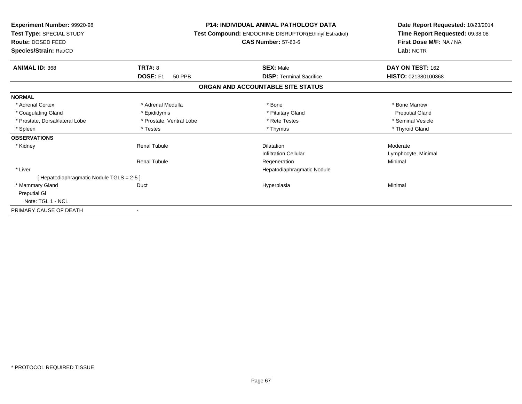| Experiment Number: 99920-98<br>Test Type: SPECIAL STUDY<br><b>Route: DOSED FEED</b><br>Species/Strain: Rat/CD |                           | <b>P14: INDIVIDUAL ANIMAL PATHOLOGY DATA</b><br>Test Compound: ENDOCRINE DISRUPTOR(Ethinyl Estradiol)<br><b>CAS Number: 57-63-6</b> | Date Report Requested: 10/23/2014<br>Time Report Requested: 09:38:08<br>First Dose M/F: NA / NA<br>Lab: NCTR |  |
|---------------------------------------------------------------------------------------------------------------|---------------------------|-------------------------------------------------------------------------------------------------------------------------------------|--------------------------------------------------------------------------------------------------------------|--|
| <b>ANIMAL ID: 368</b>                                                                                         | <b>TRT#: 8</b>            | <b>SEX: Male</b>                                                                                                                    | DAY ON TEST: 162                                                                                             |  |
|                                                                                                               | DOSE: F1<br><b>50 PPB</b> | <b>DISP: Terminal Sacrifice</b>                                                                                                     | HISTO: 021380100368                                                                                          |  |
|                                                                                                               |                           | ORGAN AND ACCOUNTABLE SITE STATUS                                                                                                   |                                                                                                              |  |
| <b>NORMAL</b>                                                                                                 |                           |                                                                                                                                     |                                                                                                              |  |
| * Adrenal Cortex                                                                                              | * Adrenal Medulla         | * Bone                                                                                                                              | * Bone Marrow                                                                                                |  |
| * Coagulating Gland                                                                                           | * Epididymis              | * Pituitary Gland                                                                                                                   | <b>Preputial Gland</b>                                                                                       |  |
| * Prostate, Dorsal/lateral Lobe                                                                               | * Prostate, Ventral Lobe  | * Rete Testes                                                                                                                       | * Seminal Vesicle                                                                                            |  |
| * Spleen                                                                                                      | * Testes                  | * Thymus                                                                                                                            | * Thyroid Gland                                                                                              |  |
| <b>OBSERVATIONS</b>                                                                                           |                           |                                                                                                                                     |                                                                                                              |  |
| * Kidney                                                                                                      | <b>Renal Tubule</b>       | <b>Dilatation</b>                                                                                                                   | Moderate                                                                                                     |  |
|                                                                                                               |                           | <b>Infiltration Cellular</b>                                                                                                        | Lymphocyte, Minimal                                                                                          |  |
|                                                                                                               | <b>Renal Tubule</b>       | Regeneration                                                                                                                        | Minimal                                                                                                      |  |
| * Liver                                                                                                       |                           | Hepatodiaphragmatic Nodule                                                                                                          |                                                                                                              |  |
| [Hepatodiaphragmatic Nodule TGLS = 2-5]                                                                       |                           |                                                                                                                                     |                                                                                                              |  |
| * Mammary Gland                                                                                               | Duct                      | Hyperplasia                                                                                                                         | Minimal                                                                                                      |  |
| <b>Preputial GI</b>                                                                                           |                           |                                                                                                                                     |                                                                                                              |  |
| Note: TGL 1 - NCL                                                                                             |                           |                                                                                                                                     |                                                                                                              |  |
| PRIMARY CAUSE OF DEATH                                                                                        |                           |                                                                                                                                     |                                                                                                              |  |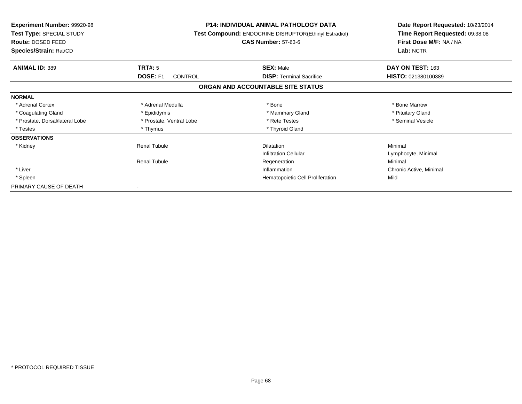| <b>Experiment Number: 99920-98</b><br>Test Type: SPECIAL STUDY<br><b>Route: DOSED FEED</b><br>Species/Strain: Rat/CD |                          | <b>P14: INDIVIDUAL ANIMAL PATHOLOGY DATA</b><br>Test Compound: ENDOCRINE DISRUPTOR(Ethinyl Estradiol)<br><b>CAS Number: 57-63-6</b> | Date Report Requested: 10/23/2014<br>Time Report Requested: 09:38:08<br>First Dose M/F: NA / NA<br>Lab: NCTR |
|----------------------------------------------------------------------------------------------------------------------|--------------------------|-------------------------------------------------------------------------------------------------------------------------------------|--------------------------------------------------------------------------------------------------------------|
| <b>ANIMAL ID: 389</b>                                                                                                | <b>TRT#: 5</b>           | <b>SEX: Male</b>                                                                                                                    | DAY ON TEST: 163                                                                                             |
|                                                                                                                      | DOSE: F1<br>CONTROL      | <b>DISP:</b> Terminal Sacrifice                                                                                                     | HISTO: 021380100389                                                                                          |
|                                                                                                                      |                          | ORGAN AND ACCOUNTABLE SITE STATUS                                                                                                   |                                                                                                              |
| <b>NORMAL</b>                                                                                                        |                          |                                                                                                                                     |                                                                                                              |
| * Adrenal Cortex                                                                                                     | * Adrenal Medulla        | * Bone                                                                                                                              | * Bone Marrow                                                                                                |
| * Coagulating Gland                                                                                                  | * Epididymis             | * Mammary Gland                                                                                                                     | * Pituitary Gland                                                                                            |
| * Prostate, Dorsal/lateral Lobe                                                                                      | * Prostate, Ventral Lobe | * Rete Testes                                                                                                                       | * Seminal Vesicle                                                                                            |
| * Testes                                                                                                             | * Thymus                 | * Thyroid Gland                                                                                                                     |                                                                                                              |
| <b>OBSERVATIONS</b>                                                                                                  |                          |                                                                                                                                     |                                                                                                              |
| * Kidney                                                                                                             | <b>Renal Tubule</b>      | <b>Dilatation</b>                                                                                                                   | Minimal                                                                                                      |
|                                                                                                                      |                          | <b>Infiltration Cellular</b>                                                                                                        | Lymphocyte, Minimal                                                                                          |
|                                                                                                                      | <b>Renal Tubule</b>      | Regeneration                                                                                                                        | Minimal                                                                                                      |
| * Liver                                                                                                              |                          | Inflammation                                                                                                                        | Chronic Active, Minimal                                                                                      |
| * Spleen                                                                                                             |                          | Hematopoietic Cell Proliferation                                                                                                    | Mild                                                                                                         |
| PRIMARY CAUSE OF DEATH                                                                                               |                          |                                                                                                                                     |                                                                                                              |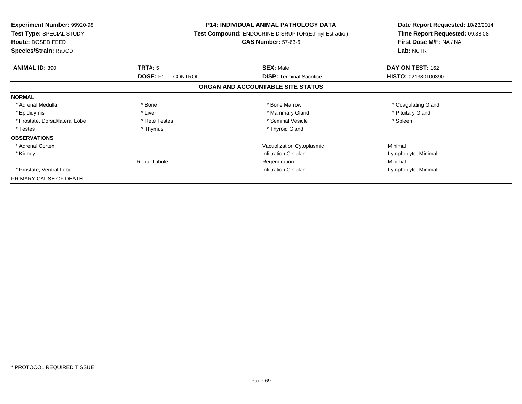| <b>Experiment Number: 99920-98</b><br>Test Type: SPECIAL STUDY<br><b>Route: DOSED FEED</b><br>Species/Strain: Rat/CD |                                   | <b>P14: INDIVIDUAL ANIMAL PATHOLOGY DATA</b><br>Test Compound: ENDOCRINE DISRUPTOR(Ethinyl Estradiol)<br><b>CAS Number: 57-63-6</b> | Date Report Requested: 10/23/2014<br>Time Report Requested: 09:38:08<br>First Dose M/F: NA / NA<br>Lab: NCTR |  |
|----------------------------------------------------------------------------------------------------------------------|-----------------------------------|-------------------------------------------------------------------------------------------------------------------------------------|--------------------------------------------------------------------------------------------------------------|--|
| <b>ANIMAL ID: 390</b>                                                                                                | TRT#: 5                           | <b>SEX: Male</b>                                                                                                                    | DAY ON TEST: 162                                                                                             |  |
|                                                                                                                      | <b>DOSE: F1</b><br><b>CONTROL</b> | <b>DISP: Terminal Sacrifice</b>                                                                                                     | HISTO: 021380100390                                                                                          |  |
|                                                                                                                      |                                   | ORGAN AND ACCOUNTABLE SITE STATUS                                                                                                   |                                                                                                              |  |
| <b>NORMAL</b>                                                                                                        |                                   |                                                                                                                                     |                                                                                                              |  |
| * Adrenal Medulla                                                                                                    | * Bone                            | * Bone Marrow                                                                                                                       | * Coagulating Gland                                                                                          |  |
| * Epididymis                                                                                                         | * Liver                           | * Mammary Gland                                                                                                                     | * Pituitary Gland                                                                                            |  |
| * Prostate, Dorsal/lateral Lobe                                                                                      | * Rete Testes                     | * Seminal Vesicle                                                                                                                   | * Spleen                                                                                                     |  |
| * Testes                                                                                                             | * Thymus                          | * Thyroid Gland                                                                                                                     |                                                                                                              |  |
| <b>OBSERVATIONS</b>                                                                                                  |                                   |                                                                                                                                     |                                                                                                              |  |
| * Adrenal Cortex                                                                                                     |                                   | Vacuolization Cytoplasmic                                                                                                           | Minimal                                                                                                      |  |
| * Kidney                                                                                                             |                                   | <b>Infiltration Cellular</b>                                                                                                        | Lymphocyte, Minimal                                                                                          |  |
|                                                                                                                      | <b>Renal Tubule</b>               | Regeneration                                                                                                                        | Minimal                                                                                                      |  |
| * Prostate. Ventral Lobe                                                                                             |                                   | <b>Infiltration Cellular</b>                                                                                                        | Lymphocyte, Minimal                                                                                          |  |
| PRIMARY CAUSE OF DEATH                                                                                               |                                   |                                                                                                                                     |                                                                                                              |  |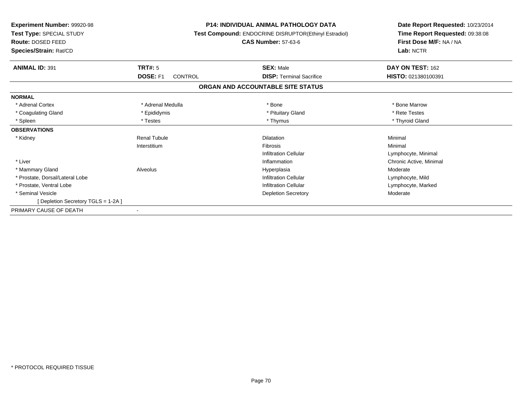| <b>Experiment Number: 99920-98</b><br>Test Type: SPECIAL STUDY<br>Route: DOSED FEED<br>Species/Strain: Rat/CD |                            | <b>P14: INDIVIDUAL ANIMAL PATHOLOGY DATA</b><br>Test Compound: ENDOCRINE DISRUPTOR(Ethinyl Estradiol)<br><b>CAS Number: 57-63-6</b> | Date Report Requested: 10/23/2014<br>Time Report Requested: 09:38:08<br>First Dose M/F: NA / NA<br>Lab: NCTR |
|---------------------------------------------------------------------------------------------------------------|----------------------------|-------------------------------------------------------------------------------------------------------------------------------------|--------------------------------------------------------------------------------------------------------------|
| <b>ANIMAL ID: 391</b>                                                                                         | <b>TRT#: 5</b>             | <b>SEX: Male</b>                                                                                                                    | DAY ON TEST: 162                                                                                             |
|                                                                                                               | DOSE: F1<br><b>CONTROL</b> | <b>DISP: Terminal Sacrifice</b>                                                                                                     | HISTO: 021380100391                                                                                          |
|                                                                                                               |                            | ORGAN AND ACCOUNTABLE SITE STATUS                                                                                                   |                                                                                                              |
| <b>NORMAL</b>                                                                                                 |                            |                                                                                                                                     |                                                                                                              |
| * Adrenal Cortex                                                                                              | * Adrenal Medulla          | * Bone                                                                                                                              | * Bone Marrow                                                                                                |
| * Coagulating Gland                                                                                           | * Epididymis               | * Pituitary Gland                                                                                                                   | * Rete Testes                                                                                                |
| * Spleen                                                                                                      | * Testes                   | * Thymus                                                                                                                            | * Thyroid Gland                                                                                              |
| <b>OBSERVATIONS</b>                                                                                           |                            |                                                                                                                                     |                                                                                                              |
| * Kidney                                                                                                      | <b>Renal Tubule</b>        | Dilatation                                                                                                                          | Minimal                                                                                                      |
|                                                                                                               | Interstitium               | <b>Fibrosis</b>                                                                                                                     | Minimal                                                                                                      |
|                                                                                                               |                            | <b>Infiltration Cellular</b>                                                                                                        | Lymphocyte, Minimal                                                                                          |
| * Liver                                                                                                       |                            | Inflammation                                                                                                                        | Chronic Active, Minimal                                                                                      |
| * Mammary Gland                                                                                               | Alveolus                   | Hyperplasia                                                                                                                         | Moderate                                                                                                     |
| * Prostate, Dorsal/Lateral Lobe                                                                               |                            | <b>Infiltration Cellular</b>                                                                                                        | Lymphocyte, Mild                                                                                             |
| * Prostate, Ventral Lobe                                                                                      |                            | <b>Infiltration Cellular</b>                                                                                                        | Lymphocyte, Marked                                                                                           |
| * Seminal Vesicle                                                                                             |                            | <b>Depletion Secretory</b>                                                                                                          | Moderate                                                                                                     |
| [Depletion Secretory TGLS = 1-2A]                                                                             |                            |                                                                                                                                     |                                                                                                              |
| PRIMARY CAUSE OF DEATH                                                                                        |                            |                                                                                                                                     |                                                                                                              |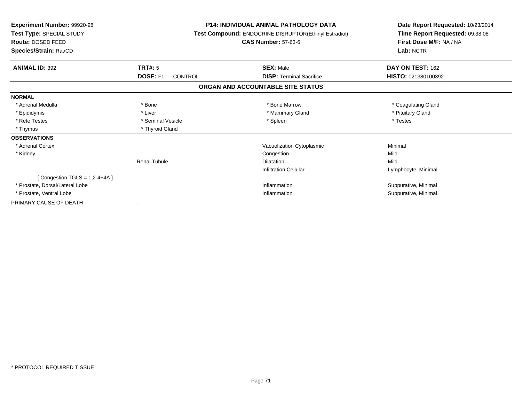| <b>Experiment Number: 99920-98</b><br>Test Type: SPECIAL STUDY<br>Route: DOSED FEED<br>Species/Strain: Rat/CD | <b>P14: INDIVIDUAL ANIMAL PATHOLOGY DATA</b><br>Test Compound: ENDOCRINE DISRUPTOR(Ethinyl Estradiol)<br><b>CAS Number: 57-63-6</b> |                                   | Date Report Requested: 10/23/2014<br>Time Report Requested: 09:38:08<br>First Dose M/F: NA / NA<br>Lab: NCTR |
|---------------------------------------------------------------------------------------------------------------|-------------------------------------------------------------------------------------------------------------------------------------|-----------------------------------|--------------------------------------------------------------------------------------------------------------|
| <b>ANIMAL ID: 392</b>                                                                                         | <b>TRT#: 5</b>                                                                                                                      | <b>SEX: Male</b>                  | DAY ON TEST: 162                                                                                             |
|                                                                                                               | DOSE: F1<br><b>CONTROL</b>                                                                                                          | <b>DISP: Terminal Sacrifice</b>   | HISTO: 021380100392                                                                                          |
|                                                                                                               |                                                                                                                                     | ORGAN AND ACCOUNTABLE SITE STATUS |                                                                                                              |
| <b>NORMAL</b>                                                                                                 |                                                                                                                                     |                                   |                                                                                                              |
| * Adrenal Medulla                                                                                             | * Bone                                                                                                                              | * Bone Marrow                     | * Coagulating Gland                                                                                          |
| * Epididymis                                                                                                  | * Liver                                                                                                                             | * Mammary Gland                   | * Pituitary Gland                                                                                            |
| * Rete Testes                                                                                                 | * Seminal Vesicle                                                                                                                   | * Spleen                          | * Testes                                                                                                     |
| * Thymus                                                                                                      | * Thyroid Gland                                                                                                                     |                                   |                                                                                                              |
| <b>OBSERVATIONS</b>                                                                                           |                                                                                                                                     |                                   |                                                                                                              |
| * Adrenal Cortex                                                                                              |                                                                                                                                     | Vacuolization Cytoplasmic         | Minimal                                                                                                      |
| * Kidney                                                                                                      |                                                                                                                                     | Congestion                        | Mild                                                                                                         |
|                                                                                                               | <b>Renal Tubule</b>                                                                                                                 | <b>Dilatation</b>                 | Mild                                                                                                         |
|                                                                                                               |                                                                                                                                     | <b>Infiltration Cellular</b>      | Lymphocyte, Minimal                                                                                          |
| [Congestion TGLS = $1,2-4+4A$ ]                                                                               |                                                                                                                                     |                                   |                                                                                                              |
| * Prostate, Dorsal/Lateral Lobe                                                                               |                                                                                                                                     | Inflammation                      | Suppurative, Minimal                                                                                         |
| * Prostate, Ventral Lobe                                                                                      |                                                                                                                                     | Inflammation                      | Suppurative, Minimal                                                                                         |
| PRIMARY CAUSE OF DEATH                                                                                        |                                                                                                                                     |                                   |                                                                                                              |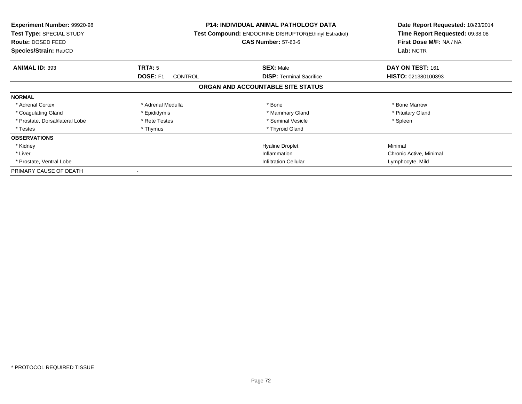| <b>Experiment Number: 99920-98</b><br>Test Type: SPECIAL STUDY<br>Route: DOSED FEED<br>Species/Strain: Rat/CD |                                   | <b>P14: INDIVIDUAL ANIMAL PATHOLOGY DATA</b><br>Test Compound: ENDOCRINE DISRUPTOR(Ethinyl Estradiol)<br><b>CAS Number: 57-63-6</b> | Date Report Requested: 10/23/2014<br>Time Report Requested: 09:38:08<br>First Dose M/F: NA / NA<br>Lab: NCTR |
|---------------------------------------------------------------------------------------------------------------|-----------------------------------|-------------------------------------------------------------------------------------------------------------------------------------|--------------------------------------------------------------------------------------------------------------|
| <b>ANIMAL ID: 393</b>                                                                                         | <b>TRT#: 5</b>                    | <b>SEX: Male</b>                                                                                                                    | DAY ON TEST: 161                                                                                             |
|                                                                                                               | <b>DOSE: F1</b><br><b>CONTROL</b> | <b>DISP:</b> Terminal Sacrifice                                                                                                     | HISTO: 021380100393                                                                                          |
|                                                                                                               |                                   | ORGAN AND ACCOUNTABLE SITE STATUS                                                                                                   |                                                                                                              |
| <b>NORMAL</b>                                                                                                 |                                   |                                                                                                                                     |                                                                                                              |
| * Adrenal Cortex                                                                                              | * Adrenal Medulla                 | * Bone                                                                                                                              | * Bone Marrow                                                                                                |
| * Coagulating Gland                                                                                           | * Epididymis                      | * Mammary Gland                                                                                                                     | * Pituitary Gland                                                                                            |
| * Prostate, Dorsal/lateral Lobe                                                                               | * Rete Testes                     | * Seminal Vesicle                                                                                                                   | * Spleen                                                                                                     |
| * Testes                                                                                                      | * Thymus                          | * Thyroid Gland                                                                                                                     |                                                                                                              |
| <b>OBSERVATIONS</b>                                                                                           |                                   |                                                                                                                                     |                                                                                                              |
| * Kidney                                                                                                      |                                   | <b>Hyaline Droplet</b>                                                                                                              | Minimal                                                                                                      |
| * Liver                                                                                                       |                                   | Inflammation                                                                                                                        | Chronic Active, Minimal                                                                                      |
| * Prostate, Ventral Lobe                                                                                      | <b>Infiltration Cellular</b>      |                                                                                                                                     | Lymphocyte, Mild                                                                                             |
| PRIMARY CAUSE OF DEATH                                                                                        |                                   |                                                                                                                                     |                                                                                                              |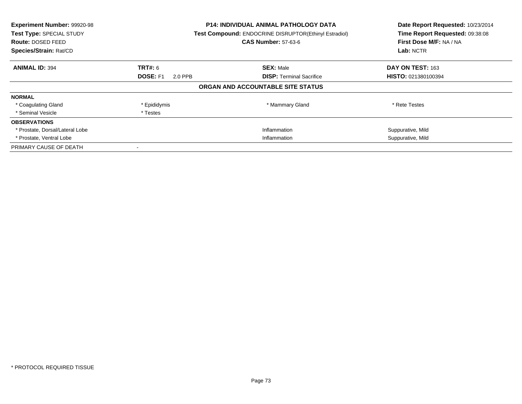| Experiment Number: 99920-98<br><b>Test Type: SPECIAL STUDY</b><br>Route: DOSED FEED<br>Species/Strain: Rat/CD |                            | <b>P14: INDIVIDUAL ANIMAL PATHOLOGY DATA</b><br><b>Test Compound: ENDOCRINE DISRUPTOR(Ethinyl Estradiol)</b><br><b>CAS Number: 57-63-6</b> | Date Report Requested: 10/23/2014<br>Time Report Requested: 09:38:08<br>First Dose M/F: NA / NA<br>Lab: NCTR |
|---------------------------------------------------------------------------------------------------------------|----------------------------|--------------------------------------------------------------------------------------------------------------------------------------------|--------------------------------------------------------------------------------------------------------------|
| <b>ANIMAL ID: 394</b>                                                                                         | TRT#: 6                    | <b>SEX: Male</b>                                                                                                                           | DAY ON TEST: 163                                                                                             |
|                                                                                                               | <b>DOSE: F1</b><br>2.0 PPB | <b>DISP:</b> Terminal Sacrifice                                                                                                            | <b>HISTO: 021380100394</b>                                                                                   |
|                                                                                                               |                            | ORGAN AND ACCOUNTABLE SITE STATUS                                                                                                          |                                                                                                              |
| <b>NORMAL</b>                                                                                                 |                            |                                                                                                                                            |                                                                                                              |
| * Coagulating Gland                                                                                           | * Epididymis               | * Mammary Gland                                                                                                                            | * Rete Testes                                                                                                |
| * Seminal Vesicle                                                                                             | * Testes                   |                                                                                                                                            |                                                                                                              |
| <b>OBSERVATIONS</b>                                                                                           |                            |                                                                                                                                            |                                                                                                              |
| * Prostate, Dorsal/Lateral Lobe                                                                               |                            | Inflammation                                                                                                                               | Suppurative, Mild                                                                                            |
| * Prostate, Ventral Lobe                                                                                      |                            | Inflammation                                                                                                                               | Suppurative, Mild                                                                                            |
| PRIMARY CAUSE OF DEATH                                                                                        |                            |                                                                                                                                            |                                                                                                              |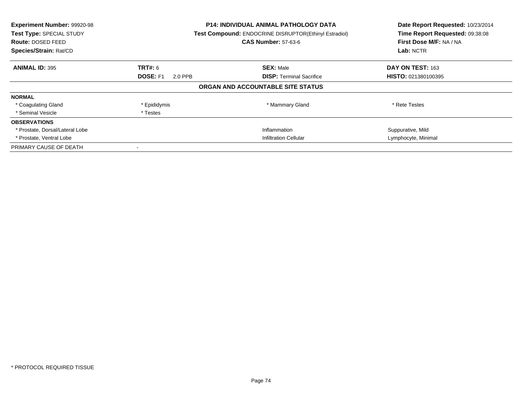| Experiment Number: 99920-98<br>Test Type: SPECIAL STUDY<br><b>Route: DOSED FEED</b><br>Species/Strain: Rat/CD |                            | <b>P14: INDIVIDUAL ANIMAL PATHOLOGY DATA</b><br><b>Test Compound: ENDOCRINE DISRUPTOR(Ethinyl Estradiol)</b><br><b>CAS Number: 57-63-6</b> | Date Report Requested: 10/23/2014<br>Time Report Requested: 09:38:08<br>First Dose M/F: NA / NA<br>Lab: NCTR |
|---------------------------------------------------------------------------------------------------------------|----------------------------|--------------------------------------------------------------------------------------------------------------------------------------------|--------------------------------------------------------------------------------------------------------------|
| <b>ANIMAL ID: 395</b>                                                                                         | TRT#: 6                    | <b>SEX: Male</b>                                                                                                                           | DAY ON TEST: 163                                                                                             |
|                                                                                                               | <b>DOSE: F1</b><br>2.0 PPB | <b>DISP:</b> Terminal Sacrifice                                                                                                            | <b>HISTO: 021380100395</b>                                                                                   |
|                                                                                                               |                            | ORGAN AND ACCOUNTABLE SITE STATUS                                                                                                          |                                                                                                              |
| <b>NORMAL</b>                                                                                                 |                            |                                                                                                                                            |                                                                                                              |
| * Coagulating Gland                                                                                           | * Epididymis               | * Mammary Gland                                                                                                                            | * Rete Testes                                                                                                |
| * Seminal Vesicle                                                                                             | * Testes                   |                                                                                                                                            |                                                                                                              |
| <b>OBSERVATIONS</b>                                                                                           |                            |                                                                                                                                            |                                                                                                              |
| * Prostate, Dorsal/Lateral Lobe                                                                               |                            | Inflammation                                                                                                                               | Suppurative, Mild                                                                                            |
| * Prostate, Ventral Lobe                                                                                      |                            | <b>Infiltration Cellular</b>                                                                                                               | Lymphocyte, Minimal                                                                                          |
| PRIMARY CAUSE OF DEATH                                                                                        |                            |                                                                                                                                            |                                                                                                              |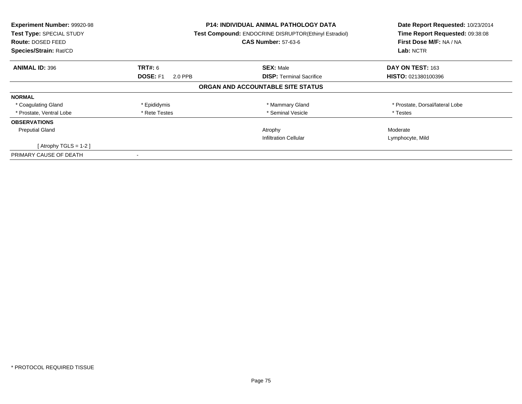| Experiment Number: 99920-98<br>Test Type: SPECIAL STUDY<br><b>Route: DOSED FEED</b><br>Species/Strain: Rat/CD |                            | P14: INDIVIDUAL ANIMAL PATHOLOGY DATA<br>Test Compound: ENDOCRINE DISRUPTOR(Ethinyl Estradiol)<br><b>CAS Number: 57-63-6</b> | Date Report Requested: 10/23/2014<br>Time Report Requested: 09:38:08<br>First Dose M/F: NA / NA<br>Lab: NCTR |
|---------------------------------------------------------------------------------------------------------------|----------------------------|------------------------------------------------------------------------------------------------------------------------------|--------------------------------------------------------------------------------------------------------------|
| <b>ANIMAL ID: 396</b>                                                                                         | <b>TRT#: 6</b>             | <b>SEX: Male</b>                                                                                                             | DAY ON TEST: 163                                                                                             |
|                                                                                                               | <b>DOSE: F1</b><br>2.0 PPB | <b>DISP: Terminal Sacrifice</b>                                                                                              | <b>HISTO: 021380100396</b>                                                                                   |
|                                                                                                               |                            | ORGAN AND ACCOUNTABLE SITE STATUS                                                                                            |                                                                                                              |
| <b>NORMAL</b>                                                                                                 |                            |                                                                                                                              |                                                                                                              |
| * Coagulating Gland                                                                                           | * Epididymis               | * Mammary Gland                                                                                                              | * Prostate, Dorsal/lateral Lobe                                                                              |
| * Prostate, Ventral Lobe                                                                                      | * Rete Testes              | * Seminal Vesicle                                                                                                            | * Testes                                                                                                     |
| <b>OBSERVATIONS</b>                                                                                           |                            |                                                                                                                              |                                                                                                              |
| <b>Preputial Gland</b>                                                                                        |                            | Atrophy                                                                                                                      | Moderate                                                                                                     |
|                                                                                                               |                            | <b>Infiltration Cellular</b>                                                                                                 | Lymphocyte, Mild                                                                                             |
| [Atrophy TGLS = 1-2 ]                                                                                         |                            |                                                                                                                              |                                                                                                              |
| PRIMARY CAUSE OF DEATH                                                                                        |                            |                                                                                                                              |                                                                                                              |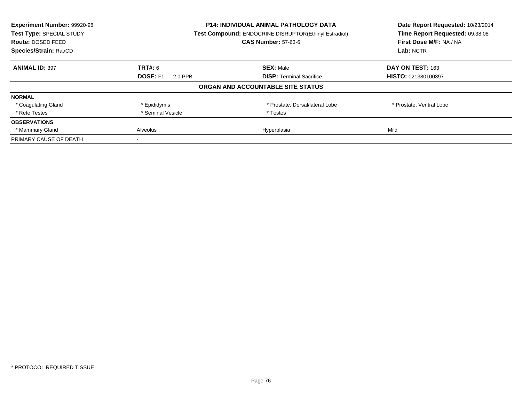| Experiment Number: 99920-98 |                            | <b>P14: INDIVIDUAL ANIMAL PATHOLOGY DATA</b>          | Date Report Requested: 10/23/2014<br>Time Report Requested: 09:38:08 |
|-----------------------------|----------------------------|-------------------------------------------------------|----------------------------------------------------------------------|
| Test Type: SPECIAL STUDY    |                            | Test Compound: ENDOCRINE DISRUPTOR(Ethinyl Estradiol) |                                                                      |
| Route: DOSED FEED           |                            | <b>CAS Number: 57-63-6</b>                            | First Dose M/F: NA / NA                                              |
| Species/Strain: Rat/CD      |                            |                                                       | Lab: NCTR                                                            |
| <b>ANIMAL ID: 397</b>       | <b>TRT#: 6</b>             | <b>SEX: Male</b>                                      | DAY ON TEST: 163                                                     |
|                             | <b>DOSE: F1</b><br>2.0 PPB | <b>DISP:</b> Terminal Sacrifice                       | HISTO: 021380100397                                                  |
|                             |                            | ORGAN AND ACCOUNTABLE SITE STATUS                     |                                                                      |
| <b>NORMAL</b>               |                            |                                                       |                                                                      |
| * Coagulating Gland         | * Epididymis               | * Prostate, Dorsal/lateral Lobe                       | * Prostate, Ventral Lobe                                             |
| * Rete Testes               | * Seminal Vesicle          | * Testes                                              |                                                                      |
| <b>OBSERVATIONS</b>         |                            |                                                       |                                                                      |
| * Mammary Gland             | <b>Alveolus</b>            | Hyperplasia                                           | Mild                                                                 |
| PRIMARY CAUSE OF DEATH      |                            |                                                       |                                                                      |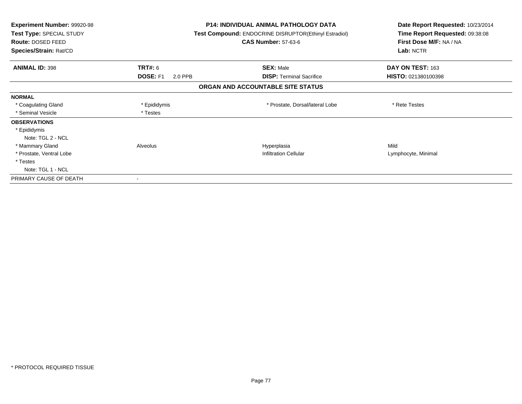| <b>Experiment Number: 99920-98</b><br>Test Type: SPECIAL STUDY<br><b>Route: DOSED FEED</b><br>Species/Strain: Rat/CD |                     | <b>P14: INDIVIDUAL ANIMAL PATHOLOGY DATA</b><br><b>Test Compound: ENDOCRINE DISRUPTOR(Ethinyl Estradiol)</b><br><b>CAS Number: 57-63-6</b> | Date Report Requested: 10/23/2014<br>Time Report Requested: 09:38:08<br>First Dose M/F: NA / NA<br>Lab: NCTR |
|----------------------------------------------------------------------------------------------------------------------|---------------------|--------------------------------------------------------------------------------------------------------------------------------------------|--------------------------------------------------------------------------------------------------------------|
|                                                                                                                      |                     |                                                                                                                                            |                                                                                                              |
| <b>ANIMAL ID: 398</b>                                                                                                | TRT#: 6             | <b>SEX: Male</b>                                                                                                                           | DAY ON TEST: 163                                                                                             |
|                                                                                                                      | DOSE: F1<br>2.0 PPB | <b>DISP:</b> Terminal Sacrifice                                                                                                            | <b>HISTO: 021380100398</b>                                                                                   |
|                                                                                                                      |                     | ORGAN AND ACCOUNTABLE SITE STATUS                                                                                                          |                                                                                                              |
| <b>NORMAL</b>                                                                                                        |                     |                                                                                                                                            |                                                                                                              |
| * Coagulating Gland                                                                                                  | * Epididymis        | * Prostate, Dorsal/lateral Lobe                                                                                                            | * Rete Testes                                                                                                |
| * Seminal Vesicle                                                                                                    | * Testes            |                                                                                                                                            |                                                                                                              |
| <b>OBSERVATIONS</b>                                                                                                  |                     |                                                                                                                                            |                                                                                                              |
| * Epididymis                                                                                                         |                     |                                                                                                                                            |                                                                                                              |
| Note: TGL 2 - NCL                                                                                                    |                     |                                                                                                                                            |                                                                                                              |
| * Mammary Gland                                                                                                      | Alveolus            | Hyperplasia                                                                                                                                | Mild                                                                                                         |
| * Prostate, Ventral Lobe                                                                                             |                     | <b>Infiltration Cellular</b>                                                                                                               | Lymphocyte, Minimal                                                                                          |
| * Testes                                                                                                             |                     |                                                                                                                                            |                                                                                                              |
| Note: TGL 1 - NCL                                                                                                    |                     |                                                                                                                                            |                                                                                                              |
| PRIMARY CAUSE OF DEATH                                                                                               |                     |                                                                                                                                            |                                                                                                              |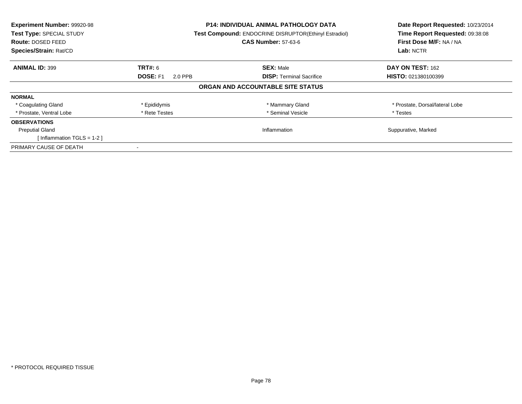| Experiment Number: 99920-98<br>Test Type: SPECIAL STUDY<br><b>Route: DOSED FEED</b><br>Species/Strain: Rat/CD |                            | <b>P14: INDIVIDUAL ANIMAL PATHOLOGY DATA</b><br><b>Test Compound: ENDOCRINE DISRUPTOR(Ethinyl Estradiol)</b><br><b>CAS Number: 57-63-6</b> | Date Report Requested: 10/23/2014<br>Time Report Requested: 09:38:08<br>First Dose M/F: NA / NA<br>Lab: NCTR |
|---------------------------------------------------------------------------------------------------------------|----------------------------|--------------------------------------------------------------------------------------------------------------------------------------------|--------------------------------------------------------------------------------------------------------------|
| <b>ANIMAL ID: 399</b>                                                                                         | TRT#: 6                    | <b>SEX: Male</b>                                                                                                                           | DAY ON TEST: 162                                                                                             |
|                                                                                                               | <b>DOSE: F1</b><br>2.0 PPB | <b>DISP:</b> Terminal Sacrifice                                                                                                            | <b>HISTO: 021380100399</b>                                                                                   |
|                                                                                                               |                            | ORGAN AND ACCOUNTABLE SITE STATUS                                                                                                          |                                                                                                              |
| <b>NORMAL</b>                                                                                                 |                            |                                                                                                                                            |                                                                                                              |
| * Coagulating Gland                                                                                           | * Epididymis               | * Mammary Gland                                                                                                                            | * Prostate, Dorsal/lateral Lobe                                                                              |
| * Prostate, Ventral Lobe                                                                                      | * Rete Testes              | * Seminal Vesicle                                                                                                                          | * Testes                                                                                                     |
| <b>OBSERVATIONS</b>                                                                                           |                            |                                                                                                                                            |                                                                                                              |
| <b>Preputial Gland</b>                                                                                        |                            | Inflammation                                                                                                                               | Suppurative, Marked                                                                                          |
| [Inflammation TGLS = $1-2$ ]                                                                                  |                            |                                                                                                                                            |                                                                                                              |
| PRIMARY CAUSE OF DEATH                                                                                        |                            |                                                                                                                                            |                                                                                                              |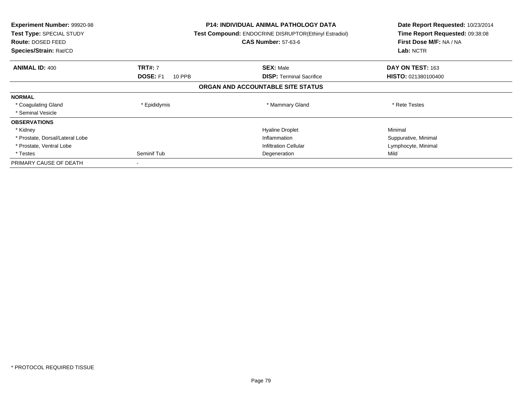| <b>Experiment Number: 99920-98</b><br>Test Type: SPECIAL STUDY<br>Route: DOSED FEED<br>Species/Strain: Rat/CD |                                  | P14: INDIVIDUAL ANIMAL PATHOLOGY DATA<br><b>Test Compound: ENDOCRINE DISRUPTOR(Ethinyl Estradiol)</b><br><b>CAS Number: 57-63-6</b> | Date Report Requested: 10/23/2014<br>Time Report Requested: 09:38:08<br>First Dose M/F: NA / NA<br>Lab: NCTR |
|---------------------------------------------------------------------------------------------------------------|----------------------------------|-------------------------------------------------------------------------------------------------------------------------------------|--------------------------------------------------------------------------------------------------------------|
| <b>ANIMAL ID: 400</b>                                                                                         | <b>TRT#: 7</b>                   | <b>SEX: Male</b>                                                                                                                    | DAY ON TEST: 163                                                                                             |
|                                                                                                               | <b>DOSE: F1</b><br><b>10 PPB</b> | <b>DISP:</b> Terminal Sacrifice                                                                                                     | HISTO: 021380100400                                                                                          |
|                                                                                                               |                                  | ORGAN AND ACCOUNTABLE SITE STATUS                                                                                                   |                                                                                                              |
| <b>NORMAL</b>                                                                                                 |                                  |                                                                                                                                     |                                                                                                              |
| * Coagulating Gland                                                                                           | * Epididymis                     | * Mammary Gland                                                                                                                     | * Rete Testes                                                                                                |
| * Seminal Vesicle                                                                                             |                                  |                                                                                                                                     |                                                                                                              |
| <b>OBSERVATIONS</b>                                                                                           |                                  |                                                                                                                                     |                                                                                                              |
| * Kidney                                                                                                      |                                  | <b>Hyaline Droplet</b>                                                                                                              | Minimal                                                                                                      |
| * Prostate, Dorsal/Lateral Lobe                                                                               |                                  | Inflammation                                                                                                                        | Suppurative, Minimal                                                                                         |
| * Prostate, Ventral Lobe                                                                                      |                                  | Infiltration Cellular                                                                                                               | Lymphocyte, Minimal                                                                                          |
| * Testes                                                                                                      | Seminif Tub                      | Degeneration                                                                                                                        | Mild                                                                                                         |
| PRIMARY CAUSE OF DEATH                                                                                        |                                  |                                                                                                                                     |                                                                                                              |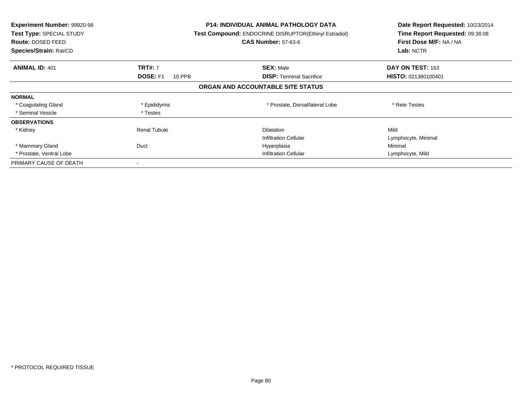| <b>Experiment Number: 99920-98</b><br>Test Type: SPECIAL STUDY<br><b>Route: DOSED FEED</b><br>Species/Strain: Rat/CD |                           | <b>P14: INDIVIDUAL ANIMAL PATHOLOGY DATA</b><br>Test Compound: ENDOCRINE DISRUPTOR(Ethinyl Estradiol)<br><b>CAS Number: 57-63-6</b> | Date Report Requested: 10/23/2014<br>Time Report Requested: 09:38:08<br>First Dose M/F: NA / NA<br>Lab: NCTR |
|----------------------------------------------------------------------------------------------------------------------|---------------------------|-------------------------------------------------------------------------------------------------------------------------------------|--------------------------------------------------------------------------------------------------------------|
| <b>ANIMAL ID: 401</b>                                                                                                | <b>TRT#: 7</b>            | <b>SEX: Male</b>                                                                                                                    | DAY ON TEST: 163                                                                                             |
|                                                                                                                      | <b>DOSE: F1</b><br>10 PPB | <b>DISP: Terminal Sacrifice</b>                                                                                                     | HISTO: 021380100401                                                                                          |
|                                                                                                                      |                           | ORGAN AND ACCOUNTABLE SITE STATUS                                                                                                   |                                                                                                              |
| <b>NORMAL</b>                                                                                                        |                           |                                                                                                                                     |                                                                                                              |
| * Coagulating Gland                                                                                                  | * Epididymis              | * Prostate, Dorsal/lateral Lobe                                                                                                     | * Rete Testes                                                                                                |
| * Seminal Vesicle                                                                                                    | * Testes                  |                                                                                                                                     |                                                                                                              |
| <b>OBSERVATIONS</b>                                                                                                  |                           |                                                                                                                                     |                                                                                                              |
| * Kidney                                                                                                             | <b>Renal Tubule</b>       | <b>Dilatation</b>                                                                                                                   | Mild                                                                                                         |
|                                                                                                                      |                           | <b>Infiltration Cellular</b>                                                                                                        | Lymphocyte, Minimal                                                                                          |
| * Mammary Gland                                                                                                      | Duct                      | Hyperplasia                                                                                                                         | Minimal                                                                                                      |
| * Prostate, Ventral Lobe                                                                                             |                           | <b>Infiltration Cellular</b>                                                                                                        | Lymphocyte, Mild                                                                                             |
| PRIMARY CAUSE OF DEATH                                                                                               |                           |                                                                                                                                     |                                                                                                              |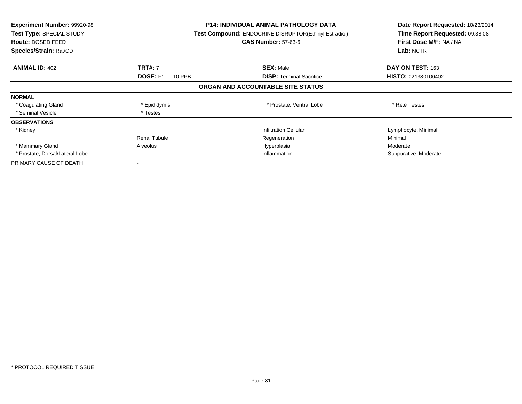| <b>Experiment Number: 99920-98</b><br>Test Type: SPECIAL STUDY<br>Route: DOSED FEED<br>Species/Strain: Rat/CD |                           | <b>P14: INDIVIDUAL ANIMAL PATHOLOGY DATA</b><br><b>Test Compound: ENDOCRINE DISRUPTOR(Ethinyl Estradiol)</b><br><b>CAS Number: 57-63-6</b> | Date Report Requested: 10/23/2014<br>Time Report Requested: 09:38:08<br>First Dose M/F: NA / NA<br>Lab: NCTR |
|---------------------------------------------------------------------------------------------------------------|---------------------------|--------------------------------------------------------------------------------------------------------------------------------------------|--------------------------------------------------------------------------------------------------------------|
| <b>ANIMAL ID: 402</b>                                                                                         | <b>TRT#: 7</b>            | <b>SEX: Male</b>                                                                                                                           | DAY ON TEST: 163                                                                                             |
|                                                                                                               | <b>DOSE: F1</b><br>10 PPB | <b>DISP: Terminal Sacrifice</b>                                                                                                            | <b>HISTO: 021380100402</b>                                                                                   |
|                                                                                                               |                           | ORGAN AND ACCOUNTABLE SITE STATUS                                                                                                          |                                                                                                              |
| <b>NORMAL</b>                                                                                                 |                           |                                                                                                                                            |                                                                                                              |
| * Coagulating Gland                                                                                           | * Epididymis              | * Prostate, Ventral Lobe                                                                                                                   | * Rete Testes                                                                                                |
| * Seminal Vesicle                                                                                             | * Testes                  |                                                                                                                                            |                                                                                                              |
| <b>OBSERVATIONS</b>                                                                                           |                           |                                                                                                                                            |                                                                                                              |
| * Kidney                                                                                                      |                           | <b>Infiltration Cellular</b>                                                                                                               | Lymphocyte, Minimal                                                                                          |
|                                                                                                               | <b>Renal Tubule</b>       | Regeneration                                                                                                                               | Minimal                                                                                                      |
| * Mammary Gland                                                                                               | Alveolus                  | Hyperplasia                                                                                                                                | Moderate                                                                                                     |
| * Prostate, Dorsal/Lateral Lobe                                                                               |                           | Inflammation                                                                                                                               | Suppurative, Moderate                                                                                        |
| PRIMARY CAUSE OF DEATH                                                                                        |                           |                                                                                                                                            |                                                                                                              |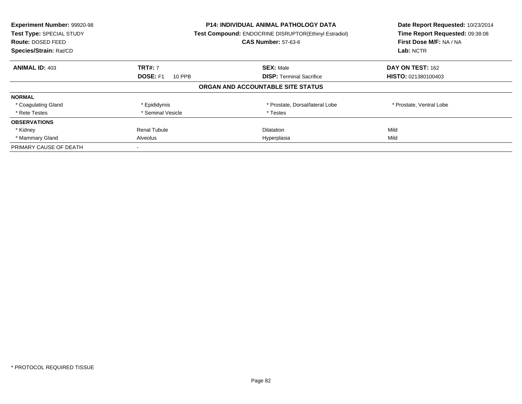| Experiment Number: 99920-98<br>Test Type: SPECIAL STUDY<br>Route: DOSED FEED<br>Species/Strain: Rat/CD |                           | <b>P14: INDIVIDUAL ANIMAL PATHOLOGY DATA</b><br><b>Test Compound: ENDOCRINE DISRUPTOR(Ethinyl Estradiol)</b><br><b>CAS Number: 57-63-6</b> | Date Report Requested: 10/23/2014<br>Time Report Requested: 09:38:08<br>First Dose M/F: NA / NA<br>Lab: NCTR |
|--------------------------------------------------------------------------------------------------------|---------------------------|--------------------------------------------------------------------------------------------------------------------------------------------|--------------------------------------------------------------------------------------------------------------|
| <b>ANIMAL ID: 403</b>                                                                                  | <b>TRT#: 7</b>            | <b>SEX: Male</b>                                                                                                                           | DAY ON TEST: 162                                                                                             |
|                                                                                                        | <b>DOSE: F1</b><br>10 PPB | <b>DISP:</b> Terminal Sacrifice                                                                                                            | HISTO: 021380100403                                                                                          |
|                                                                                                        |                           | ORGAN AND ACCOUNTABLE SITE STATUS                                                                                                          |                                                                                                              |
| <b>NORMAL</b>                                                                                          |                           |                                                                                                                                            |                                                                                                              |
| * Coagulating Gland                                                                                    | * Epididymis              | * Prostate, Dorsal/lateral Lobe                                                                                                            | * Prostate, Ventral Lobe                                                                                     |
| * Rete Testes                                                                                          | * Seminal Vesicle         | * Testes                                                                                                                                   |                                                                                                              |
| <b>OBSERVATIONS</b>                                                                                    |                           |                                                                                                                                            |                                                                                                              |
| * Kidney                                                                                               | Renal Tubule              | Dilatation                                                                                                                                 | Mild                                                                                                         |
| * Mammary Gland                                                                                        | Alveolus                  | Hyperplasia                                                                                                                                | Mild                                                                                                         |
| PRIMARY CAUSE OF DEATH                                                                                 |                           |                                                                                                                                            |                                                                                                              |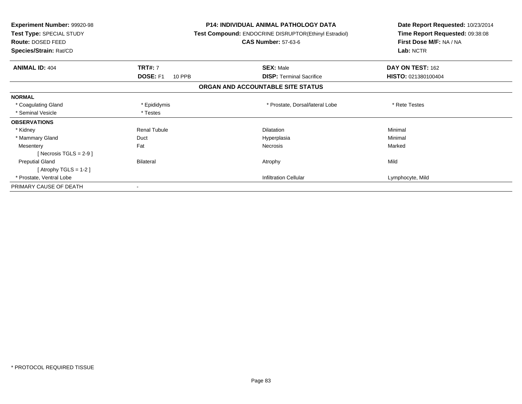| <b>Experiment Number: 99920-98</b><br>Test Type: SPECIAL STUDY<br><b>Route: DOSED FEED</b><br>Species/Strain: Rat/CD |                           | <b>P14: INDIVIDUAL ANIMAL PATHOLOGY DATA</b><br>Test Compound: ENDOCRINE DISRUPTOR(Ethinyl Estradiol)<br><b>CAS Number: 57-63-6</b> | Date Report Requested: 10/23/2014<br>Time Report Requested: 09:38:08<br>First Dose M/F: NA / NA<br>Lab: NCTR |
|----------------------------------------------------------------------------------------------------------------------|---------------------------|-------------------------------------------------------------------------------------------------------------------------------------|--------------------------------------------------------------------------------------------------------------|
| <b>ANIMAL ID: 404</b>                                                                                                | <b>TRT#: 7</b>            | <b>SEX: Male</b>                                                                                                                    | DAY ON TEST: 162                                                                                             |
|                                                                                                                      | <b>DOSE: F1</b><br>10 PPB | <b>DISP:</b> Terminal Sacrifice                                                                                                     | HISTO: 021380100404                                                                                          |
|                                                                                                                      |                           | ORGAN AND ACCOUNTABLE SITE STATUS                                                                                                   |                                                                                                              |
| <b>NORMAL</b>                                                                                                        |                           |                                                                                                                                     |                                                                                                              |
| * Coagulating Gland                                                                                                  | * Epididymis              | * Prostate, Dorsal/lateral Lobe                                                                                                     | * Rete Testes                                                                                                |
| * Seminal Vesicle                                                                                                    | * Testes                  |                                                                                                                                     |                                                                                                              |
| <b>OBSERVATIONS</b>                                                                                                  |                           |                                                                                                                                     |                                                                                                              |
| * Kidney                                                                                                             | <b>Renal Tubule</b>       | <b>Dilatation</b>                                                                                                                   | Minimal                                                                                                      |
| * Mammary Gland                                                                                                      | Duct                      | Hyperplasia                                                                                                                         | Minimal                                                                                                      |
| Mesentery                                                                                                            | Fat                       | <b>Necrosis</b>                                                                                                                     | Marked                                                                                                       |
| [ Necrosis TGLS = $2-9$ ]                                                                                            |                           |                                                                                                                                     |                                                                                                              |
| <b>Preputial Gland</b>                                                                                               | <b>Bilateral</b>          | Atrophy                                                                                                                             | Mild                                                                                                         |
| [ Atrophy TGLS = $1-2$ ]                                                                                             |                           |                                                                                                                                     |                                                                                                              |
| * Prostate, Ventral Lobe                                                                                             |                           | <b>Infiltration Cellular</b>                                                                                                        | Lymphocyte, Mild                                                                                             |
| PRIMARY CAUSE OF DEATH                                                                                               |                           |                                                                                                                                     |                                                                                                              |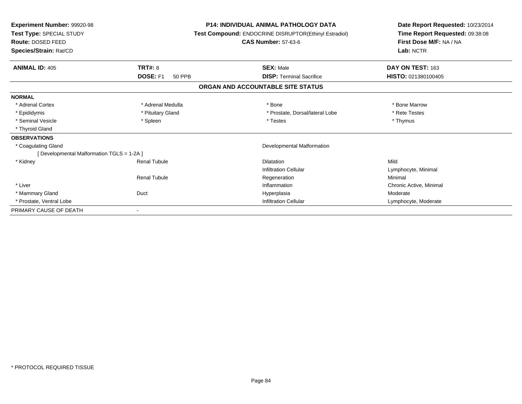| Experiment Number: 99920-98<br>Test Type: SPECIAL STUDY<br>Route: DOSED FEED<br>Species/Strain: Rat/CD |                   | <b>P14: INDIVIDUAL ANIMAL PATHOLOGY DATA</b><br>Test Compound: ENDOCRINE DISRUPTOR(Ethinyl Estradiol)<br><b>CAS Number: 57-63-6</b> | Date Report Requested: 10/23/2014<br>Time Report Requested: 09:38:08<br>First Dose M/F: NA / NA<br>Lab: NCTR |
|--------------------------------------------------------------------------------------------------------|-------------------|-------------------------------------------------------------------------------------------------------------------------------------|--------------------------------------------------------------------------------------------------------------|
| <b>TRT#: 8</b><br><b>ANIMAL ID: 405</b>                                                                |                   | <b>SEX: Male</b>                                                                                                                    | DAY ON TEST: 163                                                                                             |
| <b>DOSE: F1</b>                                                                                        | <b>50 PPB</b>     | <b>DISP: Terminal Sacrifice</b>                                                                                                     | HISTO: 021380100405                                                                                          |
|                                                                                                        |                   | ORGAN AND ACCOUNTABLE SITE STATUS                                                                                                   |                                                                                                              |
| <b>NORMAL</b>                                                                                          |                   |                                                                                                                                     |                                                                                                              |
| * Adrenal Cortex                                                                                       | * Adrenal Medulla | * Bone                                                                                                                              | * Bone Marrow                                                                                                |
| * Epididymis                                                                                           | * Pituitary Gland | * Prostate, Dorsal/lateral Lobe                                                                                                     | * Rete Testes                                                                                                |
| * Seminal Vesicle<br>* Spleen                                                                          |                   | * Testes                                                                                                                            | * Thymus                                                                                                     |
| * Thyroid Gland                                                                                        |                   |                                                                                                                                     |                                                                                                              |
| <b>OBSERVATIONS</b>                                                                                    |                   |                                                                                                                                     |                                                                                                              |
| * Coagulating Gland                                                                                    |                   | <b>Developmental Malformation</b>                                                                                                   |                                                                                                              |
| [Developmental Malformation TGLS = 1-2A]                                                               |                   |                                                                                                                                     |                                                                                                              |
| * Kidney<br><b>Renal Tubule</b>                                                                        |                   | Dilatation                                                                                                                          | Mild                                                                                                         |
|                                                                                                        |                   | <b>Infiltration Cellular</b>                                                                                                        | Lymphocyte, Minimal                                                                                          |
| <b>Renal Tubule</b>                                                                                    |                   | Regeneration                                                                                                                        | Minimal                                                                                                      |
| * Liver                                                                                                |                   | Inflammation                                                                                                                        | Chronic Active, Minimal                                                                                      |
| * Mammary Gland<br>Duct                                                                                |                   | Hyperplasia                                                                                                                         | Moderate                                                                                                     |
| * Prostate, Ventral Lobe                                                                               |                   | <b>Infiltration Cellular</b>                                                                                                        | Lymphocyte, Moderate                                                                                         |
| PRIMARY CAUSE OF DEATH                                                                                 |                   |                                                                                                                                     |                                                                                                              |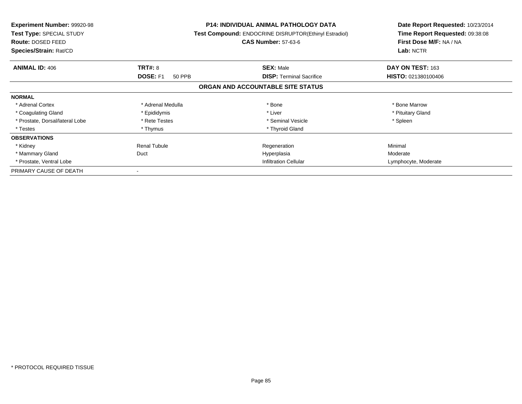| <b>Experiment Number: 99920-98</b><br>Test Type: SPECIAL STUDY<br><b>Route: DOSED FEED</b><br>Species/Strain: Rat/CD |                           | <b>P14: INDIVIDUAL ANIMAL PATHOLOGY DATA</b><br>Test Compound: ENDOCRINE DISRUPTOR(Ethinyl Estradiol)<br><b>CAS Number: 57-63-6</b> | Date Report Requested: 10/23/2014<br>Time Report Requested: 09:38:08<br>First Dose M/F: NA / NA<br>Lab: NCTR |
|----------------------------------------------------------------------------------------------------------------------|---------------------------|-------------------------------------------------------------------------------------------------------------------------------------|--------------------------------------------------------------------------------------------------------------|
| <b>ANIMAL ID: 406</b>                                                                                                | <b>TRT#: 8</b>            | <b>SEX: Male</b>                                                                                                                    | DAY ON TEST: 163                                                                                             |
|                                                                                                                      | <b>DOSE: F1</b><br>50 PPB | <b>DISP:</b> Terminal Sacrifice                                                                                                     | <b>HISTO: 021380100406</b>                                                                                   |
|                                                                                                                      |                           | ORGAN AND ACCOUNTABLE SITE STATUS                                                                                                   |                                                                                                              |
| <b>NORMAL</b>                                                                                                        |                           |                                                                                                                                     |                                                                                                              |
| * Adrenal Cortex                                                                                                     | * Adrenal Medulla         | * Bone                                                                                                                              | * Bone Marrow                                                                                                |
| * Coagulating Gland                                                                                                  | * Epididymis              | * Liver                                                                                                                             | * Pituitary Gland                                                                                            |
| * Prostate, Dorsal/lateral Lobe                                                                                      | * Rete Testes             | * Seminal Vesicle                                                                                                                   | * Spleen                                                                                                     |
| * Testes                                                                                                             | * Thymus                  | * Thyroid Gland                                                                                                                     |                                                                                                              |
| <b>OBSERVATIONS</b>                                                                                                  |                           |                                                                                                                                     |                                                                                                              |
| * Kidney                                                                                                             | <b>Renal Tubule</b>       | Regeneration                                                                                                                        | Minimal                                                                                                      |
| * Mammary Gland                                                                                                      | Duct                      | Hyperplasia                                                                                                                         | Moderate                                                                                                     |
| * Prostate, Ventral Lobe                                                                                             |                           | <b>Infiltration Cellular</b>                                                                                                        | Lymphocyte, Moderate                                                                                         |
| PRIMARY CAUSE OF DEATH                                                                                               |                           |                                                                                                                                     |                                                                                                              |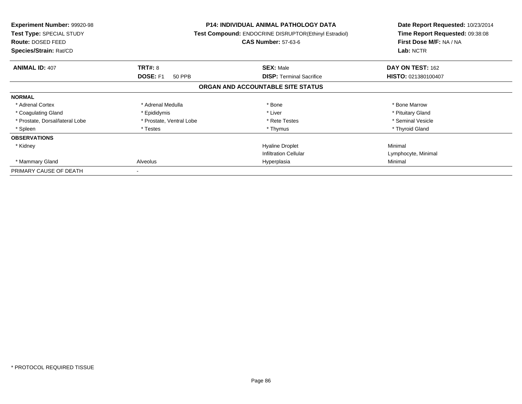| <b>Experiment Number: 99920-98</b><br>Test Type: SPECIAL STUDY<br>Route: DOSED FEED<br>Species/Strain: Rat/CD |                           | <b>P14: INDIVIDUAL ANIMAL PATHOLOGY DATA</b><br>Test Compound: ENDOCRINE DISRUPTOR(Ethinyl Estradiol)<br><b>CAS Number: 57-63-6</b> | Date Report Requested: 10/23/2014<br>Time Report Requested: 09:38:08<br>First Dose M/F: NA / NA<br>Lab: NCTR |
|---------------------------------------------------------------------------------------------------------------|---------------------------|-------------------------------------------------------------------------------------------------------------------------------------|--------------------------------------------------------------------------------------------------------------|
| <b>ANIMAL ID: 407</b>                                                                                         | <b>TRT#: 8</b>            | <b>SEX: Male</b>                                                                                                                    | DAY ON TEST: 162                                                                                             |
|                                                                                                               | <b>DOSE: F1</b><br>50 PPB | <b>DISP:</b> Terminal Sacrifice                                                                                                     | HISTO: 021380100407                                                                                          |
|                                                                                                               |                           | ORGAN AND ACCOUNTABLE SITE STATUS                                                                                                   |                                                                                                              |
| <b>NORMAL</b>                                                                                                 |                           |                                                                                                                                     |                                                                                                              |
| * Adrenal Cortex                                                                                              | * Adrenal Medulla         | * Bone                                                                                                                              | * Bone Marrow                                                                                                |
| * Coagulating Gland                                                                                           | * Epididymis              | * Liver                                                                                                                             | * Pituitary Gland                                                                                            |
| * Prostate, Dorsal/lateral Lobe                                                                               | * Prostate, Ventral Lobe  | * Rete Testes                                                                                                                       | * Seminal Vesicle                                                                                            |
| * Spleen                                                                                                      | * Testes                  | * Thymus                                                                                                                            | * Thyroid Gland                                                                                              |
| <b>OBSERVATIONS</b>                                                                                           |                           |                                                                                                                                     |                                                                                                              |
| * Kidney                                                                                                      |                           | <b>Hyaline Droplet</b>                                                                                                              | Minimal                                                                                                      |
|                                                                                                               |                           | <b>Infiltration Cellular</b>                                                                                                        | Lymphocyte, Minimal                                                                                          |
| * Mammary Gland                                                                                               | Alveolus                  | Hyperplasia                                                                                                                         | Minimal                                                                                                      |
| PRIMARY CAUSE OF DEATH                                                                                        |                           |                                                                                                                                     |                                                                                                              |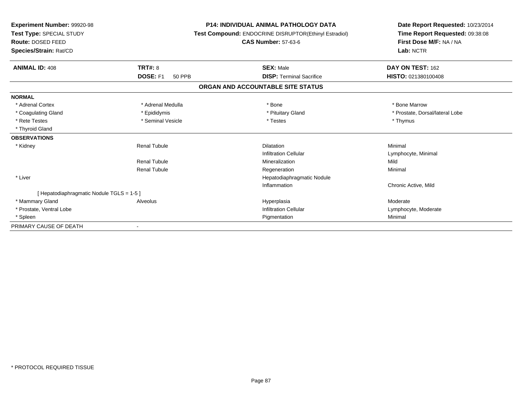| Experiment Number: 99920-98<br>Test Type: SPECIAL STUDY<br>Route: DOSED FEED<br>Species/Strain: Rat/CD |                                  | <b>P14: INDIVIDUAL ANIMAL PATHOLOGY DATA</b><br>Test Compound: ENDOCRINE DISRUPTOR(Ethinyl Estradiol)<br><b>CAS Number: 57-63-6</b> | Date Report Requested: 10/23/2014<br>Time Report Requested: 09:38:08<br>First Dose M/F: NA / NA<br>Lab: NCTR |
|--------------------------------------------------------------------------------------------------------|----------------------------------|-------------------------------------------------------------------------------------------------------------------------------------|--------------------------------------------------------------------------------------------------------------|
|                                                                                                        |                                  |                                                                                                                                     |                                                                                                              |
| <b>ANIMAL ID: 408</b>                                                                                  | TRT#: 8                          | <b>SEX: Male</b>                                                                                                                    | DAY ON TEST: 162                                                                                             |
|                                                                                                        | <b>DOSE: F1</b><br><b>50 PPB</b> | <b>DISP: Terminal Sacrifice</b>                                                                                                     | HISTO: 021380100408                                                                                          |
|                                                                                                        |                                  | ORGAN AND ACCOUNTABLE SITE STATUS                                                                                                   |                                                                                                              |
| <b>NORMAL</b>                                                                                          |                                  |                                                                                                                                     |                                                                                                              |
| * Adrenal Cortex                                                                                       | * Adrenal Medulla                | * Bone                                                                                                                              | * Bone Marrow                                                                                                |
| * Coagulating Gland                                                                                    | * Epididymis                     | * Pituitary Gland                                                                                                                   | * Prostate, Dorsal/lateral Lobe                                                                              |
| * Rete Testes                                                                                          | * Seminal Vesicle                | * Testes                                                                                                                            | * Thymus                                                                                                     |
| * Thyroid Gland                                                                                        |                                  |                                                                                                                                     |                                                                                                              |
| <b>OBSERVATIONS</b>                                                                                    |                                  |                                                                                                                                     |                                                                                                              |
| * Kidney                                                                                               | <b>Renal Tubule</b>              | <b>Dilatation</b>                                                                                                                   | Minimal                                                                                                      |
|                                                                                                        |                                  | <b>Infiltration Cellular</b>                                                                                                        | Lymphocyte, Minimal                                                                                          |
|                                                                                                        | <b>Renal Tubule</b>              | Mineralization                                                                                                                      | Mild                                                                                                         |
|                                                                                                        | <b>Renal Tubule</b>              | Regeneration                                                                                                                        | Minimal                                                                                                      |
| * Liver                                                                                                |                                  | Hepatodiaphragmatic Nodule                                                                                                          |                                                                                                              |
|                                                                                                        |                                  | Inflammation                                                                                                                        | Chronic Active, Mild                                                                                         |
| [Hepatodiaphragmatic Nodule TGLS = 1-5 ]                                                               |                                  |                                                                                                                                     |                                                                                                              |
| * Mammary Gland                                                                                        | Alveolus                         | Hyperplasia                                                                                                                         | Moderate                                                                                                     |
| * Prostate, Ventral Lobe                                                                               |                                  | Infiltration Cellular                                                                                                               | Lymphocyte, Moderate                                                                                         |
| * Spleen                                                                                               |                                  | Pigmentation                                                                                                                        | Minimal                                                                                                      |
| PRIMARY CAUSE OF DEATH                                                                                 |                                  |                                                                                                                                     |                                                                                                              |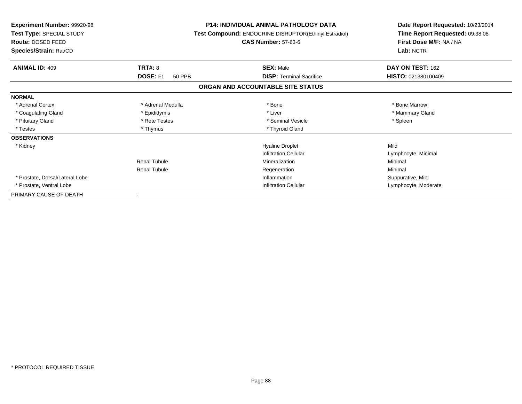| <b>Experiment Number: 99920-98</b><br>Test Type: SPECIAL STUDY<br>Route: DOSED FEED<br>Species/Strain: Rat/CD |                           | <b>P14: INDIVIDUAL ANIMAL PATHOLOGY DATA</b><br>Test Compound: ENDOCRINE DISRUPTOR(Ethinyl Estradiol)<br><b>CAS Number: 57-63-6</b> | Date Report Requested: 10/23/2014<br>Time Report Requested: 09:38:08<br>First Dose M/F: NA / NA<br>Lab: NCTR |
|---------------------------------------------------------------------------------------------------------------|---------------------------|-------------------------------------------------------------------------------------------------------------------------------------|--------------------------------------------------------------------------------------------------------------|
| <b>ANIMAL ID: 409</b>                                                                                         | TRT#: 8                   | <b>SEX: Male</b>                                                                                                                    | DAY ON TEST: 162                                                                                             |
|                                                                                                               | DOSE: F1<br><b>50 PPB</b> | <b>DISP:</b> Terminal Sacrifice                                                                                                     | HISTO: 021380100409                                                                                          |
|                                                                                                               |                           | ORGAN AND ACCOUNTABLE SITE STATUS                                                                                                   |                                                                                                              |
| <b>NORMAL</b>                                                                                                 |                           |                                                                                                                                     |                                                                                                              |
| * Adrenal Cortex                                                                                              | * Adrenal Medulla         | * Bone                                                                                                                              | * Bone Marrow                                                                                                |
| * Coagulating Gland                                                                                           | * Epididymis              | * Liver                                                                                                                             | * Mammary Gland                                                                                              |
| * Pituitary Gland                                                                                             | * Rete Testes             | * Seminal Vesicle                                                                                                                   | * Spleen                                                                                                     |
| * Testes                                                                                                      | * Thymus                  | * Thyroid Gland                                                                                                                     |                                                                                                              |
| <b>OBSERVATIONS</b>                                                                                           |                           |                                                                                                                                     |                                                                                                              |
| * Kidney                                                                                                      |                           | <b>Hyaline Droplet</b>                                                                                                              | Mild                                                                                                         |
|                                                                                                               |                           | <b>Infiltration Cellular</b>                                                                                                        | Lymphocyte, Minimal                                                                                          |
|                                                                                                               | <b>Renal Tubule</b>       | Mineralization                                                                                                                      | Minimal                                                                                                      |
|                                                                                                               | <b>Renal Tubule</b>       | Regeneration                                                                                                                        | Minimal                                                                                                      |
| * Prostate, Dorsal/Lateral Lobe                                                                               |                           | Inflammation                                                                                                                        | Suppurative, Mild                                                                                            |
| * Prostate, Ventral Lobe                                                                                      |                           | <b>Infiltration Cellular</b>                                                                                                        | Lymphocyte, Moderate                                                                                         |
| PRIMARY CAUSE OF DEATH                                                                                        |                           |                                                                                                                                     |                                                                                                              |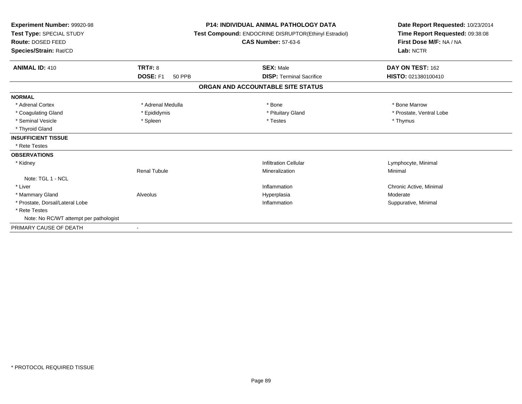| Experiment Number: 99920-98<br>Test Type: SPECIAL STUDY<br>Route: DOSED FEED<br>Species/Strain: Rat/CD |                                  | <b>P14: INDIVIDUAL ANIMAL PATHOLOGY DATA</b><br>Test Compound: ENDOCRINE DISRUPTOR(Ethinyl Estradiol)<br><b>CAS Number: 57-63-6</b> | Date Report Requested: 10/23/2014<br>Time Report Requested: 09:38:08<br>First Dose M/F: NA / NA<br>Lab: NCTR |  |
|--------------------------------------------------------------------------------------------------------|----------------------------------|-------------------------------------------------------------------------------------------------------------------------------------|--------------------------------------------------------------------------------------------------------------|--|
| <b>ANIMAL ID: 410</b>                                                                                  | <b>TRT#: 8</b>                   | <b>SEX: Male</b>                                                                                                                    | DAY ON TEST: 162                                                                                             |  |
|                                                                                                        | <b>DOSE: F1</b><br><b>50 PPB</b> | <b>DISP: Terminal Sacrifice</b>                                                                                                     | HISTO: 021380100410                                                                                          |  |
|                                                                                                        |                                  | ORGAN AND ACCOUNTABLE SITE STATUS                                                                                                   |                                                                                                              |  |
| <b>NORMAL</b>                                                                                          |                                  |                                                                                                                                     |                                                                                                              |  |
| * Adrenal Cortex                                                                                       | * Adrenal Medulla                | * Bone                                                                                                                              | * Bone Marrow                                                                                                |  |
| * Coagulating Gland                                                                                    | * Epididymis                     | * Pituitary Gland                                                                                                                   | * Prostate, Ventral Lobe                                                                                     |  |
| * Seminal Vesicle                                                                                      | * Spleen                         | * Testes                                                                                                                            | * Thymus                                                                                                     |  |
| * Thyroid Gland                                                                                        |                                  |                                                                                                                                     |                                                                                                              |  |
| <b>INSUFFICIENT TISSUE</b>                                                                             |                                  |                                                                                                                                     |                                                                                                              |  |
| * Rete Testes                                                                                          |                                  |                                                                                                                                     |                                                                                                              |  |
| <b>OBSERVATIONS</b>                                                                                    |                                  |                                                                                                                                     |                                                                                                              |  |
| * Kidney                                                                                               |                                  | <b>Infiltration Cellular</b>                                                                                                        | Lymphocyte, Minimal                                                                                          |  |
|                                                                                                        | <b>Renal Tubule</b>              | Mineralization                                                                                                                      | Minimal                                                                                                      |  |
| Note: TGL 1 - NCL                                                                                      |                                  |                                                                                                                                     |                                                                                                              |  |
| * Liver                                                                                                |                                  | Inflammation                                                                                                                        | Chronic Active, Minimal                                                                                      |  |
| * Mammary Gland                                                                                        | Alveolus                         | Hyperplasia                                                                                                                         | Moderate                                                                                                     |  |
| * Prostate, Dorsal/Lateral Lobe                                                                        |                                  | Inflammation                                                                                                                        | Suppurative, Minimal                                                                                         |  |
| * Rete Testes                                                                                          |                                  |                                                                                                                                     |                                                                                                              |  |
| Note: No RC/WT attempt per pathologist                                                                 |                                  |                                                                                                                                     |                                                                                                              |  |
| PRIMARY CAUSE OF DEATH                                                                                 | $\overline{\phantom{a}}$         |                                                                                                                                     |                                                                                                              |  |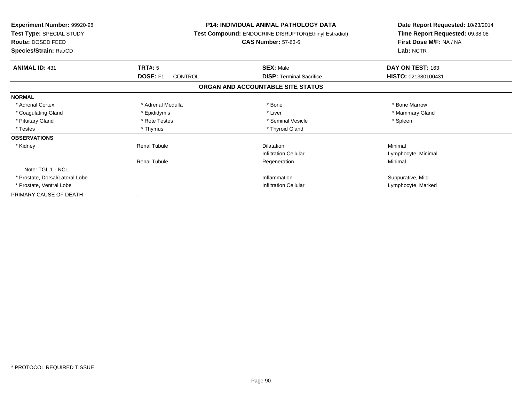| <b>Experiment Number: 99920-98</b><br>Test Type: SPECIAL STUDY<br><b>Route: DOSED FEED</b><br>Species/Strain: Rat/CD |                            | <b>P14: INDIVIDUAL ANIMAL PATHOLOGY DATA</b><br>Test Compound: ENDOCRINE DISRUPTOR(Ethinyl Estradiol)<br><b>CAS Number: 57-63-6</b> | Date Report Requested: 10/23/2014<br>Time Report Requested: 09:38:08<br>First Dose M/F: NA / NA<br>Lab: NCTR |
|----------------------------------------------------------------------------------------------------------------------|----------------------------|-------------------------------------------------------------------------------------------------------------------------------------|--------------------------------------------------------------------------------------------------------------|
| <b>ANIMAL ID: 431</b>                                                                                                | TRT#: 5                    | <b>SEX: Male</b>                                                                                                                    | DAY ON TEST: 163                                                                                             |
|                                                                                                                      | DOSE: F1<br><b>CONTROL</b> | <b>DISP: Terminal Sacrifice</b>                                                                                                     | HISTO: 021380100431                                                                                          |
|                                                                                                                      |                            | ORGAN AND ACCOUNTABLE SITE STATUS                                                                                                   |                                                                                                              |
| <b>NORMAL</b>                                                                                                        |                            |                                                                                                                                     |                                                                                                              |
| * Adrenal Cortex                                                                                                     | * Adrenal Medulla          | * Bone                                                                                                                              | * Bone Marrow                                                                                                |
| * Coagulating Gland                                                                                                  | * Epididymis               | * Liver                                                                                                                             | * Mammary Gland                                                                                              |
| * Pituitary Gland                                                                                                    | * Rete Testes              | * Seminal Vesicle                                                                                                                   | * Spleen                                                                                                     |
| * Testes                                                                                                             | * Thymus                   | * Thyroid Gland                                                                                                                     |                                                                                                              |
| <b>OBSERVATIONS</b>                                                                                                  |                            |                                                                                                                                     |                                                                                                              |
| * Kidney                                                                                                             | <b>Renal Tubule</b>        | <b>Dilatation</b>                                                                                                                   | Minimal                                                                                                      |
|                                                                                                                      |                            | <b>Infiltration Cellular</b>                                                                                                        | Lymphocyte, Minimal                                                                                          |
|                                                                                                                      | <b>Renal Tubule</b>        | Regeneration                                                                                                                        | Minimal                                                                                                      |
| Note: TGL 1 - NCL                                                                                                    |                            |                                                                                                                                     |                                                                                                              |
| * Prostate, Dorsal/Lateral Lobe                                                                                      |                            | Inflammation                                                                                                                        | Suppurative, Mild                                                                                            |
| * Prostate, Ventral Lobe                                                                                             |                            | <b>Infiltration Cellular</b>                                                                                                        | Lymphocyte, Marked                                                                                           |
| PRIMARY CAUSE OF DEATH                                                                                               |                            |                                                                                                                                     |                                                                                                              |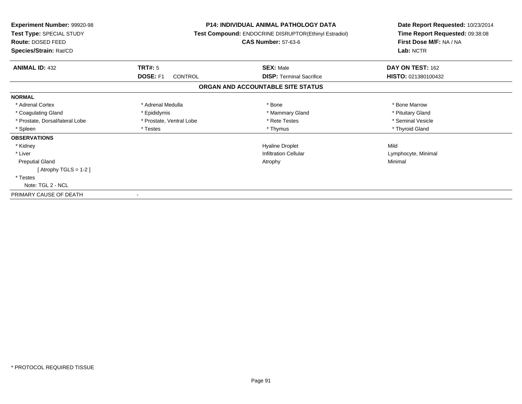| <b>Experiment Number: 99920-98</b><br>Test Type: SPECIAL STUDY<br>Route: DOSED FEED<br>Species/Strain: Rat/CD |                          | <b>P14: INDIVIDUAL ANIMAL PATHOLOGY DATA</b><br>Test Compound: ENDOCRINE DISRUPTOR(Ethinyl Estradiol)<br><b>CAS Number: 57-63-6</b> | Date Report Requested: 10/23/2014<br>Time Report Requested: 09:38:08<br>First Dose M/F: NA / NA<br>Lab: NCTR |
|---------------------------------------------------------------------------------------------------------------|--------------------------|-------------------------------------------------------------------------------------------------------------------------------------|--------------------------------------------------------------------------------------------------------------|
| <b>ANIMAL ID: 432</b>                                                                                         | TRT#: 5                  | <b>SEX: Male</b>                                                                                                                    | DAY ON TEST: 162                                                                                             |
|                                                                                                               | DOSE: F1<br>CONTROL      | <b>DISP:</b> Terminal Sacrifice                                                                                                     | HISTO: 021380100432                                                                                          |
|                                                                                                               |                          | ORGAN AND ACCOUNTABLE SITE STATUS                                                                                                   |                                                                                                              |
| <b>NORMAL</b>                                                                                                 |                          |                                                                                                                                     |                                                                                                              |
| * Adrenal Cortex                                                                                              | * Adrenal Medulla        | * Bone                                                                                                                              | * Bone Marrow                                                                                                |
| * Coagulating Gland                                                                                           | * Epididymis             | * Mammary Gland                                                                                                                     | * Pituitary Gland                                                                                            |
| * Prostate, Dorsal/lateral Lobe                                                                               | * Prostate, Ventral Lobe | * Rete Testes                                                                                                                       | * Seminal Vesicle                                                                                            |
| * Spleen                                                                                                      | * Testes                 | * Thymus                                                                                                                            | * Thyroid Gland                                                                                              |
| <b>OBSERVATIONS</b>                                                                                           |                          |                                                                                                                                     |                                                                                                              |
| * Kidney                                                                                                      |                          | <b>Hyaline Droplet</b>                                                                                                              | Mild                                                                                                         |
| * Liver                                                                                                       |                          | <b>Infiltration Cellular</b>                                                                                                        | Lymphocyte, Minimal                                                                                          |
| <b>Preputial Gland</b>                                                                                        |                          | Atrophy                                                                                                                             | Minimal                                                                                                      |
| [Atrophy TGLS = $1-2$ ]                                                                                       |                          |                                                                                                                                     |                                                                                                              |
| * Testes                                                                                                      |                          |                                                                                                                                     |                                                                                                              |
| Note: TGL 2 - NCL                                                                                             |                          |                                                                                                                                     |                                                                                                              |
| PRIMARY CAUSE OF DEATH                                                                                        |                          |                                                                                                                                     |                                                                                                              |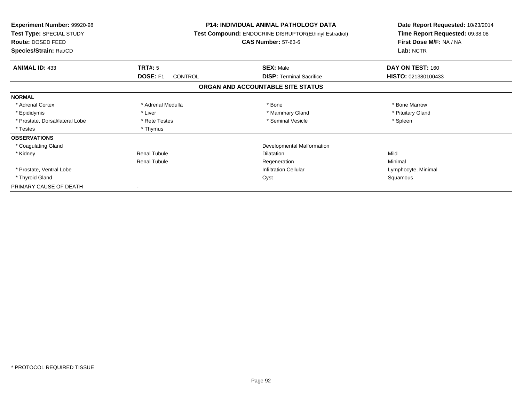| <b>Experiment Number: 99920-98</b><br>Test Type: SPECIAL STUDY<br><b>Route: DOSED FEED</b><br>Species/Strain: Rat/CD |                            | <b>P14: INDIVIDUAL ANIMAL PATHOLOGY DATA</b><br><b>Test Compound: ENDOCRINE DISRUPTOR(Ethinyl Estradiol)</b><br><b>CAS Number: 57-63-6</b> | Date Report Requested: 10/23/2014<br>Time Report Requested: 09:38:08<br>First Dose M/F: NA / NA<br>Lab: NCTR |
|----------------------------------------------------------------------------------------------------------------------|----------------------------|--------------------------------------------------------------------------------------------------------------------------------------------|--------------------------------------------------------------------------------------------------------------|
| <b>ANIMAL ID: 433</b>                                                                                                | TRT#: 5                    | <b>SEX: Male</b>                                                                                                                           | DAY ON TEST: 160                                                                                             |
|                                                                                                                      | DOSE: F1<br><b>CONTROL</b> | <b>DISP: Terminal Sacrifice</b>                                                                                                            | HISTO: 021380100433                                                                                          |
|                                                                                                                      |                            | ORGAN AND ACCOUNTABLE SITE STATUS                                                                                                          |                                                                                                              |
| <b>NORMAL</b>                                                                                                        |                            |                                                                                                                                            |                                                                                                              |
| * Adrenal Cortex                                                                                                     | * Adrenal Medulla          | * Bone                                                                                                                                     | * Bone Marrow                                                                                                |
| * Epididymis                                                                                                         | * Liver                    | * Mammary Gland                                                                                                                            | * Pituitary Gland                                                                                            |
| * Prostate, Dorsal/lateral Lobe                                                                                      | * Rete Testes              | * Seminal Vesicle                                                                                                                          | * Spleen                                                                                                     |
| * Testes                                                                                                             | * Thymus                   |                                                                                                                                            |                                                                                                              |
| <b>OBSERVATIONS</b>                                                                                                  |                            |                                                                                                                                            |                                                                                                              |
| * Coagulating Gland                                                                                                  |                            | Developmental Malformation                                                                                                                 |                                                                                                              |
| * Kidney                                                                                                             | <b>Renal Tubule</b>        | <b>Dilatation</b>                                                                                                                          | Mild                                                                                                         |
|                                                                                                                      | <b>Renal Tubule</b>        | Regeneration                                                                                                                               | Minimal                                                                                                      |
| * Prostate, Ventral Lobe                                                                                             |                            | <b>Infiltration Cellular</b>                                                                                                               | Lymphocyte, Minimal                                                                                          |
| * Thyroid Gland                                                                                                      |                            | Cyst                                                                                                                                       | Squamous                                                                                                     |
| PRIMARY CAUSE OF DEATH                                                                                               |                            |                                                                                                                                            |                                                                                                              |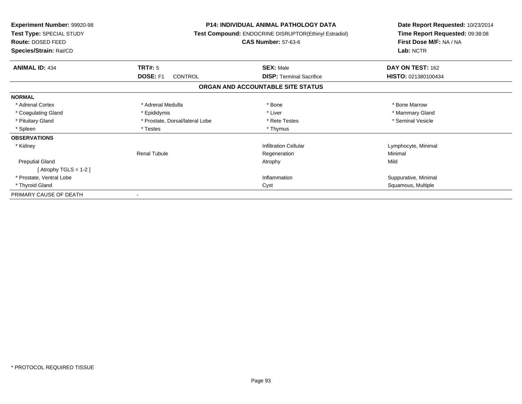| <b>Experiment Number: 99920-98</b><br>Test Type: SPECIAL STUDY<br>Route: DOSED FEED<br>Species/Strain: Rat/CD |                                 | <b>P14: INDIVIDUAL ANIMAL PATHOLOGY DATA</b><br>Test Compound: ENDOCRINE DISRUPTOR(Ethinyl Estradiol)<br><b>CAS Number: 57-63-6</b> | Date Report Requested: 10/23/2014<br>Time Report Requested: 09:38:08<br>First Dose M/F: NA / NA<br>Lab: NCTR |
|---------------------------------------------------------------------------------------------------------------|---------------------------------|-------------------------------------------------------------------------------------------------------------------------------------|--------------------------------------------------------------------------------------------------------------|
| <b>ANIMAL ID: 434</b>                                                                                         | TRT#: 5                         | <b>SEX: Male</b>                                                                                                                    | DAY ON TEST: 162                                                                                             |
|                                                                                                               | DOSE: F1<br>CONTROL             | <b>DISP:</b> Terminal Sacrifice                                                                                                     | HISTO: 021380100434                                                                                          |
|                                                                                                               |                                 | ORGAN AND ACCOUNTABLE SITE STATUS                                                                                                   |                                                                                                              |
| <b>NORMAL</b>                                                                                                 |                                 |                                                                                                                                     |                                                                                                              |
| * Adrenal Cortex                                                                                              | * Adrenal Medulla               | * Bone                                                                                                                              | * Bone Marrow                                                                                                |
| * Coagulating Gland                                                                                           | * Epididymis                    | * Liver                                                                                                                             | * Mammary Gland                                                                                              |
| * Pituitary Gland                                                                                             | * Prostate, Dorsal/lateral Lobe | * Rete Testes                                                                                                                       | * Seminal Vesicle                                                                                            |
| * Spleen                                                                                                      | * Testes                        | * Thymus                                                                                                                            |                                                                                                              |
| <b>OBSERVATIONS</b>                                                                                           |                                 |                                                                                                                                     |                                                                                                              |
| * Kidney                                                                                                      |                                 | <b>Infiltration Cellular</b>                                                                                                        | Lymphocyte, Minimal                                                                                          |
|                                                                                                               | <b>Renal Tubule</b>             | Regeneration                                                                                                                        | Minimal                                                                                                      |
| <b>Preputial Gland</b>                                                                                        |                                 | Atrophy                                                                                                                             | Mild                                                                                                         |
| [Atrophy TGLS = $1-2$ ]                                                                                       |                                 |                                                                                                                                     |                                                                                                              |
| * Prostate, Ventral Lobe                                                                                      |                                 | Inflammation                                                                                                                        | Suppurative, Minimal                                                                                         |
| * Thyroid Gland                                                                                               |                                 | Cyst                                                                                                                                | Squamous, Multiple                                                                                           |
| PRIMARY CAUSE OF DEATH                                                                                        |                                 |                                                                                                                                     |                                                                                                              |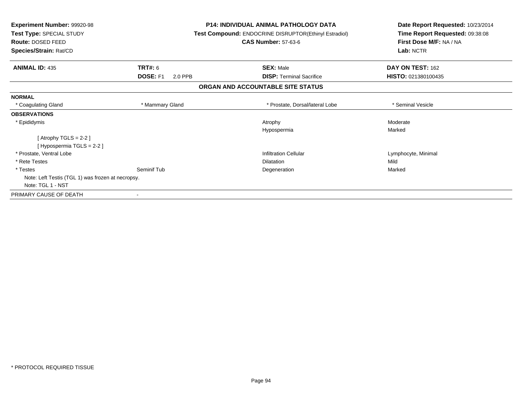| <b>Experiment Number: 99920-98</b><br>Test Type: SPECIAL STUDY<br>Route: DOSED FEED<br>Species/Strain: Rat/CD |                     | <b>P14: INDIVIDUAL ANIMAL PATHOLOGY DATA</b><br>Test Compound: ENDOCRINE DISRUPTOR(Ethinyl Estradiol)<br><b>CAS Number: 57-63-6</b> | Date Report Requested: 10/23/2014<br>Time Report Requested: 09:38:08<br>First Dose M/F: NA / NA<br>Lab: NCTR |
|---------------------------------------------------------------------------------------------------------------|---------------------|-------------------------------------------------------------------------------------------------------------------------------------|--------------------------------------------------------------------------------------------------------------|
| <b>ANIMAL ID: 435</b>                                                                                         | <b>TRT#: 6</b>      | <b>SEX: Male</b>                                                                                                                    | DAY ON TEST: 162                                                                                             |
|                                                                                                               | DOSE: F1<br>2.0 PPB | <b>DISP:</b> Terminal Sacrifice                                                                                                     | HISTO: 021380100435                                                                                          |
|                                                                                                               |                     | ORGAN AND ACCOUNTABLE SITE STATUS                                                                                                   |                                                                                                              |
| <b>NORMAL</b>                                                                                                 |                     |                                                                                                                                     |                                                                                                              |
| * Coagulating Gland                                                                                           | * Mammary Gland     | * Prostate, Dorsal/lateral Lobe                                                                                                     | * Seminal Vesicle                                                                                            |
| <b>OBSERVATIONS</b>                                                                                           |                     |                                                                                                                                     |                                                                                                              |
| * Epididymis                                                                                                  |                     | Atrophy                                                                                                                             | Moderate                                                                                                     |
|                                                                                                               |                     | Hypospermia                                                                                                                         | Marked                                                                                                       |
| [Atrophy TGLS = $2-2$ ]                                                                                       |                     |                                                                                                                                     |                                                                                                              |
| [Hypospermia TGLS = 2-2]                                                                                      |                     |                                                                                                                                     |                                                                                                              |
| * Prostate, Ventral Lobe                                                                                      |                     | <b>Infiltration Cellular</b>                                                                                                        | Lymphocyte, Minimal                                                                                          |
| * Rete Testes                                                                                                 |                     | <b>Dilatation</b>                                                                                                                   | Mild                                                                                                         |
| * Testes                                                                                                      | Seminif Tub         | Degeneration                                                                                                                        | Marked                                                                                                       |
| Note: Left Testis (TGL 1) was frozen at necropsy.                                                             |                     |                                                                                                                                     |                                                                                                              |
| Note: TGL 1 - NST                                                                                             |                     |                                                                                                                                     |                                                                                                              |
| PRIMARY CAUSE OF DEATH                                                                                        |                     |                                                                                                                                     |                                                                                                              |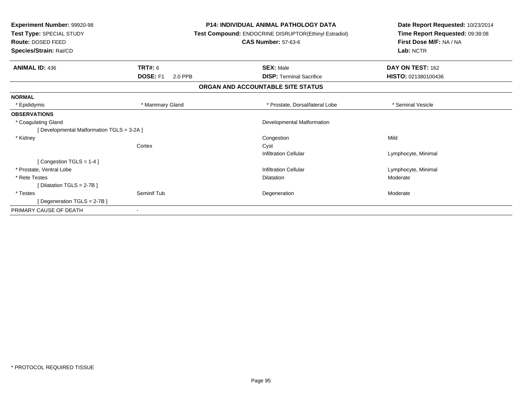| Experiment Number: 99920-98<br>Test Type: SPECIAL STUDY<br>Route: DOSED FEED<br>Species/Strain: Rat/CD |                            | <b>P14: INDIVIDUAL ANIMAL PATHOLOGY DATA</b><br>Test Compound: ENDOCRINE DISRUPTOR(Ethinyl Estradiol)<br><b>CAS Number: 57-63-6</b> | Date Report Requested: 10/23/2014<br>Time Report Requested: 09:38:08<br>First Dose M/F: NA / NA<br>Lab: NCTR |  |
|--------------------------------------------------------------------------------------------------------|----------------------------|-------------------------------------------------------------------------------------------------------------------------------------|--------------------------------------------------------------------------------------------------------------|--|
| <b>ANIMAL ID: 436</b>                                                                                  | <b>TRT#: 6</b>             | <b>SEX: Male</b>                                                                                                                    | DAY ON TEST: 162                                                                                             |  |
|                                                                                                        | <b>DOSE: F1</b><br>2.0 PPB | <b>DISP: Terminal Sacrifice</b>                                                                                                     | HISTO: 021380100436                                                                                          |  |
|                                                                                                        |                            | ORGAN AND ACCOUNTABLE SITE STATUS                                                                                                   |                                                                                                              |  |
| <b>NORMAL</b>                                                                                          |                            |                                                                                                                                     |                                                                                                              |  |
| * Epididymis                                                                                           | * Mammary Gland            | * Prostate, Dorsal/lateral Lobe                                                                                                     | * Seminal Vesicle                                                                                            |  |
| <b>OBSERVATIONS</b>                                                                                    |                            |                                                                                                                                     |                                                                                                              |  |
| * Coagulating Gland                                                                                    |                            | Developmental Malformation                                                                                                          |                                                                                                              |  |
| [ Developmental Malformation TGLS = 3-2A ]                                                             |                            |                                                                                                                                     |                                                                                                              |  |
| * Kidney                                                                                               |                            | Congestion                                                                                                                          | Mild                                                                                                         |  |
|                                                                                                        | Cortex                     | Cyst                                                                                                                                |                                                                                                              |  |
|                                                                                                        |                            | <b>Infiltration Cellular</b>                                                                                                        | Lymphocyte, Minimal                                                                                          |  |
| [Congestion TGLS = 1-4]                                                                                |                            |                                                                                                                                     |                                                                                                              |  |
| * Prostate, Ventral Lobe                                                                               |                            | <b>Infiltration Cellular</b>                                                                                                        | Lymphocyte, Minimal                                                                                          |  |
| * Rete Testes                                                                                          |                            | <b>Dilatation</b>                                                                                                                   | Moderate                                                                                                     |  |
| [ Dilatation TGLS = $2-7B$ ]                                                                           |                            |                                                                                                                                     |                                                                                                              |  |
| * Testes                                                                                               | Seminif Tub                | Degeneration                                                                                                                        | Moderate                                                                                                     |  |
| [ Degeneration TGLS = 2-7B]                                                                            |                            |                                                                                                                                     |                                                                                                              |  |
| PRIMARY CAUSE OF DEATH                                                                                 |                            |                                                                                                                                     |                                                                                                              |  |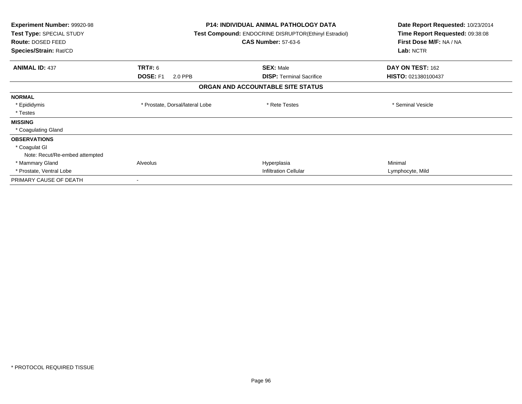| <b>Experiment Number: 99920-98</b><br>Test Type: SPECIAL STUDY<br><b>Route: DOSED FEED</b><br>Species/Strain: Rat/CD |                                              | <b>P14: INDIVIDUAL ANIMAL PATHOLOGY DATA</b><br>Test Compound: ENDOCRINE DISRUPTOR(Ethinyl Estradiol)<br><b>CAS Number: 57-63-6</b> | Date Report Requested: 10/23/2014<br>Time Report Requested: 09:38:08<br>First Dose M/F: NA / NA<br>Lab: NCTR |
|----------------------------------------------------------------------------------------------------------------------|----------------------------------------------|-------------------------------------------------------------------------------------------------------------------------------------|--------------------------------------------------------------------------------------------------------------|
| <b>ANIMAL ID: 437</b>                                                                                                | <b>TRT#: 6</b><br><b>DOSE: F1</b><br>2.0 PPB | <b>SEX: Male</b><br><b>DISP:</b> Terminal Sacrifice                                                                                 | DAY ON TEST: 162<br>HISTO: 021380100437                                                                      |
|                                                                                                                      |                                              | ORGAN AND ACCOUNTABLE SITE STATUS                                                                                                   |                                                                                                              |
| <b>NORMAL</b>                                                                                                        |                                              |                                                                                                                                     |                                                                                                              |
| * Epididymis<br>* Testes                                                                                             | * Prostate, Dorsal/lateral Lobe              | * Rete Testes                                                                                                                       | * Seminal Vesicle                                                                                            |
| <b>MISSING</b>                                                                                                       |                                              |                                                                                                                                     |                                                                                                              |
| * Coagulating Gland                                                                                                  |                                              |                                                                                                                                     |                                                                                                              |
| <b>OBSERVATIONS</b>                                                                                                  |                                              |                                                                                                                                     |                                                                                                              |
| * Coagulat GI                                                                                                        |                                              |                                                                                                                                     |                                                                                                              |
| Note: Recut/Re-embed attempted                                                                                       |                                              |                                                                                                                                     |                                                                                                              |
| * Mammary Gland                                                                                                      | Alveolus                                     | Hyperplasia                                                                                                                         | Minimal                                                                                                      |
| * Prostate, Ventral Lobe                                                                                             |                                              | <b>Infiltration Cellular</b>                                                                                                        | Lymphocyte, Mild                                                                                             |
| PRIMARY CAUSE OF DEATH                                                                                               |                                              |                                                                                                                                     |                                                                                                              |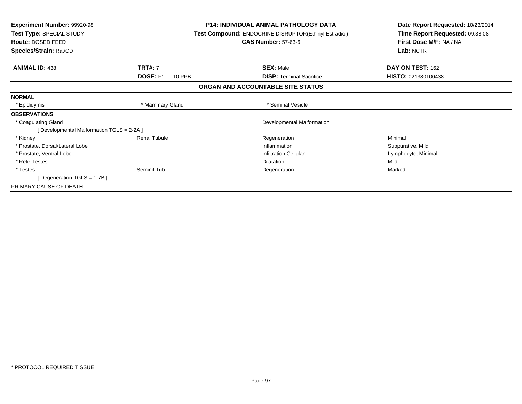| <b>Experiment Number: 99920-98</b><br>Test Type: SPECIAL STUDY |                 | <b>P14: INDIVIDUAL ANIMAL PATHOLOGY DATA</b><br>Test Compound: ENDOCRINE DISRUPTOR(Ethinyl Estradiol) | Date Report Requested: 10/23/2014<br>Time Report Requested: 09:38:08 |  |
|----------------------------------------------------------------|-----------------|-------------------------------------------------------------------------------------------------------|----------------------------------------------------------------------|--|
| <b>Route: DOSED FEED</b>                                       |                 | <b>CAS Number: 57-63-6</b>                                                                            | First Dose M/F: NA / NA                                              |  |
| Species/Strain: Rat/CD                                         |                 |                                                                                                       | Lab: NCTR                                                            |  |
| <b>ANIMAL ID: 438</b><br><b>TRT#:</b> 7                        |                 | <b>SEX: Male</b>                                                                                      | DAY ON TEST: 162                                                     |  |
| DOSE: F1                                                       | 10 PPB          | <b>DISP:</b> Terminal Sacrifice                                                                       | HISTO: 021380100438                                                  |  |
|                                                                |                 | ORGAN AND ACCOUNTABLE SITE STATUS                                                                     |                                                                      |  |
| <b>NORMAL</b>                                                  |                 |                                                                                                       |                                                                      |  |
| * Epididymis                                                   | * Mammary Gland | * Seminal Vesicle                                                                                     |                                                                      |  |
| <b>OBSERVATIONS</b>                                            |                 |                                                                                                       |                                                                      |  |
| * Coagulating Gland                                            |                 | Developmental Malformation                                                                            |                                                                      |  |
| [Developmental Malformation TGLS = 2-2A]                       |                 |                                                                                                       |                                                                      |  |
| <b>Renal Tubule</b><br>* Kidney                                |                 | Regeneration                                                                                          | Minimal                                                              |  |
| * Prostate, Dorsal/Lateral Lobe                                |                 | Inflammation                                                                                          | Suppurative, Mild                                                    |  |
| * Prostate, Ventral Lobe                                       |                 | <b>Infiltration Cellular</b>                                                                          | Lymphocyte, Minimal                                                  |  |
| * Rete Testes                                                  |                 | <b>Dilatation</b>                                                                                     | Mild                                                                 |  |
| * Testes<br>Seminif Tub                                        |                 | Degeneration                                                                                          | Marked                                                               |  |
| [Degeneration TGLS = $1-7B$ ]                                  |                 |                                                                                                       |                                                                      |  |
| PRIMARY CAUSE OF DEATH<br>$\sim$                               |                 |                                                                                                       |                                                                      |  |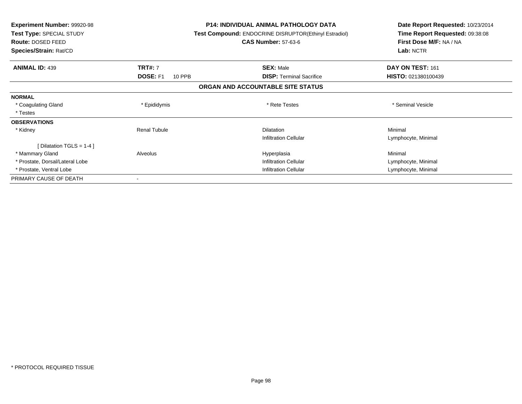| <b>Experiment Number: 99920-98</b><br>Test Type: SPECIAL STUDY<br><b>Route: DOSED FEED</b> |                           | <b>P14: INDIVIDUAL ANIMAL PATHOLOGY DATA</b><br><b>Test Compound: ENDOCRINE DISRUPTOR(Ethinyl Estradiol)</b><br><b>CAS Number: 57-63-6</b> | Date Report Requested: 10/23/2014<br>Time Report Requested: 09:38:08<br>First Dose M/F: NA / NA |
|--------------------------------------------------------------------------------------------|---------------------------|--------------------------------------------------------------------------------------------------------------------------------------------|-------------------------------------------------------------------------------------------------|
| Species/Strain: Rat/CD                                                                     |                           |                                                                                                                                            | Lab: NCTR                                                                                       |
| <b>ANIMAL ID: 439</b>                                                                      | <b>TRT#: 7</b>            | <b>SEX: Male</b>                                                                                                                           | DAY ON TEST: 161                                                                                |
|                                                                                            | <b>DOSE: F1</b><br>10 PPB | <b>DISP: Terminal Sacrifice</b>                                                                                                            | HISTO: 021380100439                                                                             |
|                                                                                            |                           | ORGAN AND ACCOUNTABLE SITE STATUS                                                                                                          |                                                                                                 |
| <b>NORMAL</b>                                                                              |                           |                                                                                                                                            |                                                                                                 |
| * Coagulating Gland                                                                        | * Epididymis              | * Rete Testes                                                                                                                              | * Seminal Vesicle                                                                               |
| * Testes                                                                                   |                           |                                                                                                                                            |                                                                                                 |
| <b>OBSERVATIONS</b>                                                                        |                           |                                                                                                                                            |                                                                                                 |
| * Kidney                                                                                   | <b>Renal Tubule</b>       | <b>Dilatation</b>                                                                                                                          | Minimal                                                                                         |
|                                                                                            |                           | <b>Infiltration Cellular</b>                                                                                                               | Lymphocyte, Minimal                                                                             |
| [ Dilatation TGLS = $1-4$ ]                                                                |                           |                                                                                                                                            |                                                                                                 |
| * Mammary Gland                                                                            | Alveolus                  | Hyperplasia                                                                                                                                | Minimal                                                                                         |
| * Prostate, Dorsal/Lateral Lobe                                                            |                           | <b>Infiltration Cellular</b>                                                                                                               | Lymphocyte, Minimal                                                                             |
| * Prostate, Ventral Lobe                                                                   |                           | <b>Infiltration Cellular</b>                                                                                                               | Lymphocyte, Minimal                                                                             |
| PRIMARY CAUSE OF DEATH                                                                     |                           |                                                                                                                                            |                                                                                                 |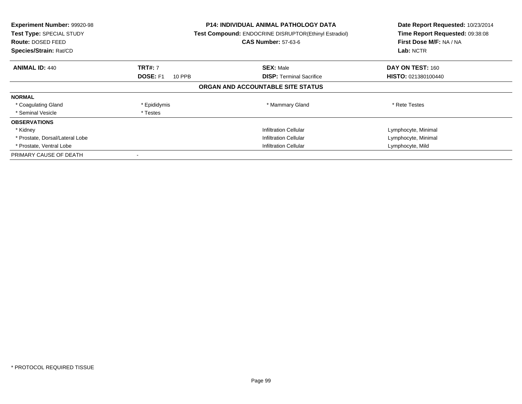| Experiment Number: 99920-98<br>Test Type: SPECIAL STUDY<br><b>Route: DOSED FEED</b><br>Species/Strain: Rat/CD |                              | P14: INDIVIDUAL ANIMAL PATHOLOGY DATA<br>Test Compound: ENDOCRINE DISRUPTOR(Ethinyl Estradiol)<br><b>CAS Number: 57-63-6</b> | Date Report Requested: 10/23/2014<br>Time Report Requested: 09:38:08<br>First Dose M/F: NA / NA<br>Lab: NCTR |
|---------------------------------------------------------------------------------------------------------------|------------------------------|------------------------------------------------------------------------------------------------------------------------------|--------------------------------------------------------------------------------------------------------------|
| <b>ANIMAL ID: 440</b>                                                                                         | <b>TRT#: 7</b>               | <b>SEX: Male</b>                                                                                                             | DAY ON TEST: 160                                                                                             |
|                                                                                                               | <b>DOSE: F1</b><br>10 PPB    | <b>DISP:</b> Terminal Sacrifice                                                                                              | HISTO: 021380100440                                                                                          |
|                                                                                                               |                              | ORGAN AND ACCOUNTABLE SITE STATUS                                                                                            |                                                                                                              |
| <b>NORMAL</b>                                                                                                 |                              |                                                                                                                              |                                                                                                              |
| * Coagulating Gland                                                                                           | * Epididymis                 | * Mammary Gland                                                                                                              | * Rete Testes                                                                                                |
| * Seminal Vesicle                                                                                             | * Testes                     |                                                                                                                              |                                                                                                              |
| <b>OBSERVATIONS</b>                                                                                           |                              |                                                                                                                              |                                                                                                              |
| * Kidney                                                                                                      |                              | <b>Infiltration Cellular</b>                                                                                                 | Lymphocyte, Minimal                                                                                          |
| * Prostate, Dorsal/Lateral Lobe                                                                               |                              | <b>Infiltration Cellular</b>                                                                                                 | Lymphocyte, Minimal                                                                                          |
| * Prostate, Ventral Lobe                                                                                      | <b>Infiltration Cellular</b> |                                                                                                                              | Lymphocyte, Mild                                                                                             |
| PRIMARY CAUSE OF DEATH                                                                                        |                              |                                                                                                                              |                                                                                                              |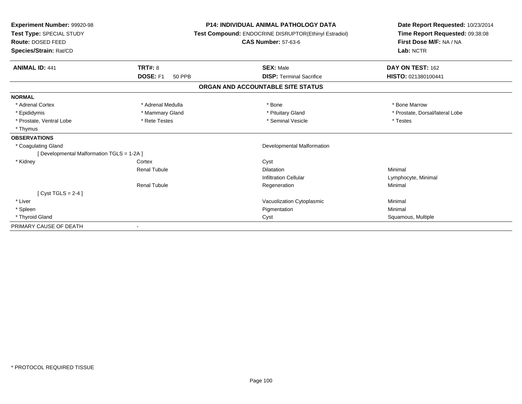| Experiment Number: 99920-98<br>Test Type: SPECIAL STUDY<br>Route: DOSED FEED<br>Species/Strain: Rat/CD |                                  | <b>P14: INDIVIDUAL ANIMAL PATHOLOGY DATA</b><br>Test Compound: ENDOCRINE DISRUPTOR(Ethinyl Estradiol)<br><b>CAS Number: 57-63-6</b> | Date Report Requested: 10/23/2014<br>Time Report Requested: 09:38:08<br>First Dose M/F: NA / NA<br>Lab: NCTR |  |
|--------------------------------------------------------------------------------------------------------|----------------------------------|-------------------------------------------------------------------------------------------------------------------------------------|--------------------------------------------------------------------------------------------------------------|--|
| <b>ANIMAL ID: 441</b>                                                                                  | <b>TRT#: 8</b>                   | <b>SEX: Male</b>                                                                                                                    | DAY ON TEST: 162                                                                                             |  |
|                                                                                                        | <b>DOSE: F1</b><br><b>50 PPB</b> | <b>DISP: Terminal Sacrifice</b>                                                                                                     | HISTO: 021380100441                                                                                          |  |
|                                                                                                        |                                  | ORGAN AND ACCOUNTABLE SITE STATUS                                                                                                   |                                                                                                              |  |
| <b>NORMAL</b>                                                                                          |                                  |                                                                                                                                     |                                                                                                              |  |
| * Adrenal Cortex                                                                                       | * Adrenal Medulla                | * Bone                                                                                                                              | * Bone Marrow                                                                                                |  |
| * Epididymis                                                                                           | * Mammary Gland                  | * Pituitary Gland                                                                                                                   | * Prostate, Dorsal/lateral Lobe                                                                              |  |
| * Prostate, Ventral Lobe                                                                               | * Rete Testes                    | * Seminal Vesicle                                                                                                                   | * Testes                                                                                                     |  |
| * Thymus                                                                                               |                                  |                                                                                                                                     |                                                                                                              |  |
| <b>OBSERVATIONS</b>                                                                                    |                                  |                                                                                                                                     |                                                                                                              |  |
| * Coagulating Gland                                                                                    |                                  | <b>Developmental Malformation</b>                                                                                                   |                                                                                                              |  |
| [ Developmental Malformation TGLS = 1-2A ]                                                             |                                  |                                                                                                                                     |                                                                                                              |  |
| * Kidney                                                                                               | Cortex                           | Cyst                                                                                                                                |                                                                                                              |  |
|                                                                                                        | <b>Renal Tubule</b>              | Dilatation                                                                                                                          | Minimal                                                                                                      |  |
|                                                                                                        |                                  | <b>Infiltration Cellular</b>                                                                                                        | Lymphocyte, Minimal                                                                                          |  |
|                                                                                                        | <b>Renal Tubule</b>              | Regeneration                                                                                                                        | Minimal                                                                                                      |  |
| $Cvst TGLS = 2-4$                                                                                      |                                  |                                                                                                                                     |                                                                                                              |  |
| * Liver                                                                                                |                                  | Vacuolization Cytoplasmic                                                                                                           | Minimal                                                                                                      |  |
| * Spleen                                                                                               |                                  | Pigmentation                                                                                                                        | Minimal                                                                                                      |  |
| * Thyroid Gland                                                                                        |                                  | Cyst                                                                                                                                | Squamous, Multiple                                                                                           |  |
| PRIMARY CAUSE OF DEATH                                                                                 |                                  |                                                                                                                                     |                                                                                                              |  |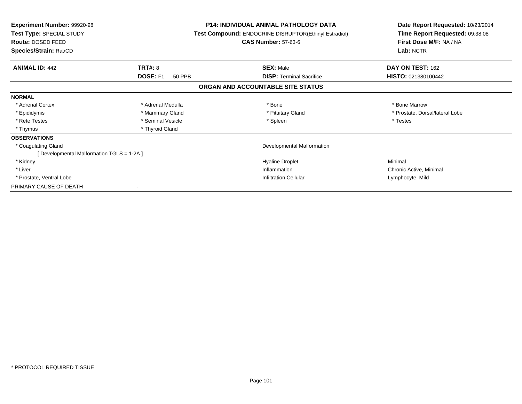| <b>Experiment Number: 99920-98</b><br><b>Test Type: SPECIAL STUDY</b><br><b>Route: DOSED FEED</b><br>Species/Strain: Rat/CD |                           | <b>P14: INDIVIDUAL ANIMAL PATHOLOGY DATA</b><br>Test Compound: ENDOCRINE DISRUPTOR(Ethinyl Estradiol)<br><b>CAS Number: 57-63-6</b> | Date Report Requested: 10/23/2014<br>Time Report Requested: 09:38:08<br>First Dose M/F: NA / NA<br>Lab: NCTR |
|-----------------------------------------------------------------------------------------------------------------------------|---------------------------|-------------------------------------------------------------------------------------------------------------------------------------|--------------------------------------------------------------------------------------------------------------|
| <b>ANIMAL ID: 442</b>                                                                                                       | TRT#: 8                   | <b>SEX: Male</b>                                                                                                                    | DAY ON TEST: 162                                                                                             |
|                                                                                                                             | <b>DOSE: F1</b><br>50 PPB | <b>DISP:</b> Terminal Sacrifice                                                                                                     | <b>HISTO: 021380100442</b>                                                                                   |
|                                                                                                                             |                           | ORGAN AND ACCOUNTABLE SITE STATUS                                                                                                   |                                                                                                              |
| <b>NORMAL</b>                                                                                                               |                           |                                                                                                                                     |                                                                                                              |
| * Adrenal Cortex                                                                                                            | * Adrenal Medulla         | * Bone                                                                                                                              | * Bone Marrow                                                                                                |
| * Epididymis                                                                                                                | * Mammary Gland           | * Pituitary Gland                                                                                                                   | * Prostate, Dorsal/lateral Lobe                                                                              |
| * Rete Testes                                                                                                               | * Seminal Vesicle         | * Spleen                                                                                                                            | * Testes                                                                                                     |
| * Thymus                                                                                                                    | * Thyroid Gland           |                                                                                                                                     |                                                                                                              |
| <b>OBSERVATIONS</b>                                                                                                         |                           |                                                                                                                                     |                                                                                                              |
| * Coagulating Gland                                                                                                         |                           | Developmental Malformation                                                                                                          |                                                                                                              |
| [Developmental Malformation TGLS = 1-2A]                                                                                    |                           |                                                                                                                                     |                                                                                                              |
| * Kidney                                                                                                                    |                           | <b>Hyaline Droplet</b>                                                                                                              | Minimal                                                                                                      |
| * Liver                                                                                                                     |                           | Inflammation                                                                                                                        | Chronic Active, Minimal                                                                                      |
| * Prostate, Ventral Lobe                                                                                                    |                           | <b>Infiltration Cellular</b>                                                                                                        | Lymphocyte, Mild                                                                                             |
| PRIMARY CAUSE OF DEATH                                                                                                      |                           |                                                                                                                                     |                                                                                                              |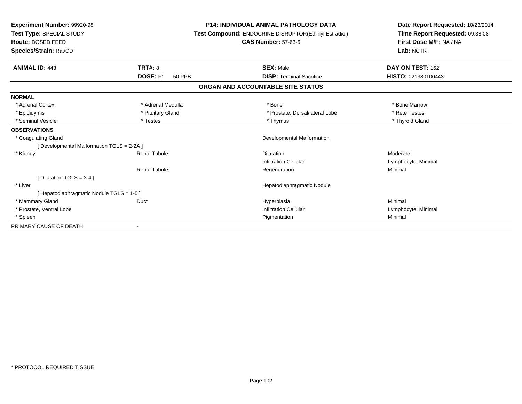| Experiment Number: 99920-98<br>Test Type: SPECIAL STUDY |                           | <b>P14: INDIVIDUAL ANIMAL PATHOLOGY DATA</b><br>Test Compound: ENDOCRINE DISRUPTOR(Ethinyl Estradiol) | Date Report Requested: 10/23/2014<br>Time Report Requested: 09:38:08 |
|---------------------------------------------------------|---------------------------|-------------------------------------------------------------------------------------------------------|----------------------------------------------------------------------|
| Route: DOSED FEED                                       |                           | <b>CAS Number: 57-63-6</b>                                                                            | First Dose M/F: NA / NA                                              |
| Species/Strain: Rat/CD                                  |                           |                                                                                                       | Lab: NCTR                                                            |
| <b>ANIMAL ID: 443</b>                                   | <b>TRT#: 8</b>            | <b>SEX: Male</b>                                                                                      | DAY ON TEST: 162                                                     |
|                                                         | DOSE: F1<br><b>50 PPB</b> | <b>DISP:</b> Terminal Sacrifice                                                                       | HISTO: 021380100443                                                  |
|                                                         |                           | ORGAN AND ACCOUNTABLE SITE STATUS                                                                     |                                                                      |
| <b>NORMAL</b>                                           |                           |                                                                                                       |                                                                      |
| * Adrenal Cortex                                        | * Adrenal Medulla         | * Bone                                                                                                | * Bone Marrow                                                        |
| * Epididymis                                            | * Pituitary Gland         | * Prostate, Dorsal/lateral Lobe                                                                       | * Rete Testes                                                        |
| * Seminal Vesicle                                       | * Testes                  | * Thymus                                                                                              | * Thyroid Gland                                                      |
| <b>OBSERVATIONS</b>                                     |                           |                                                                                                       |                                                                      |
| * Coagulating Gland                                     |                           | <b>Developmental Malformation</b>                                                                     |                                                                      |
| [ Developmental Malformation TGLS = 2-2A ]              |                           |                                                                                                       |                                                                      |
| * Kidney                                                | <b>Renal Tubule</b>       | <b>Dilatation</b>                                                                                     | Moderate                                                             |
|                                                         |                           | Infiltration Cellular                                                                                 | Lymphocyte, Minimal                                                  |
|                                                         | <b>Renal Tubule</b>       | Regeneration                                                                                          | Minimal                                                              |
| [Dilatation TGLS = $3-4$ ]                              |                           |                                                                                                       |                                                                      |
| * Liver                                                 |                           | Hepatodiaphragmatic Nodule                                                                            |                                                                      |
| [Hepatodiaphragmatic Nodule TGLS = 1-5]                 |                           |                                                                                                       |                                                                      |
| * Mammary Gland                                         | Duct                      | Hyperplasia                                                                                           | Minimal                                                              |
| * Prostate, Ventral Lobe                                |                           | <b>Infiltration Cellular</b>                                                                          | Lymphocyte, Minimal                                                  |
| * Spleen                                                |                           | Pigmentation                                                                                          | Minimal                                                              |
| PRIMARY CAUSE OF DEATH                                  |                           |                                                                                                       |                                                                      |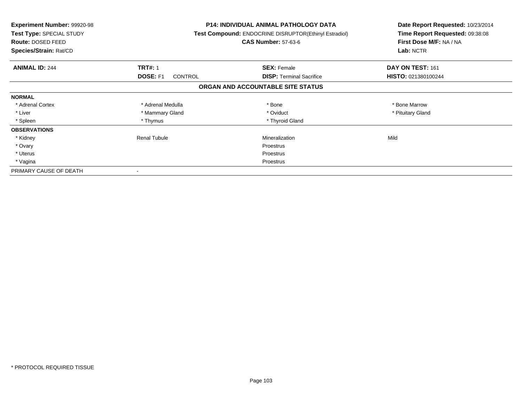| <b>Experiment Number: 99920-98</b><br>Test Type: SPECIAL STUDY<br><b>Route: DOSED FEED</b><br>Species/Strain: Rat/CD |                                   | <b>P14: INDIVIDUAL ANIMAL PATHOLOGY DATA</b><br>Test Compound: ENDOCRINE DISRUPTOR(Ethinyl Estradiol)<br><b>CAS Number: 57-63-6</b> | Date Report Requested: 10/23/2014<br>Time Report Requested: 09:38:08<br>First Dose M/F: NA / NA<br>Lab: NCTR |
|----------------------------------------------------------------------------------------------------------------------|-----------------------------------|-------------------------------------------------------------------------------------------------------------------------------------|--------------------------------------------------------------------------------------------------------------|
| <b>ANIMAL ID: 244</b>                                                                                                | <b>TRT#: 1</b>                    | <b>SEX: Female</b>                                                                                                                  | DAY ON TEST: 161                                                                                             |
|                                                                                                                      | <b>DOSE: F1</b><br><b>CONTROL</b> | <b>DISP:</b> Terminal Sacrifice                                                                                                     | HISTO: 021380100244                                                                                          |
|                                                                                                                      |                                   | ORGAN AND ACCOUNTABLE SITE STATUS                                                                                                   |                                                                                                              |
| <b>NORMAL</b>                                                                                                        |                                   |                                                                                                                                     |                                                                                                              |
| * Adrenal Cortex                                                                                                     | * Adrenal Medulla                 | * Bone                                                                                                                              | * Bone Marrow                                                                                                |
| * Liver                                                                                                              | * Mammary Gland                   | * Oviduct                                                                                                                           | * Pituitary Gland                                                                                            |
| * Spleen                                                                                                             | * Thymus                          | * Thyroid Gland                                                                                                                     |                                                                                                              |
| <b>OBSERVATIONS</b>                                                                                                  |                                   |                                                                                                                                     |                                                                                                              |
| * Kidney                                                                                                             | Renal Tubule                      | Mineralization                                                                                                                      | Mild                                                                                                         |
| * Ovary                                                                                                              |                                   | <b>Proestrus</b>                                                                                                                    |                                                                                                              |
| * Uterus                                                                                                             |                                   | <b>Proestrus</b>                                                                                                                    |                                                                                                              |
| * Vagina                                                                                                             |                                   | Proestrus                                                                                                                           |                                                                                                              |
| PRIMARY CAUSE OF DEATH                                                                                               |                                   |                                                                                                                                     |                                                                                                              |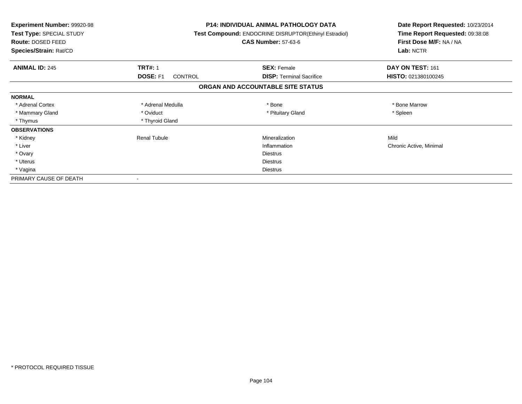| <b>Experiment Number: 99920-98</b><br>Test Type: SPECIAL STUDY<br>Route: DOSED FEED<br>Species/Strain: Rat/CD |                                   | <b>P14: INDIVIDUAL ANIMAL PATHOLOGY DATA</b><br>Test Compound: ENDOCRINE DISRUPTOR(Ethinyl Estradiol)<br><b>CAS Number: 57-63-6</b> | Date Report Requested: 10/23/2014<br>Time Report Requested: 09:38:08<br>First Dose M/F: NA / NA<br>Lab: NCTR |
|---------------------------------------------------------------------------------------------------------------|-----------------------------------|-------------------------------------------------------------------------------------------------------------------------------------|--------------------------------------------------------------------------------------------------------------|
| <b>ANIMAL ID: 245</b>                                                                                         | <b>TRT#: 1</b>                    | <b>SEX: Female</b>                                                                                                                  | DAY ON TEST: 161                                                                                             |
|                                                                                                               | <b>DOSE: F1</b><br><b>CONTROL</b> | <b>DISP:</b> Terminal Sacrifice                                                                                                     | HISTO: 021380100245                                                                                          |
|                                                                                                               |                                   | ORGAN AND ACCOUNTABLE SITE STATUS                                                                                                   |                                                                                                              |
| <b>NORMAL</b>                                                                                                 |                                   |                                                                                                                                     |                                                                                                              |
| * Adrenal Cortex                                                                                              | * Adrenal Medulla                 | * Bone                                                                                                                              | * Bone Marrow                                                                                                |
| * Mammary Gland                                                                                               | * Oviduct                         | * Pituitary Gland                                                                                                                   | * Spleen                                                                                                     |
| * Thymus                                                                                                      | * Thyroid Gland                   |                                                                                                                                     |                                                                                                              |
| <b>OBSERVATIONS</b>                                                                                           |                                   |                                                                                                                                     |                                                                                                              |
| * Kidney                                                                                                      | <b>Renal Tubule</b>               | Mineralization                                                                                                                      | Mild                                                                                                         |
| * Liver                                                                                                       |                                   | Inflammation                                                                                                                        | Chronic Active, Minimal                                                                                      |
| * Ovary                                                                                                       |                                   | <b>Diestrus</b>                                                                                                                     |                                                                                                              |
| * Uterus                                                                                                      |                                   | Diestrus                                                                                                                            |                                                                                                              |
| * Vagina                                                                                                      |                                   | Diestrus                                                                                                                            |                                                                                                              |
| PRIMARY CAUSE OF DEATH                                                                                        |                                   |                                                                                                                                     |                                                                                                              |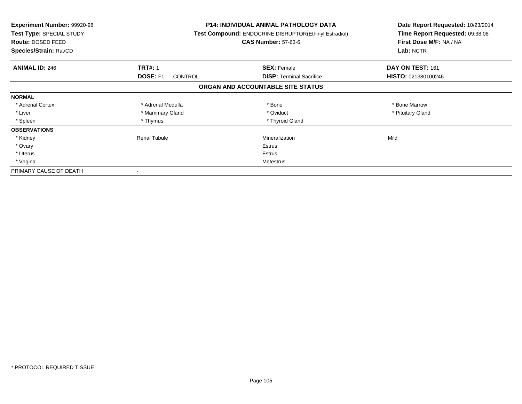| <b>Experiment Number: 99920-98</b><br>Test Type: SPECIAL STUDY<br>Route: DOSED FEED<br>Species/Strain: Rat/CD |                                   | <b>P14: INDIVIDUAL ANIMAL PATHOLOGY DATA</b><br>Test Compound: ENDOCRINE DISRUPTOR(Ethinyl Estradiol)<br><b>CAS Number: 57-63-6</b> | Date Report Requested: 10/23/2014<br>Time Report Requested: 09:38:08<br>First Dose M/F: NA / NA<br>Lab: NCTR |
|---------------------------------------------------------------------------------------------------------------|-----------------------------------|-------------------------------------------------------------------------------------------------------------------------------------|--------------------------------------------------------------------------------------------------------------|
| <b>ANIMAL ID: 246</b>                                                                                         | <b>TRT#: 1</b>                    | <b>SEX: Female</b>                                                                                                                  | DAY ON TEST: 161                                                                                             |
|                                                                                                               | <b>DOSE: F1</b><br><b>CONTROL</b> | <b>DISP:</b> Terminal Sacrifice                                                                                                     | HISTO: 021380100246                                                                                          |
|                                                                                                               |                                   | ORGAN AND ACCOUNTABLE SITE STATUS                                                                                                   |                                                                                                              |
| <b>NORMAL</b>                                                                                                 |                                   |                                                                                                                                     |                                                                                                              |
| * Adrenal Cortex                                                                                              | * Adrenal Medulla                 | * Bone                                                                                                                              | * Bone Marrow                                                                                                |
| * Liver                                                                                                       | * Mammary Gland                   | * Oviduct                                                                                                                           | * Pituitary Gland                                                                                            |
| * Spleen                                                                                                      | * Thymus                          | * Thyroid Gland                                                                                                                     |                                                                                                              |
| <b>OBSERVATIONS</b>                                                                                           |                                   |                                                                                                                                     |                                                                                                              |
| * Kidney                                                                                                      | Renal Tubule                      | Mineralization                                                                                                                      | Mild                                                                                                         |
| * Ovary                                                                                                       |                                   | Estrus                                                                                                                              |                                                                                                              |
| * Uterus                                                                                                      |                                   | Estrus                                                                                                                              |                                                                                                              |
| * Vagina                                                                                                      |                                   | Metestrus                                                                                                                           |                                                                                                              |
| PRIMARY CAUSE OF DEATH                                                                                        |                                   |                                                                                                                                     |                                                                                                              |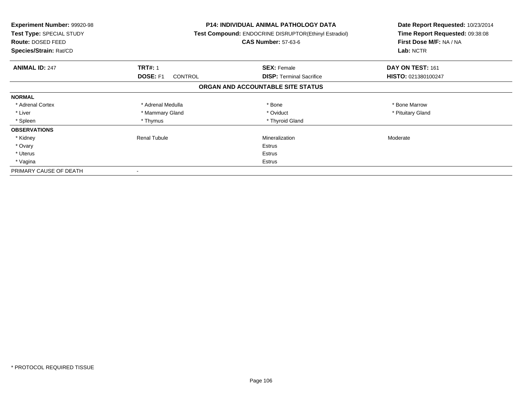| <b>Experiment Number: 99920-98</b><br>Test Type: SPECIAL STUDY<br>Route: DOSED FEED<br>Species/Strain: Rat/CD |                                   | <b>P14: INDIVIDUAL ANIMAL PATHOLOGY DATA</b><br>Test Compound: ENDOCRINE DISRUPTOR(Ethinyl Estradiol)<br><b>CAS Number: 57-63-6</b> | Date Report Requested: 10/23/2014<br>Time Report Requested: 09:38:08<br>First Dose M/F: NA / NA<br>Lab: NCTR |
|---------------------------------------------------------------------------------------------------------------|-----------------------------------|-------------------------------------------------------------------------------------------------------------------------------------|--------------------------------------------------------------------------------------------------------------|
| <b>ANIMAL ID: 247</b>                                                                                         | <b>TRT#: 1</b>                    | <b>SEX: Female</b>                                                                                                                  | DAY ON TEST: 161                                                                                             |
|                                                                                                               | <b>DOSE: F1</b><br><b>CONTROL</b> | <b>DISP:</b> Terminal Sacrifice                                                                                                     | HISTO: 021380100247                                                                                          |
|                                                                                                               |                                   | ORGAN AND ACCOUNTABLE SITE STATUS                                                                                                   |                                                                                                              |
| <b>NORMAL</b>                                                                                                 |                                   |                                                                                                                                     |                                                                                                              |
| * Adrenal Cortex                                                                                              | * Adrenal Medulla                 | * Bone                                                                                                                              | * Bone Marrow                                                                                                |
| * Liver                                                                                                       | * Mammary Gland                   | * Oviduct                                                                                                                           | * Pituitary Gland                                                                                            |
| * Spleen                                                                                                      | * Thymus                          | * Thyroid Gland                                                                                                                     |                                                                                                              |
| <b>OBSERVATIONS</b>                                                                                           |                                   |                                                                                                                                     |                                                                                                              |
| * Kidney                                                                                                      | Renal Tubule                      | Mineralization                                                                                                                      | Moderate                                                                                                     |
| * Ovary                                                                                                       |                                   | Estrus                                                                                                                              |                                                                                                              |
| * Uterus                                                                                                      |                                   | Estrus                                                                                                                              |                                                                                                              |
| * Vagina                                                                                                      |                                   | Estrus                                                                                                                              |                                                                                                              |
| PRIMARY CAUSE OF DEATH                                                                                        |                                   |                                                                                                                                     |                                                                                                              |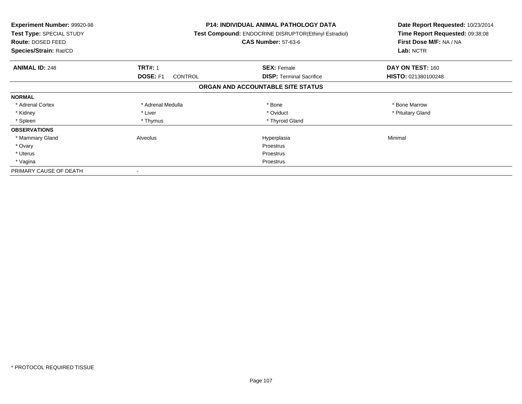| <b>Experiment Number: 99920-98</b><br>Test Type: SPECIAL STUDY<br><b>Route: DOSED FEED</b><br>Species/Strain: Rat/CD |                            | P14: INDIVIDUAL ANIMAL PATHOLOGY DATA<br>Test Compound: ENDOCRINE DISRUPTOR(Ethinyl Estradiol)<br><b>CAS Number: 57-63-6</b> | Date Report Requested: 10/23/2014<br>Time Report Requested: 09:38:08<br>First Dose M/F: NA / NA<br>Lab: NCTR |
|----------------------------------------------------------------------------------------------------------------------|----------------------------|------------------------------------------------------------------------------------------------------------------------------|--------------------------------------------------------------------------------------------------------------|
| <b>ANIMAL ID: 248</b>                                                                                                | <b>TRT#: 1</b>             | <b>SEX: Female</b>                                                                                                           | DAY ON TEST: 160                                                                                             |
|                                                                                                                      | DOSE: F1<br><b>CONTROL</b> | <b>DISP:</b> Terminal Sacrifice                                                                                              | HISTO: 021380100248                                                                                          |
|                                                                                                                      |                            | ORGAN AND ACCOUNTABLE SITE STATUS                                                                                            |                                                                                                              |
| <b>NORMAL</b>                                                                                                        |                            |                                                                                                                              |                                                                                                              |
| * Adrenal Cortex                                                                                                     | * Adrenal Medulla          | * Bone                                                                                                                       | * Bone Marrow                                                                                                |
| * Kidney                                                                                                             | * Liver                    | * Oviduct                                                                                                                    | * Pituitary Gland                                                                                            |
| * Spleen                                                                                                             | * Thymus                   | * Thyroid Gland                                                                                                              |                                                                                                              |
| <b>OBSERVATIONS</b>                                                                                                  |                            |                                                                                                                              |                                                                                                              |
| * Mammary Gland                                                                                                      | Alveolus                   | Hyperplasia                                                                                                                  | Minimal                                                                                                      |
| * Ovary                                                                                                              |                            | Proestrus                                                                                                                    |                                                                                                              |
| * Uterus                                                                                                             |                            | Proestrus                                                                                                                    |                                                                                                              |
| * Vagina                                                                                                             |                            | Proestrus                                                                                                                    |                                                                                                              |
| PRIMARY CAUSE OF DEATH                                                                                               |                            |                                                                                                                              |                                                                                                              |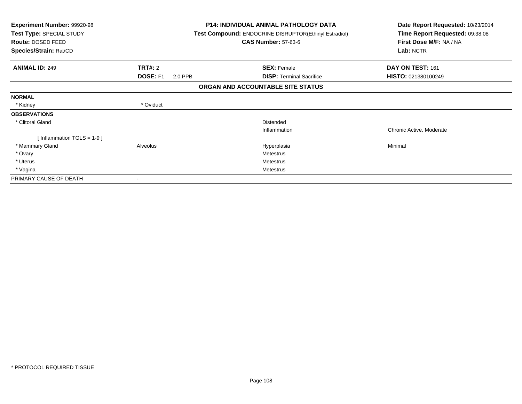| Experiment Number: 99920-98<br>Test Type: SPECIAL STUDY<br>Route: DOSED FEED<br>Species/Strain: Rat/CD |                            | <b>P14: INDIVIDUAL ANIMAL PATHOLOGY DATA</b><br><b>Test Compound: ENDOCRINE DISRUPTOR(Ethinyl Estradiol)</b><br><b>CAS Number: 57-63-6</b> | Date Report Requested: 10/23/2014<br>Time Report Requested: 09:38:08<br>First Dose M/F: NA / NA<br>Lab: NCTR |
|--------------------------------------------------------------------------------------------------------|----------------------------|--------------------------------------------------------------------------------------------------------------------------------------------|--------------------------------------------------------------------------------------------------------------|
| <b>ANIMAL ID: 249</b>                                                                                  | TRT#: 2                    | <b>SEX: Female</b>                                                                                                                         | DAY ON TEST: 161                                                                                             |
|                                                                                                        | <b>DOSE: F1</b><br>2.0 PPB | <b>DISP: Terminal Sacrifice</b>                                                                                                            | HISTO: 021380100249                                                                                          |
|                                                                                                        |                            | ORGAN AND ACCOUNTABLE SITE STATUS                                                                                                          |                                                                                                              |
| <b>NORMAL</b>                                                                                          |                            |                                                                                                                                            |                                                                                                              |
| * Kidney                                                                                               | * Oviduct                  |                                                                                                                                            |                                                                                                              |
| <b>OBSERVATIONS</b>                                                                                    |                            |                                                                                                                                            |                                                                                                              |
| * Clitoral Gland                                                                                       |                            | <b>Distended</b>                                                                                                                           |                                                                                                              |
|                                                                                                        |                            | Inflammation                                                                                                                               | Chronic Active, Moderate                                                                                     |
| [Inflammation TGLS = $1-9$ ]                                                                           |                            |                                                                                                                                            |                                                                                                              |
| * Mammary Gland                                                                                        | Alveolus                   | Hyperplasia                                                                                                                                | Minimal                                                                                                      |
| * Ovary                                                                                                |                            | Metestrus                                                                                                                                  |                                                                                                              |
| * Uterus                                                                                               |                            | Metestrus                                                                                                                                  |                                                                                                              |
| * Vagina                                                                                               |                            | <b>Metestrus</b>                                                                                                                           |                                                                                                              |
| PRIMARY CAUSE OF DEATH                                                                                 |                            |                                                                                                                                            |                                                                                                              |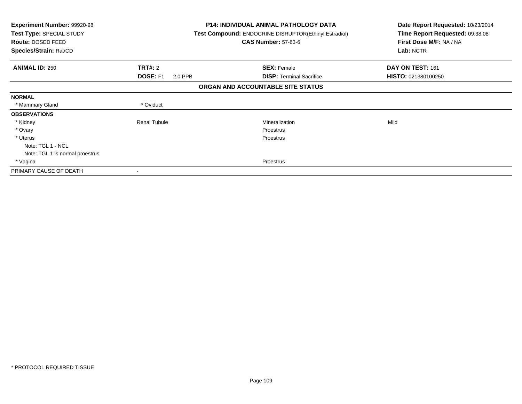| Experiment Number: 99920-98<br>Test Type: SPECIAL STUDY<br>Route: DOSED FEED<br>Species/Strain: Rat/CD |                            | <b>P14: INDIVIDUAL ANIMAL PATHOLOGY DATA</b><br><b>Test Compound: ENDOCRINE DISRUPTOR(Ethinyl Estradiol)</b><br><b>CAS Number: 57-63-6</b> | Date Report Requested: 10/23/2014<br>Time Report Requested: 09:38:08<br>First Dose M/F: NA / NA<br>Lab: NCTR |
|--------------------------------------------------------------------------------------------------------|----------------------------|--------------------------------------------------------------------------------------------------------------------------------------------|--------------------------------------------------------------------------------------------------------------|
| <b>ANIMAL ID: 250</b>                                                                                  | <b>TRT#: 2</b>             | <b>SEX: Female</b>                                                                                                                         | DAY ON TEST: 161                                                                                             |
|                                                                                                        | <b>DOSE: F1</b><br>2.0 PPB | <b>DISP:</b> Terminal Sacrifice                                                                                                            | HISTO: 021380100250                                                                                          |
|                                                                                                        |                            | ORGAN AND ACCOUNTABLE SITE STATUS                                                                                                          |                                                                                                              |
| <b>NORMAL</b>                                                                                          |                            |                                                                                                                                            |                                                                                                              |
| * Mammary Gland                                                                                        | * Oviduct                  |                                                                                                                                            |                                                                                                              |
| <b>OBSERVATIONS</b>                                                                                    |                            |                                                                                                                                            |                                                                                                              |
| * Kidney                                                                                               | <b>Renal Tubule</b>        | Mineralization                                                                                                                             | Mild                                                                                                         |
| * Ovary                                                                                                |                            | Proestrus                                                                                                                                  |                                                                                                              |
| * Uterus                                                                                               |                            | Proestrus                                                                                                                                  |                                                                                                              |
| Note: TGL 1 - NCL                                                                                      |                            |                                                                                                                                            |                                                                                                              |
| Note: TGL 1 is normal proestrus                                                                        |                            |                                                                                                                                            |                                                                                                              |
| * Vagina                                                                                               |                            | Proestrus                                                                                                                                  |                                                                                                              |
| PRIMARY CAUSE OF DEATH                                                                                 |                            |                                                                                                                                            |                                                                                                              |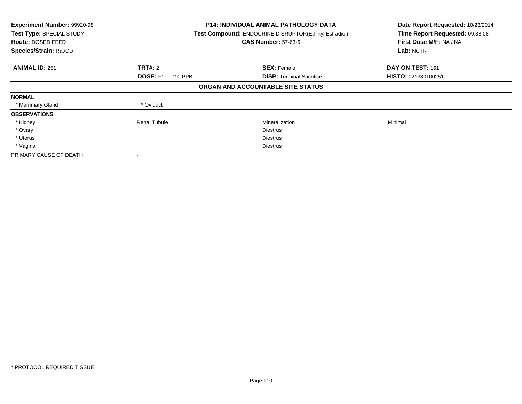| Experiment Number: 99920-98<br>Test Type: SPECIAL STUDY<br>Route: DOSED FEED<br>Species/Strain: Rat/CD |                            | <b>P14: INDIVIDUAL ANIMAL PATHOLOGY DATA</b><br>Test Compound: ENDOCRINE DISRUPTOR(Ethinyl Estradiol)<br><b>CAS Number: 57-63-6</b> | Date Report Requested: 10/23/2014<br>Time Report Requested: 09:38:08<br>First Dose M/F: NA / NA<br>Lab: NCTR |
|--------------------------------------------------------------------------------------------------------|----------------------------|-------------------------------------------------------------------------------------------------------------------------------------|--------------------------------------------------------------------------------------------------------------|
| <b>ANIMAL ID: 251</b>                                                                                  | <b>TRT#: 2</b>             | <b>SEX: Female</b>                                                                                                                  | DAY ON TEST: 161                                                                                             |
|                                                                                                        | <b>DOSE: F1</b><br>2.0 PPB | <b>DISP:</b> Terminal Sacrifice                                                                                                     | HISTO: 021380100251                                                                                          |
|                                                                                                        |                            | ORGAN AND ACCOUNTABLE SITE STATUS                                                                                                   |                                                                                                              |
| <b>NORMAL</b>                                                                                          |                            |                                                                                                                                     |                                                                                                              |
| * Mammary Gland                                                                                        | * Oviduct                  |                                                                                                                                     |                                                                                                              |
| <b>OBSERVATIONS</b>                                                                                    |                            |                                                                                                                                     |                                                                                                              |
| * Kidney                                                                                               | <b>Renal Tubule</b>        | Mineralization                                                                                                                      | Minimal                                                                                                      |
| * Ovary                                                                                                |                            | <b>Diestrus</b>                                                                                                                     |                                                                                                              |
| * Uterus                                                                                               |                            | <b>Diestrus</b>                                                                                                                     |                                                                                                              |
| * Vagina                                                                                               |                            | Diestrus                                                                                                                            |                                                                                                              |
| PRIMARY CAUSE OF DEATH                                                                                 |                            |                                                                                                                                     |                                                                                                              |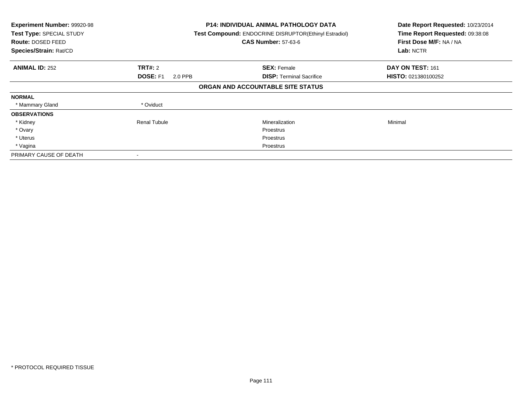| Experiment Number: 99920-98<br>Test Type: SPECIAL STUDY<br>Route: DOSED FEED<br>Species/Strain: Rat/CD |                            | <b>P14: INDIVIDUAL ANIMAL PATHOLOGY DATA</b><br>Test Compound: ENDOCRINE DISRUPTOR(Ethinyl Estradiol)<br><b>CAS Number: 57-63-6</b> | Date Report Requested: 10/23/2014<br>Time Report Requested: 09:38:08<br>First Dose M/F: NA / NA<br>Lab: NCTR |
|--------------------------------------------------------------------------------------------------------|----------------------------|-------------------------------------------------------------------------------------------------------------------------------------|--------------------------------------------------------------------------------------------------------------|
| <b>ANIMAL ID: 252</b>                                                                                  | <b>TRT#: 2</b>             | <b>SEX: Female</b>                                                                                                                  | DAY ON TEST: 161                                                                                             |
|                                                                                                        | <b>DOSE: F1</b><br>2.0 PPB | <b>DISP:</b> Terminal Sacrifice                                                                                                     | HISTO: 021380100252                                                                                          |
|                                                                                                        |                            | ORGAN AND ACCOUNTABLE SITE STATUS                                                                                                   |                                                                                                              |
| <b>NORMAL</b>                                                                                          |                            |                                                                                                                                     |                                                                                                              |
| * Mammary Gland                                                                                        | * Oviduct                  |                                                                                                                                     |                                                                                                              |
| <b>OBSERVATIONS</b>                                                                                    |                            |                                                                                                                                     |                                                                                                              |
| * Kidney                                                                                               | <b>Renal Tubule</b>        | Mineralization                                                                                                                      | Minimal                                                                                                      |
| * Ovary                                                                                                |                            | Proestrus                                                                                                                           |                                                                                                              |
| * Uterus                                                                                               |                            | Proestrus                                                                                                                           |                                                                                                              |
| * Vagina                                                                                               |                            | Proestrus                                                                                                                           |                                                                                                              |
| PRIMARY CAUSE OF DEATH                                                                                 |                            |                                                                                                                                     |                                                                                                              |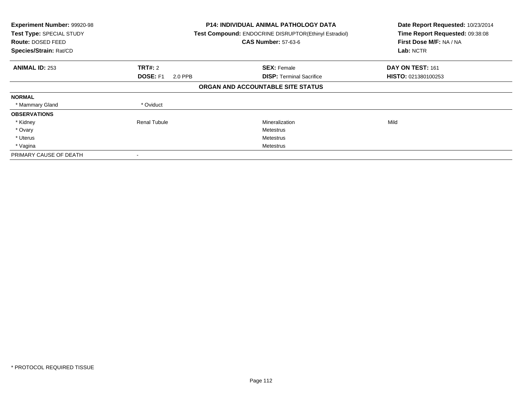| Experiment Number: 99920-98<br>Test Type: SPECIAL STUDY<br>Route: DOSED FEED<br>Species/Strain: Rat/CD |                            | <b>P14: INDIVIDUAL ANIMAL PATHOLOGY DATA</b><br>Test Compound: ENDOCRINE DISRUPTOR(Ethinyl Estradiol)<br><b>CAS Number: 57-63-6</b> | Date Report Requested: 10/23/2014<br>Time Report Requested: 09:38:08<br>First Dose M/F: NA / NA<br>Lab: NCTR |
|--------------------------------------------------------------------------------------------------------|----------------------------|-------------------------------------------------------------------------------------------------------------------------------------|--------------------------------------------------------------------------------------------------------------|
| <b>ANIMAL ID: 253</b>                                                                                  | <b>TRT#: 2</b>             | <b>SEX: Female</b>                                                                                                                  | DAY ON TEST: 161                                                                                             |
|                                                                                                        | <b>DOSE: F1</b><br>2.0 PPB | <b>DISP:</b> Terminal Sacrifice                                                                                                     | HISTO: 021380100253                                                                                          |
|                                                                                                        |                            | ORGAN AND ACCOUNTABLE SITE STATUS                                                                                                   |                                                                                                              |
| <b>NORMAL</b>                                                                                          |                            |                                                                                                                                     |                                                                                                              |
| * Mammary Gland                                                                                        | * Oviduct                  |                                                                                                                                     |                                                                                                              |
| <b>OBSERVATIONS</b>                                                                                    |                            |                                                                                                                                     |                                                                                                              |
| * Kidney                                                                                               | <b>Renal Tubule</b>        | Mineralization                                                                                                                      | Mild                                                                                                         |
| * Ovary                                                                                                |                            | Metestrus                                                                                                                           |                                                                                                              |
| * Uterus                                                                                               |                            | Metestrus                                                                                                                           |                                                                                                              |
| * Vagina                                                                                               |                            | Metestrus                                                                                                                           |                                                                                                              |
| PRIMARY CAUSE OF DEATH                                                                                 |                            |                                                                                                                                     |                                                                                                              |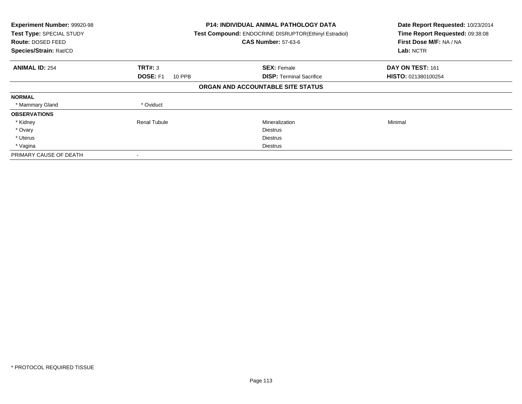| Experiment Number: 99920-98<br>Test Type: SPECIAL STUDY<br>Route: DOSED FEED<br>Species/Strain: Rat/CD |                                  | <b>P14: INDIVIDUAL ANIMAL PATHOLOGY DATA</b><br>Test Compound: ENDOCRINE DISRUPTOR(Ethinyl Estradiol)<br><b>CAS Number: 57-63-6</b> | Date Report Requested: 10/23/2014<br>Time Report Requested: 09:38:08<br>First Dose M/F: NA / NA<br>Lab: NCTR |
|--------------------------------------------------------------------------------------------------------|----------------------------------|-------------------------------------------------------------------------------------------------------------------------------------|--------------------------------------------------------------------------------------------------------------|
| <b>ANIMAL ID: 254</b>                                                                                  | TRT#: 3                          | <b>SEX: Female</b>                                                                                                                  | DAY ON TEST: 161                                                                                             |
|                                                                                                        | <b>DOSE: F1</b><br><b>10 PPB</b> | <b>DISP:</b> Terminal Sacrifice                                                                                                     | HISTO: 021380100254                                                                                          |
|                                                                                                        |                                  | ORGAN AND ACCOUNTABLE SITE STATUS                                                                                                   |                                                                                                              |
| <b>NORMAL</b>                                                                                          |                                  |                                                                                                                                     |                                                                                                              |
| * Mammary Gland                                                                                        | * Oviduct                        |                                                                                                                                     |                                                                                                              |
| <b>OBSERVATIONS</b>                                                                                    |                                  |                                                                                                                                     |                                                                                                              |
| * Kidney                                                                                               | <b>Renal Tubule</b>              | Mineralization                                                                                                                      | Minimal                                                                                                      |
| * Ovary                                                                                                |                                  | <b>Diestrus</b>                                                                                                                     |                                                                                                              |
| * Uterus                                                                                               |                                  | <b>Diestrus</b>                                                                                                                     |                                                                                                              |
| * Vagina                                                                                               |                                  | Diestrus                                                                                                                            |                                                                                                              |
| PRIMARY CAUSE OF DEATH                                                                                 |                                  |                                                                                                                                     |                                                                                                              |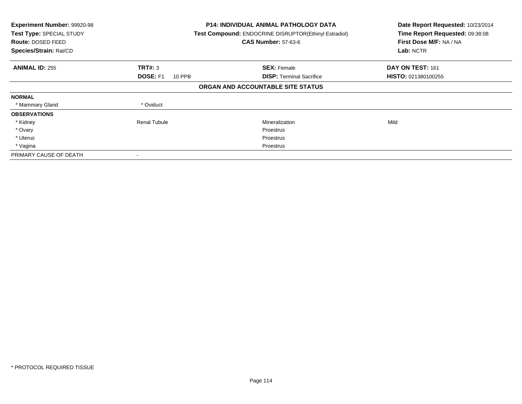| Experiment Number: 99920-98<br>Test Type: SPECIAL STUDY<br>Route: DOSED FEED<br>Species/Strain: Rat/CD |                                  | <b>P14: INDIVIDUAL ANIMAL PATHOLOGY DATA</b><br>Test Compound: ENDOCRINE DISRUPTOR(Ethinyl Estradiol)<br><b>CAS Number: 57-63-6</b> | Date Report Requested: 10/23/2014<br>Time Report Requested: 09:38:08<br>First Dose M/F: NA / NA<br>Lab: NCTR |
|--------------------------------------------------------------------------------------------------------|----------------------------------|-------------------------------------------------------------------------------------------------------------------------------------|--------------------------------------------------------------------------------------------------------------|
| <b>ANIMAL ID: 255</b>                                                                                  | TRT#: 3                          | <b>SEX: Female</b>                                                                                                                  | DAY ON TEST: 161                                                                                             |
|                                                                                                        | <b>DOSE: F1</b><br><b>10 PPB</b> | <b>DISP:</b> Terminal Sacrifice                                                                                                     | HISTO: 021380100255                                                                                          |
|                                                                                                        |                                  | ORGAN AND ACCOUNTABLE SITE STATUS                                                                                                   |                                                                                                              |
| <b>NORMAL</b>                                                                                          |                                  |                                                                                                                                     |                                                                                                              |
| * Mammary Gland                                                                                        | * Oviduct                        |                                                                                                                                     |                                                                                                              |
| <b>OBSERVATIONS</b>                                                                                    |                                  |                                                                                                                                     |                                                                                                              |
| * Kidney                                                                                               | <b>Renal Tubule</b>              | Mineralization                                                                                                                      | Mild                                                                                                         |
| * Ovary                                                                                                |                                  | Proestrus                                                                                                                           |                                                                                                              |
| * Uterus                                                                                               |                                  | Proestrus                                                                                                                           |                                                                                                              |
| * Vagina                                                                                               |                                  | Proestrus                                                                                                                           |                                                                                                              |
| PRIMARY CAUSE OF DEATH                                                                                 |                                  |                                                                                                                                     |                                                                                                              |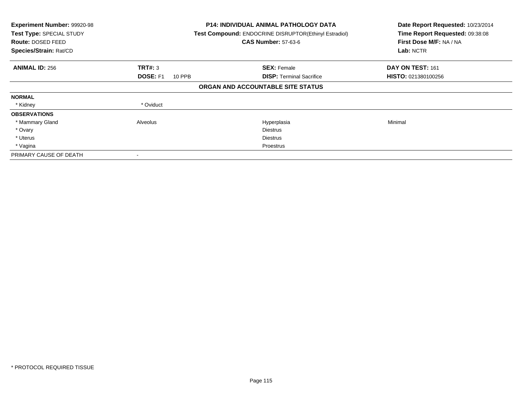| Experiment Number: 99920-98<br>Test Type: SPECIAL STUDY<br>Route: DOSED FEED<br>Species/Strain: Rat/CD |                    | <b>P14: INDIVIDUAL ANIMAL PATHOLOGY DATA</b><br>Test Compound: ENDOCRINE DISRUPTOR(Ethinyl Estradiol)<br><b>CAS Number: 57-63-6</b> | Date Report Requested: 10/23/2014<br>Time Report Requested: 09:38:08<br>First Dose M/F: NA / NA<br>Lab: NCTR |
|--------------------------------------------------------------------------------------------------------|--------------------|-------------------------------------------------------------------------------------------------------------------------------------|--------------------------------------------------------------------------------------------------------------|
| <b>ANIMAL ID: 256</b>                                                                                  | TRT#: 3            | <b>SEX: Female</b>                                                                                                                  | DAY ON TEST: 161                                                                                             |
|                                                                                                        | DOSE: F1<br>10 PPB | <b>DISP: Terminal Sacrifice</b>                                                                                                     | HISTO: 021380100256                                                                                          |
|                                                                                                        |                    | ORGAN AND ACCOUNTABLE SITE STATUS                                                                                                   |                                                                                                              |
| <b>NORMAL</b>                                                                                          |                    |                                                                                                                                     |                                                                                                              |
| * Kidney                                                                                               | * Oviduct          |                                                                                                                                     |                                                                                                              |
| <b>OBSERVATIONS</b>                                                                                    |                    |                                                                                                                                     |                                                                                                              |
| * Mammary Gland                                                                                        | Alveolus           | Hyperplasia                                                                                                                         | Minimal                                                                                                      |
| * Ovary                                                                                                |                    | <b>Diestrus</b>                                                                                                                     |                                                                                                              |
| * Uterus                                                                                               |                    | <b>Diestrus</b>                                                                                                                     |                                                                                                              |
| * Vagina                                                                                               |                    | Proestrus                                                                                                                           |                                                                                                              |
| PRIMARY CAUSE OF DEATH                                                                                 |                    |                                                                                                                                     |                                                                                                              |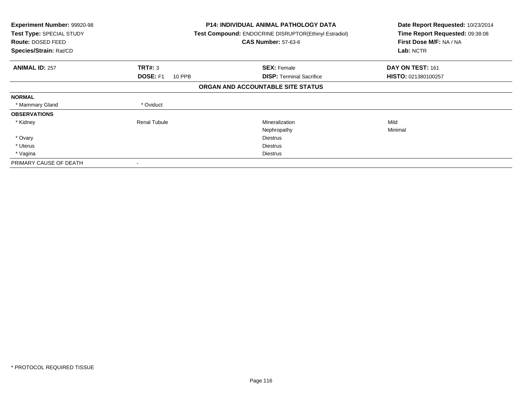| <b>Experiment Number: 99920-98</b><br>Test Type: SPECIAL STUDY<br>Route: DOSED FEED<br>Species/Strain: Rat/CD |                           | <b>P14: INDIVIDUAL ANIMAL PATHOLOGY DATA</b><br><b>Test Compound: ENDOCRINE DISRUPTOR(Ethinyl Estradiol)</b><br><b>CAS Number: 57-63-6</b> | Date Report Requested: 10/23/2014<br>Time Report Requested: 09:38:08<br>First Dose M/F: NA / NA<br>Lab: NCTR |
|---------------------------------------------------------------------------------------------------------------|---------------------------|--------------------------------------------------------------------------------------------------------------------------------------------|--------------------------------------------------------------------------------------------------------------|
| <b>ANIMAL ID: 257</b>                                                                                         | TRT#: 3                   | <b>SEX: Female</b>                                                                                                                         | DAY ON TEST: 161                                                                                             |
|                                                                                                               | <b>DOSE: F1</b><br>10 PPB | <b>DISP:</b> Terminal Sacrifice                                                                                                            | HISTO: 021380100257                                                                                          |
|                                                                                                               |                           | ORGAN AND ACCOUNTABLE SITE STATUS                                                                                                          |                                                                                                              |
| <b>NORMAL</b>                                                                                                 |                           |                                                                                                                                            |                                                                                                              |
| * Mammary Gland                                                                                               | * Oviduct                 |                                                                                                                                            |                                                                                                              |
| <b>OBSERVATIONS</b>                                                                                           |                           |                                                                                                                                            |                                                                                                              |
| * Kidney                                                                                                      | <b>Renal Tubule</b>       | Mineralization                                                                                                                             | Mild                                                                                                         |
|                                                                                                               |                           | Nephropathy                                                                                                                                | Minimal                                                                                                      |
| * Ovary                                                                                                       |                           | <b>Diestrus</b>                                                                                                                            |                                                                                                              |
| * Uterus                                                                                                      |                           | Diestrus                                                                                                                                   |                                                                                                              |
| * Vagina                                                                                                      |                           | <b>Diestrus</b>                                                                                                                            |                                                                                                              |
| PRIMARY CAUSE OF DEATH                                                                                        |                           |                                                                                                                                            |                                                                                                              |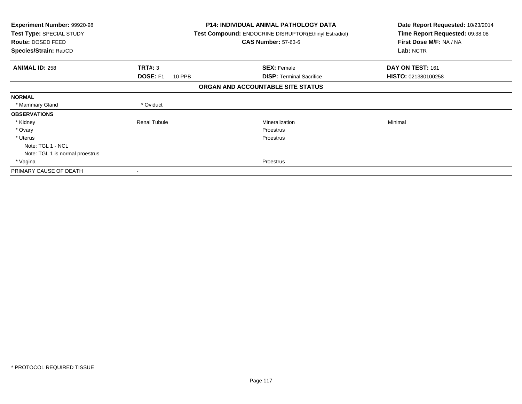| Experiment Number: 99920-98<br>Test Type: SPECIAL STUDY<br>Route: DOSED FEED<br>Species/Strain: Rat/CD |                                  | P14: INDIVIDUAL ANIMAL PATHOLOGY DATA<br><b>Test Compound: ENDOCRINE DISRUPTOR(Ethinyl Estradiol)</b><br><b>CAS Number: 57-63-6</b> | Date Report Requested: 10/23/2014<br>Time Report Requested: 09:38:08<br>First Dose M/F: NA / NA<br>Lab: NCTR |
|--------------------------------------------------------------------------------------------------------|----------------------------------|-------------------------------------------------------------------------------------------------------------------------------------|--------------------------------------------------------------------------------------------------------------|
| <b>ANIMAL ID: 258</b>                                                                                  | <b>TRT#: 3</b>                   | <b>SEX: Female</b>                                                                                                                  | DAY ON TEST: 161                                                                                             |
|                                                                                                        | <b>DOSE: F1</b><br><b>10 PPB</b> | <b>DISP:</b> Terminal Sacrifice                                                                                                     | <b>HISTO: 021380100258</b>                                                                                   |
|                                                                                                        |                                  | ORGAN AND ACCOUNTABLE SITE STATUS                                                                                                   |                                                                                                              |
| <b>NORMAL</b>                                                                                          |                                  |                                                                                                                                     |                                                                                                              |
| * Mammary Gland                                                                                        | * Oviduct                        |                                                                                                                                     |                                                                                                              |
| <b>OBSERVATIONS</b>                                                                                    |                                  |                                                                                                                                     |                                                                                                              |
| * Kidney                                                                                               | <b>Renal Tubule</b>              | Mineralization                                                                                                                      | Minimal                                                                                                      |
| * Ovary                                                                                                |                                  | Proestrus                                                                                                                           |                                                                                                              |
| * Uterus                                                                                               |                                  | Proestrus                                                                                                                           |                                                                                                              |
| Note: TGL 1 - NCL                                                                                      |                                  |                                                                                                                                     |                                                                                                              |
| Note: TGL 1 is normal proestrus                                                                        |                                  |                                                                                                                                     |                                                                                                              |
| * Vagina                                                                                               |                                  | Proestrus                                                                                                                           |                                                                                                              |
| PRIMARY CAUSE OF DEATH                                                                                 |                                  |                                                                                                                                     |                                                                                                              |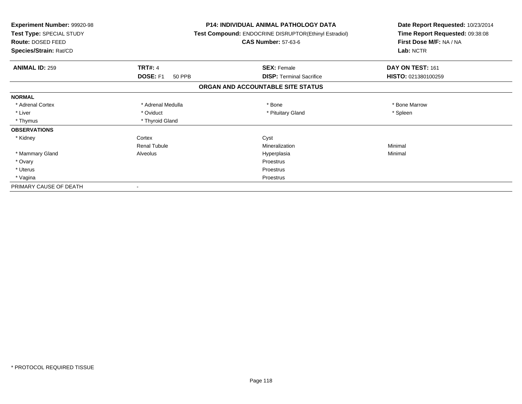| Experiment Number: 99920-98<br>Test Type: SPECIAL STUDY<br>Route: DOSED FEED<br>Species/Strain: Rat/CD |                     | <b>P14: INDIVIDUAL ANIMAL PATHOLOGY DATA</b><br>Test Compound: ENDOCRINE DISRUPTOR(Ethinyl Estradiol)<br><b>CAS Number: 57-63-6</b> | Date Report Requested: 10/23/2014<br>Time Report Requested: 09:38:08<br>First Dose M/F: NA / NA<br>Lab: NCTR |
|--------------------------------------------------------------------------------------------------------|---------------------|-------------------------------------------------------------------------------------------------------------------------------------|--------------------------------------------------------------------------------------------------------------|
| <b>ANIMAL ID: 259</b>                                                                                  | <b>TRT#: 4</b>      | <b>SEX: Female</b>                                                                                                                  | DAY ON TEST: 161                                                                                             |
|                                                                                                        | DOSE: F1<br>50 PPB  | <b>DISP: Terminal Sacrifice</b>                                                                                                     | HISTO: 021380100259                                                                                          |
|                                                                                                        |                     | ORGAN AND ACCOUNTABLE SITE STATUS                                                                                                   |                                                                                                              |
| <b>NORMAL</b>                                                                                          |                     |                                                                                                                                     |                                                                                                              |
| * Adrenal Cortex                                                                                       | * Adrenal Medulla   | * Bone                                                                                                                              | * Bone Marrow                                                                                                |
| * Liver                                                                                                | * Oviduct           | * Pituitary Gland                                                                                                                   | * Spleen                                                                                                     |
| * Thymus                                                                                               | * Thyroid Gland     |                                                                                                                                     |                                                                                                              |
| <b>OBSERVATIONS</b>                                                                                    |                     |                                                                                                                                     |                                                                                                              |
| * Kidney                                                                                               | Cortex              | Cyst                                                                                                                                |                                                                                                              |
|                                                                                                        | <b>Renal Tubule</b> | Mineralization                                                                                                                      | Minimal                                                                                                      |
| * Mammary Gland                                                                                        | Alveolus            | Hyperplasia                                                                                                                         | Minimal                                                                                                      |
| * Ovary                                                                                                |                     | Proestrus                                                                                                                           |                                                                                                              |
| * Uterus                                                                                               |                     | Proestrus                                                                                                                           |                                                                                                              |
| * Vagina                                                                                               |                     | Proestrus                                                                                                                           |                                                                                                              |
| PRIMARY CAUSE OF DEATH                                                                                 |                     |                                                                                                                                     |                                                                                                              |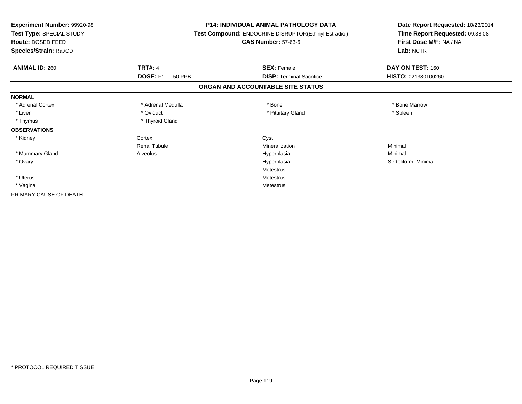| <b>Experiment Number: 99920-98</b><br>Test Type: SPECIAL STUDY<br>Route: DOSED FEED<br>Species/Strain: Rat/CD |                           | <b>P14: INDIVIDUAL ANIMAL PATHOLOGY DATA</b><br><b>Test Compound: ENDOCRINE DISRUPTOR(Ethinyl Estradiol)</b><br><b>CAS Number: 57-63-6</b> | Date Report Requested: 10/23/2014<br>Time Report Requested: 09:38:08<br>First Dose M/F: NA / NA<br>Lab: NCTR |
|---------------------------------------------------------------------------------------------------------------|---------------------------|--------------------------------------------------------------------------------------------------------------------------------------------|--------------------------------------------------------------------------------------------------------------|
| <b>ANIMAL ID: 260</b>                                                                                         | <b>TRT#: 4</b>            | <b>SEX: Female</b>                                                                                                                         | DAY ON TEST: 160                                                                                             |
|                                                                                                               | DOSE: F1<br><b>50 PPB</b> | <b>DISP: Terminal Sacrifice</b>                                                                                                            | HISTO: 021380100260                                                                                          |
|                                                                                                               |                           | ORGAN AND ACCOUNTABLE SITE STATUS                                                                                                          |                                                                                                              |
| <b>NORMAL</b>                                                                                                 |                           |                                                                                                                                            |                                                                                                              |
| * Adrenal Cortex                                                                                              | * Adrenal Medulla         | * Bone                                                                                                                                     | * Bone Marrow                                                                                                |
| * Liver                                                                                                       | * Oviduct                 | * Pituitary Gland                                                                                                                          | * Spleen                                                                                                     |
| * Thymus                                                                                                      | * Thyroid Gland           |                                                                                                                                            |                                                                                                              |
| <b>OBSERVATIONS</b>                                                                                           |                           |                                                                                                                                            |                                                                                                              |
| * Kidney                                                                                                      | Cortex                    | Cyst                                                                                                                                       |                                                                                                              |
|                                                                                                               | <b>Renal Tubule</b>       | Mineralization                                                                                                                             | Minimal                                                                                                      |
| * Mammary Gland                                                                                               | Alveolus                  | Hyperplasia                                                                                                                                | Minimal                                                                                                      |
| * Ovary                                                                                                       |                           | Hyperplasia                                                                                                                                | Sertoliform, Minimal                                                                                         |
|                                                                                                               |                           | Metestrus                                                                                                                                  |                                                                                                              |
| * Uterus                                                                                                      |                           | <b>Metestrus</b>                                                                                                                           |                                                                                                              |
| * Vagina                                                                                                      |                           | <b>Metestrus</b>                                                                                                                           |                                                                                                              |
| PRIMARY CAUSE OF DEATH                                                                                        |                           |                                                                                                                                            |                                                                                                              |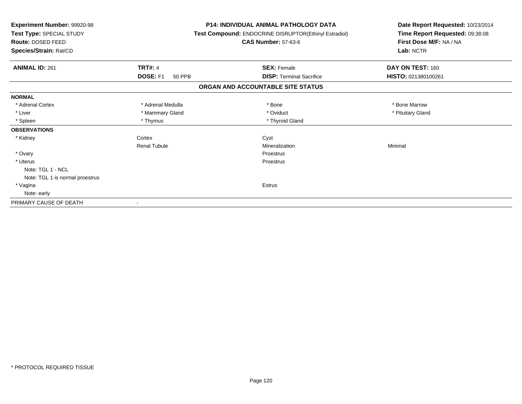| Experiment Number: 99920-98<br>Test Type: SPECIAL STUDY<br>Route: DOSED FEED<br>Species/Strain: Rat/CD |                           | <b>P14: INDIVIDUAL ANIMAL PATHOLOGY DATA</b><br>Test Compound: ENDOCRINE DISRUPTOR(Ethinyl Estradiol)<br><b>CAS Number: 57-63-6</b> | Date Report Requested: 10/23/2014<br>Time Report Requested: 09:38:08<br>First Dose M/F: NA / NA<br>Lab: NCTR |
|--------------------------------------------------------------------------------------------------------|---------------------------|-------------------------------------------------------------------------------------------------------------------------------------|--------------------------------------------------------------------------------------------------------------|
| <b>ANIMAL ID: 261</b>                                                                                  | <b>TRT#: 4</b>            | <b>SEX: Female</b>                                                                                                                  | DAY ON TEST: 160                                                                                             |
|                                                                                                        | DOSE: F1<br><b>50 PPB</b> | <b>DISP: Terminal Sacrifice</b>                                                                                                     | HISTO: 021380100261                                                                                          |
|                                                                                                        |                           | ORGAN AND ACCOUNTABLE SITE STATUS                                                                                                   |                                                                                                              |
| <b>NORMAL</b>                                                                                          |                           |                                                                                                                                     |                                                                                                              |
| * Adrenal Cortex                                                                                       | * Adrenal Medulla         | * Bone                                                                                                                              | * Bone Marrow                                                                                                |
| * Liver                                                                                                | * Mammary Gland           | * Oviduct                                                                                                                           | * Pituitary Gland                                                                                            |
| * Spleen                                                                                               | * Thymus                  | * Thyroid Gland                                                                                                                     |                                                                                                              |
| <b>OBSERVATIONS</b>                                                                                    |                           |                                                                                                                                     |                                                                                                              |
| * Kidney                                                                                               | Cortex                    | Cyst                                                                                                                                |                                                                                                              |
|                                                                                                        | <b>Renal Tubule</b>       | Mineralization                                                                                                                      | Minimal                                                                                                      |
| * Ovary                                                                                                |                           | Proestrus                                                                                                                           |                                                                                                              |
| * Uterus                                                                                               |                           | Proestrus                                                                                                                           |                                                                                                              |
| Note: TGL 1 - NCL                                                                                      |                           |                                                                                                                                     |                                                                                                              |
| Note: TGL 1 is normal proestrus                                                                        |                           |                                                                                                                                     |                                                                                                              |
| * Vagina                                                                                               |                           | Estrus                                                                                                                              |                                                                                                              |
| Note: early                                                                                            |                           |                                                                                                                                     |                                                                                                              |
| PRIMARY CAUSE OF DEATH                                                                                 |                           |                                                                                                                                     |                                                                                                              |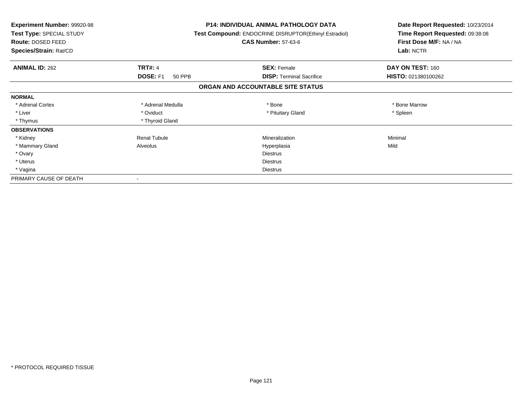| <b>Experiment Number: 99920-98</b><br>Test Type: SPECIAL STUDY<br>Route: DOSED FEED<br>Species/Strain: Rat/CD |                     | <b>P14: INDIVIDUAL ANIMAL PATHOLOGY DATA</b><br>Test Compound: ENDOCRINE DISRUPTOR(Ethinyl Estradiol)<br><b>CAS Number: 57-63-6</b> | Date Report Requested: 10/23/2014<br>Time Report Requested: 09:38:08<br>First Dose M/F: NA / NA<br>Lab: NCTR |
|---------------------------------------------------------------------------------------------------------------|---------------------|-------------------------------------------------------------------------------------------------------------------------------------|--------------------------------------------------------------------------------------------------------------|
|                                                                                                               |                     |                                                                                                                                     |                                                                                                              |
| <b>ANIMAL ID: 262</b>                                                                                         | <b>TRT#: 4</b>      | <b>SEX: Female</b>                                                                                                                  | DAY ON TEST: 160                                                                                             |
|                                                                                                               | DOSE: F1<br>50 PPB  | <b>DISP: Terminal Sacrifice</b>                                                                                                     | HISTO: 021380100262                                                                                          |
|                                                                                                               |                     | ORGAN AND ACCOUNTABLE SITE STATUS                                                                                                   |                                                                                                              |
| <b>NORMAL</b>                                                                                                 |                     |                                                                                                                                     |                                                                                                              |
| * Adrenal Cortex                                                                                              | * Adrenal Medulla   | * Bone                                                                                                                              | * Bone Marrow                                                                                                |
| * Liver                                                                                                       | * Oviduct           | * Pituitary Gland                                                                                                                   | * Spleen                                                                                                     |
| * Thymus                                                                                                      | * Thyroid Gland     |                                                                                                                                     |                                                                                                              |
| <b>OBSERVATIONS</b>                                                                                           |                     |                                                                                                                                     |                                                                                                              |
| * Kidney                                                                                                      | <b>Renal Tubule</b> | Mineralization                                                                                                                      | Minimal                                                                                                      |
| * Mammary Gland                                                                                               | Alveolus            | Hyperplasia                                                                                                                         | Mild                                                                                                         |
| * Ovary                                                                                                       |                     | <b>Diestrus</b>                                                                                                                     |                                                                                                              |
| * Uterus                                                                                                      |                     | <b>Diestrus</b>                                                                                                                     |                                                                                                              |
| * Vagina                                                                                                      |                     | <b>Diestrus</b>                                                                                                                     |                                                                                                              |
| PRIMARY CAUSE OF DEATH                                                                                        |                     |                                                                                                                                     |                                                                                                              |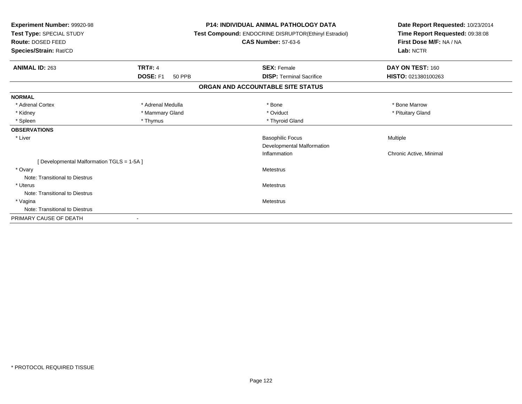| <b>TRT#: 4</b><br>DAY ON TEST: 160<br><b>ANIMAL ID: 263</b><br><b>SEX: Female</b><br>DOSE: F1<br>HISTO: 021380100263<br><b>DISP: Terminal Sacrifice</b><br>50 PPB<br>ORGAN AND ACCOUNTABLE SITE STATUS<br><b>NORMAL</b><br>* Adrenal Cortex<br>* Adrenal Medulla<br>* Bone<br>* Bone Marrow<br>* Kidney<br>* Mammary Gland<br>* Oviduct<br>* Pituitary Gland<br>* Spleen<br>* Thymus<br>* Thyroid Gland<br><b>OBSERVATIONS</b><br><b>Basophilic Focus</b><br>* Liver<br>Multiple<br>Developmental Malformation<br>Inflammation<br>Chronic Active, Minimal<br>[ Developmental Malformation TGLS = 1-5A ]<br>* Ovary<br><b>Metestrus</b><br>Note: Transitional to Diestrus<br>* Uterus<br><b>Metestrus</b><br>Note: Transitional to Diestrus<br>* Vagina<br><b>Metestrus</b><br>Note: Transitional to Diestrus<br>PRIMARY CAUSE OF DEATH | Experiment Number: 99920-98<br>Test Type: SPECIAL STUDY<br>Route: DOSED FEED<br>Species/Strain: Rat/CD |  | <b>P14: INDIVIDUAL ANIMAL PATHOLOGY DATA</b><br>Test Compound: ENDOCRINE DISRUPTOR(Ethinyl Estradiol)<br><b>CAS Number: 57-63-6</b> | Date Report Requested: 10/23/2014<br>Time Report Requested: 09:38:08<br>First Dose M/F: NA / NA<br>Lab: NCTR |  |
|----------------------------------------------------------------------------------------------------------------------------------------------------------------------------------------------------------------------------------------------------------------------------------------------------------------------------------------------------------------------------------------------------------------------------------------------------------------------------------------------------------------------------------------------------------------------------------------------------------------------------------------------------------------------------------------------------------------------------------------------------------------------------------------------------------------------------------------|--------------------------------------------------------------------------------------------------------|--|-------------------------------------------------------------------------------------------------------------------------------------|--------------------------------------------------------------------------------------------------------------|--|
|                                                                                                                                                                                                                                                                                                                                                                                                                                                                                                                                                                                                                                                                                                                                                                                                                                        |                                                                                                        |  |                                                                                                                                     |                                                                                                              |  |
|                                                                                                                                                                                                                                                                                                                                                                                                                                                                                                                                                                                                                                                                                                                                                                                                                                        |                                                                                                        |  |                                                                                                                                     |                                                                                                              |  |
|                                                                                                                                                                                                                                                                                                                                                                                                                                                                                                                                                                                                                                                                                                                                                                                                                                        |                                                                                                        |  |                                                                                                                                     |                                                                                                              |  |
|                                                                                                                                                                                                                                                                                                                                                                                                                                                                                                                                                                                                                                                                                                                                                                                                                                        |                                                                                                        |  |                                                                                                                                     |                                                                                                              |  |
|                                                                                                                                                                                                                                                                                                                                                                                                                                                                                                                                                                                                                                                                                                                                                                                                                                        |                                                                                                        |  |                                                                                                                                     |                                                                                                              |  |
|                                                                                                                                                                                                                                                                                                                                                                                                                                                                                                                                                                                                                                                                                                                                                                                                                                        |                                                                                                        |  |                                                                                                                                     |                                                                                                              |  |
|                                                                                                                                                                                                                                                                                                                                                                                                                                                                                                                                                                                                                                                                                                                                                                                                                                        |                                                                                                        |  |                                                                                                                                     |                                                                                                              |  |
|                                                                                                                                                                                                                                                                                                                                                                                                                                                                                                                                                                                                                                                                                                                                                                                                                                        |                                                                                                        |  |                                                                                                                                     |                                                                                                              |  |
|                                                                                                                                                                                                                                                                                                                                                                                                                                                                                                                                                                                                                                                                                                                                                                                                                                        |                                                                                                        |  |                                                                                                                                     |                                                                                                              |  |
|                                                                                                                                                                                                                                                                                                                                                                                                                                                                                                                                                                                                                                                                                                                                                                                                                                        |                                                                                                        |  |                                                                                                                                     |                                                                                                              |  |
|                                                                                                                                                                                                                                                                                                                                                                                                                                                                                                                                                                                                                                                                                                                                                                                                                                        |                                                                                                        |  |                                                                                                                                     |                                                                                                              |  |
|                                                                                                                                                                                                                                                                                                                                                                                                                                                                                                                                                                                                                                                                                                                                                                                                                                        |                                                                                                        |  |                                                                                                                                     |                                                                                                              |  |
|                                                                                                                                                                                                                                                                                                                                                                                                                                                                                                                                                                                                                                                                                                                                                                                                                                        |                                                                                                        |  |                                                                                                                                     |                                                                                                              |  |
|                                                                                                                                                                                                                                                                                                                                                                                                                                                                                                                                                                                                                                                                                                                                                                                                                                        |                                                                                                        |  |                                                                                                                                     |                                                                                                              |  |
|                                                                                                                                                                                                                                                                                                                                                                                                                                                                                                                                                                                                                                                                                                                                                                                                                                        |                                                                                                        |  |                                                                                                                                     |                                                                                                              |  |
|                                                                                                                                                                                                                                                                                                                                                                                                                                                                                                                                                                                                                                                                                                                                                                                                                                        |                                                                                                        |  |                                                                                                                                     |                                                                                                              |  |
|                                                                                                                                                                                                                                                                                                                                                                                                                                                                                                                                                                                                                                                                                                                                                                                                                                        |                                                                                                        |  |                                                                                                                                     |                                                                                                              |  |
|                                                                                                                                                                                                                                                                                                                                                                                                                                                                                                                                                                                                                                                                                                                                                                                                                                        |                                                                                                        |  |                                                                                                                                     |                                                                                                              |  |
|                                                                                                                                                                                                                                                                                                                                                                                                                                                                                                                                                                                                                                                                                                                                                                                                                                        |                                                                                                        |  |                                                                                                                                     |                                                                                                              |  |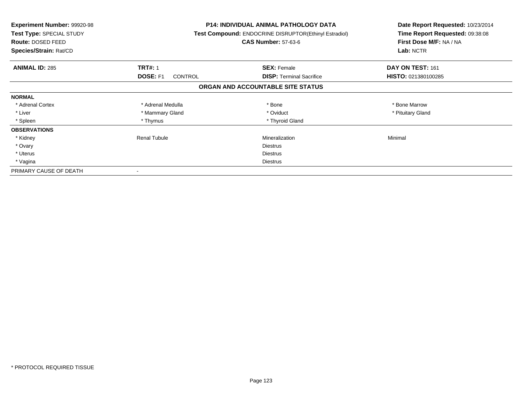| <b>Experiment Number: 99920-98</b><br>Test Type: SPECIAL STUDY<br><b>Route: DOSED FEED</b><br>Species/Strain: Rat/CD |                            | P14: INDIVIDUAL ANIMAL PATHOLOGY DATA<br>Test Compound: ENDOCRINE DISRUPTOR(Ethinyl Estradiol)<br><b>CAS Number: 57-63-6</b> | Date Report Requested: 10/23/2014<br>Time Report Requested: 09:38:08<br>First Dose M/F: NA / NA<br>Lab: NCTR |
|----------------------------------------------------------------------------------------------------------------------|----------------------------|------------------------------------------------------------------------------------------------------------------------------|--------------------------------------------------------------------------------------------------------------|
| <b>ANIMAL ID: 285</b>                                                                                                | <b>TRT#: 1</b>             | <b>SEX: Female</b>                                                                                                           | DAY ON TEST: 161                                                                                             |
|                                                                                                                      | DOSE: F1<br><b>CONTROL</b> | <b>DISP:</b> Terminal Sacrifice                                                                                              | HISTO: 021380100285                                                                                          |
|                                                                                                                      |                            | ORGAN AND ACCOUNTABLE SITE STATUS                                                                                            |                                                                                                              |
| <b>NORMAL</b>                                                                                                        |                            |                                                                                                                              |                                                                                                              |
| * Adrenal Cortex                                                                                                     | * Adrenal Medulla          | * Bone                                                                                                                       | * Bone Marrow                                                                                                |
| * Liver                                                                                                              | * Mammary Gland            | * Oviduct                                                                                                                    | * Pituitary Gland                                                                                            |
| * Spleen                                                                                                             | * Thymus                   | * Thyroid Gland                                                                                                              |                                                                                                              |
| <b>OBSERVATIONS</b>                                                                                                  |                            |                                                                                                                              |                                                                                                              |
| * Kidney                                                                                                             | <b>Renal Tubule</b>        | Mineralization                                                                                                               | Minimal                                                                                                      |
| * Ovary                                                                                                              |                            | <b>Diestrus</b>                                                                                                              |                                                                                                              |
| * Uterus                                                                                                             |                            | <b>Diestrus</b>                                                                                                              |                                                                                                              |
| * Vagina                                                                                                             |                            | Diestrus                                                                                                                     |                                                                                                              |
| PRIMARY CAUSE OF DEATH                                                                                               |                            |                                                                                                                              |                                                                                                              |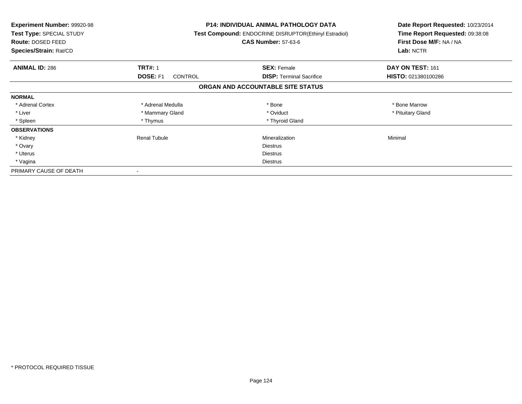| <b>Experiment Number: 99920-98</b><br>Test Type: SPECIAL STUDY<br><b>Route: DOSED FEED</b><br>Species/Strain: Rat/CD |                            | P14: INDIVIDUAL ANIMAL PATHOLOGY DATA<br>Test Compound: ENDOCRINE DISRUPTOR(Ethinyl Estradiol)<br><b>CAS Number: 57-63-6</b> | Date Report Requested: 10/23/2014<br>Time Report Requested: 09:38:08<br>First Dose M/F: NA / NA<br>Lab: NCTR |
|----------------------------------------------------------------------------------------------------------------------|----------------------------|------------------------------------------------------------------------------------------------------------------------------|--------------------------------------------------------------------------------------------------------------|
| <b>ANIMAL ID: 286</b>                                                                                                | <b>TRT#: 1</b>             | <b>SEX: Female</b>                                                                                                           | DAY ON TEST: 161                                                                                             |
|                                                                                                                      | DOSE: F1<br><b>CONTROL</b> | <b>DISP:</b> Terminal Sacrifice                                                                                              | HISTO: 021380100286                                                                                          |
|                                                                                                                      |                            | ORGAN AND ACCOUNTABLE SITE STATUS                                                                                            |                                                                                                              |
| <b>NORMAL</b>                                                                                                        |                            |                                                                                                                              |                                                                                                              |
| * Adrenal Cortex                                                                                                     | * Adrenal Medulla          | * Bone                                                                                                                       | * Bone Marrow                                                                                                |
| * Liver                                                                                                              | * Mammary Gland            | * Oviduct                                                                                                                    | * Pituitary Gland                                                                                            |
| * Spleen                                                                                                             | * Thymus                   | * Thyroid Gland                                                                                                              |                                                                                                              |
| <b>OBSERVATIONS</b>                                                                                                  |                            |                                                                                                                              |                                                                                                              |
| * Kidney                                                                                                             | <b>Renal Tubule</b>        | Mineralization                                                                                                               | Minimal                                                                                                      |
| * Ovary                                                                                                              |                            | <b>Diestrus</b>                                                                                                              |                                                                                                              |
| * Uterus                                                                                                             |                            | <b>Diestrus</b>                                                                                                              |                                                                                                              |
| * Vagina                                                                                                             |                            | Diestrus                                                                                                                     |                                                                                                              |
| PRIMARY CAUSE OF DEATH                                                                                               |                            |                                                                                                                              |                                                                                                              |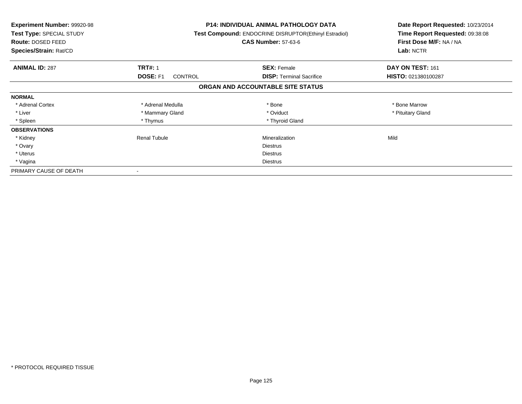| <b>Experiment Number: 99920-98</b><br>Test Type: SPECIAL STUDY<br>Route: DOSED FEED<br>Species/Strain: Rat/CD |                            | P14: INDIVIDUAL ANIMAL PATHOLOGY DATA<br>Test Compound: ENDOCRINE DISRUPTOR(Ethinyl Estradiol)<br><b>CAS Number: 57-63-6</b> | Date Report Requested: 10/23/2014<br>Time Report Requested: 09:38:08<br>First Dose M/F: NA / NA<br>Lab: NCTR |
|---------------------------------------------------------------------------------------------------------------|----------------------------|------------------------------------------------------------------------------------------------------------------------------|--------------------------------------------------------------------------------------------------------------|
| <b>ANIMAL ID: 287</b>                                                                                         | <b>TRT#: 1</b>             | <b>SEX: Female</b>                                                                                                           | DAY ON TEST: 161                                                                                             |
|                                                                                                               | DOSE: F1<br><b>CONTROL</b> | <b>DISP:</b> Terminal Sacrifice                                                                                              | HISTO: 021380100287                                                                                          |
|                                                                                                               |                            | ORGAN AND ACCOUNTABLE SITE STATUS                                                                                            |                                                                                                              |
| <b>NORMAL</b>                                                                                                 |                            |                                                                                                                              |                                                                                                              |
| * Adrenal Cortex                                                                                              | * Adrenal Medulla          | * Bone                                                                                                                       | * Bone Marrow                                                                                                |
| * Liver                                                                                                       | * Mammary Gland            | * Oviduct                                                                                                                    | * Pituitary Gland                                                                                            |
| * Spleen                                                                                                      | * Thymus                   | * Thyroid Gland                                                                                                              |                                                                                                              |
| <b>OBSERVATIONS</b>                                                                                           |                            |                                                                                                                              |                                                                                                              |
| * Kidney                                                                                                      | <b>Renal Tubule</b>        | Mineralization                                                                                                               | Mild                                                                                                         |
| * Ovary                                                                                                       |                            | <b>Diestrus</b>                                                                                                              |                                                                                                              |
| * Uterus                                                                                                      |                            | <b>Diestrus</b>                                                                                                              |                                                                                                              |
| * Vagina                                                                                                      |                            | Diestrus                                                                                                                     |                                                                                                              |
| PRIMARY CAUSE OF DEATH                                                                                        |                            |                                                                                                                              |                                                                                                              |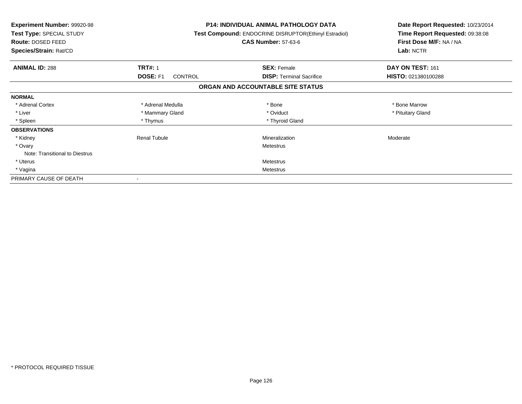| <b>Experiment Number: 99920-98</b><br>Test Type: SPECIAL STUDY<br>Route: DOSED FEED<br>Species/Strain: Rat/CD | <b>P14: INDIVIDUAL ANIMAL PATHOLOGY DATA</b><br>Test Compound: ENDOCRINE DISRUPTOR(Ethinyl Estradiol)<br><b>CAS Number: 57-63-6</b> |                                   | Date Report Requested: 10/23/2014<br>Time Report Requested: 09:38:08<br>First Dose M/F: NA / NA<br>Lab: NCTR |
|---------------------------------------------------------------------------------------------------------------|-------------------------------------------------------------------------------------------------------------------------------------|-----------------------------------|--------------------------------------------------------------------------------------------------------------|
| <b>ANIMAL ID: 288</b>                                                                                         | <b>TRT#: 1</b>                                                                                                                      | <b>SEX: Female</b>                | DAY ON TEST: 161                                                                                             |
|                                                                                                               | DOSE: F1<br><b>CONTROL</b>                                                                                                          | <b>DISP:</b> Terminal Sacrifice   | HISTO: 021380100288                                                                                          |
|                                                                                                               |                                                                                                                                     | ORGAN AND ACCOUNTABLE SITE STATUS |                                                                                                              |
| <b>NORMAL</b>                                                                                                 |                                                                                                                                     |                                   |                                                                                                              |
| * Adrenal Cortex                                                                                              | * Adrenal Medulla                                                                                                                   | * Bone                            | * Bone Marrow                                                                                                |
| * Liver                                                                                                       | * Mammary Gland                                                                                                                     | * Oviduct                         | * Pituitary Gland                                                                                            |
| * Spleen                                                                                                      | * Thymus                                                                                                                            | * Thyroid Gland                   |                                                                                                              |
| <b>OBSERVATIONS</b>                                                                                           |                                                                                                                                     |                                   |                                                                                                              |
| * Kidney                                                                                                      | Renal Tubule                                                                                                                        | Mineralization                    | Moderate                                                                                                     |
| * Ovary                                                                                                       |                                                                                                                                     | Metestrus                         |                                                                                                              |
| Note: Transitional to Diestrus                                                                                |                                                                                                                                     |                                   |                                                                                                              |
| * Uterus                                                                                                      |                                                                                                                                     | Metestrus                         |                                                                                                              |
| * Vagina                                                                                                      |                                                                                                                                     | Metestrus                         |                                                                                                              |
| PRIMARY CAUSE OF DEATH                                                                                        |                                                                                                                                     |                                   |                                                                                                              |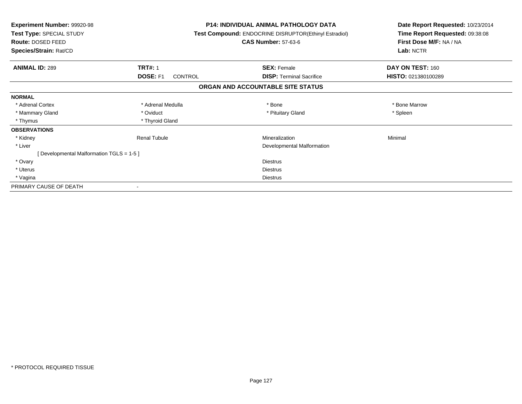| Experiment Number: 99920-98<br>Test Type: SPECIAL STUDY<br>Route: DOSED FEED<br>Species/Strain: Rat/CD |                                   | <b>P14: INDIVIDUAL ANIMAL PATHOLOGY DATA</b><br>Test Compound: ENDOCRINE DISRUPTOR(Ethinyl Estradiol)<br><b>CAS Number: 57-63-6</b> | Date Report Requested: 10/23/2014<br>Time Report Requested: 09:38:08<br>First Dose M/F: NA / NA<br>Lab: NCTR |
|--------------------------------------------------------------------------------------------------------|-----------------------------------|-------------------------------------------------------------------------------------------------------------------------------------|--------------------------------------------------------------------------------------------------------------|
| <b>ANIMAL ID: 289</b>                                                                                  | <b>TRT#: 1</b>                    | <b>SEX: Female</b>                                                                                                                  | DAY ON TEST: 160                                                                                             |
|                                                                                                        | <b>DOSE: F1</b><br><b>CONTROL</b> | <b>DISP: Terminal Sacrifice</b>                                                                                                     | HISTO: 021380100289                                                                                          |
|                                                                                                        |                                   | ORGAN AND ACCOUNTABLE SITE STATUS                                                                                                   |                                                                                                              |
| <b>NORMAL</b>                                                                                          |                                   |                                                                                                                                     |                                                                                                              |
| * Adrenal Cortex                                                                                       | * Adrenal Medulla                 | * Bone                                                                                                                              | * Bone Marrow                                                                                                |
| * Mammary Gland                                                                                        | * Oviduct                         | * Pituitary Gland                                                                                                                   | * Spleen                                                                                                     |
| * Thymus                                                                                               | * Thyroid Gland                   |                                                                                                                                     |                                                                                                              |
| <b>OBSERVATIONS</b>                                                                                    |                                   |                                                                                                                                     |                                                                                                              |
| * Kidney                                                                                               | <b>Renal Tubule</b>               | Mineralization                                                                                                                      | Minimal                                                                                                      |
| * Liver                                                                                                |                                   | Developmental Malformation                                                                                                          |                                                                                                              |
| [Developmental Malformation TGLS = 1-5]                                                                |                                   |                                                                                                                                     |                                                                                                              |
| * Ovary                                                                                                |                                   | <b>Diestrus</b>                                                                                                                     |                                                                                                              |
| * Uterus                                                                                               |                                   | <b>Diestrus</b>                                                                                                                     |                                                                                                              |
| * Vagina                                                                                               |                                   | <b>Diestrus</b>                                                                                                                     |                                                                                                              |
| PRIMARY CAUSE OF DEATH                                                                                 |                                   |                                                                                                                                     |                                                                                                              |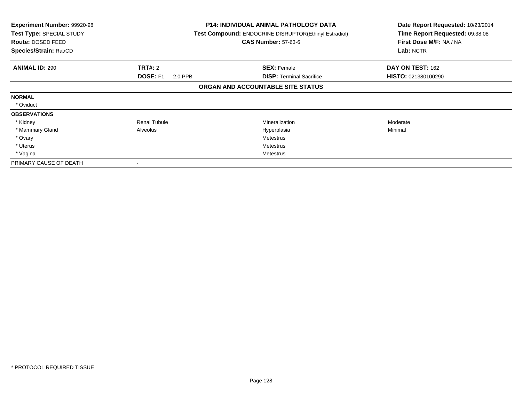| Experiment Number: 99920-98<br>Test Type: SPECIAL STUDY<br>Route: DOSED FEED<br>Species/Strain: Rat/CD |                            | <b>P14: INDIVIDUAL ANIMAL PATHOLOGY DATA</b><br>Test Compound: ENDOCRINE DISRUPTOR(Ethinyl Estradiol)<br><b>CAS Number: 57-63-6</b> | Date Report Requested: 10/23/2014<br>Time Report Requested: 09:38:08<br>First Dose M/F: NA / NA<br>Lab: NCTR |
|--------------------------------------------------------------------------------------------------------|----------------------------|-------------------------------------------------------------------------------------------------------------------------------------|--------------------------------------------------------------------------------------------------------------|
| <b>ANIMAL ID: 290</b>                                                                                  | <b>TRT#: 2</b>             | <b>SEX: Female</b>                                                                                                                  | DAY ON TEST: 162                                                                                             |
|                                                                                                        | <b>DOSE: F1</b><br>2.0 PPB | <b>DISP:</b> Terminal Sacrifice                                                                                                     | HISTO: 021380100290                                                                                          |
|                                                                                                        |                            | ORGAN AND ACCOUNTABLE SITE STATUS                                                                                                   |                                                                                                              |
| <b>NORMAL</b>                                                                                          |                            |                                                                                                                                     |                                                                                                              |
| * Oviduct                                                                                              |                            |                                                                                                                                     |                                                                                                              |
| <b>OBSERVATIONS</b>                                                                                    |                            |                                                                                                                                     |                                                                                                              |
| * Kidney                                                                                               | <b>Renal Tubule</b>        | Mineralization                                                                                                                      | Moderate                                                                                                     |
| * Mammary Gland                                                                                        | Alveolus                   | Hyperplasia                                                                                                                         | Minimal                                                                                                      |
| * Ovary                                                                                                |                            | <b>Metestrus</b>                                                                                                                    |                                                                                                              |
| * Uterus                                                                                               |                            | Metestrus                                                                                                                           |                                                                                                              |
| * Vagina                                                                                               |                            | Metestrus                                                                                                                           |                                                                                                              |
| PRIMARY CAUSE OF DEATH                                                                                 |                            |                                                                                                                                     |                                                                                                              |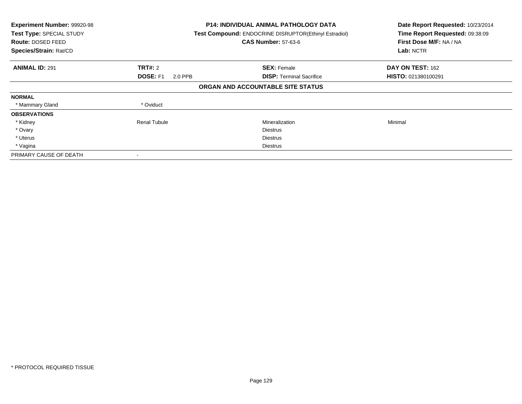| Experiment Number: 99920-98<br>Test Type: SPECIAL STUDY<br>Route: DOSED FEED<br>Species/Strain: Rat/CD |                            | <b>P14: INDIVIDUAL ANIMAL PATHOLOGY DATA</b><br>Test Compound: ENDOCRINE DISRUPTOR(Ethinyl Estradiol)<br><b>CAS Number: 57-63-6</b> | Date Report Requested: 10/23/2014<br>Time Report Requested: 09:38:09<br>First Dose M/F: NA / NA<br>Lab: NCTR |
|--------------------------------------------------------------------------------------------------------|----------------------------|-------------------------------------------------------------------------------------------------------------------------------------|--------------------------------------------------------------------------------------------------------------|
| <b>ANIMAL ID: 291</b>                                                                                  | <b>TRT#: 2</b>             | <b>SEX: Female</b>                                                                                                                  | DAY ON TEST: 162                                                                                             |
|                                                                                                        | <b>DOSE: F1</b><br>2.0 PPB | <b>DISP:</b> Terminal Sacrifice                                                                                                     | HISTO: 021380100291                                                                                          |
|                                                                                                        |                            | ORGAN AND ACCOUNTABLE SITE STATUS                                                                                                   |                                                                                                              |
| <b>NORMAL</b>                                                                                          |                            |                                                                                                                                     |                                                                                                              |
| * Mammary Gland                                                                                        | * Oviduct                  |                                                                                                                                     |                                                                                                              |
| <b>OBSERVATIONS</b>                                                                                    |                            |                                                                                                                                     |                                                                                                              |
| * Kidney                                                                                               | <b>Renal Tubule</b>        | Mineralization                                                                                                                      | Minimal                                                                                                      |
| * Ovary                                                                                                |                            | <b>Diestrus</b>                                                                                                                     |                                                                                                              |
| * Uterus                                                                                               |                            | <b>Diestrus</b>                                                                                                                     |                                                                                                              |
| * Vagina                                                                                               |                            | Diestrus                                                                                                                            |                                                                                                              |
| PRIMARY CAUSE OF DEATH                                                                                 |                            |                                                                                                                                     |                                                                                                              |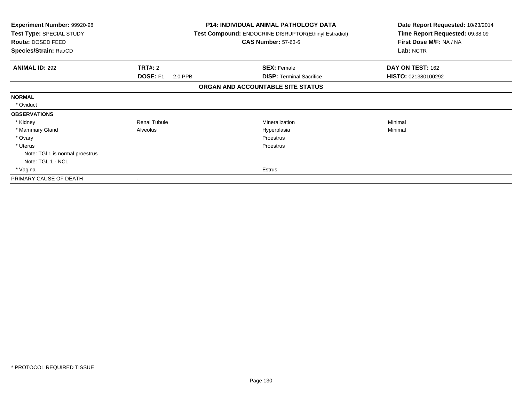| Experiment Number: 99920-98<br>Test Type: SPECIAL STUDY<br>Route: DOSED FEED<br>Species/Strain: Rat/CD |                            | <b>P14: INDIVIDUAL ANIMAL PATHOLOGY DATA</b><br><b>Test Compound: ENDOCRINE DISRUPTOR(Ethinyl Estradiol)</b><br><b>CAS Number: 57-63-6</b> | Date Report Requested: 10/23/2014<br>Time Report Requested: 09:38:09<br>First Dose M/F: NA / NA<br>Lab: NCTR |
|--------------------------------------------------------------------------------------------------------|----------------------------|--------------------------------------------------------------------------------------------------------------------------------------------|--------------------------------------------------------------------------------------------------------------|
| <b>ANIMAL ID: 292</b>                                                                                  | <b>TRT#: 2</b>             | <b>SEX: Female</b>                                                                                                                         | DAY ON TEST: 162                                                                                             |
|                                                                                                        | <b>DOSE: F1</b><br>2.0 PPB | <b>DISP:</b> Terminal Sacrifice                                                                                                            | HISTO: 021380100292                                                                                          |
|                                                                                                        |                            | ORGAN AND ACCOUNTABLE SITE STATUS                                                                                                          |                                                                                                              |
| <b>NORMAL</b>                                                                                          |                            |                                                                                                                                            |                                                                                                              |
| * Oviduct                                                                                              |                            |                                                                                                                                            |                                                                                                              |
| <b>OBSERVATIONS</b>                                                                                    |                            |                                                                                                                                            |                                                                                                              |
| * Kidney                                                                                               | Renal Tubule               | Mineralization                                                                                                                             | Minimal                                                                                                      |
| * Mammary Gland                                                                                        | Alveolus                   | Hyperplasia                                                                                                                                | Minimal                                                                                                      |
| * Ovary                                                                                                |                            | Proestrus                                                                                                                                  |                                                                                                              |
| * Uterus                                                                                               |                            | Proestrus                                                                                                                                  |                                                                                                              |
| Note: TGI 1 is normal proestrus                                                                        |                            |                                                                                                                                            |                                                                                                              |
| Note: TGL 1 - NCL                                                                                      |                            |                                                                                                                                            |                                                                                                              |
| * Vagina                                                                                               |                            | Estrus                                                                                                                                     |                                                                                                              |
| PRIMARY CAUSE OF DEATH                                                                                 |                            |                                                                                                                                            |                                                                                                              |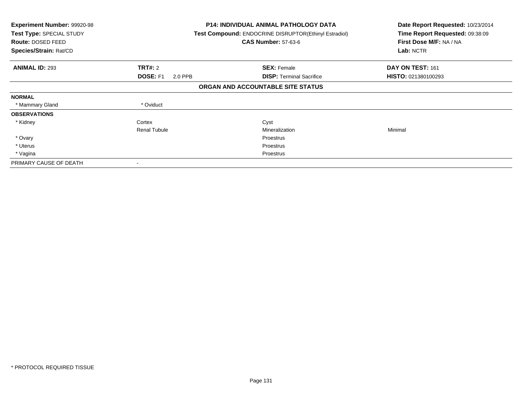| <b>Experiment Number: 99920-98</b><br>Test Type: SPECIAL STUDY<br>Route: DOSED FEED<br>Species/Strain: Rat/CD |                            | <b>P14: INDIVIDUAL ANIMAL PATHOLOGY DATA</b><br>Test Compound: ENDOCRINE DISRUPTOR(Ethinyl Estradiol)<br><b>CAS Number: 57-63-6</b> | Date Report Requested: 10/23/2014<br>Time Report Requested: 09:38:09<br>First Dose M/F: NA / NA<br>Lab: NCTR |
|---------------------------------------------------------------------------------------------------------------|----------------------------|-------------------------------------------------------------------------------------------------------------------------------------|--------------------------------------------------------------------------------------------------------------|
| <b>ANIMAL ID: 293</b>                                                                                         | <b>TRT#: 2</b>             | <b>SEX: Female</b>                                                                                                                  | DAY ON TEST: 161                                                                                             |
|                                                                                                               | <b>DOSE: F1</b><br>2.0 PPB | <b>DISP:</b> Terminal Sacrifice                                                                                                     | HISTO: 021380100293                                                                                          |
|                                                                                                               |                            | ORGAN AND ACCOUNTABLE SITE STATUS                                                                                                   |                                                                                                              |
| <b>NORMAL</b>                                                                                                 |                            |                                                                                                                                     |                                                                                                              |
| * Mammary Gland                                                                                               | * Oviduct                  |                                                                                                                                     |                                                                                                              |
| <b>OBSERVATIONS</b>                                                                                           |                            |                                                                                                                                     |                                                                                                              |
| * Kidney                                                                                                      | Cortex                     | Cyst                                                                                                                                |                                                                                                              |
|                                                                                                               | <b>Renal Tubule</b>        | Mineralization                                                                                                                      | Minimal                                                                                                      |
| * Ovary                                                                                                       |                            | Proestrus                                                                                                                           |                                                                                                              |
| * Uterus                                                                                                      |                            | Proestrus                                                                                                                           |                                                                                                              |
| * Vagina                                                                                                      |                            | Proestrus                                                                                                                           |                                                                                                              |
| PRIMARY CAUSE OF DEATH                                                                                        |                            |                                                                                                                                     |                                                                                                              |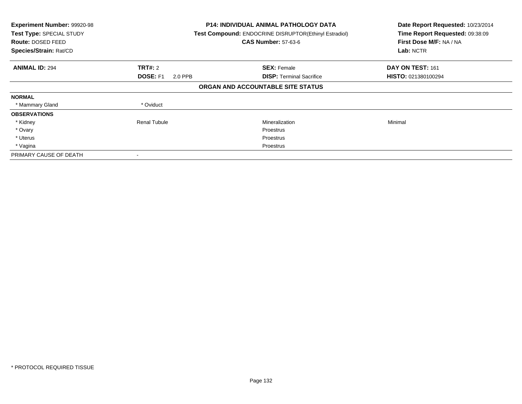| Experiment Number: 99920-98<br>Test Type: SPECIAL STUDY<br>Route: DOSED FEED<br>Species/Strain: Rat/CD |                            | <b>P14: INDIVIDUAL ANIMAL PATHOLOGY DATA</b><br>Test Compound: ENDOCRINE DISRUPTOR(Ethinyl Estradiol)<br><b>CAS Number: 57-63-6</b> |                     |
|--------------------------------------------------------------------------------------------------------|----------------------------|-------------------------------------------------------------------------------------------------------------------------------------|---------------------|
| <b>ANIMAL ID: 294</b>                                                                                  | <b>TRT#: 2</b>             | <b>SEX: Female</b>                                                                                                                  | DAY ON TEST: 161    |
|                                                                                                        | <b>DOSE: F1</b><br>2.0 PPB | <b>DISP:</b> Terminal Sacrifice                                                                                                     | HISTO: 021380100294 |
|                                                                                                        |                            | ORGAN AND ACCOUNTABLE SITE STATUS                                                                                                   |                     |
| <b>NORMAL</b>                                                                                          |                            |                                                                                                                                     |                     |
| * Mammary Gland                                                                                        | * Oviduct                  |                                                                                                                                     |                     |
| <b>OBSERVATIONS</b>                                                                                    |                            |                                                                                                                                     |                     |
| * Kidney                                                                                               | <b>Renal Tubule</b>        | Mineralization                                                                                                                      | Minimal             |
| * Ovary                                                                                                |                            | Proestrus                                                                                                                           |                     |
| * Uterus                                                                                               |                            | Proestrus                                                                                                                           |                     |
| * Vagina                                                                                               |                            | Proestrus                                                                                                                           |                     |
| PRIMARY CAUSE OF DEATH                                                                                 |                            |                                                                                                                                     |                     |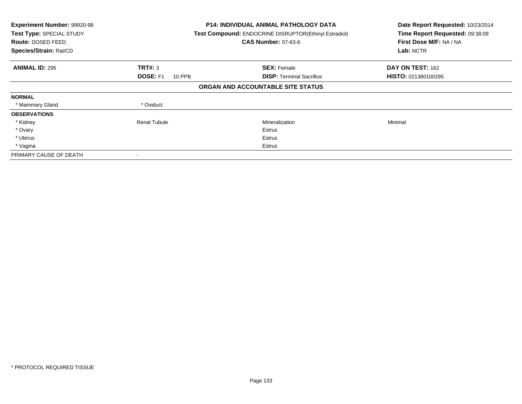| Experiment Number: 99920-98<br>Test Type: SPECIAL STUDY<br>Route: DOSED FEED<br>Species/Strain: Rat/CD |                                  | <b>P14: INDIVIDUAL ANIMAL PATHOLOGY DATA</b><br>Test Compound: ENDOCRINE DISRUPTOR(Ethinyl Estradiol)<br><b>CAS Number: 57-63-6</b> | Date Report Requested: 10/23/2014<br>Time Report Requested: 09:38:09<br>First Dose M/F: NA / NA<br>Lab: NCTR |
|--------------------------------------------------------------------------------------------------------|----------------------------------|-------------------------------------------------------------------------------------------------------------------------------------|--------------------------------------------------------------------------------------------------------------|
| <b>ANIMAL ID: 295</b>                                                                                  | TRT#: 3                          | <b>SEX: Female</b>                                                                                                                  | DAY ON TEST: 162                                                                                             |
|                                                                                                        | <b>DOSE: F1</b><br><b>10 PPB</b> | <b>DISP:</b> Terminal Sacrifice                                                                                                     | HISTO: 021380100295                                                                                          |
|                                                                                                        |                                  | ORGAN AND ACCOUNTABLE SITE STATUS                                                                                                   |                                                                                                              |
| <b>NORMAL</b>                                                                                          |                                  |                                                                                                                                     |                                                                                                              |
| * Mammary Gland                                                                                        | * Oviduct                        |                                                                                                                                     |                                                                                                              |
| <b>OBSERVATIONS</b>                                                                                    |                                  |                                                                                                                                     |                                                                                                              |
| * Kidney                                                                                               | <b>Renal Tubule</b>              | Mineralization                                                                                                                      | Minimal                                                                                                      |
| * Ovary                                                                                                |                                  | Estrus                                                                                                                              |                                                                                                              |
| * Uterus                                                                                               |                                  | Estrus                                                                                                                              |                                                                                                              |
| * Vagina                                                                                               |                                  | Estrus                                                                                                                              |                                                                                                              |
| PRIMARY CAUSE OF DEATH                                                                                 |                                  |                                                                                                                                     |                                                                                                              |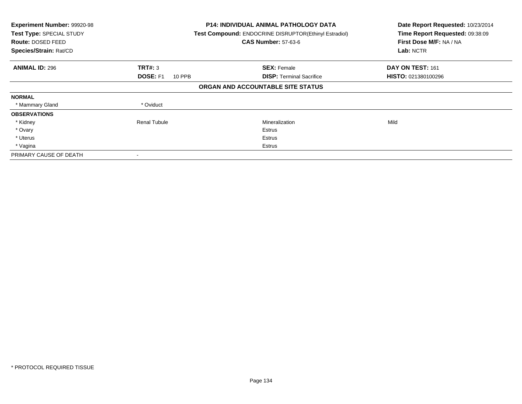| Experiment Number: 99920-98<br>Test Type: SPECIAL STUDY<br>Route: DOSED FEED<br>Species/Strain: Rat/CD |                                  | <b>P14: INDIVIDUAL ANIMAL PATHOLOGY DATA</b><br>Test Compound: ENDOCRINE DISRUPTOR(Ethinyl Estradiol)<br><b>CAS Number: 57-63-6</b> | Date Report Requested: 10/23/2014<br>Time Report Requested: 09:38:09<br>First Dose M/F: NA / NA<br>Lab: NCTR |
|--------------------------------------------------------------------------------------------------------|----------------------------------|-------------------------------------------------------------------------------------------------------------------------------------|--------------------------------------------------------------------------------------------------------------|
| <b>ANIMAL ID: 296</b>                                                                                  | TRT#: 3                          | <b>SEX: Female</b>                                                                                                                  | DAY ON TEST: 161                                                                                             |
|                                                                                                        | <b>DOSE: F1</b><br><b>10 PPB</b> | <b>DISP: Terminal Sacrifice</b>                                                                                                     | HISTO: 021380100296                                                                                          |
|                                                                                                        |                                  | ORGAN AND ACCOUNTABLE SITE STATUS                                                                                                   |                                                                                                              |
| <b>NORMAL</b>                                                                                          |                                  |                                                                                                                                     |                                                                                                              |
| * Mammary Gland                                                                                        | * Oviduct                        |                                                                                                                                     |                                                                                                              |
| <b>OBSERVATIONS</b>                                                                                    |                                  |                                                                                                                                     |                                                                                                              |
| * Kidney                                                                                               | <b>Renal Tubule</b>              | Mineralization                                                                                                                      | Mild                                                                                                         |
| * Ovary                                                                                                |                                  | Estrus                                                                                                                              |                                                                                                              |
| * Uterus                                                                                               |                                  | Estrus                                                                                                                              |                                                                                                              |
| * Vagina                                                                                               |                                  | Estrus                                                                                                                              |                                                                                                              |
| PRIMARY CAUSE OF DEATH                                                                                 |                                  |                                                                                                                                     |                                                                                                              |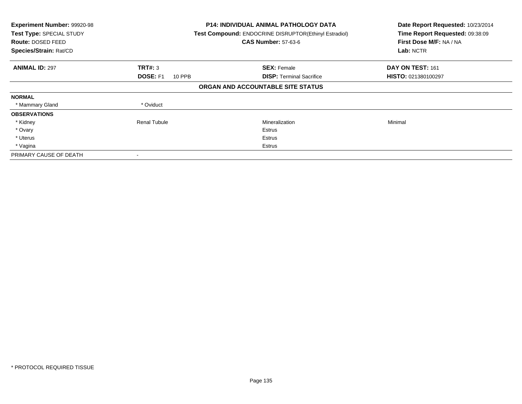| Experiment Number: 99920-98<br>Test Type: SPECIAL STUDY<br><b>Route: DOSED FEED</b><br>Species/Strain: Rat/CD |                           | <b>P14: INDIVIDUAL ANIMAL PATHOLOGY DATA</b><br>Test Compound: ENDOCRINE DISRUPTOR(Ethinyl Estradiol)<br><b>CAS Number: 57-63-6</b> | Date Report Requested: 10/23/2014<br>Time Report Requested: 09:38:09<br>First Dose M/F: NA / NA<br>Lab: NCTR |
|---------------------------------------------------------------------------------------------------------------|---------------------------|-------------------------------------------------------------------------------------------------------------------------------------|--------------------------------------------------------------------------------------------------------------|
| <b>ANIMAL ID: 297</b>                                                                                         | TRT#: 3                   | <b>SEX: Female</b>                                                                                                                  | DAY ON TEST: 161                                                                                             |
|                                                                                                               | <b>DOSE: F1</b><br>10 PPB | <b>DISP:</b> Terminal Sacrifice                                                                                                     | HISTO: 021380100297                                                                                          |
|                                                                                                               |                           | ORGAN AND ACCOUNTABLE SITE STATUS                                                                                                   |                                                                                                              |
| <b>NORMAL</b>                                                                                                 |                           |                                                                                                                                     |                                                                                                              |
| * Mammary Gland                                                                                               | * Oviduct                 |                                                                                                                                     |                                                                                                              |
| <b>OBSERVATIONS</b>                                                                                           |                           |                                                                                                                                     |                                                                                                              |
| * Kidney                                                                                                      | Renal Tubule              | Mineralization                                                                                                                      | Minimal                                                                                                      |
| * Ovary                                                                                                       |                           | Estrus                                                                                                                              |                                                                                                              |
| * Uterus                                                                                                      |                           | Estrus                                                                                                                              |                                                                                                              |
| * Vagina                                                                                                      |                           | Estrus                                                                                                                              |                                                                                                              |
| PRIMARY CAUSE OF DEATH                                                                                        |                           |                                                                                                                                     |                                                                                                              |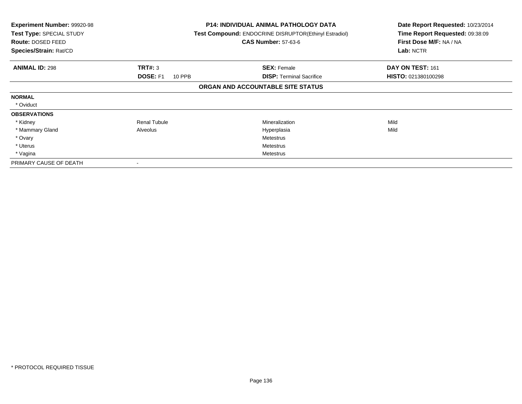| Experiment Number: 99920-98<br>Test Type: SPECIAL STUDY<br>Route: DOSED FEED<br>Species/Strain: Rat/CD |                           | <b>P14: INDIVIDUAL ANIMAL PATHOLOGY DATA</b><br>Test Compound: ENDOCRINE DISRUPTOR(Ethinyl Estradiol)<br><b>CAS Number: 57-63-6</b> | Date Report Requested: 10/23/2014<br>Time Report Requested: 09:38:09<br>First Dose M/F: NA / NA<br>Lab: NCTR |
|--------------------------------------------------------------------------------------------------------|---------------------------|-------------------------------------------------------------------------------------------------------------------------------------|--------------------------------------------------------------------------------------------------------------|
| <b>ANIMAL ID: 298</b>                                                                                  | TRT#: 3                   | <b>SEX: Female</b>                                                                                                                  | DAY ON TEST: 161                                                                                             |
|                                                                                                        | <b>DOSE: F1</b><br>10 PPB | <b>DISP: Terminal Sacrifice</b>                                                                                                     | HISTO: 021380100298                                                                                          |
|                                                                                                        |                           | ORGAN AND ACCOUNTABLE SITE STATUS                                                                                                   |                                                                                                              |
| <b>NORMAL</b>                                                                                          |                           |                                                                                                                                     |                                                                                                              |
| * Oviduct                                                                                              |                           |                                                                                                                                     |                                                                                                              |
| <b>OBSERVATIONS</b>                                                                                    |                           |                                                                                                                                     |                                                                                                              |
| * Kidney                                                                                               | <b>Renal Tubule</b>       | Mineralization                                                                                                                      | Mild                                                                                                         |
| * Mammary Gland                                                                                        | Alveolus                  | Hyperplasia                                                                                                                         | Mild                                                                                                         |
| * Ovary                                                                                                |                           | Metestrus                                                                                                                           |                                                                                                              |
| * Uterus                                                                                               |                           | Metestrus                                                                                                                           |                                                                                                              |
| * Vagina                                                                                               |                           | Metestrus                                                                                                                           |                                                                                                              |
| PRIMARY CAUSE OF DEATH                                                                                 |                           |                                                                                                                                     |                                                                                                              |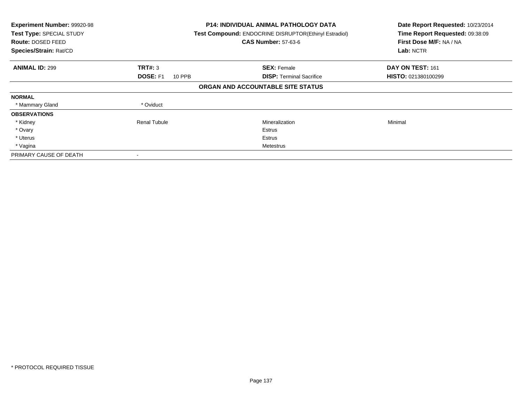| Experiment Number: 99920-98<br>Test Type: SPECIAL STUDY<br>Route: DOSED FEED<br>Species/Strain: Rat/CD |                                  | <b>P14: INDIVIDUAL ANIMAL PATHOLOGY DATA</b><br>Test Compound: ENDOCRINE DISRUPTOR(Ethinyl Estradiol)<br><b>CAS Number: 57-63-6</b> | Date Report Requested: 10/23/2014<br>Time Report Requested: 09:38:09<br>First Dose M/F: NA / NA<br>Lab: NCTR |
|--------------------------------------------------------------------------------------------------------|----------------------------------|-------------------------------------------------------------------------------------------------------------------------------------|--------------------------------------------------------------------------------------------------------------|
| <b>ANIMAL ID: 299</b>                                                                                  | TRT#: 3                          | <b>SEX: Female</b>                                                                                                                  | DAY ON TEST: 161                                                                                             |
|                                                                                                        | <b>DOSE: F1</b><br><b>10 PPB</b> | <b>DISP:</b> Terminal Sacrifice                                                                                                     | HISTO: 021380100299                                                                                          |
|                                                                                                        |                                  | ORGAN AND ACCOUNTABLE SITE STATUS                                                                                                   |                                                                                                              |
| <b>NORMAL</b>                                                                                          |                                  |                                                                                                                                     |                                                                                                              |
| * Mammary Gland                                                                                        | * Oviduct                        |                                                                                                                                     |                                                                                                              |
| <b>OBSERVATIONS</b>                                                                                    |                                  |                                                                                                                                     |                                                                                                              |
| * Kidney                                                                                               | <b>Renal Tubule</b>              | Mineralization                                                                                                                      | Minimal                                                                                                      |
| * Ovary                                                                                                |                                  | Estrus                                                                                                                              |                                                                                                              |
| * Uterus                                                                                               |                                  | Estrus                                                                                                                              |                                                                                                              |
| * Vagina                                                                                               |                                  | Metestrus                                                                                                                           |                                                                                                              |
| PRIMARY CAUSE OF DEATH                                                                                 |                                  |                                                                                                                                     |                                                                                                              |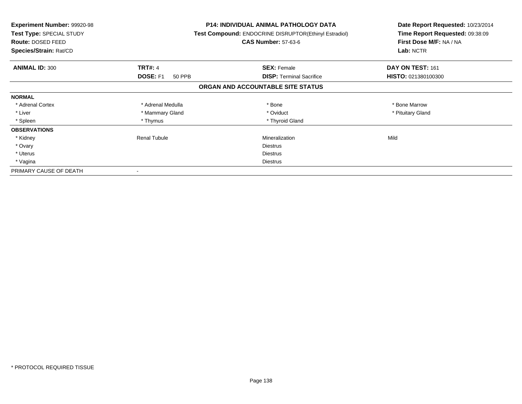| <b>Experiment Number: 99920-98</b><br>Test Type: SPECIAL STUDY<br>Route: DOSED FEED<br>Species/Strain: Rat/CD |                           | <b>P14: INDIVIDUAL ANIMAL PATHOLOGY DATA</b><br>Test Compound: ENDOCRINE DISRUPTOR(Ethinyl Estradiol)<br><b>CAS Number: 57-63-6</b> | Date Report Requested: 10/23/2014<br>Time Report Requested: 09:38:09<br>First Dose M/F: NA / NA<br>Lab: NCTR |
|---------------------------------------------------------------------------------------------------------------|---------------------------|-------------------------------------------------------------------------------------------------------------------------------------|--------------------------------------------------------------------------------------------------------------|
| <b>ANIMAL ID: 300</b>                                                                                         | <b>TRT#: 4</b>            | <b>SEX: Female</b>                                                                                                                  | DAY ON TEST: 161                                                                                             |
|                                                                                                               | <b>DOSE: F1</b><br>50 PPB | <b>DISP:</b> Terminal Sacrifice                                                                                                     | HISTO: 021380100300                                                                                          |
|                                                                                                               |                           | ORGAN AND ACCOUNTABLE SITE STATUS                                                                                                   |                                                                                                              |
| <b>NORMAL</b>                                                                                                 |                           |                                                                                                                                     |                                                                                                              |
| * Adrenal Cortex                                                                                              | * Adrenal Medulla         | * Bone                                                                                                                              | * Bone Marrow                                                                                                |
| * Liver                                                                                                       | * Mammary Gland           | * Oviduct                                                                                                                           | * Pituitary Gland                                                                                            |
| * Spleen                                                                                                      | * Thymus                  | * Thyroid Gland                                                                                                                     |                                                                                                              |
| <b>OBSERVATIONS</b>                                                                                           |                           |                                                                                                                                     |                                                                                                              |
| * Kidney                                                                                                      | Renal Tubule              | Mineralization                                                                                                                      | Mild                                                                                                         |
| * Ovary                                                                                                       |                           | <b>Diestrus</b>                                                                                                                     |                                                                                                              |
| * Uterus                                                                                                      |                           | Diestrus                                                                                                                            |                                                                                                              |
| * Vagina                                                                                                      |                           | Diestrus                                                                                                                            |                                                                                                              |
| PRIMARY CAUSE OF DEATH                                                                                        |                           |                                                                                                                                     |                                                                                                              |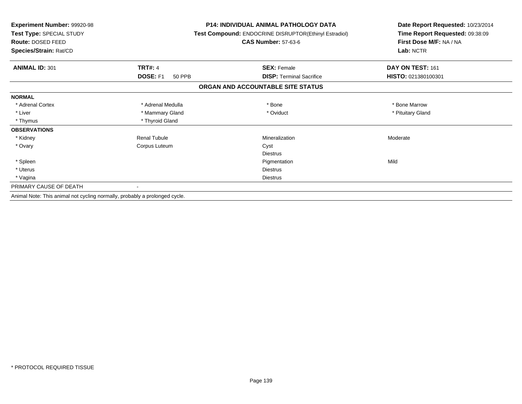| Experiment Number: 99920-98<br>Test Type: SPECIAL STUDY<br>Route: DOSED FEED |                           | <b>P14: INDIVIDUAL ANIMAL PATHOLOGY DATA</b><br>Test Compound: ENDOCRINE DISRUPTOR(Ethinyl Estradiol)<br><b>CAS Number: 57-63-6</b> | Date Report Requested: 10/23/2014<br>Time Report Requested: 09:38:09<br>First Dose M/F: NA / NA |  |
|------------------------------------------------------------------------------|---------------------------|-------------------------------------------------------------------------------------------------------------------------------------|-------------------------------------------------------------------------------------------------|--|
| Species/Strain: Rat/CD                                                       |                           |                                                                                                                                     | Lab: NCTR                                                                                       |  |
| <b>ANIMAL ID: 301</b>                                                        | <b>TRT#: 4</b>            | <b>SEX: Female</b>                                                                                                                  | DAY ON TEST: 161                                                                                |  |
|                                                                              | DOSE: F1<br><b>50 PPB</b> | <b>DISP: Terminal Sacrifice</b>                                                                                                     | HISTO: 021380100301                                                                             |  |
|                                                                              |                           | ORGAN AND ACCOUNTABLE SITE STATUS                                                                                                   |                                                                                                 |  |
| <b>NORMAL</b>                                                                |                           |                                                                                                                                     |                                                                                                 |  |
| * Adrenal Cortex                                                             | * Adrenal Medulla         | * Bone                                                                                                                              | * Bone Marrow                                                                                   |  |
| * Liver                                                                      | * Mammary Gland           | * Oviduct                                                                                                                           | * Pituitary Gland                                                                               |  |
| * Thymus                                                                     | * Thyroid Gland           |                                                                                                                                     |                                                                                                 |  |
| <b>OBSERVATIONS</b>                                                          |                           |                                                                                                                                     |                                                                                                 |  |
| * Kidney                                                                     | <b>Renal Tubule</b>       | Mineralization                                                                                                                      | Moderate                                                                                        |  |
| * Ovary                                                                      | Corpus Luteum             | Cyst                                                                                                                                |                                                                                                 |  |
|                                                                              |                           | <b>Diestrus</b>                                                                                                                     |                                                                                                 |  |
| * Spleen                                                                     |                           | Pigmentation                                                                                                                        | Mild                                                                                            |  |
| * Uterus                                                                     |                           | <b>Diestrus</b>                                                                                                                     |                                                                                                 |  |
| * Vagina                                                                     |                           | <b>Diestrus</b>                                                                                                                     |                                                                                                 |  |
| PRIMARY CAUSE OF DEATH                                                       |                           |                                                                                                                                     |                                                                                                 |  |
| Animal Note: This animal not cycling normally, probably a prolonged cycle.   |                           |                                                                                                                                     |                                                                                                 |  |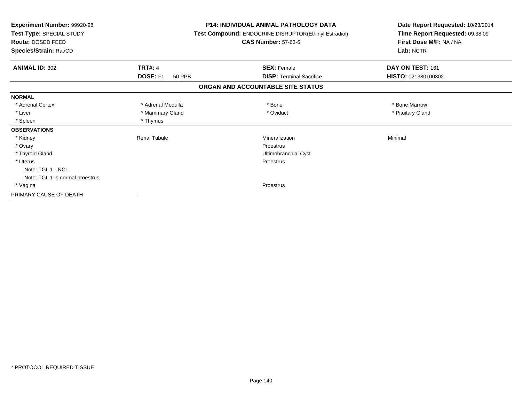| <b>Experiment Number: 99920-98</b><br>Test Type: SPECIAL STUDY<br>Route: DOSED FEED | <b>P14: INDIVIDUAL ANIMAL PATHOLOGY DATA</b><br>Test Compound: ENDOCRINE DISRUPTOR(Ethinyl Estradiol)<br><b>CAS Number: 57-63-6</b> | Date Report Requested: 10/23/2014<br>Time Report Requested: 09:38:09<br>First Dose M/F: NA / NA<br>Lab: NCTR |  |
|-------------------------------------------------------------------------------------|-------------------------------------------------------------------------------------------------------------------------------------|--------------------------------------------------------------------------------------------------------------|--|
| Species/Strain: Rat/CD                                                              |                                                                                                                                     |                                                                                                              |  |
| <b>TRT#: 4</b><br><b>ANIMAL ID: 302</b>                                             | <b>SEX: Female</b>                                                                                                                  | DAY ON TEST: 161                                                                                             |  |
| DOSE: F1<br>50 PPB                                                                  | <b>DISP: Terminal Sacrifice</b>                                                                                                     | HISTO: 021380100302                                                                                          |  |
|                                                                                     | ORGAN AND ACCOUNTABLE SITE STATUS                                                                                                   |                                                                                                              |  |
| <b>NORMAL</b>                                                                       |                                                                                                                                     |                                                                                                              |  |
| * Adrenal Cortex<br>* Adrenal Medulla                                               | * Bone                                                                                                                              | * Bone Marrow                                                                                                |  |
| * Liver<br>* Mammary Gland                                                          | * Oviduct                                                                                                                           | * Pituitary Gland                                                                                            |  |
| * Spleen<br>* Thymus                                                                |                                                                                                                                     |                                                                                                              |  |
| <b>OBSERVATIONS</b>                                                                 |                                                                                                                                     |                                                                                                              |  |
| * Kidney<br><b>Renal Tubule</b>                                                     | Mineralization                                                                                                                      | Minimal                                                                                                      |  |
| * Ovary                                                                             | <b>Proestrus</b>                                                                                                                    |                                                                                                              |  |
| * Thyroid Gland                                                                     | Ultimobranchial Cyst                                                                                                                |                                                                                                              |  |
| * Uterus                                                                            | Proestrus                                                                                                                           |                                                                                                              |  |
| Note: TGL 1 - NCL                                                                   |                                                                                                                                     |                                                                                                              |  |
| Note: TGL 1 is normal proestrus                                                     |                                                                                                                                     |                                                                                                              |  |
| * Vagina                                                                            | <b>Proestrus</b>                                                                                                                    |                                                                                                              |  |
| PRIMARY CAUSE OF DEATH                                                              |                                                                                                                                     |                                                                                                              |  |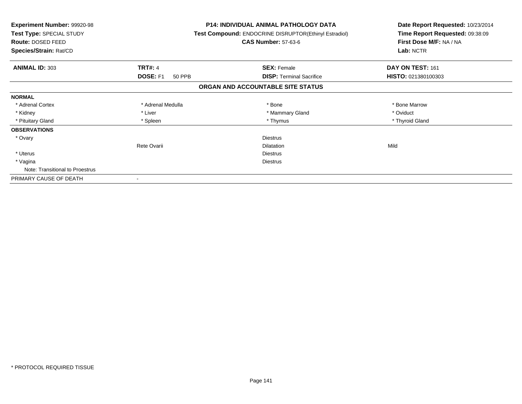| <b>Experiment Number: 99920-98</b><br>Test Type: SPECIAL STUDY<br>Route: DOSED FEED<br>Species/Strain: Rat/CD |                    | <b>P14: INDIVIDUAL ANIMAL PATHOLOGY DATA</b><br><b>Test Compound: ENDOCRINE DISRUPTOR(Ethinyl Estradiol)</b><br><b>CAS Number: 57-63-6</b> | Date Report Requested: 10/23/2014<br>Time Report Requested: 09:38:09<br>First Dose M/F: NA / NA<br>Lab: NCTR |  |
|---------------------------------------------------------------------------------------------------------------|--------------------|--------------------------------------------------------------------------------------------------------------------------------------------|--------------------------------------------------------------------------------------------------------------|--|
| <b>ANIMAL ID: 303</b>                                                                                         | <b>TRT#: 4</b>     | <b>SEX: Female</b>                                                                                                                         | DAY ON TEST: 161                                                                                             |  |
|                                                                                                               | DOSE: F1<br>50 PPB | <b>DISP:</b> Terminal Sacrifice                                                                                                            | HISTO: 021380100303                                                                                          |  |
|                                                                                                               |                    | ORGAN AND ACCOUNTABLE SITE STATUS                                                                                                          |                                                                                                              |  |
| <b>NORMAL</b>                                                                                                 |                    |                                                                                                                                            |                                                                                                              |  |
| * Adrenal Cortex                                                                                              | * Adrenal Medulla  | * Bone                                                                                                                                     | * Bone Marrow                                                                                                |  |
| * Kidney                                                                                                      | * Liver            | * Mammary Gland                                                                                                                            | * Oviduct                                                                                                    |  |
| * Pituitary Gland                                                                                             | * Spleen           | * Thymus                                                                                                                                   | * Thyroid Gland                                                                                              |  |
| <b>OBSERVATIONS</b>                                                                                           |                    |                                                                                                                                            |                                                                                                              |  |
| * Ovary                                                                                                       |                    | <b>Diestrus</b>                                                                                                                            |                                                                                                              |  |
|                                                                                                               | Rete Ovarii        | <b>Dilatation</b>                                                                                                                          | Mild                                                                                                         |  |
| * Uterus                                                                                                      |                    | <b>Diestrus</b>                                                                                                                            |                                                                                                              |  |
| * Vagina                                                                                                      |                    | Diestrus                                                                                                                                   |                                                                                                              |  |
| Note: Transitional to Proestrus                                                                               |                    |                                                                                                                                            |                                                                                                              |  |
| PRIMARY CAUSE OF DEATH                                                                                        |                    |                                                                                                                                            |                                                                                                              |  |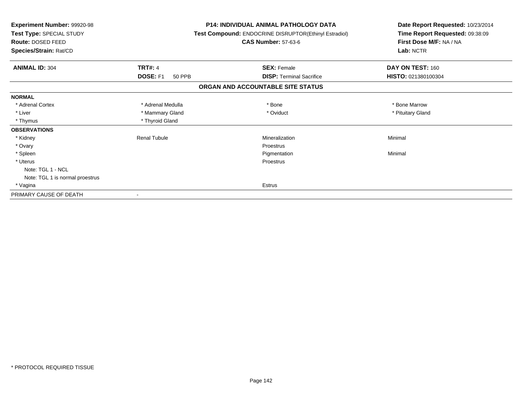| Experiment Number: 99920-98<br>Test Type: SPECIAL STUDY<br>Route: DOSED FEED<br>Species/Strain: Rat/CD |                           | <b>P14: INDIVIDUAL ANIMAL PATHOLOGY DATA</b><br>Test Compound: ENDOCRINE DISRUPTOR(Ethinyl Estradiol)<br><b>CAS Number: 57-63-6</b> | Date Report Requested: 10/23/2014<br>Time Report Requested: 09:38:09<br>First Dose M/F: NA / NA<br>Lab: NCTR |
|--------------------------------------------------------------------------------------------------------|---------------------------|-------------------------------------------------------------------------------------------------------------------------------------|--------------------------------------------------------------------------------------------------------------|
| <b>ANIMAL ID: 304</b>                                                                                  | <b>TRT#: 4</b>            | <b>SEX: Female</b>                                                                                                                  | DAY ON TEST: 160                                                                                             |
|                                                                                                        | DOSE: F1<br><b>50 PPB</b> | <b>DISP:</b> Terminal Sacrifice                                                                                                     | HISTO: 021380100304                                                                                          |
|                                                                                                        |                           | ORGAN AND ACCOUNTABLE SITE STATUS                                                                                                   |                                                                                                              |
| <b>NORMAL</b>                                                                                          |                           |                                                                                                                                     |                                                                                                              |
| * Adrenal Cortex                                                                                       | * Adrenal Medulla         | * Bone                                                                                                                              | * Bone Marrow                                                                                                |
| * Liver                                                                                                | * Mammary Gland           | * Oviduct                                                                                                                           | * Pituitary Gland                                                                                            |
| * Thymus                                                                                               | * Thyroid Gland           |                                                                                                                                     |                                                                                                              |
| <b>OBSERVATIONS</b>                                                                                    |                           |                                                                                                                                     |                                                                                                              |
| * Kidney                                                                                               | <b>Renal Tubule</b>       | Mineralization                                                                                                                      | Minimal                                                                                                      |
| * Ovary                                                                                                |                           | Proestrus                                                                                                                           |                                                                                                              |
| * Spleen                                                                                               |                           | Pigmentation                                                                                                                        | Minimal                                                                                                      |
| * Uterus                                                                                               |                           | Proestrus                                                                                                                           |                                                                                                              |
| Note: TGL 1 - NCL                                                                                      |                           |                                                                                                                                     |                                                                                                              |
| Note: TGL 1 is normal proestrus                                                                        |                           |                                                                                                                                     |                                                                                                              |
| * Vagina                                                                                               |                           | Estrus                                                                                                                              |                                                                                                              |
| PRIMARY CAUSE OF DEATH                                                                                 |                           |                                                                                                                                     |                                                                                                              |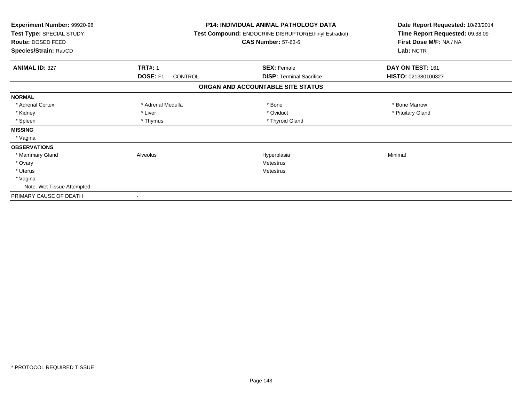| Experiment Number: 99920-98<br>Test Type: SPECIAL STUDY<br>Route: DOSED FEED<br>Species/Strain: Rat/CD |                     | <b>P14: INDIVIDUAL ANIMAL PATHOLOGY DATA</b><br>Test Compound: ENDOCRINE DISRUPTOR(Ethinyl Estradiol)<br><b>CAS Number: 57-63-6</b> | Date Report Requested: 10/23/2014<br>Time Report Requested: 09:38:09<br>First Dose M/F: NA / NA<br>Lab: NCTR |
|--------------------------------------------------------------------------------------------------------|---------------------|-------------------------------------------------------------------------------------------------------------------------------------|--------------------------------------------------------------------------------------------------------------|
| <b>ANIMAL ID: 327</b>                                                                                  | <b>TRT#: 1</b>      | <b>SEX: Female</b>                                                                                                                  | DAY ON TEST: 161                                                                                             |
|                                                                                                        | DOSE: F1<br>CONTROL | <b>DISP:</b> Terminal Sacrifice                                                                                                     | HISTO: 021380100327                                                                                          |
|                                                                                                        |                     | ORGAN AND ACCOUNTABLE SITE STATUS                                                                                                   |                                                                                                              |
| <b>NORMAL</b>                                                                                          |                     |                                                                                                                                     |                                                                                                              |
| * Adrenal Cortex                                                                                       | * Adrenal Medulla   | * Bone                                                                                                                              | * Bone Marrow                                                                                                |
| * Kidney                                                                                               | * Liver             | * Oviduct                                                                                                                           | * Pituitary Gland                                                                                            |
| * Spleen                                                                                               | * Thymus            | * Thyroid Gland                                                                                                                     |                                                                                                              |
| <b>MISSING</b>                                                                                         |                     |                                                                                                                                     |                                                                                                              |
| * Vagina                                                                                               |                     |                                                                                                                                     |                                                                                                              |
| <b>OBSERVATIONS</b>                                                                                    |                     |                                                                                                                                     |                                                                                                              |
| * Mammary Gland                                                                                        | Alveolus            | Hyperplasia                                                                                                                         | Minimal                                                                                                      |
| * Ovary                                                                                                |                     | Metestrus                                                                                                                           |                                                                                                              |
| * Uterus                                                                                               |                     | Metestrus                                                                                                                           |                                                                                                              |
| * Vagina                                                                                               |                     |                                                                                                                                     |                                                                                                              |
| Note: Wet Tissue Attempted                                                                             |                     |                                                                                                                                     |                                                                                                              |
| PRIMARY CAUSE OF DEATH                                                                                 |                     |                                                                                                                                     |                                                                                                              |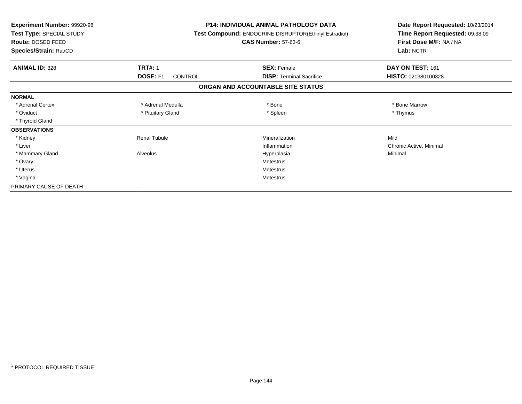| Experiment Number: 99920-98<br>Test Type: SPECIAL STUDY<br>Route: DOSED FEED<br>Species/Strain: Rat/CD |                            | <b>P14: INDIVIDUAL ANIMAL PATHOLOGY DATA</b><br>Test Compound: ENDOCRINE DISRUPTOR(Ethinyl Estradiol)<br><b>CAS Number: 57-63-6</b> | Date Report Requested: 10/23/2014<br>Time Report Requested: 09:38:09<br>First Dose M/F: NA / NA<br>Lab: NCTR |
|--------------------------------------------------------------------------------------------------------|----------------------------|-------------------------------------------------------------------------------------------------------------------------------------|--------------------------------------------------------------------------------------------------------------|
| <b>ANIMAL ID: 328</b>                                                                                  | <b>TRT#: 1</b>             | <b>SEX: Female</b>                                                                                                                  | DAY ON TEST: 161                                                                                             |
|                                                                                                        | DOSE: F1<br><b>CONTROL</b> | <b>DISP: Terminal Sacrifice</b>                                                                                                     | HISTO: 021380100328                                                                                          |
|                                                                                                        |                            | ORGAN AND ACCOUNTABLE SITE STATUS                                                                                                   |                                                                                                              |
| <b>NORMAL</b>                                                                                          |                            |                                                                                                                                     |                                                                                                              |
| * Adrenal Cortex                                                                                       | * Adrenal Medulla          | * Bone                                                                                                                              | * Bone Marrow                                                                                                |
| * Oviduct                                                                                              | * Pituitary Gland          | * Spleen                                                                                                                            | * Thymus                                                                                                     |
| * Thyroid Gland                                                                                        |                            |                                                                                                                                     |                                                                                                              |
| <b>OBSERVATIONS</b>                                                                                    |                            |                                                                                                                                     |                                                                                                              |
| * Kidney                                                                                               | <b>Renal Tubule</b>        | Mineralization                                                                                                                      | Mild                                                                                                         |
| * Liver                                                                                                |                            | Inflammation                                                                                                                        | Chronic Active, Minimal                                                                                      |
| * Mammary Gland                                                                                        | Alveolus                   | Hyperplasia                                                                                                                         | Minimal                                                                                                      |
| * Ovary                                                                                                |                            | Metestrus                                                                                                                           |                                                                                                              |
| * Uterus                                                                                               |                            | <b>Metestrus</b>                                                                                                                    |                                                                                                              |
| * Vagina                                                                                               |                            | <b>Metestrus</b>                                                                                                                    |                                                                                                              |
| PRIMARY CAUSE OF DEATH                                                                                 |                            |                                                                                                                                     |                                                                                                              |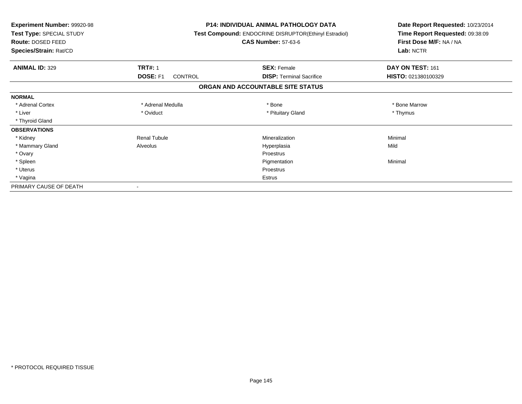| Experiment Number: 99920-98<br>Test Type: SPECIAL STUDY<br>Route: DOSED FEED<br>Species/Strain: Rat/CD |                     | <b>P14: INDIVIDUAL ANIMAL PATHOLOGY DATA</b><br><b>Test Compound: ENDOCRINE DISRUPTOR(Ethinyl Estradiol)</b><br><b>CAS Number: 57-63-6</b> | Date Report Requested: 10/23/2014<br>Time Report Requested: 09:38:09<br>First Dose M/F: NA / NA<br>Lab: NCTR |
|--------------------------------------------------------------------------------------------------------|---------------------|--------------------------------------------------------------------------------------------------------------------------------------------|--------------------------------------------------------------------------------------------------------------|
| <b>ANIMAL ID: 329</b>                                                                                  | <b>TRT#: 1</b>      | <b>SEX: Female</b>                                                                                                                         | DAY ON TEST: 161                                                                                             |
|                                                                                                        | DOSE: F1<br>CONTROL | <b>DISP: Terminal Sacrifice</b>                                                                                                            | HISTO: 021380100329                                                                                          |
|                                                                                                        |                     | ORGAN AND ACCOUNTABLE SITE STATUS                                                                                                          |                                                                                                              |
| <b>NORMAL</b>                                                                                          |                     |                                                                                                                                            |                                                                                                              |
| * Adrenal Cortex                                                                                       | * Adrenal Medulla   | * Bone                                                                                                                                     | * Bone Marrow                                                                                                |
| * Liver                                                                                                | * Oviduct           | * Pituitary Gland                                                                                                                          | * Thymus                                                                                                     |
| * Thyroid Gland                                                                                        |                     |                                                                                                                                            |                                                                                                              |
| <b>OBSERVATIONS</b>                                                                                    |                     |                                                                                                                                            |                                                                                                              |
| * Kidney                                                                                               | <b>Renal Tubule</b> | Mineralization                                                                                                                             | Minimal                                                                                                      |
| * Mammary Gland                                                                                        | Alveolus            | Hyperplasia                                                                                                                                | Mild                                                                                                         |
| * Ovary                                                                                                |                     | Proestrus                                                                                                                                  |                                                                                                              |
| * Spleen                                                                                               |                     | Pigmentation                                                                                                                               | Minimal                                                                                                      |
| * Uterus                                                                                               |                     | Proestrus                                                                                                                                  |                                                                                                              |
| * Vagina                                                                                               |                     | <b>Estrus</b>                                                                                                                              |                                                                                                              |
| PRIMARY CAUSE OF DEATH                                                                                 |                     |                                                                                                                                            |                                                                                                              |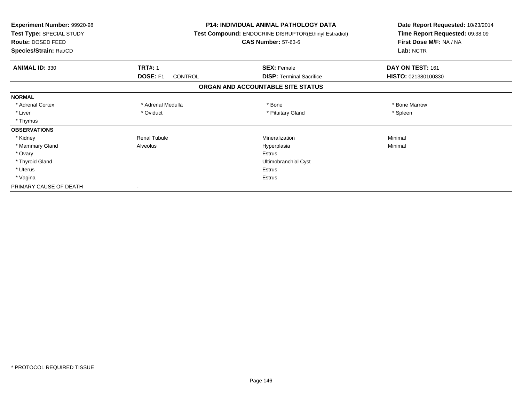| <b>Experiment Number: 99920-98</b><br>Test Type: SPECIAL STUDY<br>Route: DOSED FEED<br>Species/Strain: Rat/CD |                            | <b>P14: INDIVIDUAL ANIMAL PATHOLOGY DATA</b><br><b>Test Compound: ENDOCRINE DISRUPTOR(Ethinyl Estradiol)</b><br><b>CAS Number: 57-63-6</b> | Date Report Requested: 10/23/2014<br>Time Report Requested: 09:38:09<br>First Dose M/F: NA / NA<br>Lab: NCTR |
|---------------------------------------------------------------------------------------------------------------|----------------------------|--------------------------------------------------------------------------------------------------------------------------------------------|--------------------------------------------------------------------------------------------------------------|
| <b>ANIMAL ID: 330</b>                                                                                         | <b>TRT#: 1</b>             | <b>SEX: Female</b>                                                                                                                         | DAY ON TEST: 161                                                                                             |
|                                                                                                               | DOSE: F1<br><b>CONTROL</b> | <b>DISP: Terminal Sacrifice</b>                                                                                                            | HISTO: 021380100330                                                                                          |
|                                                                                                               |                            | ORGAN AND ACCOUNTABLE SITE STATUS                                                                                                          |                                                                                                              |
| <b>NORMAL</b>                                                                                                 |                            |                                                                                                                                            |                                                                                                              |
| * Adrenal Cortex                                                                                              | * Adrenal Medulla          | * Bone                                                                                                                                     | * Bone Marrow                                                                                                |
| * Liver                                                                                                       | * Oviduct                  | * Pituitary Gland                                                                                                                          | * Spleen                                                                                                     |
| * Thymus                                                                                                      |                            |                                                                                                                                            |                                                                                                              |
| <b>OBSERVATIONS</b>                                                                                           |                            |                                                                                                                                            |                                                                                                              |
| * Kidney                                                                                                      | <b>Renal Tubule</b>        | Mineralization                                                                                                                             | Minimal                                                                                                      |
| * Mammary Gland                                                                                               | Alveolus                   | Hyperplasia                                                                                                                                | Minimal                                                                                                      |
| * Ovary                                                                                                       |                            | <b>Estrus</b>                                                                                                                              |                                                                                                              |
| * Thyroid Gland                                                                                               |                            | Ultimobranchial Cyst                                                                                                                       |                                                                                                              |
| * Uterus                                                                                                      |                            | <b>Estrus</b>                                                                                                                              |                                                                                                              |
| * Vagina                                                                                                      |                            | Estrus                                                                                                                                     |                                                                                                              |
| PRIMARY CAUSE OF DEATH                                                                                        |                            |                                                                                                                                            |                                                                                                              |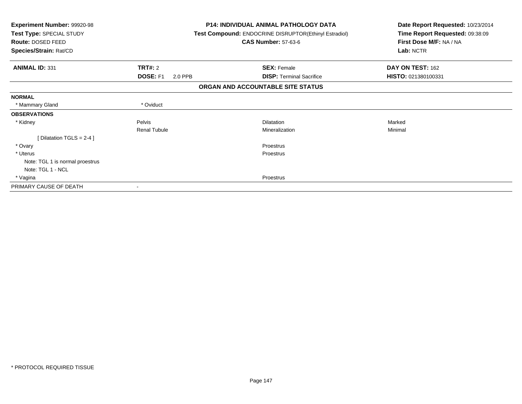| Experiment Number: 99920-98<br>Test Type: SPECIAL STUDY<br>Route: DOSED FEED |                     | <b>P14: INDIVIDUAL ANIMAL PATHOLOGY DATA</b><br>Test Compound: ENDOCRINE DISRUPTOR(Ethinyl Estradiol)<br><b>CAS Number: 57-63-6</b> | Date Report Requested: 10/23/2014<br>Time Report Requested: 09:38:09<br>First Dose M/F: NA / NA |
|------------------------------------------------------------------------------|---------------------|-------------------------------------------------------------------------------------------------------------------------------------|-------------------------------------------------------------------------------------------------|
| Species/Strain: Rat/CD                                                       |                     |                                                                                                                                     | Lab: NCTR                                                                                       |
| <b>ANIMAL ID: 331</b>                                                        | <b>TRT#: 2</b>      | <b>SEX: Female</b>                                                                                                                  | DAY ON TEST: 162                                                                                |
|                                                                              | DOSE: F1<br>2.0 PPB | <b>DISP: Terminal Sacrifice</b>                                                                                                     | HISTO: 021380100331                                                                             |
|                                                                              |                     | ORGAN AND ACCOUNTABLE SITE STATUS                                                                                                   |                                                                                                 |
| <b>NORMAL</b>                                                                |                     |                                                                                                                                     |                                                                                                 |
| * Mammary Gland                                                              | * Oviduct           |                                                                                                                                     |                                                                                                 |
| <b>OBSERVATIONS</b>                                                          |                     |                                                                                                                                     |                                                                                                 |
| * Kidney                                                                     | Pelvis              | <b>Dilatation</b>                                                                                                                   | Marked                                                                                          |
|                                                                              | <b>Renal Tubule</b> | Mineralization                                                                                                                      | Minimal                                                                                         |
| [Dilatation TGLS = 2-4 ]                                                     |                     |                                                                                                                                     |                                                                                                 |
| * Ovary                                                                      |                     | Proestrus                                                                                                                           |                                                                                                 |
| * Uterus                                                                     |                     | Proestrus                                                                                                                           |                                                                                                 |
| Note: TGL 1 is normal proestrus                                              |                     |                                                                                                                                     |                                                                                                 |
| Note: TGL 1 - NCL                                                            |                     |                                                                                                                                     |                                                                                                 |
| * Vagina                                                                     |                     | Proestrus                                                                                                                           |                                                                                                 |
| PRIMARY CAUSE OF DEATH                                                       |                     |                                                                                                                                     |                                                                                                 |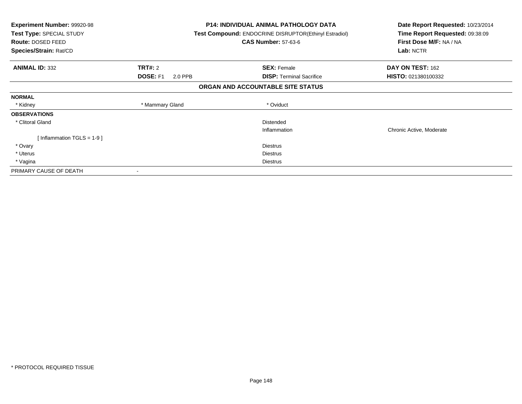| <b>Experiment Number: 99920-98</b><br>Test Type: SPECIAL STUDY<br>Route: DOSED FEED<br>Species/Strain: Rat/CD |                            | <b>P14: INDIVIDUAL ANIMAL PATHOLOGY DATA</b><br><b>Test Compound: ENDOCRINE DISRUPTOR(Ethinyl Estradiol)</b><br><b>CAS Number: 57-63-6</b> | Date Report Requested: 10/23/2014<br>Time Report Requested: 09:38:09<br>First Dose M/F: NA / NA<br>Lab: NCTR |
|---------------------------------------------------------------------------------------------------------------|----------------------------|--------------------------------------------------------------------------------------------------------------------------------------------|--------------------------------------------------------------------------------------------------------------|
| <b>ANIMAL ID: 332</b>                                                                                         | <b>TRT#: 2</b>             | <b>SEX: Female</b>                                                                                                                         | DAY ON TEST: 162                                                                                             |
|                                                                                                               | <b>DOSE: F1</b><br>2.0 PPB | <b>DISP:</b> Terminal Sacrifice                                                                                                            | HISTO: 021380100332                                                                                          |
|                                                                                                               |                            | ORGAN AND ACCOUNTABLE SITE STATUS                                                                                                          |                                                                                                              |
| <b>NORMAL</b>                                                                                                 |                            |                                                                                                                                            |                                                                                                              |
| * Kidney                                                                                                      | * Mammary Gland            | * Oviduct                                                                                                                                  |                                                                                                              |
| <b>OBSERVATIONS</b>                                                                                           |                            |                                                                                                                                            |                                                                                                              |
| * Clitoral Gland                                                                                              |                            | Distended                                                                                                                                  |                                                                                                              |
|                                                                                                               |                            | Inflammation                                                                                                                               | Chronic Active, Moderate                                                                                     |
| [Inflammation TGLS = 1-9]                                                                                     |                            |                                                                                                                                            |                                                                                                              |
| * Ovary                                                                                                       |                            | Diestrus                                                                                                                                   |                                                                                                              |
| * Uterus                                                                                                      |                            | Diestrus                                                                                                                                   |                                                                                                              |
| * Vagina                                                                                                      |                            | Diestrus                                                                                                                                   |                                                                                                              |
| PRIMARY CAUSE OF DEATH                                                                                        |                            |                                                                                                                                            |                                                                                                              |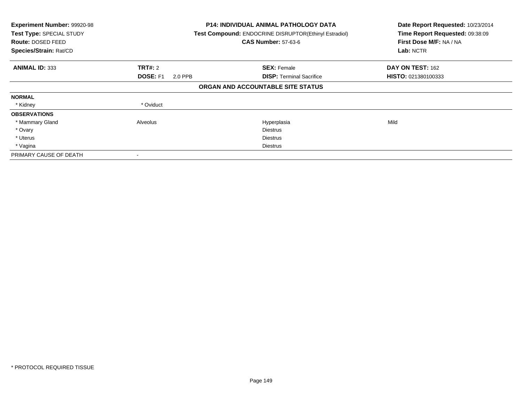| Experiment Number: 99920-98<br>Test Type: SPECIAL STUDY<br><b>Route: DOSED FEED</b><br>Species/Strain: Rat/CD |                     | <b>P14: INDIVIDUAL ANIMAL PATHOLOGY DATA</b><br>Test Compound: ENDOCRINE DISRUPTOR(Ethinyl Estradiol)<br><b>CAS Number: 57-63-6</b> | Date Report Requested: 10/23/2014<br>Time Report Requested: 09:38:09<br>First Dose M/F: NA / NA<br>Lab: NCTR |
|---------------------------------------------------------------------------------------------------------------|---------------------|-------------------------------------------------------------------------------------------------------------------------------------|--------------------------------------------------------------------------------------------------------------|
| <b>ANIMAL ID: 333</b>                                                                                         | <b>TRT#: 2</b>      | <b>SEX: Female</b>                                                                                                                  | DAY ON TEST: 162                                                                                             |
|                                                                                                               | DOSE: F1<br>2.0 PPB | <b>DISP:</b> Terminal Sacrifice                                                                                                     | HISTO: 021380100333                                                                                          |
|                                                                                                               |                     | ORGAN AND ACCOUNTABLE SITE STATUS                                                                                                   |                                                                                                              |
| <b>NORMAL</b>                                                                                                 |                     |                                                                                                                                     |                                                                                                              |
| * Kidney                                                                                                      | * Oviduct           |                                                                                                                                     |                                                                                                              |
| <b>OBSERVATIONS</b>                                                                                           |                     |                                                                                                                                     |                                                                                                              |
| * Mammary Gland                                                                                               | Alveolus            | Hyperplasia                                                                                                                         | Mild                                                                                                         |
| * Ovary                                                                                                       |                     | <b>Diestrus</b>                                                                                                                     |                                                                                                              |
| * Uterus                                                                                                      |                     | <b>Diestrus</b>                                                                                                                     |                                                                                                              |
| * Vagina                                                                                                      |                     | Diestrus                                                                                                                            |                                                                                                              |
| PRIMARY CAUSE OF DEATH                                                                                        |                     |                                                                                                                                     |                                                                                                              |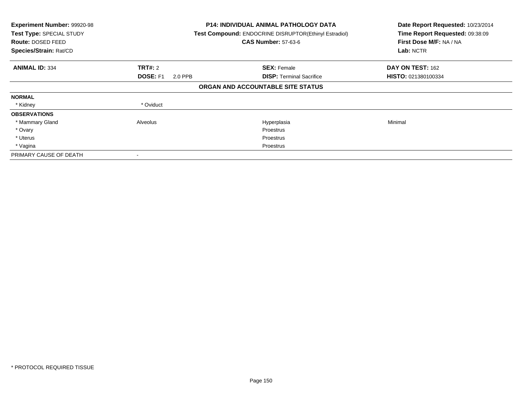| Experiment Number: 99920-98<br>Test Type: SPECIAL STUDY<br>Route: DOSED FEED<br>Species/Strain: Rat/CD |                     | <b>P14: INDIVIDUAL ANIMAL PATHOLOGY DATA</b><br>Test Compound: ENDOCRINE DISRUPTOR(Ethinyl Estradiol)<br><b>CAS Number: 57-63-6</b> | Date Report Requested: 10/23/2014<br>Time Report Requested: 09:38:09<br>First Dose M/F: NA / NA<br>Lab: NCTR |
|--------------------------------------------------------------------------------------------------------|---------------------|-------------------------------------------------------------------------------------------------------------------------------------|--------------------------------------------------------------------------------------------------------------|
| <b>ANIMAL ID: 334</b>                                                                                  | <b>TRT#: 2</b>      | <b>SEX: Female</b>                                                                                                                  | DAY ON TEST: 162                                                                                             |
|                                                                                                        | DOSE: F1<br>2.0 PPB | <b>DISP: Terminal Sacrifice</b>                                                                                                     | HISTO: 021380100334                                                                                          |
|                                                                                                        |                     | ORGAN AND ACCOUNTABLE SITE STATUS                                                                                                   |                                                                                                              |
| <b>NORMAL</b>                                                                                          |                     |                                                                                                                                     |                                                                                                              |
| * Kidney                                                                                               | * Oviduct           |                                                                                                                                     |                                                                                                              |
| <b>OBSERVATIONS</b>                                                                                    |                     |                                                                                                                                     |                                                                                                              |
| * Mammary Gland                                                                                        | Alveolus            | Hyperplasia                                                                                                                         | Minimal                                                                                                      |
| * Ovary                                                                                                |                     | <b>Proestrus</b>                                                                                                                    |                                                                                                              |
| * Uterus                                                                                               |                     | Proestrus                                                                                                                           |                                                                                                              |
| * Vagina                                                                                               |                     | Proestrus                                                                                                                           |                                                                                                              |
| PRIMARY CAUSE OF DEATH                                                                                 |                     |                                                                                                                                     |                                                                                                              |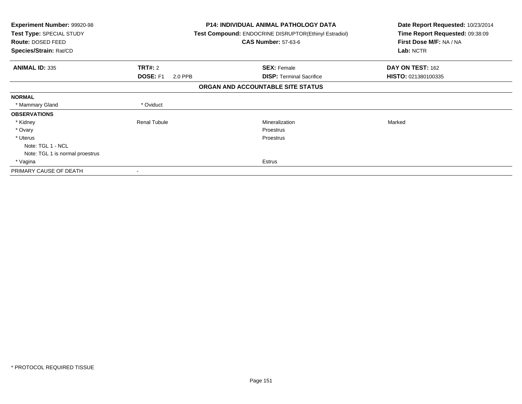| Experiment Number: 99920-98<br>Test Type: SPECIAL STUDY<br>Route: DOSED FEED<br>Species/Strain: Rat/CD |                            | <b>P14: INDIVIDUAL ANIMAL PATHOLOGY DATA</b><br><b>Test Compound: ENDOCRINE DISRUPTOR(Ethinyl Estradiol)</b><br><b>CAS Number: 57-63-6</b> | Date Report Requested: 10/23/2014<br>Time Report Requested: 09:38:09<br>First Dose M/F: NA / NA<br>Lab: NCTR |
|--------------------------------------------------------------------------------------------------------|----------------------------|--------------------------------------------------------------------------------------------------------------------------------------------|--------------------------------------------------------------------------------------------------------------|
| <b>ANIMAL ID: 335</b>                                                                                  | <b>TRT#: 2</b>             | <b>SEX: Female</b>                                                                                                                         | DAY ON TEST: 162                                                                                             |
|                                                                                                        | <b>DOSE: F1</b><br>2.0 PPB | <b>DISP:</b> Terminal Sacrifice                                                                                                            | HISTO: 021380100335                                                                                          |
|                                                                                                        |                            | ORGAN AND ACCOUNTABLE SITE STATUS                                                                                                          |                                                                                                              |
| <b>NORMAL</b>                                                                                          |                            |                                                                                                                                            |                                                                                                              |
| * Mammary Gland                                                                                        | * Oviduct                  |                                                                                                                                            |                                                                                                              |
| <b>OBSERVATIONS</b>                                                                                    |                            |                                                                                                                                            |                                                                                                              |
| * Kidney                                                                                               | <b>Renal Tubule</b>        | Mineralization                                                                                                                             | Marked                                                                                                       |
| * Ovary                                                                                                |                            | Proestrus                                                                                                                                  |                                                                                                              |
| * Uterus                                                                                               |                            | Proestrus                                                                                                                                  |                                                                                                              |
| Note: TGL 1 - NCL                                                                                      |                            |                                                                                                                                            |                                                                                                              |
| Note: TGL 1 is normal proestrus                                                                        |                            |                                                                                                                                            |                                                                                                              |
| * Vagina                                                                                               |                            | <b>Estrus</b>                                                                                                                              |                                                                                                              |
| PRIMARY CAUSE OF DEATH                                                                                 |                            |                                                                                                                                            |                                                                                                              |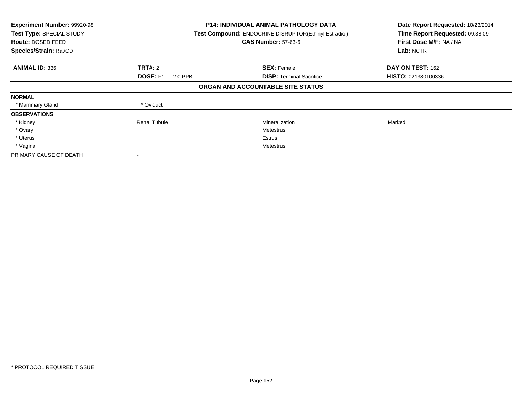| Experiment Number: 99920-98<br>Test Type: SPECIAL STUDY<br>Route: DOSED FEED<br>Species/Strain: Rat/CD |                            | <b>P14: INDIVIDUAL ANIMAL PATHOLOGY DATA</b><br>Test Compound: ENDOCRINE DISRUPTOR(Ethinyl Estradiol)<br><b>CAS Number: 57-63-6</b> | Date Report Requested: 10/23/2014<br>Time Report Requested: 09:38:09<br>First Dose M/F: NA / NA<br>Lab: NCTR |
|--------------------------------------------------------------------------------------------------------|----------------------------|-------------------------------------------------------------------------------------------------------------------------------------|--------------------------------------------------------------------------------------------------------------|
| <b>ANIMAL ID: 336</b>                                                                                  | <b>TRT#: 2</b>             | <b>SEX: Female</b>                                                                                                                  | DAY ON TEST: 162                                                                                             |
|                                                                                                        | <b>DOSE: F1</b><br>2.0 PPB | <b>DISP:</b> Terminal Sacrifice                                                                                                     | HISTO: 021380100336                                                                                          |
|                                                                                                        |                            | ORGAN AND ACCOUNTABLE SITE STATUS                                                                                                   |                                                                                                              |
| <b>NORMAL</b>                                                                                          |                            |                                                                                                                                     |                                                                                                              |
| * Mammary Gland                                                                                        | * Oviduct                  |                                                                                                                                     |                                                                                                              |
| <b>OBSERVATIONS</b>                                                                                    |                            |                                                                                                                                     |                                                                                                              |
| * Kidney                                                                                               | <b>Renal Tubule</b>        | Mineralization                                                                                                                      | Marked                                                                                                       |
| * Ovary                                                                                                |                            | Metestrus                                                                                                                           |                                                                                                              |
| * Uterus                                                                                               |                            | Estrus                                                                                                                              |                                                                                                              |
| * Vagina                                                                                               |                            | Metestrus                                                                                                                           |                                                                                                              |
| PRIMARY CAUSE OF DEATH                                                                                 |                            |                                                                                                                                     |                                                                                                              |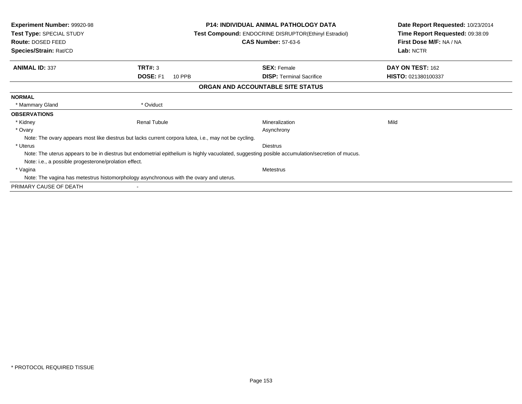| <b>Experiment Number: 99920-98</b><br>Test Type: SPECIAL STUDY<br><b>Route: DOSED FEED</b> |                                                                                                       | <b>P14: INDIVIDUAL ANIMAL PATHOLOGY DATA</b><br><b>Test Compound: ENDOCRINE DISRUPTOR(Ethinyl Estradiol)</b><br><b>CAS Number: 57-63-6</b>      | Date Report Requested: 10/23/2014<br>Time Report Requested: 09:38:09<br>First Dose M/F: NA / NA |
|--------------------------------------------------------------------------------------------|-------------------------------------------------------------------------------------------------------|-------------------------------------------------------------------------------------------------------------------------------------------------|-------------------------------------------------------------------------------------------------|
| Species/Strain: Rat/CD                                                                     |                                                                                                       |                                                                                                                                                 | Lab: NCTR                                                                                       |
| <b>ANIMAL ID: 337</b>                                                                      | TRT#: 3                                                                                               | <b>SEX: Female</b>                                                                                                                              | DAY ON TEST: 162                                                                                |
|                                                                                            | <b>DOSE: F1</b><br>10 PPB                                                                             | <b>DISP:</b> Terminal Sacrifice                                                                                                                 | <b>HISTO: 021380100337</b>                                                                      |
|                                                                                            |                                                                                                       | ORGAN AND ACCOUNTABLE SITE STATUS                                                                                                               |                                                                                                 |
| <b>NORMAL</b>                                                                              |                                                                                                       |                                                                                                                                                 |                                                                                                 |
| * Mammary Gland                                                                            | * Oviduct                                                                                             |                                                                                                                                                 |                                                                                                 |
| <b>OBSERVATIONS</b>                                                                        |                                                                                                       |                                                                                                                                                 |                                                                                                 |
| * Kidney                                                                                   | <b>Renal Tubule</b>                                                                                   | Mineralization                                                                                                                                  | Mild                                                                                            |
| * Ovary                                                                                    |                                                                                                       | Asynchrony                                                                                                                                      |                                                                                                 |
|                                                                                            | Note: The ovary appears most like diestrus but lacks current corpora lutea, i.e., may not be cycling. |                                                                                                                                                 |                                                                                                 |
| * Uterus                                                                                   |                                                                                                       | <b>Diestrus</b>                                                                                                                                 |                                                                                                 |
|                                                                                            |                                                                                                       | Note: The uterus appears to be in diestrus but endometrial epithelium is highly vacuolated, suggesting posible accumulation/secretion of mucus. |                                                                                                 |
| Note: i.e., a possible progesterone/prolation effect.                                      |                                                                                                       |                                                                                                                                                 |                                                                                                 |
| * Vagina                                                                                   |                                                                                                       | <b>Metestrus</b>                                                                                                                                |                                                                                                 |
|                                                                                            | Note: The vagina has metestrus histomorphology asynchronous with the ovary and uterus.                |                                                                                                                                                 |                                                                                                 |
| PRIMARY CAUSE OF DEATH                                                                     |                                                                                                       |                                                                                                                                                 |                                                                                                 |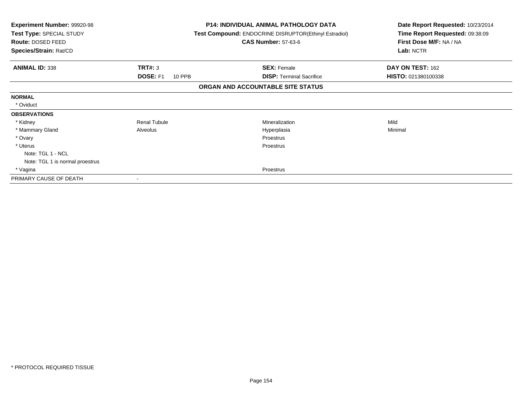| <b>Experiment Number: 99920-98</b><br>Test Type: SPECIAL STUDY<br>Route: DOSED FEED |                           | <b>P14: INDIVIDUAL ANIMAL PATHOLOGY DATA</b><br>Test Compound: ENDOCRINE DISRUPTOR(Ethinyl Estradiol)<br><b>CAS Number: 57-63-6</b> | Date Report Requested: 10/23/2014<br>Time Report Requested: 09:38:09<br>First Dose M/F: NA / NA |
|-------------------------------------------------------------------------------------|---------------------------|-------------------------------------------------------------------------------------------------------------------------------------|-------------------------------------------------------------------------------------------------|
| Species/Strain: Rat/CD                                                              |                           |                                                                                                                                     | Lab: NCTR                                                                                       |
| <b>ANIMAL ID: 338</b>                                                               | <b>TRT#: 3</b>            | <b>SEX: Female</b>                                                                                                                  | DAY ON TEST: 162                                                                                |
|                                                                                     | <b>DOSE: F1</b><br>10 PPB | <b>DISP:</b> Terminal Sacrifice                                                                                                     | HISTO: 021380100338                                                                             |
|                                                                                     |                           | ORGAN AND ACCOUNTABLE SITE STATUS                                                                                                   |                                                                                                 |
| <b>NORMAL</b>                                                                       |                           |                                                                                                                                     |                                                                                                 |
| * Oviduct                                                                           |                           |                                                                                                                                     |                                                                                                 |
| <b>OBSERVATIONS</b>                                                                 |                           |                                                                                                                                     |                                                                                                 |
| * Kidney                                                                            | Renal Tubule              | Mineralization                                                                                                                      | Mild                                                                                            |
| * Mammary Gland                                                                     | Alveolus                  | Hyperplasia                                                                                                                         | Minimal                                                                                         |
| * Ovary                                                                             |                           | Proestrus                                                                                                                           |                                                                                                 |
| * Uterus                                                                            |                           | Proestrus                                                                                                                           |                                                                                                 |
| Note: TGL 1 - NCL                                                                   |                           |                                                                                                                                     |                                                                                                 |
| Note: TGL 1 is normal proestrus                                                     |                           |                                                                                                                                     |                                                                                                 |
| * Vagina                                                                            |                           | Proestrus                                                                                                                           |                                                                                                 |
| PRIMARY CAUSE OF DEATH                                                              |                           |                                                                                                                                     |                                                                                                 |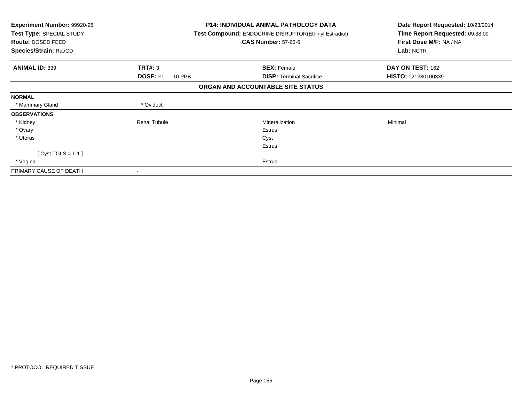| <b>Experiment Number: 99920-98</b><br>Test Type: SPECIAL STUDY<br>Route: DOSED FEED<br>Species/Strain: Rat/CD |                           | <b>P14: INDIVIDUAL ANIMAL PATHOLOGY DATA</b><br><b>Test Compound: ENDOCRINE DISRUPTOR (Ethinyl Estradiol)</b><br><b>CAS Number: 57-63-6</b> | Date Report Requested: 10/23/2014<br>Time Report Requested: 09:38:09<br>First Dose M/F: NA / NA<br>Lab: NCTR |
|---------------------------------------------------------------------------------------------------------------|---------------------------|---------------------------------------------------------------------------------------------------------------------------------------------|--------------------------------------------------------------------------------------------------------------|
| <b>ANIMAL ID: 339</b>                                                                                         | <b>TRT#: 3</b>            | <b>SEX: Female</b>                                                                                                                          | DAY ON TEST: 162                                                                                             |
|                                                                                                               | <b>DOSE: F1</b><br>10 PPB | <b>DISP:</b> Terminal Sacrifice                                                                                                             | HISTO: 021380100339                                                                                          |
|                                                                                                               |                           | ORGAN AND ACCOUNTABLE SITE STATUS                                                                                                           |                                                                                                              |
| <b>NORMAL</b>                                                                                                 |                           |                                                                                                                                             |                                                                                                              |
| * Mammary Gland                                                                                               | * Oviduct                 |                                                                                                                                             |                                                                                                              |
| <b>OBSERVATIONS</b>                                                                                           |                           |                                                                                                                                             |                                                                                                              |
| * Kidney                                                                                                      | <b>Renal Tubule</b>       | Mineralization                                                                                                                              | Minimal                                                                                                      |
| * Ovary                                                                                                       |                           | Estrus                                                                                                                                      |                                                                                                              |
| * Uterus                                                                                                      |                           | Cyst                                                                                                                                        |                                                                                                              |
|                                                                                                               |                           | <b>Estrus</b>                                                                                                                               |                                                                                                              |
| $[Cyst TGLS = 1-1]$                                                                                           |                           |                                                                                                                                             |                                                                                                              |
| * Vagina                                                                                                      |                           | <b>Estrus</b>                                                                                                                               |                                                                                                              |
| PRIMARY CAUSE OF DEATH                                                                                        |                           |                                                                                                                                             |                                                                                                              |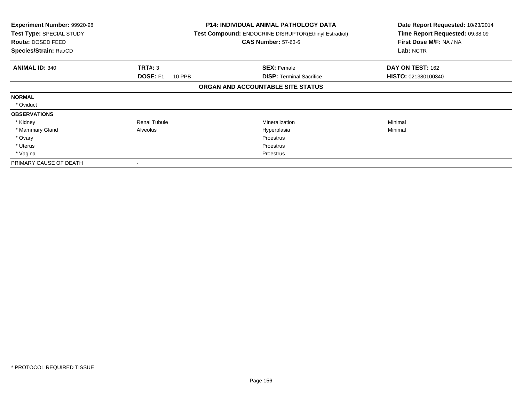| <b>Experiment Number: 99920-98</b><br>Test Type: SPECIAL STUDY<br><b>Route: DOSED FEED</b><br>Species/Strain: Rat/CD |                           | <b>P14: INDIVIDUAL ANIMAL PATHOLOGY DATA</b><br>Test Compound: ENDOCRINE DISRUPTOR(Ethinyl Estradiol)<br><b>CAS Number: 57-63-6</b> | Date Report Requested: 10/23/2014<br>Time Report Requested: 09:38:09<br>First Dose M/F: NA / NA<br>Lab: NCTR |
|----------------------------------------------------------------------------------------------------------------------|---------------------------|-------------------------------------------------------------------------------------------------------------------------------------|--------------------------------------------------------------------------------------------------------------|
| <b>ANIMAL ID: 340</b>                                                                                                | <b>TRT#: 3</b>            | <b>SEX: Female</b>                                                                                                                  | DAY ON TEST: 162                                                                                             |
|                                                                                                                      | <b>DOSE: F1</b><br>10 PPB | <b>DISP: Terminal Sacrifice</b>                                                                                                     | <b>HISTO: 021380100340</b>                                                                                   |
|                                                                                                                      |                           | ORGAN AND ACCOUNTABLE SITE STATUS                                                                                                   |                                                                                                              |
| <b>NORMAL</b>                                                                                                        |                           |                                                                                                                                     |                                                                                                              |
| * Oviduct                                                                                                            |                           |                                                                                                                                     |                                                                                                              |
| <b>OBSERVATIONS</b>                                                                                                  |                           |                                                                                                                                     |                                                                                                              |
| * Kidney                                                                                                             | <b>Renal Tubule</b>       | <b>Mineralization</b>                                                                                                               | Minimal                                                                                                      |
| * Mammary Gland                                                                                                      | Alveolus                  | Hyperplasia                                                                                                                         | Minimal                                                                                                      |
| * Ovary                                                                                                              |                           | <b>Proestrus</b>                                                                                                                    |                                                                                                              |
| * Uterus                                                                                                             |                           | Proestrus                                                                                                                           |                                                                                                              |
| * Vagina                                                                                                             |                           | Proestrus                                                                                                                           |                                                                                                              |
| PRIMARY CAUSE OF DEATH                                                                                               |                           |                                                                                                                                     |                                                                                                              |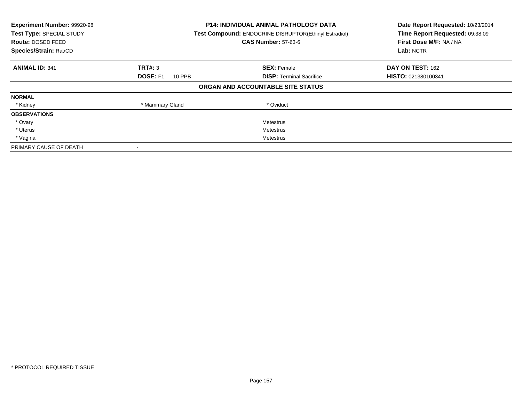| Experiment Number: 99920-98<br>Test Type: SPECIAL STUDY<br>Route: DOSED FEED<br>Species/Strain: Rat/CD |                           | <b>P14: INDIVIDUAL ANIMAL PATHOLOGY DATA</b><br>Test Compound: ENDOCRINE DISRUPTOR(Ethinyl Estradiol)<br><b>CAS Number: 57-63-6</b> | Date Report Requested: 10/23/2014<br>Time Report Requested: 09:38:09<br>First Dose M/F: NA / NA<br>Lab: NCTR |
|--------------------------------------------------------------------------------------------------------|---------------------------|-------------------------------------------------------------------------------------------------------------------------------------|--------------------------------------------------------------------------------------------------------------|
| <b>ANIMAL ID: 341</b>                                                                                  | TRT#: 3                   | <b>SEX: Female</b>                                                                                                                  | DAY ON TEST: 162                                                                                             |
|                                                                                                        | <b>DOSE: F1</b><br>10 PPB | <b>DISP:</b> Terminal Sacrifice                                                                                                     | HISTO: 021380100341                                                                                          |
|                                                                                                        |                           | ORGAN AND ACCOUNTABLE SITE STATUS                                                                                                   |                                                                                                              |
| <b>NORMAL</b>                                                                                          |                           |                                                                                                                                     |                                                                                                              |
| * Kidney                                                                                               | * Mammary Gland           | * Oviduct                                                                                                                           |                                                                                                              |
| <b>OBSERVATIONS</b>                                                                                    |                           |                                                                                                                                     |                                                                                                              |
| * Ovary                                                                                                |                           | Metestrus                                                                                                                           |                                                                                                              |
| * Uterus                                                                                               |                           | Metestrus                                                                                                                           |                                                                                                              |
| * Vagina                                                                                               | Metestrus                 |                                                                                                                                     |                                                                                                              |
| PRIMARY CAUSE OF DEATH                                                                                 |                           |                                                                                                                                     |                                                                                                              |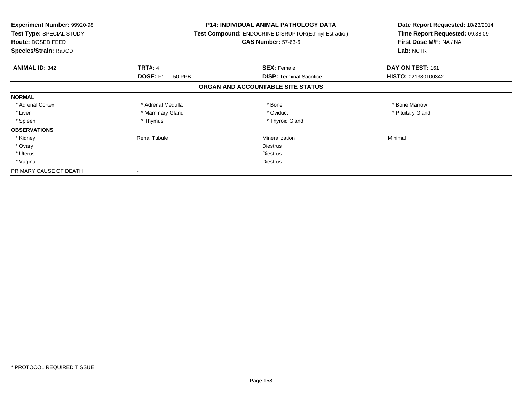| <b>Experiment Number: 99920-98</b><br>Test Type: SPECIAL STUDY<br>Route: DOSED FEED<br>Species/Strain: Rat/CD |                           | <b>P14: INDIVIDUAL ANIMAL PATHOLOGY DATA</b><br>Test Compound: ENDOCRINE DISRUPTOR(Ethinyl Estradiol)<br><b>CAS Number: 57-63-6</b> | Date Report Requested: 10/23/2014<br>Time Report Requested: 09:38:09<br>First Dose M/F: NA / NA<br>Lab: NCTR |
|---------------------------------------------------------------------------------------------------------------|---------------------------|-------------------------------------------------------------------------------------------------------------------------------------|--------------------------------------------------------------------------------------------------------------|
| <b>ANIMAL ID: 342</b>                                                                                         | <b>TRT#: 4</b>            | <b>SEX: Female</b>                                                                                                                  | DAY ON TEST: 161                                                                                             |
|                                                                                                               | <b>DOSE: F1</b><br>50 PPB | <b>DISP:</b> Terminal Sacrifice                                                                                                     | HISTO: 021380100342                                                                                          |
|                                                                                                               |                           | ORGAN AND ACCOUNTABLE SITE STATUS                                                                                                   |                                                                                                              |
| <b>NORMAL</b>                                                                                                 |                           |                                                                                                                                     |                                                                                                              |
| * Adrenal Cortex                                                                                              | * Adrenal Medulla         | * Bone                                                                                                                              | * Bone Marrow                                                                                                |
| * Liver                                                                                                       | * Mammary Gland           | * Oviduct                                                                                                                           | * Pituitary Gland                                                                                            |
| * Spleen                                                                                                      | * Thymus                  | * Thyroid Gland                                                                                                                     |                                                                                                              |
| <b>OBSERVATIONS</b>                                                                                           |                           |                                                                                                                                     |                                                                                                              |
| * Kidney                                                                                                      | Renal Tubule              | Mineralization                                                                                                                      | Minimal                                                                                                      |
| * Ovary                                                                                                       |                           | <b>Diestrus</b>                                                                                                                     |                                                                                                              |
| * Uterus                                                                                                      |                           | Diestrus                                                                                                                            |                                                                                                              |
| * Vagina                                                                                                      |                           | Diestrus                                                                                                                            |                                                                                                              |
| PRIMARY CAUSE OF DEATH                                                                                        |                           |                                                                                                                                     |                                                                                                              |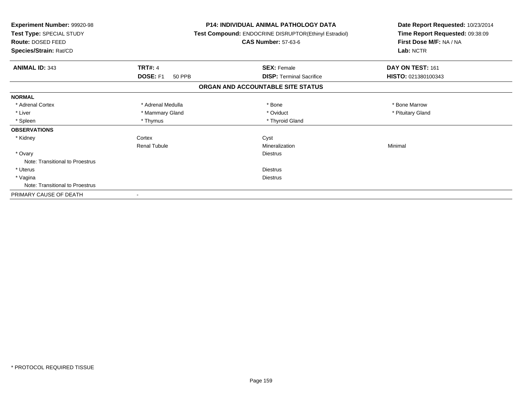| Experiment Number: 99920-98<br>Test Type: SPECIAL STUDY<br>Route: DOSED FEED<br>Species/Strain: Rat/CD | <b>P14: INDIVIDUAL ANIMAL PATHOLOGY DATA</b><br>Test Compound: ENDOCRINE DISRUPTOR(Ethinyl Estradiol)<br><b>CAS Number: 57-63-6</b> | Date Report Requested: 10/23/2014<br>Time Report Requested: 09:38:09<br>First Dose M/F: NA / NA<br>Lab: NCTR |  |
|--------------------------------------------------------------------------------------------------------|-------------------------------------------------------------------------------------------------------------------------------------|--------------------------------------------------------------------------------------------------------------|--|
| <b>TRT#: 4</b><br><b>ANIMAL ID: 343</b>                                                                | <b>SEX: Female</b>                                                                                                                  | DAY ON TEST: 161                                                                                             |  |
| DOSE: F1<br><b>50 PPB</b>                                                                              | <b>DISP:</b> Terminal Sacrifice                                                                                                     | HISTO: 021380100343                                                                                          |  |
|                                                                                                        | ORGAN AND ACCOUNTABLE SITE STATUS                                                                                                   |                                                                                                              |  |
| <b>NORMAL</b>                                                                                          |                                                                                                                                     |                                                                                                              |  |
| * Adrenal Cortex<br>* Adrenal Medulla                                                                  | * Bone                                                                                                                              | * Bone Marrow                                                                                                |  |
| * Liver<br>* Mammary Gland                                                                             | * Oviduct                                                                                                                           | * Pituitary Gland                                                                                            |  |
| * Spleen<br>* Thymus                                                                                   | * Thyroid Gland                                                                                                                     |                                                                                                              |  |
| <b>OBSERVATIONS</b>                                                                                    |                                                                                                                                     |                                                                                                              |  |
| * Kidney<br>Cortex                                                                                     | Cyst                                                                                                                                |                                                                                                              |  |
| <b>Renal Tubule</b>                                                                                    | Mineralization                                                                                                                      | Minimal                                                                                                      |  |
| * Ovary                                                                                                | <b>Diestrus</b>                                                                                                                     |                                                                                                              |  |
| Note: Transitional to Proestrus                                                                        |                                                                                                                                     |                                                                                                              |  |
| * Uterus                                                                                               | <b>Diestrus</b>                                                                                                                     |                                                                                                              |  |
| * Vagina                                                                                               | <b>Diestrus</b>                                                                                                                     |                                                                                                              |  |
| Note: Transitional to Proestrus                                                                        |                                                                                                                                     |                                                                                                              |  |
| PRIMARY CAUSE OF DEATH                                                                                 |                                                                                                                                     |                                                                                                              |  |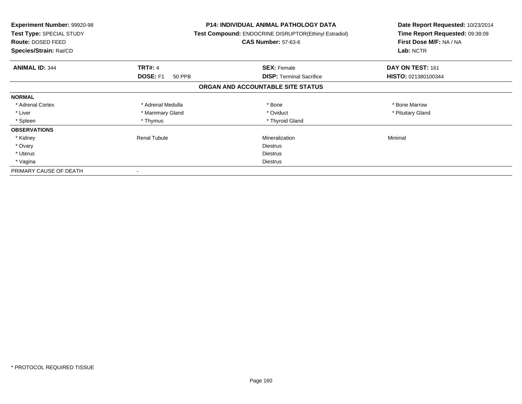| <b>Experiment Number: 99920-98</b><br>Test Type: SPECIAL STUDY<br><b>Route: DOSED FEED</b><br>Species/Strain: Rat/CD |                           | <b>P14: INDIVIDUAL ANIMAL PATHOLOGY DATA</b><br>Test Compound: ENDOCRINE DISRUPTOR(Ethinyl Estradiol)<br><b>CAS Number: 57-63-6</b> | Date Report Requested: 10/23/2014<br>Time Report Requested: 09:38:09<br>First Dose M/F: NA / NA<br>Lab: NCTR |
|----------------------------------------------------------------------------------------------------------------------|---------------------------|-------------------------------------------------------------------------------------------------------------------------------------|--------------------------------------------------------------------------------------------------------------|
| <b>ANIMAL ID: 344</b>                                                                                                | <b>TRT#: 4</b>            | <b>SEX: Female</b>                                                                                                                  | DAY ON TEST: 161                                                                                             |
|                                                                                                                      | <b>DOSE: F1</b><br>50 PPB | <b>DISP:</b> Terminal Sacrifice                                                                                                     | HISTO: 021380100344                                                                                          |
|                                                                                                                      |                           | ORGAN AND ACCOUNTABLE SITE STATUS                                                                                                   |                                                                                                              |
| <b>NORMAL</b>                                                                                                        |                           |                                                                                                                                     |                                                                                                              |
| * Adrenal Cortex                                                                                                     | * Adrenal Medulla         | * Bone                                                                                                                              | * Bone Marrow                                                                                                |
| * Liver                                                                                                              | * Mammary Gland           | * Oviduct                                                                                                                           | * Pituitary Gland                                                                                            |
| * Spleen                                                                                                             | * Thymus                  | * Thyroid Gland                                                                                                                     |                                                                                                              |
| <b>OBSERVATIONS</b>                                                                                                  |                           |                                                                                                                                     |                                                                                                              |
| * Kidney                                                                                                             | <b>Renal Tubule</b>       | Mineralization                                                                                                                      | Minimal                                                                                                      |
| * Ovary                                                                                                              |                           | Diestrus                                                                                                                            |                                                                                                              |
| * Uterus                                                                                                             |                           | Diestrus                                                                                                                            |                                                                                                              |
| * Vagina                                                                                                             | Diestrus                  |                                                                                                                                     |                                                                                                              |
| PRIMARY CAUSE OF DEATH                                                                                               |                           |                                                                                                                                     |                                                                                                              |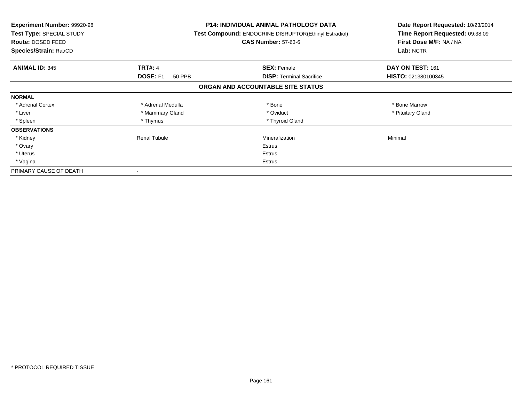| <b>Experiment Number: 99920-98</b><br>Test Type: SPECIAL STUDY<br>Route: DOSED FEED<br>Species/Strain: Rat/CD |                           | <b>P14: INDIVIDUAL ANIMAL PATHOLOGY DATA</b><br>Test Compound: ENDOCRINE DISRUPTOR(Ethinyl Estradiol)<br><b>CAS Number: 57-63-6</b> | Date Report Requested: 10/23/2014<br>Time Report Requested: 09:38:09<br>First Dose M/F: NA / NA<br>Lab: NCTR |
|---------------------------------------------------------------------------------------------------------------|---------------------------|-------------------------------------------------------------------------------------------------------------------------------------|--------------------------------------------------------------------------------------------------------------|
| <b>ANIMAL ID: 345</b>                                                                                         | <b>TRT#: 4</b>            | <b>SEX: Female</b>                                                                                                                  | DAY ON TEST: 161                                                                                             |
|                                                                                                               | <b>DOSE: F1</b><br>50 PPB | <b>DISP:</b> Terminal Sacrifice                                                                                                     | HISTO: 021380100345                                                                                          |
|                                                                                                               |                           | ORGAN AND ACCOUNTABLE SITE STATUS                                                                                                   |                                                                                                              |
| <b>NORMAL</b>                                                                                                 |                           |                                                                                                                                     |                                                                                                              |
| * Adrenal Cortex                                                                                              | * Adrenal Medulla         | * Bone                                                                                                                              | * Bone Marrow                                                                                                |
| * Liver                                                                                                       | * Mammary Gland           | * Oviduct                                                                                                                           | * Pituitary Gland                                                                                            |
| * Spleen                                                                                                      | * Thymus                  | * Thyroid Gland                                                                                                                     |                                                                                                              |
| <b>OBSERVATIONS</b>                                                                                           |                           |                                                                                                                                     |                                                                                                              |
| * Kidney                                                                                                      | Renal Tubule              | Mineralization                                                                                                                      | Minimal                                                                                                      |
| * Ovary                                                                                                       |                           | Estrus                                                                                                                              |                                                                                                              |
| * Uterus                                                                                                      |                           | Estrus                                                                                                                              |                                                                                                              |
| * Vagina                                                                                                      |                           | Estrus                                                                                                                              |                                                                                                              |
| PRIMARY CAUSE OF DEATH                                                                                        |                           |                                                                                                                                     |                                                                                                              |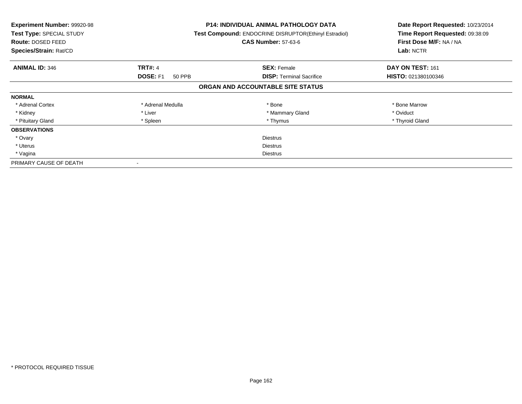| <b>Experiment Number: 99920-98</b><br>Test Type: SPECIAL STUDY<br>Route: DOSED FEED<br>Species/Strain: Rat/CD |                           | <b>P14: INDIVIDUAL ANIMAL PATHOLOGY DATA</b><br>Test Compound: ENDOCRINE DISRUPTOR(Ethinyl Estradiol)<br><b>CAS Number: 57-63-6</b> | Date Report Requested: 10/23/2014<br>Time Report Requested: 09:38:09<br>First Dose M/F: NA / NA<br>Lab: NCTR |
|---------------------------------------------------------------------------------------------------------------|---------------------------|-------------------------------------------------------------------------------------------------------------------------------------|--------------------------------------------------------------------------------------------------------------|
| <b>ANIMAL ID: 346</b>                                                                                         | <b>TRT#: 4</b>            | <b>SEX: Female</b>                                                                                                                  | DAY ON TEST: 161                                                                                             |
|                                                                                                               | <b>DOSE: F1</b><br>50 PPB | <b>DISP:</b> Terminal Sacrifice                                                                                                     | <b>HISTO: 021380100346</b>                                                                                   |
|                                                                                                               |                           | ORGAN AND ACCOUNTABLE SITE STATUS                                                                                                   |                                                                                                              |
| <b>NORMAL</b>                                                                                                 |                           |                                                                                                                                     |                                                                                                              |
| * Adrenal Cortex                                                                                              | * Adrenal Medulla         | * Bone                                                                                                                              | * Bone Marrow                                                                                                |
| * Kidney                                                                                                      | * Liver                   | * Mammary Gland                                                                                                                     | * Oviduct                                                                                                    |
| * Pituitary Gland                                                                                             | * Spleen                  | * Thymus                                                                                                                            | * Thyroid Gland                                                                                              |
| <b>OBSERVATIONS</b>                                                                                           |                           |                                                                                                                                     |                                                                                                              |
| * Ovary                                                                                                       |                           | <b>Diestrus</b>                                                                                                                     |                                                                                                              |
| * Uterus                                                                                                      | <b>Diestrus</b>           |                                                                                                                                     |                                                                                                              |
| * Vagina                                                                                                      | Diestrus                  |                                                                                                                                     |                                                                                                              |
| PRIMARY CAUSE OF DEATH                                                                                        |                           |                                                                                                                                     |                                                                                                              |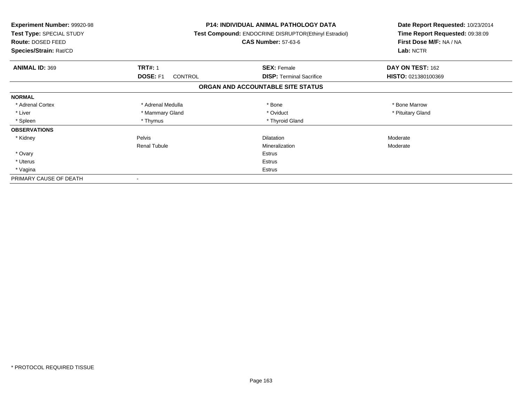| <b>Experiment Number: 99920-98</b><br>Test Type: SPECIAL STUDY<br>Route: DOSED FEED<br>Species/Strain: Rat/CD |                            | <b>P14: INDIVIDUAL ANIMAL PATHOLOGY DATA</b><br>Test Compound: ENDOCRINE DISRUPTOR(Ethinyl Estradiol)<br><b>CAS Number: 57-63-6</b> | Date Report Requested: 10/23/2014<br>Time Report Requested: 09:38:09<br>First Dose M/F: NA / NA<br>Lab: NCTR |
|---------------------------------------------------------------------------------------------------------------|----------------------------|-------------------------------------------------------------------------------------------------------------------------------------|--------------------------------------------------------------------------------------------------------------|
| <b>ANIMAL ID: 369</b>                                                                                         | <b>TRT#: 1</b>             | <b>SEX: Female</b>                                                                                                                  | DAY ON TEST: 162                                                                                             |
|                                                                                                               | DOSE: F1<br><b>CONTROL</b> | <b>DISP:</b> Terminal Sacrifice                                                                                                     | HISTO: 021380100369                                                                                          |
|                                                                                                               |                            | ORGAN AND ACCOUNTABLE SITE STATUS                                                                                                   |                                                                                                              |
| <b>NORMAL</b>                                                                                                 |                            |                                                                                                                                     |                                                                                                              |
| * Adrenal Cortex                                                                                              | * Adrenal Medulla          | * Bone                                                                                                                              | * Bone Marrow                                                                                                |
| * Liver                                                                                                       | * Mammary Gland            | * Oviduct                                                                                                                           | * Pituitary Gland                                                                                            |
| * Spleen                                                                                                      | * Thymus                   | * Thyroid Gland                                                                                                                     |                                                                                                              |
| <b>OBSERVATIONS</b>                                                                                           |                            |                                                                                                                                     |                                                                                                              |
| * Kidney                                                                                                      | Pelvis                     | <b>Dilatation</b>                                                                                                                   | Moderate                                                                                                     |
|                                                                                                               | <b>Renal Tubule</b>        | Mineralization                                                                                                                      | Moderate                                                                                                     |
| * Ovary                                                                                                       |                            | Estrus                                                                                                                              |                                                                                                              |
| * Uterus                                                                                                      | Estrus                     |                                                                                                                                     |                                                                                                              |
| * Vagina                                                                                                      | Estrus                     |                                                                                                                                     |                                                                                                              |
| PRIMARY CAUSE OF DEATH                                                                                        |                            |                                                                                                                                     |                                                                                                              |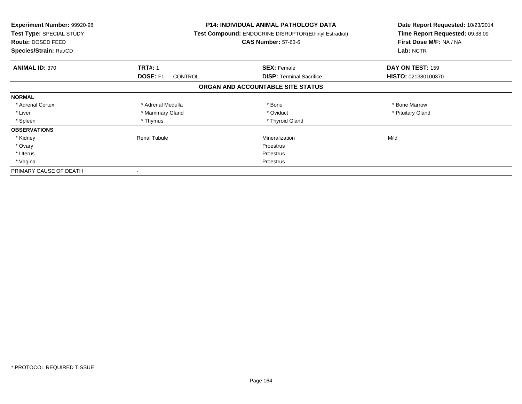| <b>Experiment Number: 99920-98</b><br>Test Type: SPECIAL STUDY<br>Route: DOSED FEED<br>Species/Strain: Rat/CD |                            | <b>P14: INDIVIDUAL ANIMAL PATHOLOGY DATA</b><br>Test Compound: ENDOCRINE DISRUPTOR(Ethinyl Estradiol)<br><b>CAS Number: 57-63-6</b> | Date Report Requested: 10/23/2014<br>Time Report Requested: 09:38:09<br>First Dose M/F: NA / NA<br>Lab: NCTR |
|---------------------------------------------------------------------------------------------------------------|----------------------------|-------------------------------------------------------------------------------------------------------------------------------------|--------------------------------------------------------------------------------------------------------------|
| <b>ANIMAL ID: 370</b>                                                                                         | <b>TRT#: 1</b>             | <b>SEX: Female</b>                                                                                                                  | DAY ON TEST: 159                                                                                             |
|                                                                                                               | DOSE: F1<br><b>CONTROL</b> | <b>DISP:</b> Terminal Sacrifice                                                                                                     | HISTO: 021380100370                                                                                          |
|                                                                                                               |                            | ORGAN AND ACCOUNTABLE SITE STATUS                                                                                                   |                                                                                                              |
| <b>NORMAL</b>                                                                                                 |                            |                                                                                                                                     |                                                                                                              |
| * Adrenal Cortex                                                                                              | * Adrenal Medulla          | * Bone                                                                                                                              | * Bone Marrow                                                                                                |
| * Liver                                                                                                       | * Mammary Gland            | * Oviduct                                                                                                                           | * Pituitary Gland                                                                                            |
| * Spleen                                                                                                      | * Thymus                   | * Thyroid Gland                                                                                                                     |                                                                                                              |
| <b>OBSERVATIONS</b>                                                                                           |                            |                                                                                                                                     |                                                                                                              |
| * Kidney                                                                                                      | Renal Tubule               | Mineralization                                                                                                                      | Mild                                                                                                         |
| * Ovary                                                                                                       |                            | Proestrus                                                                                                                           |                                                                                                              |
| * Uterus                                                                                                      |                            | Proestrus                                                                                                                           |                                                                                                              |
| * Vagina                                                                                                      |                            | Proestrus                                                                                                                           |                                                                                                              |
| PRIMARY CAUSE OF DEATH                                                                                        |                            |                                                                                                                                     |                                                                                                              |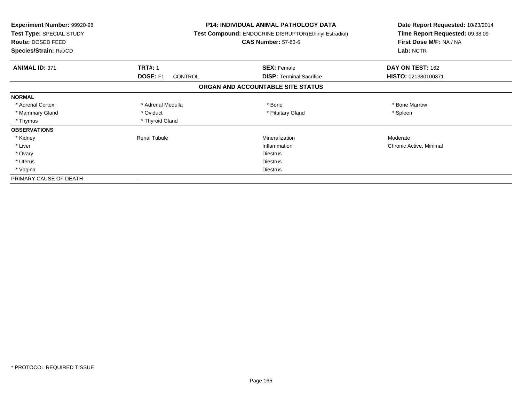| <b>Experiment Number: 99920-98</b><br>Test Type: SPECIAL STUDY<br>Route: DOSED FEED<br>Species/Strain: Rat/CD |                                   | <b>P14: INDIVIDUAL ANIMAL PATHOLOGY DATA</b><br>Test Compound: ENDOCRINE DISRUPTOR(Ethinyl Estradiol)<br><b>CAS Number: 57-63-6</b> | Date Report Requested: 10/23/2014<br>Time Report Requested: 09:38:09<br>First Dose M/F: NA / NA<br>Lab: NCTR |
|---------------------------------------------------------------------------------------------------------------|-----------------------------------|-------------------------------------------------------------------------------------------------------------------------------------|--------------------------------------------------------------------------------------------------------------|
| <b>ANIMAL ID: 371</b>                                                                                         | <b>TRT#: 1</b>                    | <b>SEX: Female</b>                                                                                                                  | DAY ON TEST: 162                                                                                             |
|                                                                                                               | <b>DOSE: F1</b><br><b>CONTROL</b> | <b>DISP:</b> Terminal Sacrifice                                                                                                     | HISTO: 021380100371                                                                                          |
|                                                                                                               |                                   | ORGAN AND ACCOUNTABLE SITE STATUS                                                                                                   |                                                                                                              |
| <b>NORMAL</b>                                                                                                 |                                   |                                                                                                                                     |                                                                                                              |
| * Adrenal Cortex                                                                                              | * Adrenal Medulla                 | * Bone                                                                                                                              | * Bone Marrow                                                                                                |
| * Mammary Gland                                                                                               | * Oviduct                         | * Pituitary Gland                                                                                                                   | * Spleen                                                                                                     |
| * Thymus                                                                                                      | * Thyroid Gland                   |                                                                                                                                     |                                                                                                              |
| <b>OBSERVATIONS</b>                                                                                           |                                   |                                                                                                                                     |                                                                                                              |
| * Kidney                                                                                                      | <b>Renal Tubule</b>               | Mineralization                                                                                                                      | Moderate                                                                                                     |
| * Liver                                                                                                       |                                   | Inflammation                                                                                                                        | Chronic Active, Minimal                                                                                      |
| * Ovary                                                                                                       |                                   | <b>Diestrus</b>                                                                                                                     |                                                                                                              |
| * Uterus                                                                                                      |                                   | Diestrus                                                                                                                            |                                                                                                              |
| * Vagina                                                                                                      | Diestrus                          |                                                                                                                                     |                                                                                                              |
| PRIMARY CAUSE OF DEATH                                                                                        |                                   |                                                                                                                                     |                                                                                                              |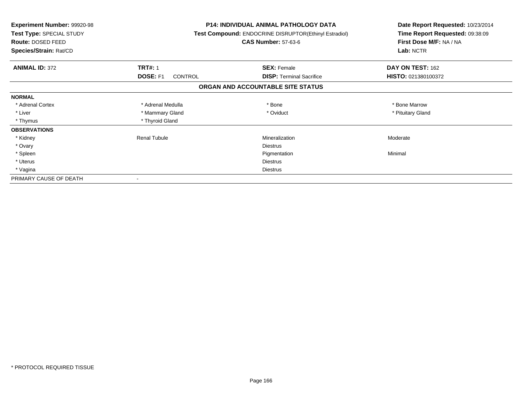| Experiment Number: 99920-98<br>Test Type: SPECIAL STUDY<br><b>Route: DOSED FEED</b><br>Species/Strain: Rat/CD |                                   | <b>P14: INDIVIDUAL ANIMAL PATHOLOGY DATA</b><br>Test Compound: ENDOCRINE DISRUPTOR(Ethinyl Estradiol)<br><b>CAS Number: 57-63-6</b> | Date Report Requested: 10/23/2014<br>Time Report Requested: 09:38:09<br>First Dose M/F: NA / NA<br>Lab: NCTR |
|---------------------------------------------------------------------------------------------------------------|-----------------------------------|-------------------------------------------------------------------------------------------------------------------------------------|--------------------------------------------------------------------------------------------------------------|
| <b>ANIMAL ID: 372</b>                                                                                         | <b>TRT#: 1</b>                    | <b>SEX: Female</b>                                                                                                                  | DAY ON TEST: 162                                                                                             |
|                                                                                                               | <b>DOSE: F1</b><br><b>CONTROL</b> | <b>DISP:</b> Terminal Sacrifice                                                                                                     | HISTO: 021380100372                                                                                          |
|                                                                                                               |                                   | ORGAN AND ACCOUNTABLE SITE STATUS                                                                                                   |                                                                                                              |
| <b>NORMAL</b>                                                                                                 |                                   |                                                                                                                                     |                                                                                                              |
| * Adrenal Cortex                                                                                              | * Adrenal Medulla                 | * Bone                                                                                                                              | * Bone Marrow                                                                                                |
| * Liver                                                                                                       | * Mammary Gland                   | * Oviduct                                                                                                                           | * Pituitary Gland                                                                                            |
| * Thymus                                                                                                      | * Thyroid Gland                   |                                                                                                                                     |                                                                                                              |
| <b>OBSERVATIONS</b>                                                                                           |                                   |                                                                                                                                     |                                                                                                              |
| * Kidney                                                                                                      | <b>Renal Tubule</b>               | Mineralization                                                                                                                      | Moderate                                                                                                     |
| * Ovary                                                                                                       |                                   | <b>Diestrus</b>                                                                                                                     |                                                                                                              |
| * Spleen                                                                                                      |                                   | Pigmentation                                                                                                                        | Minimal                                                                                                      |
| * Uterus                                                                                                      |                                   | <b>Diestrus</b>                                                                                                                     |                                                                                                              |
| * Vagina                                                                                                      |                                   | Diestrus                                                                                                                            |                                                                                                              |
| PRIMARY CAUSE OF DEATH                                                                                        |                                   |                                                                                                                                     |                                                                                                              |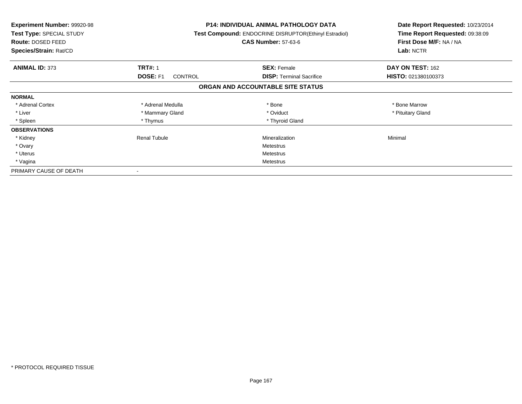| <b>Experiment Number: 99920-98</b><br>Test Type: SPECIAL STUDY<br><b>Route: DOSED FEED</b><br>Species/Strain: Rat/CD |                            | P14: INDIVIDUAL ANIMAL PATHOLOGY DATA<br>Test Compound: ENDOCRINE DISRUPTOR(Ethinyl Estradiol)<br><b>CAS Number: 57-63-6</b> | Date Report Requested: 10/23/2014<br>Time Report Requested: 09:38:09<br>First Dose M/F: NA / NA<br>Lab: NCTR |
|----------------------------------------------------------------------------------------------------------------------|----------------------------|------------------------------------------------------------------------------------------------------------------------------|--------------------------------------------------------------------------------------------------------------|
| <b>ANIMAL ID: 373</b>                                                                                                | <b>TRT#: 1</b>             | <b>SEX: Female</b>                                                                                                           | DAY ON TEST: 162                                                                                             |
|                                                                                                                      | DOSE: F1<br><b>CONTROL</b> | <b>DISP:</b> Terminal Sacrifice                                                                                              | HISTO: 021380100373                                                                                          |
|                                                                                                                      |                            | ORGAN AND ACCOUNTABLE SITE STATUS                                                                                            |                                                                                                              |
| <b>NORMAL</b>                                                                                                        |                            |                                                                                                                              |                                                                                                              |
| * Adrenal Cortex                                                                                                     | * Adrenal Medulla          | * Bone                                                                                                                       | * Bone Marrow                                                                                                |
| * Liver                                                                                                              | * Mammary Gland            | * Oviduct                                                                                                                    | * Pituitary Gland                                                                                            |
| * Spleen                                                                                                             | * Thymus                   | * Thyroid Gland                                                                                                              |                                                                                                              |
| <b>OBSERVATIONS</b>                                                                                                  |                            |                                                                                                                              |                                                                                                              |
| * Kidney                                                                                                             | <b>Renal Tubule</b>        | Mineralization                                                                                                               | Minimal                                                                                                      |
| * Ovary                                                                                                              |                            | Metestrus                                                                                                                    |                                                                                                              |
| * Uterus                                                                                                             |                            | Metestrus                                                                                                                    |                                                                                                              |
| * Vagina                                                                                                             |                            | Metestrus                                                                                                                    |                                                                                                              |
| PRIMARY CAUSE OF DEATH                                                                                               |                            |                                                                                                                              |                                                                                                              |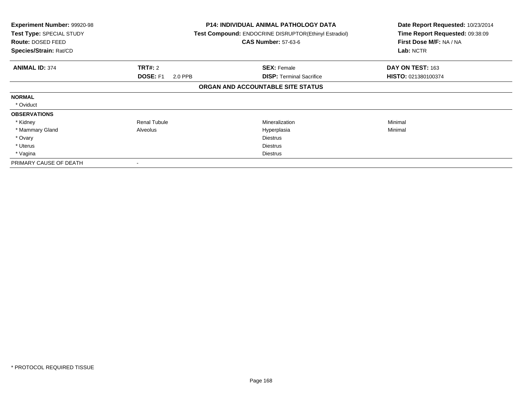| Experiment Number: 99920-98<br><b>Test Type: SPECIAL STUDY</b><br>Route: DOSED FEED<br>Species/Strain: Rat/CD |                     | <b>P14: INDIVIDUAL ANIMAL PATHOLOGY DATA</b><br>Test Compound: ENDOCRINE DISRUPTOR(Ethinyl Estradiol)<br><b>CAS Number: 57-63-6</b> | Date Report Requested: 10/23/2014<br>Time Report Requested: 09:38:09<br>First Dose M/F: NA / NA<br>Lab: NCTR |
|---------------------------------------------------------------------------------------------------------------|---------------------|-------------------------------------------------------------------------------------------------------------------------------------|--------------------------------------------------------------------------------------------------------------|
| <b>ANIMAL ID: 374</b>                                                                                         | <b>TRT#: 2</b>      | <b>SEX: Female</b>                                                                                                                  | DAY ON TEST: 163                                                                                             |
|                                                                                                               | DOSE: F1<br>2.0 PPB | <b>DISP: Terminal Sacrifice</b>                                                                                                     | HISTO: 021380100374                                                                                          |
|                                                                                                               |                     | ORGAN AND ACCOUNTABLE SITE STATUS                                                                                                   |                                                                                                              |
| <b>NORMAL</b>                                                                                                 |                     |                                                                                                                                     |                                                                                                              |
| * Oviduct                                                                                                     |                     |                                                                                                                                     |                                                                                                              |
| <b>OBSERVATIONS</b>                                                                                           |                     |                                                                                                                                     |                                                                                                              |
| * Kidney                                                                                                      | <b>Renal Tubule</b> | Mineralization                                                                                                                      | Minimal                                                                                                      |
| * Mammary Gland                                                                                               | Alveolus            | Hyperplasia                                                                                                                         | Minimal                                                                                                      |
| * Ovary                                                                                                       |                     | <b>Diestrus</b>                                                                                                                     |                                                                                                              |
| * Uterus                                                                                                      |                     | <b>Diestrus</b>                                                                                                                     |                                                                                                              |
| * Vagina                                                                                                      |                     | Diestrus                                                                                                                            |                                                                                                              |
| PRIMARY CAUSE OF DEATH                                                                                        |                     |                                                                                                                                     |                                                                                                              |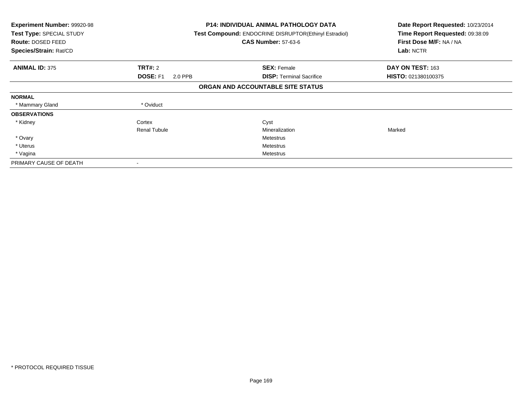| <b>Experiment Number: 99920-98</b><br>Test Type: SPECIAL STUDY<br>Route: DOSED FEED<br>Species/Strain: Rat/CD |                            | <b>P14: INDIVIDUAL ANIMAL PATHOLOGY DATA</b><br><b>Test Compound: ENDOCRINE DISRUPTOR(Ethinyl Estradiol)</b><br><b>CAS Number: 57-63-6</b> | Date Report Requested: 10/23/2014<br>Time Report Requested: 09:38:09<br>First Dose M/F: NA / NA<br>Lab: NCTR |
|---------------------------------------------------------------------------------------------------------------|----------------------------|--------------------------------------------------------------------------------------------------------------------------------------------|--------------------------------------------------------------------------------------------------------------|
| <b>ANIMAL ID: 375</b>                                                                                         | <b>TRT#: 2</b>             | <b>SEX: Female</b>                                                                                                                         | DAY ON TEST: 163                                                                                             |
|                                                                                                               | <b>DOSE: F1</b><br>2.0 PPB | <b>DISP:</b> Terminal Sacrifice                                                                                                            | HISTO: 021380100375                                                                                          |
|                                                                                                               |                            | ORGAN AND ACCOUNTABLE SITE STATUS                                                                                                          |                                                                                                              |
| <b>NORMAL</b>                                                                                                 |                            |                                                                                                                                            |                                                                                                              |
| * Mammary Gland                                                                                               | * Oviduct                  |                                                                                                                                            |                                                                                                              |
| <b>OBSERVATIONS</b>                                                                                           |                            |                                                                                                                                            |                                                                                                              |
| * Kidney                                                                                                      | Cortex                     | Cyst                                                                                                                                       |                                                                                                              |
|                                                                                                               | <b>Renal Tubule</b>        | Mineralization                                                                                                                             | Marked                                                                                                       |
| * Ovary                                                                                                       |                            | Metestrus                                                                                                                                  |                                                                                                              |
| * Uterus                                                                                                      |                            | Metestrus                                                                                                                                  |                                                                                                              |
| * Vagina                                                                                                      |                            | Metestrus                                                                                                                                  |                                                                                                              |
| PRIMARY CAUSE OF DEATH                                                                                        | $\overline{\phantom{a}}$   |                                                                                                                                            |                                                                                                              |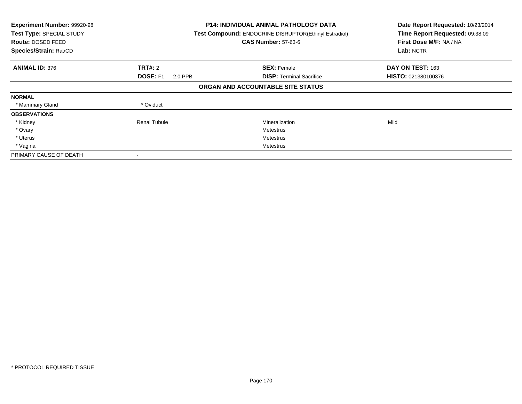| Experiment Number: 99920-98<br>Test Type: SPECIAL STUDY<br>Route: DOSED FEED<br>Species/Strain: Rat/CD |                            | P14: INDIVIDUAL ANIMAL PATHOLOGY DATA<br>Test Compound: ENDOCRINE DISRUPTOR(Ethinyl Estradiol)<br><b>CAS Number: 57-63-6</b> | Date Report Requested: 10/23/2014<br>Time Report Requested: 09:38:09<br>First Dose M/F: NA / NA<br>Lab: NCTR |
|--------------------------------------------------------------------------------------------------------|----------------------------|------------------------------------------------------------------------------------------------------------------------------|--------------------------------------------------------------------------------------------------------------|
| <b>ANIMAL ID: 376</b>                                                                                  | <b>TRT#: 2</b>             | <b>SEX: Female</b>                                                                                                           | DAY ON TEST: 163                                                                                             |
|                                                                                                        | <b>DOSE: F1</b><br>2.0 PPB | <b>DISP:</b> Terminal Sacrifice                                                                                              | <b>HISTO: 021380100376</b>                                                                                   |
|                                                                                                        |                            | ORGAN AND ACCOUNTABLE SITE STATUS                                                                                            |                                                                                                              |
| <b>NORMAL</b>                                                                                          |                            |                                                                                                                              |                                                                                                              |
| * Mammary Gland                                                                                        | * Oviduct                  |                                                                                                                              |                                                                                                              |
| <b>OBSERVATIONS</b>                                                                                    |                            |                                                                                                                              |                                                                                                              |
| * Kidney                                                                                               | Renal Tubule               | Mineralization                                                                                                               | Mild                                                                                                         |
| * Ovary                                                                                                |                            | Metestrus                                                                                                                    |                                                                                                              |
| * Uterus                                                                                               |                            | Metestrus                                                                                                                    |                                                                                                              |
| * Vagina                                                                                               |                            | Metestrus                                                                                                                    |                                                                                                              |
| PRIMARY CAUSE OF DEATH                                                                                 |                            |                                                                                                                              |                                                                                                              |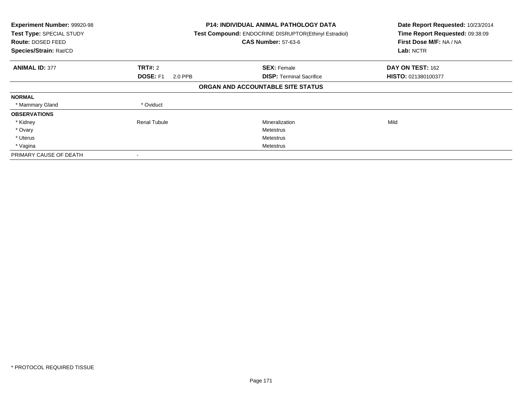| Experiment Number: 99920-98<br>Test Type: SPECIAL STUDY<br>Route: DOSED FEED<br>Species/Strain: Rat/CD |                            | <b>P14: INDIVIDUAL ANIMAL PATHOLOGY DATA</b><br>Test Compound: ENDOCRINE DISRUPTOR(Ethinyl Estradiol)<br><b>CAS Number: 57-63-6</b> | Date Report Requested: 10/23/2014<br>Time Report Requested: 09:38:09<br>First Dose M/F: NA / NA<br>Lab: NCTR |
|--------------------------------------------------------------------------------------------------------|----------------------------|-------------------------------------------------------------------------------------------------------------------------------------|--------------------------------------------------------------------------------------------------------------|
| <b>ANIMAL ID: 377</b>                                                                                  | <b>TRT#: 2</b>             | <b>SEX: Female</b>                                                                                                                  | DAY ON TEST: 162                                                                                             |
|                                                                                                        | <b>DOSE: F1</b><br>2.0 PPB | <b>DISP:</b> Terminal Sacrifice                                                                                                     | HISTO: 021380100377                                                                                          |
|                                                                                                        |                            | ORGAN AND ACCOUNTABLE SITE STATUS                                                                                                   |                                                                                                              |
| <b>NORMAL</b>                                                                                          |                            |                                                                                                                                     |                                                                                                              |
| * Mammary Gland                                                                                        | * Oviduct                  |                                                                                                                                     |                                                                                                              |
| <b>OBSERVATIONS</b>                                                                                    |                            |                                                                                                                                     |                                                                                                              |
| * Kidney                                                                                               | <b>Renal Tubule</b>        | Mineralization                                                                                                                      | Mild                                                                                                         |
| * Ovary                                                                                                |                            | Metestrus                                                                                                                           |                                                                                                              |
| * Uterus                                                                                               |                            | Metestrus                                                                                                                           |                                                                                                              |
| * Vagina                                                                                               |                            | Metestrus                                                                                                                           |                                                                                                              |
| PRIMARY CAUSE OF DEATH                                                                                 |                            |                                                                                                                                     |                                                                                                              |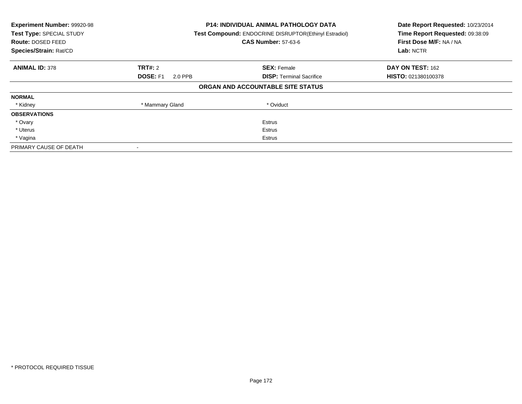| Experiment Number: 99920-98<br>Test Type: SPECIAL STUDY<br><b>Route: DOSED FEED</b><br>Species/Strain: Rat/CD |                            | <b>P14: INDIVIDUAL ANIMAL PATHOLOGY DATA</b><br><b>Test Compound: ENDOCRINE DISRUPTOR(Ethinyl Estradiol)</b><br><b>CAS Number: 57-63-6</b> | Date Report Requested: 10/23/2014<br>Time Report Requested: 09:38:09<br>First Dose M/F: NA / NA<br>Lab: NCTR |
|---------------------------------------------------------------------------------------------------------------|----------------------------|--------------------------------------------------------------------------------------------------------------------------------------------|--------------------------------------------------------------------------------------------------------------|
| <b>ANIMAL ID: 378</b>                                                                                         | <b>TRT#: 2</b>             | <b>SEX: Female</b>                                                                                                                         | DAY ON TEST: 162                                                                                             |
|                                                                                                               | <b>DOSE: F1</b><br>2.0 PPB | <b>DISP:</b> Terminal Sacrifice                                                                                                            | <b>HISTO: 021380100378</b>                                                                                   |
|                                                                                                               |                            | ORGAN AND ACCOUNTABLE SITE STATUS                                                                                                          |                                                                                                              |
| <b>NORMAL</b>                                                                                                 |                            |                                                                                                                                            |                                                                                                              |
| * Kidney                                                                                                      | * Mammary Gland            | * Oviduct                                                                                                                                  |                                                                                                              |
| <b>OBSERVATIONS</b>                                                                                           |                            |                                                                                                                                            |                                                                                                              |
| * Ovary                                                                                                       |                            | Estrus                                                                                                                                     |                                                                                                              |
| * Uterus                                                                                                      |                            | Estrus                                                                                                                                     |                                                                                                              |
| * Vagina                                                                                                      |                            | Estrus                                                                                                                                     |                                                                                                              |
| PRIMARY CAUSE OF DEATH                                                                                        |                            |                                                                                                                                            |                                                                                                              |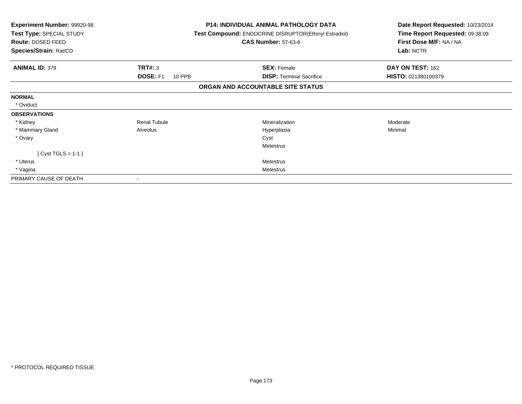| Experiment Number: 99920-98<br>Test Type: SPECIAL STUDY<br>Route: DOSED FEED<br>Species/Strain: Rat/CD | <b>P14: INDIVIDUAL ANIMAL PATHOLOGY DATA</b><br><b>Test Compound: ENDOCRINE DISRUPTOR(Ethinyl Estradiol)</b><br><b>CAS Number: 57-63-6</b> | Date Report Requested: 10/23/2014<br>Time Report Requested: 09:38:09<br>First Dose M/F: NA / NA<br>Lab: NCTR |  |
|--------------------------------------------------------------------------------------------------------|--------------------------------------------------------------------------------------------------------------------------------------------|--------------------------------------------------------------------------------------------------------------|--|
|                                                                                                        |                                                                                                                                            |                                                                                                              |  |
| TRT#: 3<br><b>ANIMAL ID: 379</b>                                                                       | <b>SEX: Female</b>                                                                                                                         | DAY ON TEST: 162                                                                                             |  |
| <b>DOSE: F1</b>                                                                                        | <b>DISP: Terminal Sacrifice</b><br>10 PPB                                                                                                  | HISTO: 021380100379                                                                                          |  |
|                                                                                                        | ORGAN AND ACCOUNTABLE SITE STATUS                                                                                                          |                                                                                                              |  |
| <b>NORMAL</b>                                                                                          |                                                                                                                                            |                                                                                                              |  |
| * Oviduct                                                                                              |                                                                                                                                            |                                                                                                              |  |
| <b>OBSERVATIONS</b>                                                                                    |                                                                                                                                            |                                                                                                              |  |
| <b>Renal Tubule</b><br>* Kidney                                                                        | <b>Mineralization</b>                                                                                                                      | Moderate                                                                                                     |  |
| * Mammary Gland<br>Alveolus                                                                            | Hyperplasia                                                                                                                                | Minimal                                                                                                      |  |
| * Ovary                                                                                                | Cyst                                                                                                                                       |                                                                                                              |  |
|                                                                                                        | <b>Metestrus</b>                                                                                                                           |                                                                                                              |  |
| [ Cyst TGLS = $1-1$ ]                                                                                  |                                                                                                                                            |                                                                                                              |  |
| * Uterus                                                                                               | <b>Metestrus</b>                                                                                                                           |                                                                                                              |  |
| * Vagina                                                                                               | Metestrus                                                                                                                                  |                                                                                                              |  |
| PRIMARY CAUSE OF DEATH                                                                                 |                                                                                                                                            |                                                                                                              |  |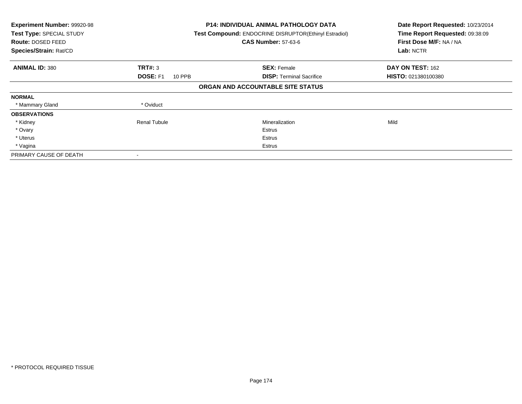| Experiment Number: 99920-98<br>Test Type: SPECIAL STUDY<br>Route: DOSED FEED<br>Species/Strain: Rat/CD |                                  | <b>P14: INDIVIDUAL ANIMAL PATHOLOGY DATA</b><br>Test Compound: ENDOCRINE DISRUPTOR(Ethinyl Estradiol)<br><b>CAS Number: 57-63-6</b> | Date Report Requested: 10/23/2014<br>Time Report Requested: 09:38:09<br>First Dose M/F: NA / NA<br>Lab: NCTR |
|--------------------------------------------------------------------------------------------------------|----------------------------------|-------------------------------------------------------------------------------------------------------------------------------------|--------------------------------------------------------------------------------------------------------------|
| <b>ANIMAL ID: 380</b>                                                                                  | TRT#: 3                          | <b>SEX: Female</b>                                                                                                                  | DAY ON TEST: 162                                                                                             |
|                                                                                                        | <b>DOSE: F1</b><br><b>10 PPB</b> | <b>DISP: Terminal Sacrifice</b>                                                                                                     | HISTO: 021380100380                                                                                          |
|                                                                                                        |                                  | ORGAN AND ACCOUNTABLE SITE STATUS                                                                                                   |                                                                                                              |
| <b>NORMAL</b>                                                                                          |                                  |                                                                                                                                     |                                                                                                              |
| * Mammary Gland                                                                                        | * Oviduct                        |                                                                                                                                     |                                                                                                              |
| <b>OBSERVATIONS</b>                                                                                    |                                  |                                                                                                                                     |                                                                                                              |
| * Kidney                                                                                               | <b>Renal Tubule</b>              | Mineralization                                                                                                                      | Mild                                                                                                         |
| * Ovary                                                                                                |                                  | Estrus                                                                                                                              |                                                                                                              |
| * Uterus                                                                                               |                                  | Estrus                                                                                                                              |                                                                                                              |
| * Vagina                                                                                               |                                  | Estrus                                                                                                                              |                                                                                                              |
| PRIMARY CAUSE OF DEATH                                                                                 |                                  |                                                                                                                                     |                                                                                                              |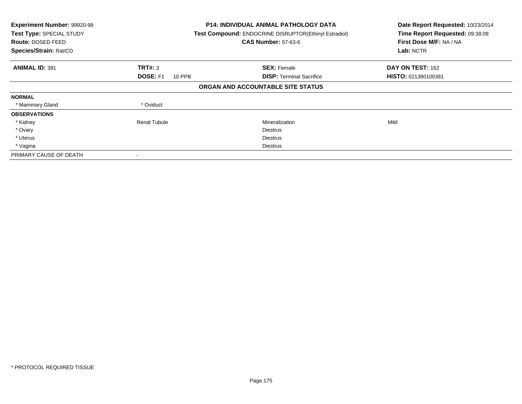| Experiment Number: 99920-98<br>Test Type: SPECIAL STUDY<br>Route: DOSED FEED<br>Species/Strain: Rat/CD |                                  | <b>P14: INDIVIDUAL ANIMAL PATHOLOGY DATA</b><br>Test Compound: ENDOCRINE DISRUPTOR(Ethinyl Estradiol)<br><b>CAS Number: 57-63-6</b> | Date Report Requested: 10/23/2014<br>Time Report Requested: 09:38:09<br>First Dose M/F: NA / NA<br>Lab: NCTR |
|--------------------------------------------------------------------------------------------------------|----------------------------------|-------------------------------------------------------------------------------------------------------------------------------------|--------------------------------------------------------------------------------------------------------------|
| <b>ANIMAL ID: 381</b>                                                                                  | TRT#: 3                          | <b>SEX: Female</b>                                                                                                                  | DAY ON TEST: 162                                                                                             |
|                                                                                                        | <b>DOSE: F1</b><br><b>10 PPB</b> | <b>DISP:</b> Terminal Sacrifice                                                                                                     | HISTO: 021380100381                                                                                          |
|                                                                                                        |                                  | ORGAN AND ACCOUNTABLE SITE STATUS                                                                                                   |                                                                                                              |
| <b>NORMAL</b>                                                                                          |                                  |                                                                                                                                     |                                                                                                              |
| * Mammary Gland                                                                                        | * Oviduct                        |                                                                                                                                     |                                                                                                              |
| <b>OBSERVATIONS</b>                                                                                    |                                  |                                                                                                                                     |                                                                                                              |
| * Kidney                                                                                               | <b>Renal Tubule</b>              | Mineralization                                                                                                                      | Mild                                                                                                         |
| * Ovary                                                                                                |                                  | <b>Diestrus</b>                                                                                                                     |                                                                                                              |
| * Uterus                                                                                               |                                  | <b>Diestrus</b>                                                                                                                     |                                                                                                              |
| * Vagina                                                                                               |                                  | Diestrus                                                                                                                            |                                                                                                              |
| PRIMARY CAUSE OF DEATH                                                                                 |                                  |                                                                                                                                     |                                                                                                              |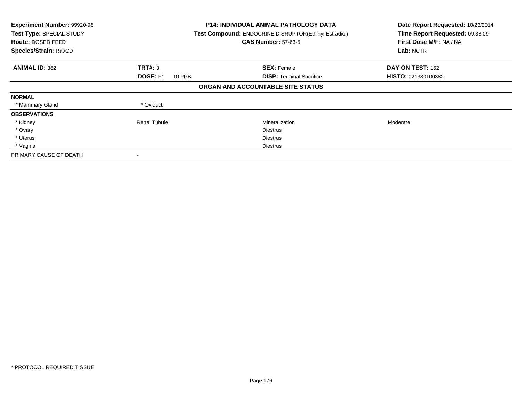| Experiment Number: 99920-98<br>Test Type: SPECIAL STUDY<br>Route: DOSED FEED<br>Species/Strain: Rat/CD |                                  | <b>P14: INDIVIDUAL ANIMAL PATHOLOGY DATA</b><br>Test Compound: ENDOCRINE DISRUPTOR(Ethinyl Estradiol)<br><b>CAS Number: 57-63-6</b> | Date Report Requested: 10/23/2014<br>Time Report Requested: 09:38:09<br>First Dose M/F: NA / NA<br>Lab: NCTR |
|--------------------------------------------------------------------------------------------------------|----------------------------------|-------------------------------------------------------------------------------------------------------------------------------------|--------------------------------------------------------------------------------------------------------------|
| <b>ANIMAL ID: 382</b>                                                                                  | TRT#: 3                          | <b>SEX: Female</b>                                                                                                                  | DAY ON TEST: 162                                                                                             |
|                                                                                                        | <b>DOSE: F1</b><br><b>10 PPB</b> | <b>DISP:</b> Terminal Sacrifice                                                                                                     | HISTO: 021380100382                                                                                          |
|                                                                                                        |                                  | ORGAN AND ACCOUNTABLE SITE STATUS                                                                                                   |                                                                                                              |
| <b>NORMAL</b>                                                                                          |                                  |                                                                                                                                     |                                                                                                              |
| * Mammary Gland                                                                                        | * Oviduct                        |                                                                                                                                     |                                                                                                              |
| <b>OBSERVATIONS</b>                                                                                    |                                  |                                                                                                                                     |                                                                                                              |
| * Kidney                                                                                               | <b>Renal Tubule</b>              | Mineralization                                                                                                                      | Moderate                                                                                                     |
| * Ovary                                                                                                |                                  | <b>Diestrus</b>                                                                                                                     |                                                                                                              |
| * Uterus                                                                                               |                                  | <b>Diestrus</b>                                                                                                                     |                                                                                                              |
| * Vagina                                                                                               |                                  | Diestrus                                                                                                                            |                                                                                                              |
| PRIMARY CAUSE OF DEATH                                                                                 |                                  |                                                                                                                                     |                                                                                                              |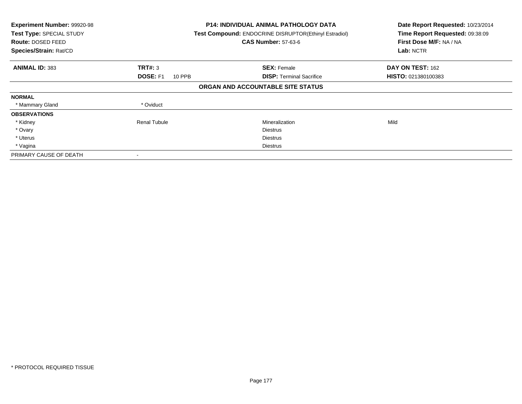| Experiment Number: 99920-98<br>Test Type: SPECIAL STUDY<br>Route: DOSED FEED<br>Species/Strain: Rat/CD |                                  | <b>P14: INDIVIDUAL ANIMAL PATHOLOGY DATA</b><br>Test Compound: ENDOCRINE DISRUPTOR(Ethinyl Estradiol)<br><b>CAS Number: 57-63-6</b> | Date Report Requested: 10/23/2014<br>Time Report Requested: 09:38:09<br>First Dose M/F: NA / NA<br>Lab: NCTR |
|--------------------------------------------------------------------------------------------------------|----------------------------------|-------------------------------------------------------------------------------------------------------------------------------------|--------------------------------------------------------------------------------------------------------------|
| <b>ANIMAL ID: 383</b>                                                                                  | TRT#: 3                          | <b>SEX: Female</b>                                                                                                                  | DAY ON TEST: 162                                                                                             |
|                                                                                                        | <b>DOSE: F1</b><br><b>10 PPB</b> | <b>DISP:</b> Terminal Sacrifice                                                                                                     | HISTO: 021380100383                                                                                          |
|                                                                                                        |                                  | ORGAN AND ACCOUNTABLE SITE STATUS                                                                                                   |                                                                                                              |
| <b>NORMAL</b>                                                                                          |                                  |                                                                                                                                     |                                                                                                              |
| * Mammary Gland                                                                                        | * Oviduct                        |                                                                                                                                     |                                                                                                              |
| <b>OBSERVATIONS</b>                                                                                    |                                  |                                                                                                                                     |                                                                                                              |
| * Kidney                                                                                               | <b>Renal Tubule</b>              | Mineralization                                                                                                                      | Mild                                                                                                         |
| * Ovary                                                                                                |                                  | <b>Diestrus</b>                                                                                                                     |                                                                                                              |
| * Uterus                                                                                               |                                  | <b>Diestrus</b>                                                                                                                     |                                                                                                              |
| * Vagina                                                                                               |                                  | Diestrus                                                                                                                            |                                                                                                              |
| PRIMARY CAUSE OF DEATH                                                                                 |                                  |                                                                                                                                     |                                                                                                              |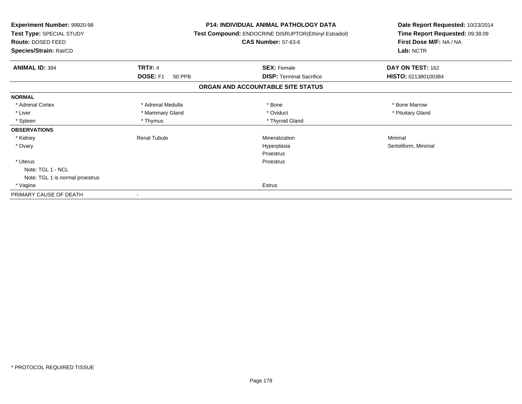| <b>Experiment Number: 99920-98</b><br>Test Type: SPECIAL STUDY<br><b>Route: DOSED FEED</b><br>Species/Strain: Rat/CD |                     | <b>P14: INDIVIDUAL ANIMAL PATHOLOGY DATA</b><br>Test Compound: ENDOCRINE DISRUPTOR(Ethinyl Estradiol)<br><b>CAS Number: 57-63-6</b> | Date Report Requested: 10/23/2014<br>Time Report Requested: 09:38:09<br>First Dose M/F: NA / NA<br>Lab: NCTR |
|----------------------------------------------------------------------------------------------------------------------|---------------------|-------------------------------------------------------------------------------------------------------------------------------------|--------------------------------------------------------------------------------------------------------------|
| <b>ANIMAL ID: 384</b>                                                                                                | <b>TRT#: 4</b>      | <b>SEX: Female</b>                                                                                                                  | DAY ON TEST: 162                                                                                             |
|                                                                                                                      | DOSE: F1<br>50 PPB  | <b>DISP: Terminal Sacrifice</b>                                                                                                     | HISTO: 021380100384                                                                                          |
|                                                                                                                      |                     | ORGAN AND ACCOUNTABLE SITE STATUS                                                                                                   |                                                                                                              |
| <b>NORMAL</b>                                                                                                        |                     |                                                                                                                                     |                                                                                                              |
| * Adrenal Cortex                                                                                                     | * Adrenal Medulla   | * Bone                                                                                                                              | * Bone Marrow                                                                                                |
| * Liver                                                                                                              | * Mammary Gland     | * Oviduct                                                                                                                           | * Pituitary Gland                                                                                            |
| * Spleen                                                                                                             | * Thymus            | * Thyroid Gland                                                                                                                     |                                                                                                              |
| <b>OBSERVATIONS</b>                                                                                                  |                     |                                                                                                                                     |                                                                                                              |
| * Kidney                                                                                                             | <b>Renal Tubule</b> | Mineralization                                                                                                                      | Minimal                                                                                                      |
| * Ovary                                                                                                              |                     | Hyperplasia                                                                                                                         | Sertoliform, Minimal                                                                                         |
|                                                                                                                      |                     | Proestrus                                                                                                                           |                                                                                                              |
| * Uterus                                                                                                             |                     | Proestrus                                                                                                                           |                                                                                                              |
| Note: TGL 1 - NCL                                                                                                    |                     |                                                                                                                                     |                                                                                                              |
| Note: TGL 1 is normal proestrus                                                                                      |                     |                                                                                                                                     |                                                                                                              |
| * Vagina                                                                                                             |                     | Estrus                                                                                                                              |                                                                                                              |
| PRIMARY CAUSE OF DEATH                                                                                               |                     |                                                                                                                                     |                                                                                                              |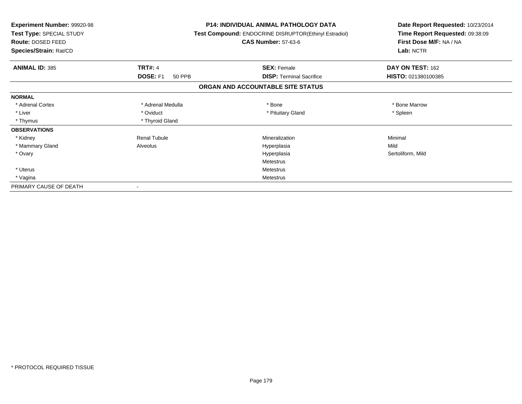| Experiment Number: 99920-98<br>Test Type: SPECIAL STUDY<br>Route: DOSED FEED<br>Species/Strain: Rat/CD |                           | <b>P14: INDIVIDUAL ANIMAL PATHOLOGY DATA</b><br>Test Compound: ENDOCRINE DISRUPTOR(Ethinyl Estradiol)<br><b>CAS Number: 57-63-6</b> | Date Report Requested: 10/23/2014<br>Time Report Requested: 09:38:09<br>First Dose M/F: NA / NA<br>Lab: NCTR |
|--------------------------------------------------------------------------------------------------------|---------------------------|-------------------------------------------------------------------------------------------------------------------------------------|--------------------------------------------------------------------------------------------------------------|
| <b>ANIMAL ID: 385</b>                                                                                  | <b>TRT#: 4</b>            | <b>SEX: Female</b>                                                                                                                  | DAY ON TEST: 162                                                                                             |
|                                                                                                        | DOSE: F1<br><b>50 PPB</b> | <b>DISP: Terminal Sacrifice</b>                                                                                                     | HISTO: 021380100385                                                                                          |
|                                                                                                        |                           | ORGAN AND ACCOUNTABLE SITE STATUS                                                                                                   |                                                                                                              |
| <b>NORMAL</b>                                                                                          |                           |                                                                                                                                     |                                                                                                              |
| * Adrenal Cortex                                                                                       | * Adrenal Medulla         | * Bone                                                                                                                              | * Bone Marrow                                                                                                |
| * Liver                                                                                                | * Oviduct                 | * Pituitary Gland                                                                                                                   | * Spleen                                                                                                     |
| * Thymus                                                                                               | * Thyroid Gland           |                                                                                                                                     |                                                                                                              |
| <b>OBSERVATIONS</b>                                                                                    |                           |                                                                                                                                     |                                                                                                              |
| * Kidney                                                                                               | <b>Renal Tubule</b>       | Mineralization                                                                                                                      | Minimal                                                                                                      |
| * Mammary Gland                                                                                        | Alveolus                  | Hyperplasia                                                                                                                         | Mild                                                                                                         |
| * Ovary                                                                                                |                           | Hyperplasia                                                                                                                         | Sertoliform, Mild                                                                                            |
|                                                                                                        |                           | Metestrus                                                                                                                           |                                                                                                              |
| * Uterus                                                                                               |                           | <b>Metestrus</b>                                                                                                                    |                                                                                                              |
| * Vagina                                                                                               |                           | <b>Metestrus</b>                                                                                                                    |                                                                                                              |
| PRIMARY CAUSE OF DEATH                                                                                 |                           |                                                                                                                                     |                                                                                                              |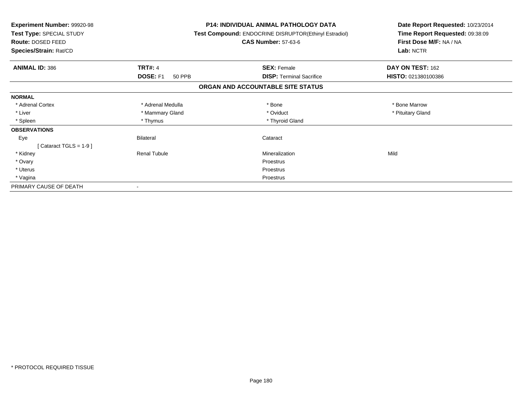| Experiment Number: 99920-98<br>Test Type: SPECIAL STUDY<br><b>Route: DOSED FEED</b><br>Species/Strain: Rat/CD |                     | <b>P14: INDIVIDUAL ANIMAL PATHOLOGY DATA</b><br>Test Compound: ENDOCRINE DISRUPTOR(Ethinyl Estradiol)<br><b>CAS Number: 57-63-6</b> | Date Report Requested: 10/23/2014<br>Time Report Requested: 09:38:09<br>First Dose M/F: NA / NA<br>Lab: NCTR |
|---------------------------------------------------------------------------------------------------------------|---------------------|-------------------------------------------------------------------------------------------------------------------------------------|--------------------------------------------------------------------------------------------------------------|
|                                                                                                               |                     |                                                                                                                                     |                                                                                                              |
| <b>ANIMAL ID: 386</b>                                                                                         | <b>TRT#: 4</b>      | <b>SEX: Female</b>                                                                                                                  | DAY ON TEST: 162                                                                                             |
|                                                                                                               | DOSE: F1<br>50 PPB  | <b>DISP: Terminal Sacrifice</b>                                                                                                     | HISTO: 021380100386                                                                                          |
|                                                                                                               |                     | ORGAN AND ACCOUNTABLE SITE STATUS                                                                                                   |                                                                                                              |
| <b>NORMAL</b>                                                                                                 |                     |                                                                                                                                     |                                                                                                              |
| * Adrenal Cortex                                                                                              | * Adrenal Medulla   | * Bone                                                                                                                              | * Bone Marrow                                                                                                |
| * Liver                                                                                                       | * Mammary Gland     | * Oviduct                                                                                                                           | * Pituitary Gland                                                                                            |
| * Spleen                                                                                                      | * Thymus            | * Thyroid Gland                                                                                                                     |                                                                                                              |
| <b>OBSERVATIONS</b>                                                                                           |                     |                                                                                                                                     |                                                                                                              |
| Eye                                                                                                           | <b>Bilateral</b>    | Cataract                                                                                                                            |                                                                                                              |
| [Cataract TGLS = $1-9$ ]                                                                                      |                     |                                                                                                                                     |                                                                                                              |
| * Kidney                                                                                                      | <b>Renal Tubule</b> | Mineralization                                                                                                                      | Mild                                                                                                         |
| * Ovary                                                                                                       |                     | Proestrus                                                                                                                           |                                                                                                              |
| * Uterus                                                                                                      |                     | Proestrus                                                                                                                           |                                                                                                              |
| * Vagina                                                                                                      |                     | Proestrus                                                                                                                           |                                                                                                              |
| PRIMARY CAUSE OF DEATH                                                                                        |                     |                                                                                                                                     |                                                                                                              |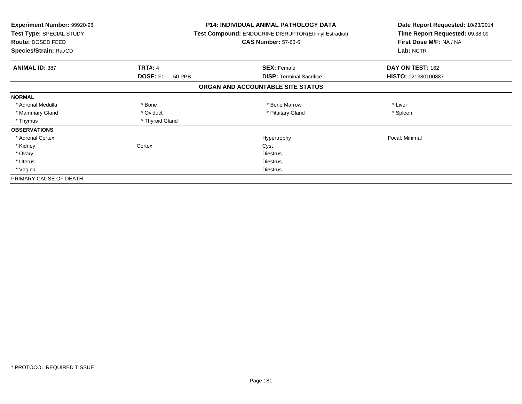| Experiment Number: 99920-98<br>Test Type: SPECIAL STUDY<br>Route: DOSED FEED<br>Species/Strain: Rat/CD |                           | <b>P14: INDIVIDUAL ANIMAL PATHOLOGY DATA</b><br>Test Compound: ENDOCRINE DISRUPTOR(Ethinyl Estradiol)<br><b>CAS Number: 57-63-6</b> | Date Report Requested: 10/23/2014<br>Time Report Requested: 09:38:09<br>First Dose M/F: NA / NA<br>Lab: NCTR |  |
|--------------------------------------------------------------------------------------------------------|---------------------------|-------------------------------------------------------------------------------------------------------------------------------------|--------------------------------------------------------------------------------------------------------------|--|
| <b>ANIMAL ID: 387</b>                                                                                  | <b>TRT#: 4</b>            | <b>SEX: Female</b>                                                                                                                  | DAY ON TEST: 162                                                                                             |  |
|                                                                                                        | <b>DOSE: F1</b><br>50 PPB | <b>DISP:</b> Terminal Sacrifice                                                                                                     | HISTO: 021380100387                                                                                          |  |
|                                                                                                        |                           | ORGAN AND ACCOUNTABLE SITE STATUS                                                                                                   |                                                                                                              |  |
| <b>NORMAL</b>                                                                                          |                           |                                                                                                                                     |                                                                                                              |  |
| * Adrenal Medulla                                                                                      | * Bone                    | * Bone Marrow                                                                                                                       | * Liver                                                                                                      |  |
| * Mammary Gland                                                                                        | * Oviduct                 | * Pituitary Gland                                                                                                                   | * Spleen                                                                                                     |  |
| * Thymus                                                                                               | * Thyroid Gland           |                                                                                                                                     |                                                                                                              |  |
| <b>OBSERVATIONS</b>                                                                                    |                           |                                                                                                                                     |                                                                                                              |  |
| * Adrenal Cortex                                                                                       |                           | Hypertrophy                                                                                                                         | Focal, Minimal                                                                                               |  |
| * Kidney                                                                                               | Cortex                    | Cyst                                                                                                                                |                                                                                                              |  |
| * Ovary                                                                                                |                           | <b>Diestrus</b>                                                                                                                     |                                                                                                              |  |
| * Uterus                                                                                               |                           | <b>Diestrus</b>                                                                                                                     |                                                                                                              |  |
| * Vagina                                                                                               |                           | Diestrus                                                                                                                            |                                                                                                              |  |
| PRIMARY CAUSE OF DEATH                                                                                 |                           |                                                                                                                                     |                                                                                                              |  |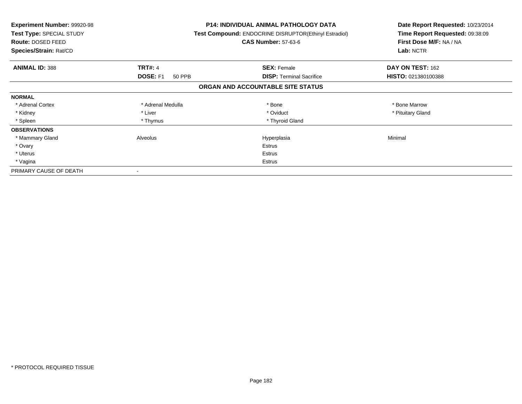| <b>Experiment Number: 99920-98</b><br>Test Type: SPECIAL STUDY<br>Route: DOSED FEED<br>Species/Strain: Rat/CD |                           | <b>P14: INDIVIDUAL ANIMAL PATHOLOGY DATA</b><br>Test Compound: ENDOCRINE DISRUPTOR(Ethinyl Estradiol)<br><b>CAS Number: 57-63-6</b> | Date Report Requested: 10/23/2014<br>Time Report Requested: 09:38:09<br>First Dose M/F: NA / NA<br>Lab: NCTR |
|---------------------------------------------------------------------------------------------------------------|---------------------------|-------------------------------------------------------------------------------------------------------------------------------------|--------------------------------------------------------------------------------------------------------------|
| <b>ANIMAL ID: 388</b>                                                                                         | <b>TRT#: 4</b>            | <b>SEX: Female</b>                                                                                                                  | DAY ON TEST: 162                                                                                             |
|                                                                                                               | <b>DOSE: F1</b><br>50 PPB | <b>DISP:</b> Terminal Sacrifice                                                                                                     | <b>HISTO: 021380100388</b>                                                                                   |
|                                                                                                               |                           | ORGAN AND ACCOUNTABLE SITE STATUS                                                                                                   |                                                                                                              |
| <b>NORMAL</b>                                                                                                 |                           |                                                                                                                                     |                                                                                                              |
| * Adrenal Cortex                                                                                              | * Adrenal Medulla         | * Bone                                                                                                                              | * Bone Marrow                                                                                                |
| * Kidney                                                                                                      | * Liver                   | * Oviduct                                                                                                                           | * Pituitary Gland                                                                                            |
| * Spleen                                                                                                      | * Thymus                  | * Thyroid Gland                                                                                                                     |                                                                                                              |
| <b>OBSERVATIONS</b>                                                                                           |                           |                                                                                                                                     |                                                                                                              |
| * Mammary Gland                                                                                               | Alveolus                  | Hyperplasia                                                                                                                         | Minimal                                                                                                      |
| * Ovary                                                                                                       |                           | <b>Estrus</b>                                                                                                                       |                                                                                                              |
| * Uterus                                                                                                      |                           | Estrus                                                                                                                              |                                                                                                              |
| * Vagina                                                                                                      |                           | Estrus                                                                                                                              |                                                                                                              |
| PRIMARY CAUSE OF DEATH                                                                                        |                           |                                                                                                                                     |                                                                                                              |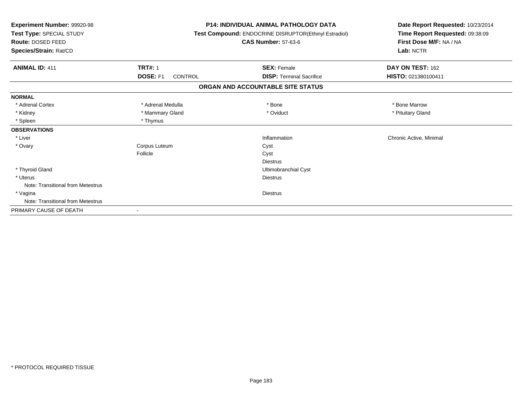| Experiment Number: 99920-98<br>Test Type: SPECIAL STUDY<br>Route: DOSED FEED<br>Species/Strain: Rat/CD |                                   | <b>P14: INDIVIDUAL ANIMAL PATHOLOGY DATA</b><br>Test Compound: ENDOCRINE DISRUPTOR(Ethinyl Estradiol)<br><b>CAS Number: 57-63-6</b> | Date Report Requested: 10/23/2014<br>Time Report Requested: 09:38:09<br>First Dose M/F: NA / NA<br>Lab: NCTR |
|--------------------------------------------------------------------------------------------------------|-----------------------------------|-------------------------------------------------------------------------------------------------------------------------------------|--------------------------------------------------------------------------------------------------------------|
| <b>ANIMAL ID: 411</b>                                                                                  | <b>TRT#: 1</b>                    | <b>SEX: Female</b>                                                                                                                  | DAY ON TEST: 162                                                                                             |
|                                                                                                        | <b>DOSE: F1</b><br><b>CONTROL</b> | <b>DISP: Terminal Sacrifice</b>                                                                                                     | HISTO: 021380100411                                                                                          |
|                                                                                                        |                                   | ORGAN AND ACCOUNTABLE SITE STATUS                                                                                                   |                                                                                                              |
| <b>NORMAL</b>                                                                                          |                                   |                                                                                                                                     |                                                                                                              |
| * Adrenal Cortex                                                                                       | * Adrenal Medulla                 | * Bone                                                                                                                              | * Bone Marrow                                                                                                |
| * Kidney                                                                                               | * Mammary Gland                   | * Oviduct                                                                                                                           | * Pituitary Gland                                                                                            |
| * Spleen                                                                                               | * Thymus                          |                                                                                                                                     |                                                                                                              |
| <b>OBSERVATIONS</b>                                                                                    |                                   |                                                                                                                                     |                                                                                                              |
| * Liver                                                                                                |                                   | Inflammation                                                                                                                        | Chronic Active, Minimal                                                                                      |
| * Ovary                                                                                                | Corpus Luteum                     | Cyst                                                                                                                                |                                                                                                              |
|                                                                                                        | Follicle                          | Cyst                                                                                                                                |                                                                                                              |
|                                                                                                        |                                   | <b>Diestrus</b>                                                                                                                     |                                                                                                              |
| * Thyroid Gland                                                                                        |                                   | Ultimobranchial Cyst                                                                                                                |                                                                                                              |
| * Uterus                                                                                               |                                   | <b>Diestrus</b>                                                                                                                     |                                                                                                              |
| Note: Transitional from Metestrus                                                                      |                                   |                                                                                                                                     |                                                                                                              |
| * Vagina                                                                                               |                                   | <b>Diestrus</b>                                                                                                                     |                                                                                                              |
| Note: Transitional from Metestrus                                                                      |                                   |                                                                                                                                     |                                                                                                              |
| PRIMARY CAUSE OF DEATH                                                                                 |                                   |                                                                                                                                     |                                                                                                              |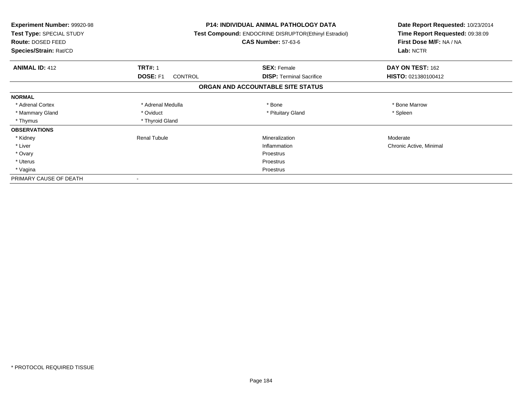| <b>Experiment Number: 99920-98</b><br>Test Type: SPECIAL STUDY<br><b>Route: DOSED FEED</b><br>Species/Strain: Rat/CD |                     | <b>P14: INDIVIDUAL ANIMAL PATHOLOGY DATA</b><br><b>Test Compound: ENDOCRINE DISRUPTOR (Ethinyl Estradiol)</b><br><b>CAS Number: 57-63-6</b> | Date Report Requested: 10/23/2014<br>Time Report Requested: 09:38:09<br>First Dose M/F: NA / NA<br>Lab: NCTR |
|----------------------------------------------------------------------------------------------------------------------|---------------------|---------------------------------------------------------------------------------------------------------------------------------------------|--------------------------------------------------------------------------------------------------------------|
| <b>ANIMAL ID: 412</b>                                                                                                | <b>TRT#: 1</b>      | <b>SEX: Female</b>                                                                                                                          | DAY ON TEST: 162                                                                                             |
|                                                                                                                      | DOSE: F1<br>CONTROL | <b>DISP:</b> Terminal Sacrifice                                                                                                             | HISTO: 021380100412                                                                                          |
|                                                                                                                      |                     | ORGAN AND ACCOUNTABLE SITE STATUS                                                                                                           |                                                                                                              |
| <b>NORMAL</b>                                                                                                        |                     |                                                                                                                                             |                                                                                                              |
| * Adrenal Cortex                                                                                                     | * Adrenal Medulla   | * Bone                                                                                                                                      | * Bone Marrow                                                                                                |
| * Mammary Gland                                                                                                      | * Oviduct           | * Pituitary Gland                                                                                                                           | * Spleen                                                                                                     |
| * Thymus                                                                                                             | * Thyroid Gland     |                                                                                                                                             |                                                                                                              |
| <b>OBSERVATIONS</b>                                                                                                  |                     |                                                                                                                                             |                                                                                                              |
| * Kidney                                                                                                             | <b>Renal Tubule</b> | Mineralization                                                                                                                              | Moderate                                                                                                     |
| * Liver                                                                                                              |                     | Inflammation                                                                                                                                | Chronic Active, Minimal                                                                                      |
| * Ovary                                                                                                              |                     | Proestrus                                                                                                                                   |                                                                                                              |
| * Uterus                                                                                                             |                     | Proestrus                                                                                                                                   |                                                                                                              |
| * Vagina                                                                                                             |                     | Proestrus                                                                                                                                   |                                                                                                              |
| PRIMARY CAUSE OF DEATH                                                                                               |                     |                                                                                                                                             |                                                                                                              |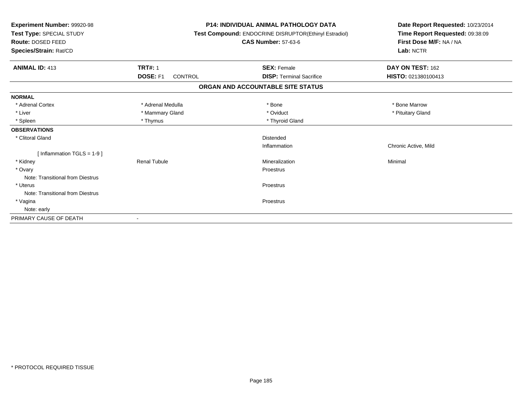| Experiment Number: 99920-98<br>Test Type: SPECIAL STUDY<br>Route: DOSED FEED<br>Species/Strain: Rat/CD |                                   | <b>P14: INDIVIDUAL ANIMAL PATHOLOGY DATA</b><br>Test Compound: ENDOCRINE DISRUPTOR(Ethinyl Estradiol)<br><b>CAS Number: 57-63-6</b> | Date Report Requested: 10/23/2014<br>Time Report Requested: 09:38:09<br>First Dose M/F: NA / NA<br>Lab: NCTR |
|--------------------------------------------------------------------------------------------------------|-----------------------------------|-------------------------------------------------------------------------------------------------------------------------------------|--------------------------------------------------------------------------------------------------------------|
| <b>ANIMAL ID: 413</b>                                                                                  | <b>TRT#: 1</b>                    | <b>SEX: Female</b>                                                                                                                  | DAY ON TEST: 162                                                                                             |
|                                                                                                        | <b>DOSE: F1</b><br><b>CONTROL</b> | <b>DISP: Terminal Sacrifice</b>                                                                                                     | HISTO: 021380100413                                                                                          |
|                                                                                                        |                                   | ORGAN AND ACCOUNTABLE SITE STATUS                                                                                                   |                                                                                                              |
| <b>NORMAL</b>                                                                                          |                                   |                                                                                                                                     |                                                                                                              |
| * Adrenal Cortex                                                                                       | * Adrenal Medulla                 | * Bone                                                                                                                              | * Bone Marrow                                                                                                |
| * Liver                                                                                                | * Mammary Gland                   | * Oviduct                                                                                                                           | * Pituitary Gland                                                                                            |
| * Spleen                                                                                               | * Thymus                          | * Thyroid Gland                                                                                                                     |                                                                                                              |
| <b>OBSERVATIONS</b>                                                                                    |                                   |                                                                                                                                     |                                                                                                              |
| * Clitoral Gland                                                                                       |                                   | Distended                                                                                                                           |                                                                                                              |
|                                                                                                        |                                   | Inflammation                                                                                                                        | Chronic Active, Mild                                                                                         |
| [Inflammation TGLS = $1-9$ ]                                                                           |                                   |                                                                                                                                     |                                                                                                              |
| * Kidney                                                                                               | <b>Renal Tubule</b>               | Mineralization                                                                                                                      | Minimal                                                                                                      |
| * Ovary                                                                                                |                                   | Proestrus                                                                                                                           |                                                                                                              |
| Note: Transitional from Diestrus                                                                       |                                   |                                                                                                                                     |                                                                                                              |
| * Uterus                                                                                               |                                   | Proestrus                                                                                                                           |                                                                                                              |
| Note: Transitional from Diestrus                                                                       |                                   |                                                                                                                                     |                                                                                                              |
| * Vagina                                                                                               |                                   | Proestrus                                                                                                                           |                                                                                                              |
| Note: early                                                                                            |                                   |                                                                                                                                     |                                                                                                              |
| PRIMARY CAUSE OF DEATH                                                                                 |                                   |                                                                                                                                     |                                                                                                              |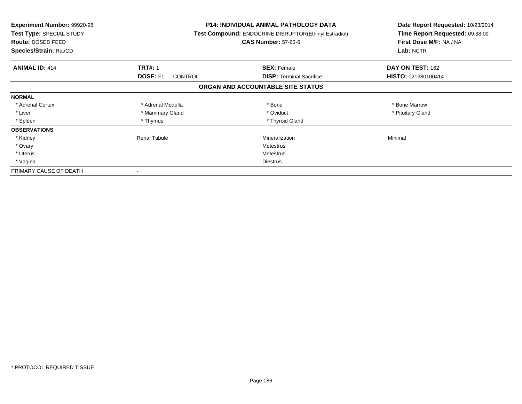| <b>Experiment Number: 99920-98</b><br>Test Type: SPECIAL STUDY<br><b>Route: DOSED FEED</b><br>Species/Strain: Rat/CD |                                   | <b>P14: INDIVIDUAL ANIMAL PATHOLOGY DATA</b><br>Test Compound: ENDOCRINE DISRUPTOR(Ethinyl Estradiol)<br><b>CAS Number: 57-63-6</b> | Date Report Requested: 10/23/2014<br>Time Report Requested: 09:38:09<br>First Dose M/F: NA / NA<br>Lab: NCTR |
|----------------------------------------------------------------------------------------------------------------------|-----------------------------------|-------------------------------------------------------------------------------------------------------------------------------------|--------------------------------------------------------------------------------------------------------------|
| <b>ANIMAL ID: 414</b>                                                                                                | <b>TRT#: 1</b>                    | <b>SEX: Female</b>                                                                                                                  | DAY ON TEST: 162                                                                                             |
|                                                                                                                      | <b>DOSE: F1</b><br><b>CONTROL</b> | <b>DISP:</b> Terminal Sacrifice                                                                                                     | HISTO: 021380100414                                                                                          |
|                                                                                                                      |                                   | ORGAN AND ACCOUNTABLE SITE STATUS                                                                                                   |                                                                                                              |
| <b>NORMAL</b>                                                                                                        |                                   |                                                                                                                                     |                                                                                                              |
| * Adrenal Cortex                                                                                                     | * Adrenal Medulla                 | * Bone                                                                                                                              | * Bone Marrow                                                                                                |
| * Liver                                                                                                              | * Mammary Gland                   | * Oviduct                                                                                                                           | * Pituitary Gland                                                                                            |
| * Spleen                                                                                                             | * Thymus                          | * Thyroid Gland                                                                                                                     |                                                                                                              |
| <b>OBSERVATIONS</b>                                                                                                  |                                   |                                                                                                                                     |                                                                                                              |
| * Kidney                                                                                                             | Renal Tubule                      | Mineralization                                                                                                                      | Minimal                                                                                                      |
| * Ovary                                                                                                              |                                   | Metestrus                                                                                                                           |                                                                                                              |
| * Uterus                                                                                                             |                                   | Metestrus                                                                                                                           |                                                                                                              |
| * Vagina                                                                                                             |                                   | Diestrus                                                                                                                            |                                                                                                              |
| PRIMARY CAUSE OF DEATH                                                                                               |                                   |                                                                                                                                     |                                                                                                              |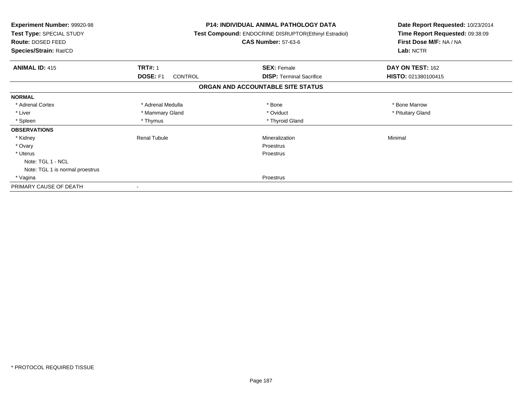| <b>Experiment Number: 99920-98</b><br>Test Type: SPECIAL STUDY<br>Route: DOSED FEED<br>Species/Strain: Rat/CD |                     | <b>P14: INDIVIDUAL ANIMAL PATHOLOGY DATA</b><br>Test Compound: ENDOCRINE DISRUPTOR(Ethinyl Estradiol)<br><b>CAS Number: 57-63-6</b> | Date Report Requested: 10/23/2014<br>Time Report Requested: 09:38:09<br>First Dose M/F: NA / NA<br>Lab: NCTR |
|---------------------------------------------------------------------------------------------------------------|---------------------|-------------------------------------------------------------------------------------------------------------------------------------|--------------------------------------------------------------------------------------------------------------|
| <b>ANIMAL ID: 415</b>                                                                                         | <b>TRT#: 1</b>      | <b>SEX: Female</b>                                                                                                                  | DAY ON TEST: 162                                                                                             |
|                                                                                                               | DOSE: F1<br>CONTROL | <b>DISP:</b> Terminal Sacrifice                                                                                                     | HISTO: 021380100415                                                                                          |
|                                                                                                               |                     | ORGAN AND ACCOUNTABLE SITE STATUS                                                                                                   |                                                                                                              |
| <b>NORMAL</b>                                                                                                 |                     |                                                                                                                                     |                                                                                                              |
| * Adrenal Cortex                                                                                              | * Adrenal Medulla   | * Bone                                                                                                                              | * Bone Marrow                                                                                                |
| * Liver                                                                                                       | * Mammary Gland     | * Oviduct                                                                                                                           | * Pituitary Gland                                                                                            |
| * Spleen                                                                                                      | * Thymus            | * Thyroid Gland                                                                                                                     |                                                                                                              |
| <b>OBSERVATIONS</b>                                                                                           |                     |                                                                                                                                     |                                                                                                              |
| * Kidney                                                                                                      | Renal Tubule        | Mineralization                                                                                                                      | Minimal                                                                                                      |
| * Ovary                                                                                                       |                     | Proestrus                                                                                                                           |                                                                                                              |
| * Uterus                                                                                                      |                     | Proestrus                                                                                                                           |                                                                                                              |
| Note: TGL 1 - NCL                                                                                             |                     |                                                                                                                                     |                                                                                                              |
| Note: TGL 1 is normal proestrus                                                                               |                     |                                                                                                                                     |                                                                                                              |
| * Vagina                                                                                                      |                     | Proestrus                                                                                                                           |                                                                                                              |
| PRIMARY CAUSE OF DEATH                                                                                        |                     |                                                                                                                                     |                                                                                                              |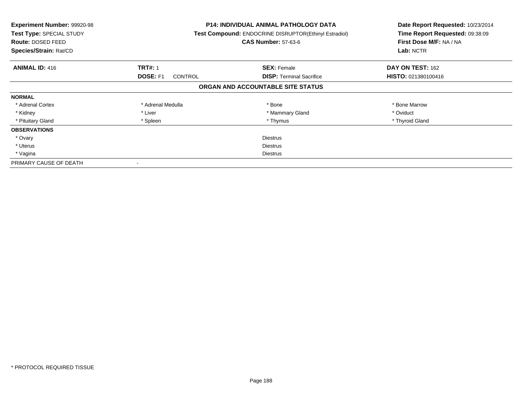| <b>Experiment Number: 99920-98</b><br>Test Type: SPECIAL STUDY<br>Route: DOSED FEED<br>Species/Strain: Rat/CD |                                   | <b>P14: INDIVIDUAL ANIMAL PATHOLOGY DATA</b><br>Test Compound: ENDOCRINE DISRUPTOR(Ethinyl Estradiol)<br><b>CAS Number: 57-63-6</b> | Date Report Requested: 10/23/2014<br>Time Report Requested: 09:38:09<br>First Dose M/F: NA / NA<br>Lab: NCTR |
|---------------------------------------------------------------------------------------------------------------|-----------------------------------|-------------------------------------------------------------------------------------------------------------------------------------|--------------------------------------------------------------------------------------------------------------|
| <b>ANIMAL ID: 416</b>                                                                                         | <b>TRT#: 1</b>                    | <b>SEX: Female</b>                                                                                                                  | DAY ON TEST: 162                                                                                             |
|                                                                                                               | <b>DOSE: F1</b><br><b>CONTROL</b> | <b>DISP:</b> Terminal Sacrifice                                                                                                     | <b>HISTO: 021380100416</b>                                                                                   |
|                                                                                                               |                                   | ORGAN AND ACCOUNTABLE SITE STATUS                                                                                                   |                                                                                                              |
| <b>NORMAL</b>                                                                                                 |                                   |                                                                                                                                     |                                                                                                              |
| * Adrenal Cortex                                                                                              | * Adrenal Medulla                 | * Bone                                                                                                                              | * Bone Marrow                                                                                                |
| * Kidney                                                                                                      | * Liver                           | * Mammary Gland                                                                                                                     | * Oviduct                                                                                                    |
| * Pituitary Gland                                                                                             | * Spleen                          | * Thymus                                                                                                                            | * Thyroid Gland                                                                                              |
| <b>OBSERVATIONS</b>                                                                                           |                                   |                                                                                                                                     |                                                                                                              |
| * Ovary                                                                                                       |                                   | <b>Diestrus</b>                                                                                                                     |                                                                                                              |
| * Uterus                                                                                                      | <b>Diestrus</b>                   |                                                                                                                                     |                                                                                                              |
| * Vagina                                                                                                      | Diestrus                          |                                                                                                                                     |                                                                                                              |
| PRIMARY CAUSE OF DEATH                                                                                        |                                   |                                                                                                                                     |                                                                                                              |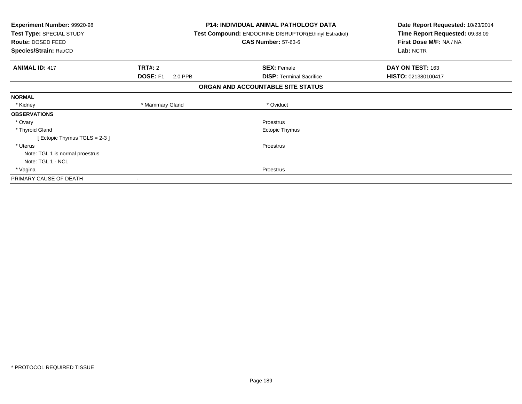| <b>Experiment Number: 99920-98</b><br>Test Type: SPECIAL STUDY<br>Route: DOSED FEED<br>Species/Strain: Rat/CD |                            | <b>P14: INDIVIDUAL ANIMAL PATHOLOGY DATA</b><br>Test Compound: ENDOCRINE DISRUPTOR(Ethinyl Estradiol)<br><b>CAS Number: 57-63-6</b> | Date Report Requested: 10/23/2014<br>Time Report Requested: 09:38:09<br>First Dose M/F: NA / NA<br>Lab: NCTR |
|---------------------------------------------------------------------------------------------------------------|----------------------------|-------------------------------------------------------------------------------------------------------------------------------------|--------------------------------------------------------------------------------------------------------------|
| <b>ANIMAL ID: 417</b>                                                                                         | TRT#: 2                    | <b>SEX: Female</b>                                                                                                                  | DAY ON TEST: 163                                                                                             |
|                                                                                                               | <b>DOSE: F1</b><br>2.0 PPB | <b>DISP:</b> Terminal Sacrifice                                                                                                     | HISTO: 021380100417                                                                                          |
|                                                                                                               |                            | ORGAN AND ACCOUNTABLE SITE STATUS                                                                                                   |                                                                                                              |
| <b>NORMAL</b>                                                                                                 |                            |                                                                                                                                     |                                                                                                              |
| * Kidney                                                                                                      | * Mammary Gland            | * Oviduct                                                                                                                           |                                                                                                              |
| <b>OBSERVATIONS</b>                                                                                           |                            |                                                                                                                                     |                                                                                                              |
| * Ovary                                                                                                       |                            | Proestrus                                                                                                                           |                                                                                                              |
| * Thyroid Gland                                                                                               |                            | Ectopic Thymus                                                                                                                      |                                                                                                              |
| [Ectopic Thymus TGLS = $2-3$ ]                                                                                |                            |                                                                                                                                     |                                                                                                              |
| * Uterus                                                                                                      |                            | Proestrus                                                                                                                           |                                                                                                              |
| Note: TGL 1 is normal proestrus                                                                               |                            |                                                                                                                                     |                                                                                                              |
| Note: TGL 1 - NCL                                                                                             |                            |                                                                                                                                     |                                                                                                              |
| * Vagina                                                                                                      |                            | Proestrus                                                                                                                           |                                                                                                              |
| PRIMARY CAUSE OF DEATH                                                                                        |                            |                                                                                                                                     |                                                                                                              |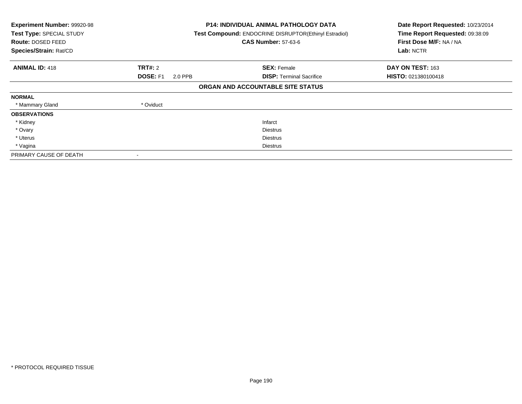| Experiment Number: 99920-98<br>Test Type: SPECIAL STUDY<br>Route: DOSED FEED<br>Species/Strain: Rat/CD |                            | <b>P14: INDIVIDUAL ANIMAL PATHOLOGY DATA</b><br>Test Compound: ENDOCRINE DISRUPTOR(Ethinyl Estradiol)<br><b>CAS Number: 57-63-6</b> | Date Report Requested: 10/23/2014<br>Time Report Requested: 09:38:09<br>First Dose M/F: NA / NA<br>Lab: NCTR |
|--------------------------------------------------------------------------------------------------------|----------------------------|-------------------------------------------------------------------------------------------------------------------------------------|--------------------------------------------------------------------------------------------------------------|
| <b>ANIMAL ID: 418</b>                                                                                  | <b>TRT#:</b> 2             | <b>SEX: Female</b>                                                                                                                  | DAY ON TEST: 163                                                                                             |
|                                                                                                        | <b>DOSE: F1</b><br>2.0 PPB | <b>DISP:</b> Terminal Sacrifice                                                                                                     | HISTO: 021380100418                                                                                          |
|                                                                                                        |                            | ORGAN AND ACCOUNTABLE SITE STATUS                                                                                                   |                                                                                                              |
| <b>NORMAL</b>                                                                                          |                            |                                                                                                                                     |                                                                                                              |
| * Mammary Gland                                                                                        | * Oviduct                  |                                                                                                                                     |                                                                                                              |
| <b>OBSERVATIONS</b>                                                                                    |                            |                                                                                                                                     |                                                                                                              |
| * Kidney                                                                                               |                            | Infarct                                                                                                                             |                                                                                                              |
| * Ovary                                                                                                |                            | <b>Diestrus</b>                                                                                                                     |                                                                                                              |
| * Uterus                                                                                               |                            | <b>Diestrus</b>                                                                                                                     |                                                                                                              |
| * Vagina                                                                                               |                            | Diestrus                                                                                                                            |                                                                                                              |
| PRIMARY CAUSE OF DEATH                                                                                 |                            |                                                                                                                                     |                                                                                                              |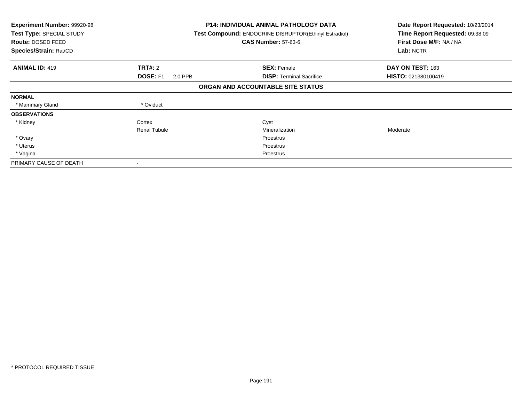| <b>Experiment Number: 99920-98</b><br>Test Type: SPECIAL STUDY<br>Route: DOSED FEED<br>Species/Strain: Rat/CD |                            | <b>P14: INDIVIDUAL ANIMAL PATHOLOGY DATA</b><br>Test Compound: ENDOCRINE DISRUPTOR(Ethinyl Estradiol)<br><b>CAS Number: 57-63-6</b> | Date Report Requested: 10/23/2014<br>Time Report Requested: 09:38:09<br>First Dose M/F: NA / NA<br>Lab: NCTR |
|---------------------------------------------------------------------------------------------------------------|----------------------------|-------------------------------------------------------------------------------------------------------------------------------------|--------------------------------------------------------------------------------------------------------------|
| <b>ANIMAL ID: 419</b>                                                                                         | <b>TRT#: 2</b>             | <b>SEX: Female</b>                                                                                                                  | DAY ON TEST: 163                                                                                             |
|                                                                                                               | <b>DOSE: F1</b><br>2.0 PPB | <b>DISP:</b> Terminal Sacrifice                                                                                                     | HISTO: 021380100419                                                                                          |
|                                                                                                               |                            | ORGAN AND ACCOUNTABLE SITE STATUS                                                                                                   |                                                                                                              |
| <b>NORMAL</b>                                                                                                 |                            |                                                                                                                                     |                                                                                                              |
| * Mammary Gland                                                                                               | * Oviduct                  |                                                                                                                                     |                                                                                                              |
| <b>OBSERVATIONS</b>                                                                                           |                            |                                                                                                                                     |                                                                                                              |
| * Kidney                                                                                                      | Cortex                     | Cyst                                                                                                                                |                                                                                                              |
|                                                                                                               | <b>Renal Tubule</b>        | Mineralization                                                                                                                      | Moderate                                                                                                     |
| * Ovary                                                                                                       |                            | Proestrus                                                                                                                           |                                                                                                              |
| * Uterus                                                                                                      |                            | Proestrus                                                                                                                           |                                                                                                              |
| * Vagina                                                                                                      |                            | Proestrus                                                                                                                           |                                                                                                              |
| PRIMARY CAUSE OF DEATH                                                                                        |                            |                                                                                                                                     |                                                                                                              |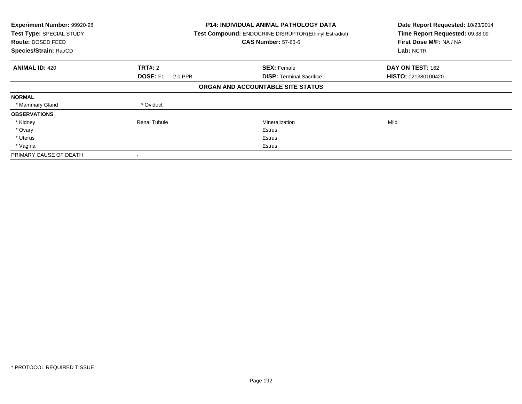| Experiment Number: 99920-98<br>Test Type: SPECIAL STUDY<br>Route: DOSED FEED<br>Species/Strain: Rat/CD |                            | <b>P14: INDIVIDUAL ANIMAL PATHOLOGY DATA</b><br>Test Compound: ENDOCRINE DISRUPTOR(Ethinyl Estradiol)<br><b>CAS Number: 57-63-6</b> | Date Report Requested: 10/23/2014<br>Time Report Requested: 09:38:09<br>First Dose M/F: NA / NA<br>Lab: NCTR |
|--------------------------------------------------------------------------------------------------------|----------------------------|-------------------------------------------------------------------------------------------------------------------------------------|--------------------------------------------------------------------------------------------------------------|
| <b>ANIMAL ID: 420</b>                                                                                  | <b>TRT#: 2</b>             | <b>SEX: Female</b>                                                                                                                  | DAY ON TEST: 162                                                                                             |
|                                                                                                        | <b>DOSE: F1</b><br>2.0 PPB | <b>DISP:</b> Terminal Sacrifice                                                                                                     | HISTO: 021380100420                                                                                          |
|                                                                                                        |                            | ORGAN AND ACCOUNTABLE SITE STATUS                                                                                                   |                                                                                                              |
| <b>NORMAL</b>                                                                                          |                            |                                                                                                                                     |                                                                                                              |
| * Mammary Gland                                                                                        | * Oviduct                  |                                                                                                                                     |                                                                                                              |
| <b>OBSERVATIONS</b>                                                                                    |                            |                                                                                                                                     |                                                                                                              |
| * Kidney                                                                                               | <b>Renal Tubule</b>        | Mineralization                                                                                                                      | Mild                                                                                                         |
| * Ovary                                                                                                |                            | Estrus                                                                                                                              |                                                                                                              |
| * Uterus                                                                                               |                            | Estrus                                                                                                                              |                                                                                                              |
| * Vagina                                                                                               |                            | Estrus                                                                                                                              |                                                                                                              |
| PRIMARY CAUSE OF DEATH                                                                                 |                            |                                                                                                                                     |                                                                                                              |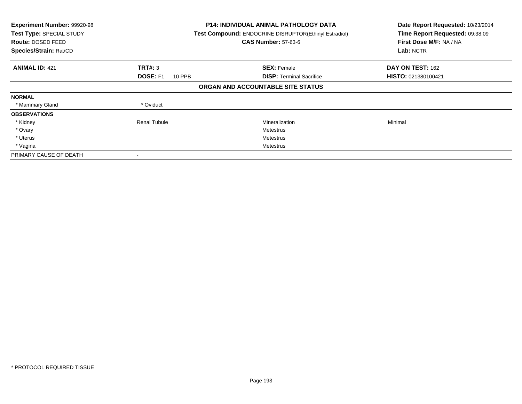| Experiment Number: 99920-98<br>Test Type: SPECIAL STUDY<br><b>Route: DOSED FEED</b><br>Species/Strain: Rat/CD |                           | <b>P14: INDIVIDUAL ANIMAL PATHOLOGY DATA</b><br>Test Compound: ENDOCRINE DISRUPTOR(Ethinyl Estradiol)<br><b>CAS Number: 57-63-6</b> | Date Report Requested: 10/23/2014<br>Time Report Requested: 09:38:09<br>First Dose M/F: NA / NA<br>Lab: NCTR |
|---------------------------------------------------------------------------------------------------------------|---------------------------|-------------------------------------------------------------------------------------------------------------------------------------|--------------------------------------------------------------------------------------------------------------|
| <b>ANIMAL ID: 421</b>                                                                                         | TRT#: 3                   | <b>SEX: Female</b>                                                                                                                  | DAY ON TEST: 162                                                                                             |
|                                                                                                               | <b>DOSE: F1</b><br>10 PPB | <b>DISP:</b> Terminal Sacrifice                                                                                                     | <b>HISTO: 021380100421</b>                                                                                   |
|                                                                                                               |                           | ORGAN AND ACCOUNTABLE SITE STATUS                                                                                                   |                                                                                                              |
| <b>NORMAL</b>                                                                                                 |                           |                                                                                                                                     |                                                                                                              |
| * Mammary Gland                                                                                               | * Oviduct                 |                                                                                                                                     |                                                                                                              |
| <b>OBSERVATIONS</b>                                                                                           |                           |                                                                                                                                     |                                                                                                              |
| * Kidney                                                                                                      | Renal Tubule              | Mineralization                                                                                                                      | Minimal                                                                                                      |
| * Ovary                                                                                                       |                           | Metestrus                                                                                                                           |                                                                                                              |
| * Uterus                                                                                                      |                           | Metestrus                                                                                                                           |                                                                                                              |
| * Vagina                                                                                                      |                           | Metestrus                                                                                                                           |                                                                                                              |
| PRIMARY CAUSE OF DEATH                                                                                        |                           |                                                                                                                                     |                                                                                                              |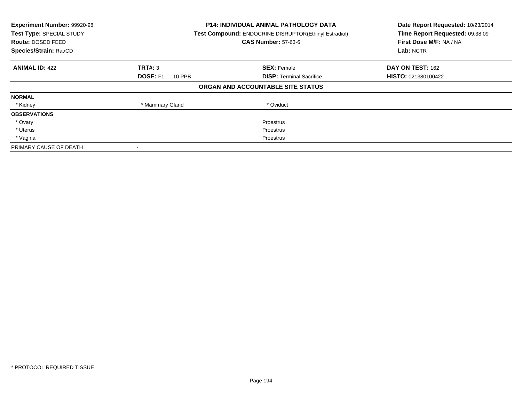| Experiment Number: 99920-98<br>Test Type: SPECIAL STUDY<br>Route: DOSED FEED<br>Species/Strain: Rat/CD |                           | <b>P14: INDIVIDUAL ANIMAL PATHOLOGY DATA</b><br>Test Compound: ENDOCRINE DISRUPTOR(Ethinyl Estradiol)<br><b>CAS Number: 57-63-6</b> | Date Report Requested: 10/23/2014<br>Time Report Requested: 09:38:09<br>First Dose M/F: NA / NA<br>Lab: NCTR |
|--------------------------------------------------------------------------------------------------------|---------------------------|-------------------------------------------------------------------------------------------------------------------------------------|--------------------------------------------------------------------------------------------------------------|
| <b>ANIMAL ID: 422</b>                                                                                  | TRT#: 3                   | <b>SEX: Female</b>                                                                                                                  | DAY ON TEST: 162                                                                                             |
|                                                                                                        | <b>DOSE: F1</b><br>10 PPB | <b>DISP:</b> Terminal Sacrifice                                                                                                     | HISTO: 021380100422                                                                                          |
|                                                                                                        |                           | ORGAN AND ACCOUNTABLE SITE STATUS                                                                                                   |                                                                                                              |
| <b>NORMAL</b>                                                                                          |                           |                                                                                                                                     |                                                                                                              |
| * Kidney                                                                                               | * Mammary Gland           | * Oviduct                                                                                                                           |                                                                                                              |
| <b>OBSERVATIONS</b>                                                                                    |                           |                                                                                                                                     |                                                                                                              |
| * Ovary                                                                                                |                           | <b>Proestrus</b>                                                                                                                    |                                                                                                              |
| * Uterus                                                                                               |                           | <b>Proestrus</b>                                                                                                                    |                                                                                                              |
| * Vagina                                                                                               | Proestrus                 |                                                                                                                                     |                                                                                                              |
| PRIMARY CAUSE OF DEATH                                                                                 |                           |                                                                                                                                     |                                                                                                              |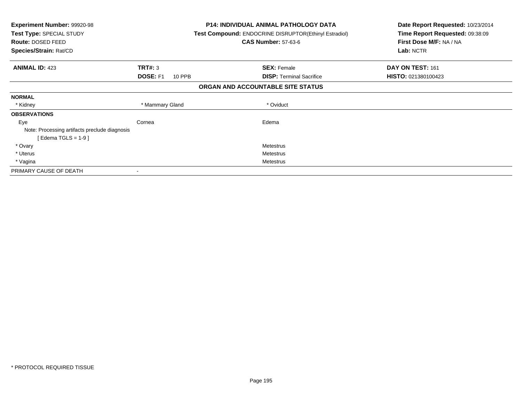| Experiment Number: 99920-98<br>Test Type: SPECIAL STUDY<br>Route: DOSED FEED<br>Species/Strain: Rat/CD |                           | <b>P14: INDIVIDUAL ANIMAL PATHOLOGY DATA</b><br><b>Test Compound: ENDOCRINE DISRUPTOR(Ethinyl Estradiol)</b><br><b>CAS Number: 57-63-6</b> | Date Report Requested: 10/23/2014<br>Time Report Requested: 09:38:09<br>First Dose M/F: NA / NA<br>Lab: NCTR |
|--------------------------------------------------------------------------------------------------------|---------------------------|--------------------------------------------------------------------------------------------------------------------------------------------|--------------------------------------------------------------------------------------------------------------|
| <b>ANIMAL ID: 423</b>                                                                                  | <b>TRT#: 3</b>            | <b>SEX: Female</b>                                                                                                                         | DAY ON TEST: 161                                                                                             |
|                                                                                                        | <b>DOSE: F1</b><br>10 PPB | <b>DISP:</b> Terminal Sacrifice                                                                                                            | HISTO: 021380100423                                                                                          |
|                                                                                                        |                           | ORGAN AND ACCOUNTABLE SITE STATUS                                                                                                          |                                                                                                              |
| <b>NORMAL</b>                                                                                          |                           |                                                                                                                                            |                                                                                                              |
| * Kidney                                                                                               | * Mammary Gland           | * Oviduct                                                                                                                                  |                                                                                                              |
| <b>OBSERVATIONS</b>                                                                                    |                           |                                                                                                                                            |                                                                                                              |
| Eye                                                                                                    | Cornea                    | Edema                                                                                                                                      |                                                                                                              |
| Note: Processing artifacts preclude diagnosis                                                          |                           |                                                                                                                                            |                                                                                                              |
| [Edema TGLS = $1-9$ ]                                                                                  |                           |                                                                                                                                            |                                                                                                              |
| * Ovary                                                                                                |                           | Metestrus                                                                                                                                  |                                                                                                              |
| * Uterus                                                                                               |                           | Metestrus                                                                                                                                  |                                                                                                              |
| * Vagina                                                                                               |                           | Metestrus                                                                                                                                  |                                                                                                              |
| PRIMARY CAUSE OF DEATH                                                                                 |                           |                                                                                                                                            |                                                                                                              |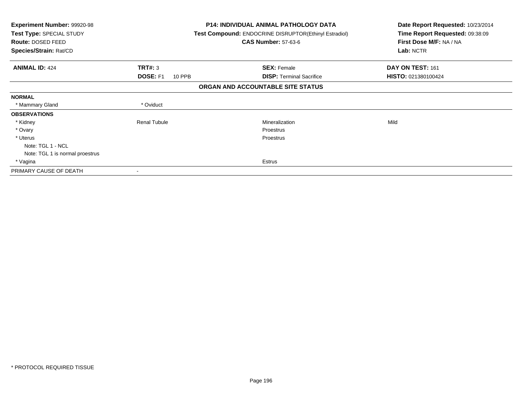| Experiment Number: 99920-98<br>Test Type: SPECIAL STUDY<br>Route: DOSED FEED<br>Species/Strain: Rat/CD |                                  | <b>P14: INDIVIDUAL ANIMAL PATHOLOGY DATA</b><br><b>Test Compound: ENDOCRINE DISRUPTOR(Ethinyl Estradiol)</b><br><b>CAS Number: 57-63-6</b> | Date Report Requested: 10/23/2014<br>Time Report Requested: 09:38:09<br>First Dose M/F: NA / NA<br>Lab: NCTR |  |
|--------------------------------------------------------------------------------------------------------|----------------------------------|--------------------------------------------------------------------------------------------------------------------------------------------|--------------------------------------------------------------------------------------------------------------|--|
| <b>ANIMAL ID: 424</b>                                                                                  | <b>TRT#: 3</b>                   | <b>SEX: Female</b>                                                                                                                         | DAY ON TEST: 161                                                                                             |  |
|                                                                                                        | <b>DOSE: F1</b><br><b>10 PPB</b> | <b>DISP:</b> Terminal Sacrifice                                                                                                            | HISTO: 021380100424                                                                                          |  |
|                                                                                                        |                                  | ORGAN AND ACCOUNTABLE SITE STATUS                                                                                                          |                                                                                                              |  |
| <b>NORMAL</b>                                                                                          |                                  |                                                                                                                                            |                                                                                                              |  |
| * Mammary Gland                                                                                        | * Oviduct                        |                                                                                                                                            |                                                                                                              |  |
| <b>OBSERVATIONS</b>                                                                                    |                                  |                                                                                                                                            |                                                                                                              |  |
| * Kidney                                                                                               | <b>Renal Tubule</b>              | Mineralization                                                                                                                             | Mild                                                                                                         |  |
| * Ovary                                                                                                |                                  | Proestrus                                                                                                                                  |                                                                                                              |  |
| * Uterus                                                                                               |                                  | Proestrus                                                                                                                                  |                                                                                                              |  |
| Note: TGL 1 - NCL                                                                                      |                                  |                                                                                                                                            |                                                                                                              |  |
| Note: TGL 1 is normal proestrus                                                                        |                                  |                                                                                                                                            |                                                                                                              |  |
| * Vagina                                                                                               |                                  | Estrus                                                                                                                                     |                                                                                                              |  |
| PRIMARY CAUSE OF DEATH                                                                                 |                                  |                                                                                                                                            |                                                                                                              |  |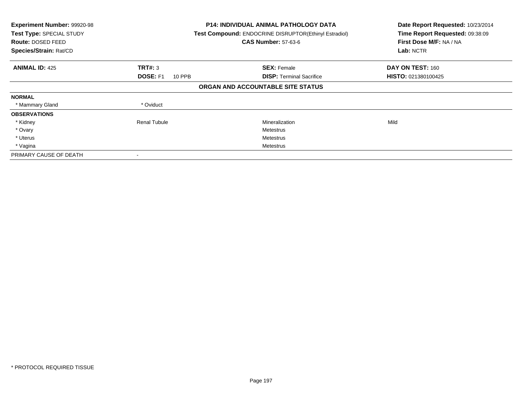| Experiment Number: 99920-98<br>Test Type: SPECIAL STUDY<br>Route: DOSED FEED<br>Species/Strain: Rat/CD |                                  | <b>P14: INDIVIDUAL ANIMAL PATHOLOGY DATA</b><br>Test Compound: ENDOCRINE DISRUPTOR(Ethinyl Estradiol)<br><b>CAS Number: 57-63-6</b> | Date Report Requested: 10/23/2014<br>Time Report Requested: 09:38:09<br>First Dose M/F: NA / NA<br>Lab: NCTR |
|--------------------------------------------------------------------------------------------------------|----------------------------------|-------------------------------------------------------------------------------------------------------------------------------------|--------------------------------------------------------------------------------------------------------------|
| <b>ANIMAL ID: 425</b>                                                                                  | TRT#: 3                          | <b>SEX: Female</b>                                                                                                                  | DAY ON TEST: 160                                                                                             |
|                                                                                                        | <b>DOSE: F1</b><br><b>10 PPB</b> | <b>DISP:</b> Terminal Sacrifice                                                                                                     | HISTO: 021380100425                                                                                          |
|                                                                                                        |                                  | ORGAN AND ACCOUNTABLE SITE STATUS                                                                                                   |                                                                                                              |
| <b>NORMAL</b>                                                                                          |                                  |                                                                                                                                     |                                                                                                              |
| * Mammary Gland                                                                                        | * Oviduct                        |                                                                                                                                     |                                                                                                              |
| <b>OBSERVATIONS</b>                                                                                    |                                  |                                                                                                                                     |                                                                                                              |
| * Kidney                                                                                               | <b>Renal Tubule</b>              | Mineralization                                                                                                                      | Mild                                                                                                         |
| * Ovary                                                                                                |                                  | Metestrus                                                                                                                           |                                                                                                              |
| * Uterus                                                                                               |                                  | Metestrus                                                                                                                           |                                                                                                              |
| * Vagina                                                                                               |                                  | Metestrus                                                                                                                           |                                                                                                              |
| PRIMARY CAUSE OF DEATH                                                                                 |                                  |                                                                                                                                     |                                                                                                              |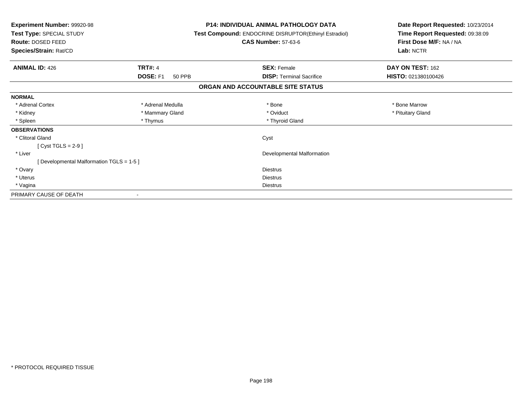| <b>Experiment Number: 99920-98</b><br>Test Type: SPECIAL STUDY<br>Route: DOSED FEED<br>Species/Strain: Rat/CD |                                  | <b>P14: INDIVIDUAL ANIMAL PATHOLOGY DATA</b><br>Test Compound: ENDOCRINE DISRUPTOR(Ethinyl Estradiol)<br><b>CAS Number: 57-63-6</b> | Date Report Requested: 10/23/2014<br>Time Report Requested: 09:38:09<br>First Dose M/F: NA / NA<br>Lab: NCTR |  |
|---------------------------------------------------------------------------------------------------------------|----------------------------------|-------------------------------------------------------------------------------------------------------------------------------------|--------------------------------------------------------------------------------------------------------------|--|
| <b>ANIMAL ID: 426</b>                                                                                         | <b>TRT#: 4</b>                   | <b>SEX: Female</b>                                                                                                                  | DAY ON TEST: 162                                                                                             |  |
|                                                                                                               | <b>DOSE: F1</b><br><b>50 PPB</b> | <b>DISP: Terminal Sacrifice</b>                                                                                                     | HISTO: 021380100426                                                                                          |  |
|                                                                                                               |                                  | ORGAN AND ACCOUNTABLE SITE STATUS                                                                                                   |                                                                                                              |  |
| <b>NORMAL</b>                                                                                                 |                                  |                                                                                                                                     |                                                                                                              |  |
| * Adrenal Cortex                                                                                              | * Adrenal Medulla                | * Bone                                                                                                                              | * Bone Marrow                                                                                                |  |
| * Kidney                                                                                                      | * Mammary Gland                  | * Oviduct                                                                                                                           | * Pituitary Gland                                                                                            |  |
| * Spleen                                                                                                      | * Thymus                         | * Thyroid Gland                                                                                                                     |                                                                                                              |  |
| <b>OBSERVATIONS</b>                                                                                           |                                  |                                                                                                                                     |                                                                                                              |  |
| * Clitoral Gland                                                                                              |                                  | Cyst                                                                                                                                |                                                                                                              |  |
| [ Cyst TGLS = $2-9$ ]                                                                                         |                                  |                                                                                                                                     |                                                                                                              |  |
| * Liver                                                                                                       |                                  | Developmental Malformation                                                                                                          |                                                                                                              |  |
| [ Developmental Malformation TGLS = 1-5 ]                                                                     |                                  |                                                                                                                                     |                                                                                                              |  |
| * Ovary                                                                                                       |                                  | <b>Diestrus</b>                                                                                                                     |                                                                                                              |  |
| * Uterus                                                                                                      |                                  | <b>Diestrus</b>                                                                                                                     |                                                                                                              |  |
| * Vagina                                                                                                      |                                  | <b>Diestrus</b>                                                                                                                     |                                                                                                              |  |
| PRIMARY CAUSE OF DEATH                                                                                        |                                  |                                                                                                                                     |                                                                                                              |  |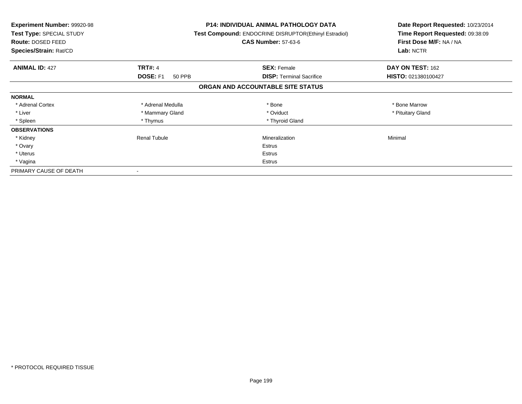| <b>Experiment Number: 99920-98</b><br>Test Type: SPECIAL STUDY<br>Route: DOSED FEED<br>Species/Strain: Rat/CD |                     | P14: INDIVIDUAL ANIMAL PATHOLOGY DATA<br>Test Compound: ENDOCRINE DISRUPTOR(Ethinyl Estradiol)<br><b>CAS Number: 57-63-6</b> | Date Report Requested: 10/23/2014<br>Time Report Requested: 09:38:09<br>First Dose M/F: NA / NA<br>Lab: NCTR |
|---------------------------------------------------------------------------------------------------------------|---------------------|------------------------------------------------------------------------------------------------------------------------------|--------------------------------------------------------------------------------------------------------------|
| <b>ANIMAL ID: 427</b>                                                                                         | <b>TRT#: 4</b>      | <b>SEX: Female</b>                                                                                                           | DAY ON TEST: 162                                                                                             |
|                                                                                                               | DOSE: F1<br>50 PPB  | <b>DISP:</b> Terminal Sacrifice                                                                                              | HISTO: 021380100427                                                                                          |
|                                                                                                               |                     | ORGAN AND ACCOUNTABLE SITE STATUS                                                                                            |                                                                                                              |
| <b>NORMAL</b>                                                                                                 |                     |                                                                                                                              |                                                                                                              |
| * Adrenal Cortex                                                                                              | * Adrenal Medulla   | * Bone                                                                                                                       | * Bone Marrow                                                                                                |
| * Liver                                                                                                       | * Mammary Gland     | * Oviduct                                                                                                                    | * Pituitary Gland                                                                                            |
| * Spleen                                                                                                      | * Thymus            | * Thyroid Gland                                                                                                              |                                                                                                              |
| <b>OBSERVATIONS</b>                                                                                           |                     |                                                                                                                              |                                                                                                              |
| * Kidney                                                                                                      | <b>Renal Tubule</b> | Mineralization                                                                                                               | Minimal                                                                                                      |
| * Ovary                                                                                                       |                     | Estrus                                                                                                                       |                                                                                                              |
| * Uterus                                                                                                      |                     | Estrus                                                                                                                       |                                                                                                              |
| * Vagina                                                                                                      |                     | Estrus                                                                                                                       |                                                                                                              |
| PRIMARY CAUSE OF DEATH                                                                                        |                     |                                                                                                                              |                                                                                                              |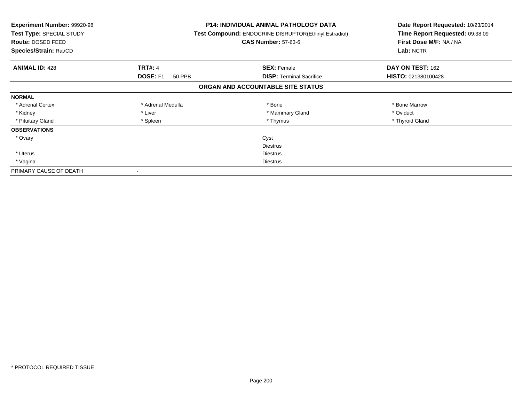| <b>Experiment Number: 99920-98</b><br>Test Type: SPECIAL STUDY<br><b>Route: DOSED FEED</b><br>Species/Strain: Rat/CD |                    | <b>P14: INDIVIDUAL ANIMAL PATHOLOGY DATA</b><br>Test Compound: ENDOCRINE DISRUPTOR(Ethinyl Estradiol)<br><b>CAS Number: 57-63-6</b> | Date Report Requested: 10/23/2014<br>Time Report Requested: 09:38:09<br>First Dose M/F: NA / NA<br>Lab: NCTR |
|----------------------------------------------------------------------------------------------------------------------|--------------------|-------------------------------------------------------------------------------------------------------------------------------------|--------------------------------------------------------------------------------------------------------------|
| <b>ANIMAL ID: 428</b>                                                                                                | <b>TRT#: 4</b>     | <b>SEX: Female</b>                                                                                                                  | DAY ON TEST: 162                                                                                             |
|                                                                                                                      | DOSE: F1<br>50 PPB | <b>DISP:</b> Terminal Sacrifice                                                                                                     | HISTO: 021380100428                                                                                          |
|                                                                                                                      |                    | ORGAN AND ACCOUNTABLE SITE STATUS                                                                                                   |                                                                                                              |
| <b>NORMAL</b>                                                                                                        |                    |                                                                                                                                     |                                                                                                              |
| * Adrenal Cortex                                                                                                     | * Adrenal Medulla  | * Bone                                                                                                                              | * Bone Marrow                                                                                                |
| * Kidney                                                                                                             | * Liver            | * Mammary Gland                                                                                                                     | * Oviduct                                                                                                    |
| * Pituitary Gland                                                                                                    | * Spleen           | * Thymus                                                                                                                            | * Thyroid Gland                                                                                              |
| <b>OBSERVATIONS</b>                                                                                                  |                    |                                                                                                                                     |                                                                                                              |
| * Ovary                                                                                                              |                    | Cyst                                                                                                                                |                                                                                                              |
|                                                                                                                      |                    | <b>Diestrus</b>                                                                                                                     |                                                                                                              |
| * Uterus                                                                                                             |                    | Diestrus                                                                                                                            |                                                                                                              |
| * Vagina                                                                                                             | Diestrus           |                                                                                                                                     |                                                                                                              |
| PRIMARY CAUSE OF DEATH                                                                                               |                    |                                                                                                                                     |                                                                                                              |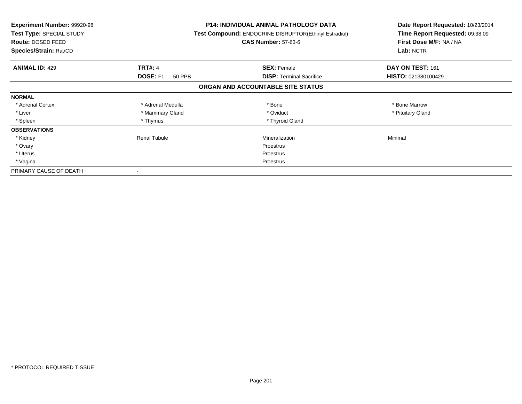| <b>Experiment Number: 99920-98</b><br>Test Type: SPECIAL STUDY<br><b>Route: DOSED FEED</b><br>Species/Strain: Rat/CD |                           | <b>P14: INDIVIDUAL ANIMAL PATHOLOGY DATA</b><br>Test Compound: ENDOCRINE DISRUPTOR(Ethinyl Estradiol)<br><b>CAS Number: 57-63-6</b> | Date Report Requested: 10/23/2014<br>Time Report Requested: 09:38:09<br>First Dose M/F: NA / NA<br>Lab: NCTR |
|----------------------------------------------------------------------------------------------------------------------|---------------------------|-------------------------------------------------------------------------------------------------------------------------------------|--------------------------------------------------------------------------------------------------------------|
| <b>ANIMAL ID: 429</b>                                                                                                | <b>TRT#: 4</b>            | <b>SEX: Female</b>                                                                                                                  | DAY ON TEST: 161                                                                                             |
|                                                                                                                      | <b>DOSE: F1</b><br>50 PPB | <b>DISP:</b> Terminal Sacrifice                                                                                                     | HISTO: 021380100429                                                                                          |
|                                                                                                                      |                           | ORGAN AND ACCOUNTABLE SITE STATUS                                                                                                   |                                                                                                              |
| <b>NORMAL</b>                                                                                                        |                           |                                                                                                                                     |                                                                                                              |
| * Adrenal Cortex                                                                                                     | * Adrenal Medulla         | * Bone                                                                                                                              | * Bone Marrow                                                                                                |
| * Liver                                                                                                              | * Mammary Gland           | * Oviduct                                                                                                                           | * Pituitary Gland                                                                                            |
| * Spleen                                                                                                             | * Thymus                  | * Thyroid Gland                                                                                                                     |                                                                                                              |
| <b>OBSERVATIONS</b>                                                                                                  |                           |                                                                                                                                     |                                                                                                              |
| * Kidney                                                                                                             | Renal Tubule              | Mineralization                                                                                                                      | Minimal                                                                                                      |
| * Ovary                                                                                                              |                           | Proestrus                                                                                                                           |                                                                                                              |
| * Uterus                                                                                                             |                           | Proestrus                                                                                                                           |                                                                                                              |
| * Vagina                                                                                                             |                           | Proestrus                                                                                                                           |                                                                                                              |
| PRIMARY CAUSE OF DEATH                                                                                               |                           |                                                                                                                                     |                                                                                                              |